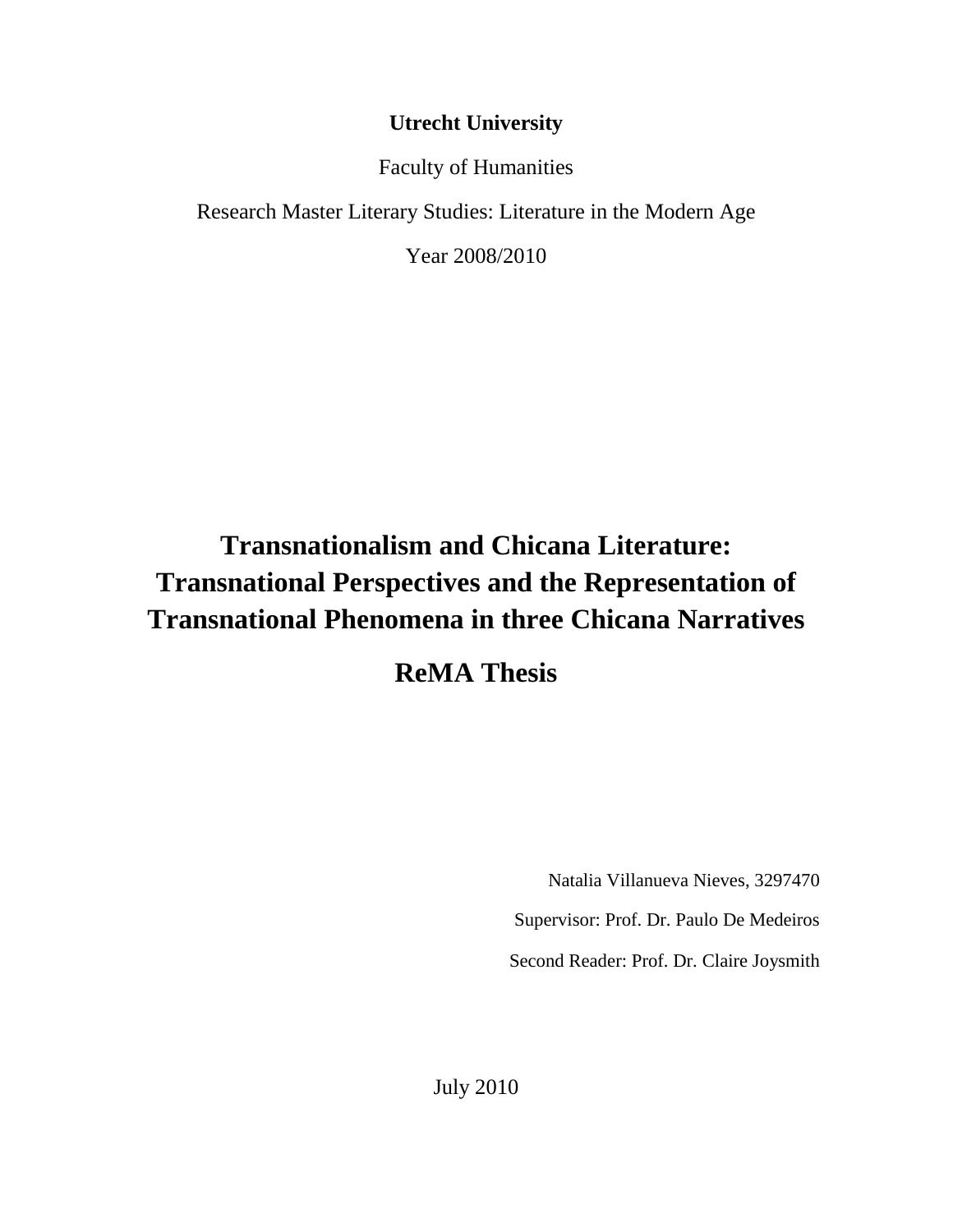# **Utrecht University**

Faculty of Humanities

Research Master Literary Studies: Literature in the Modern Age

Year 2008/2010

# **Transnationalism and Chicana Literature: Transnational Perspectives and the Representation of Transnational Phenomena in three Chicana Narratives**

**ReMA Thesis**

Natalia Villanueva Nieves, 3297470

Supervisor: Prof. Dr. Paulo De Medeiros

Second Reader: Prof. Dr. Claire Joysmith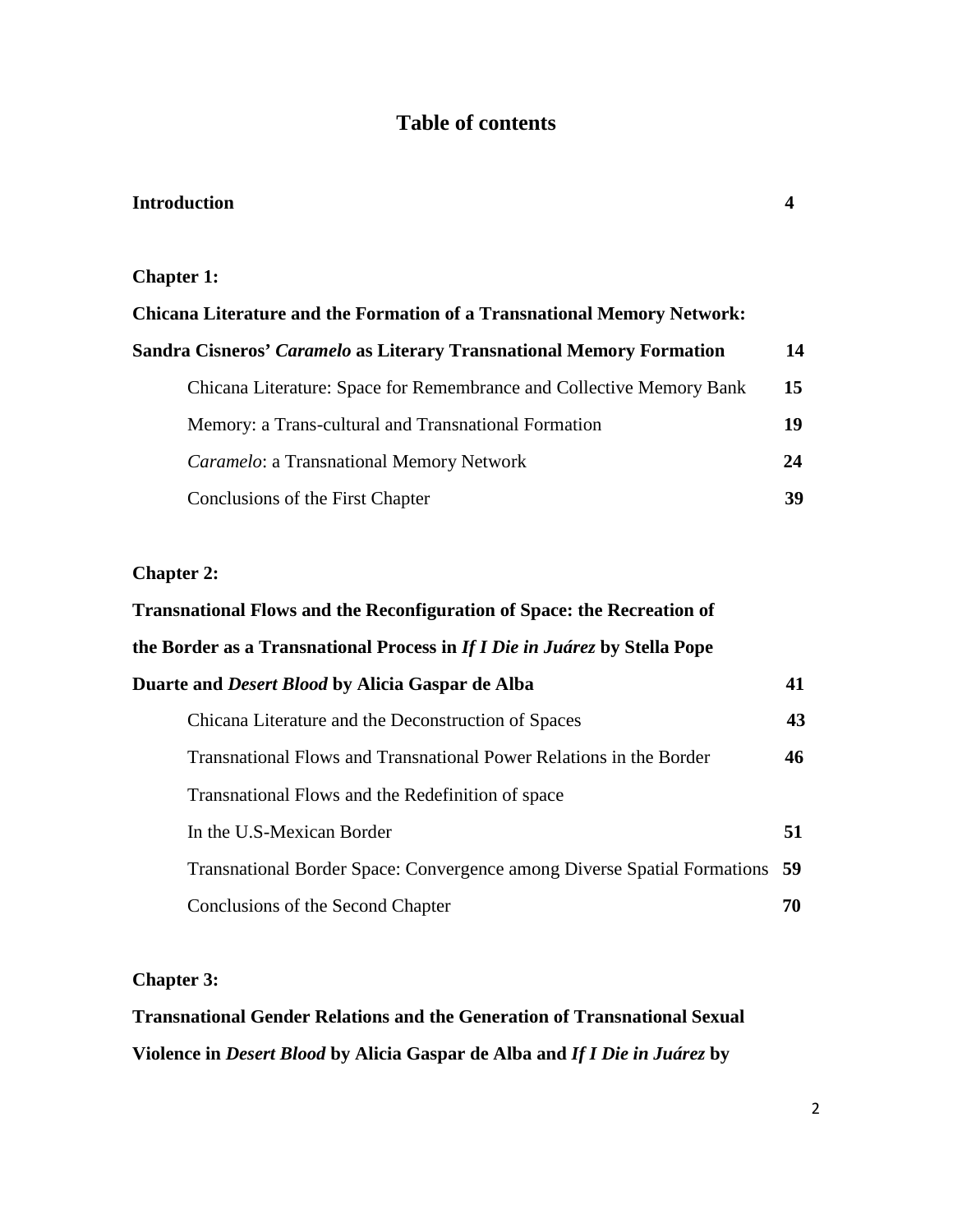# **Table of contents**

## **Introduction 4**

### **Chapter 1:**

| <b>Chicana Literature and the Formation of a Transnational Memory Network:</b> |    |
|--------------------------------------------------------------------------------|----|
| <b>Sandra Cisneros' Caramelo as Literary Transnational Memory Formation</b>    | 14 |
| <b>Chicana Literature: Space for Remembrance and Collective Memory Bank</b>    | 15 |
| Memory: a Trans-cultural and Transnational Formation                           | 19 |
| <i>Caramelo:</i> a Transnational Memory Network                                | 24 |
| Conclusions of the First Chapter                                               | 39 |

### **Chapter 2:**

| <b>Transnational Flows and the Reconfiguration of Space: the Recreation of</b> |    |
|--------------------------------------------------------------------------------|----|
| the Border as a Transnational Process in If I Die in Juárez by Stella Pope     |    |
| Duarte and <i>Desert Blood</i> by Alicia Gaspar de Alba                        | 41 |
| Chicana Literature and the Deconstruction of Spaces                            | 43 |
| Transnational Flows and Transnational Power Relations in the Border            | 46 |
| Transnational Flows and the Redefinition of space                              |    |
| In the U.S-Mexican Border                                                      | 51 |
| Transnational Border Space: Convergence among Diverse Spatial Formations 59    |    |
| Conclusions of the Second Chapter                                              | 70 |

## **Chapter 3:**

# **Transnational Gender Relations and the Generation of Transnational Sexual Violence in** *Desert Blood* **by Alicia Gaspar de Alba and** *If I Die in Juárez* **by**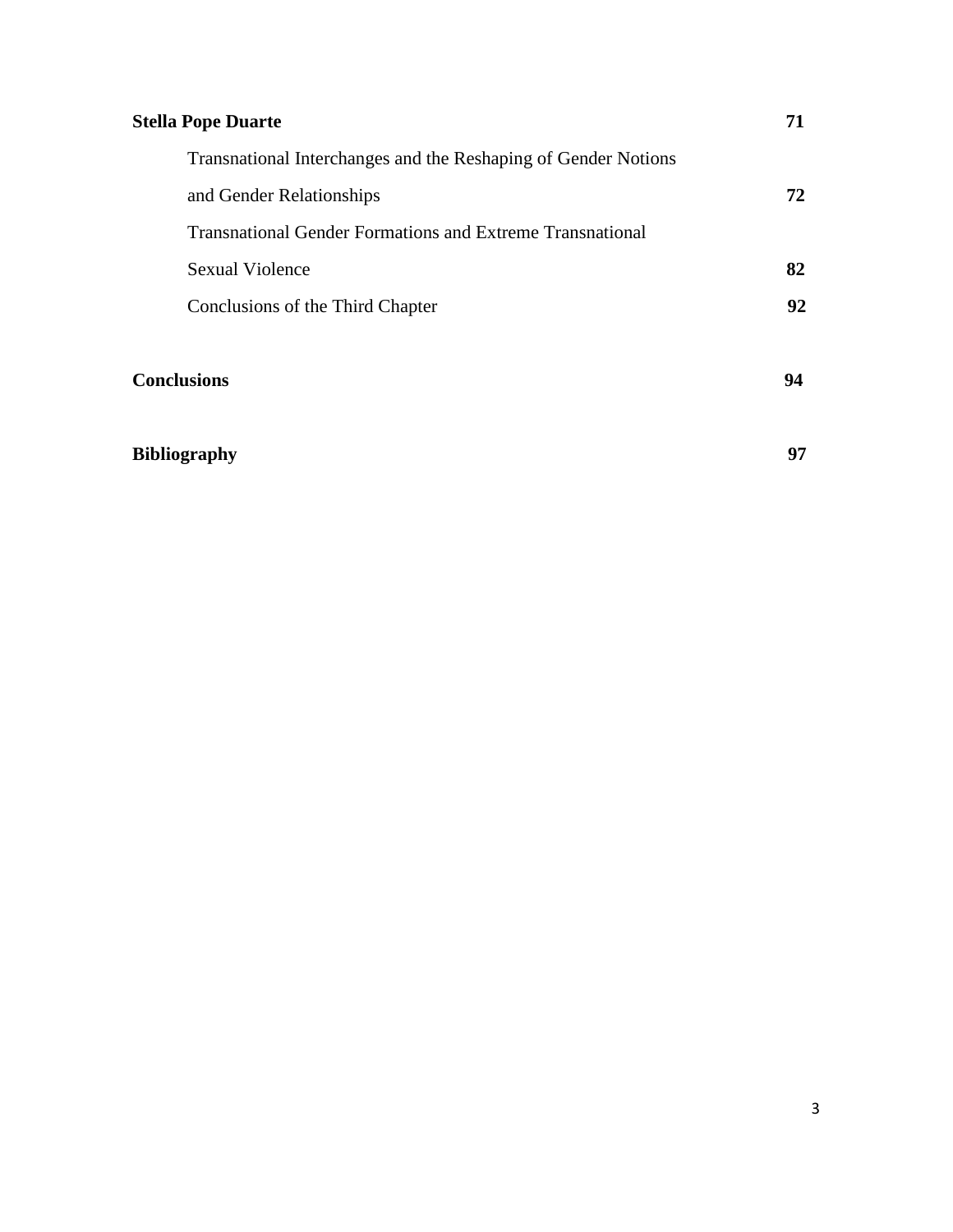| <b>Stella Pope Duarte</b>                                        | 71  |
|------------------------------------------------------------------|-----|
| Transnational Interchanges and the Reshaping of Gender Notions   |     |
| and Gender Relationships                                         | 72. |
| <b>Transnational Gender Formations and Extreme Transnational</b> |     |
| <b>Sexual Violence</b>                                           | 82  |
| Conclusions of the Third Chapter                                 | 92  |
|                                                                  |     |
| <b>Conclusions</b>                                               | 94  |
|                                                                  |     |

# **Bibliography 97**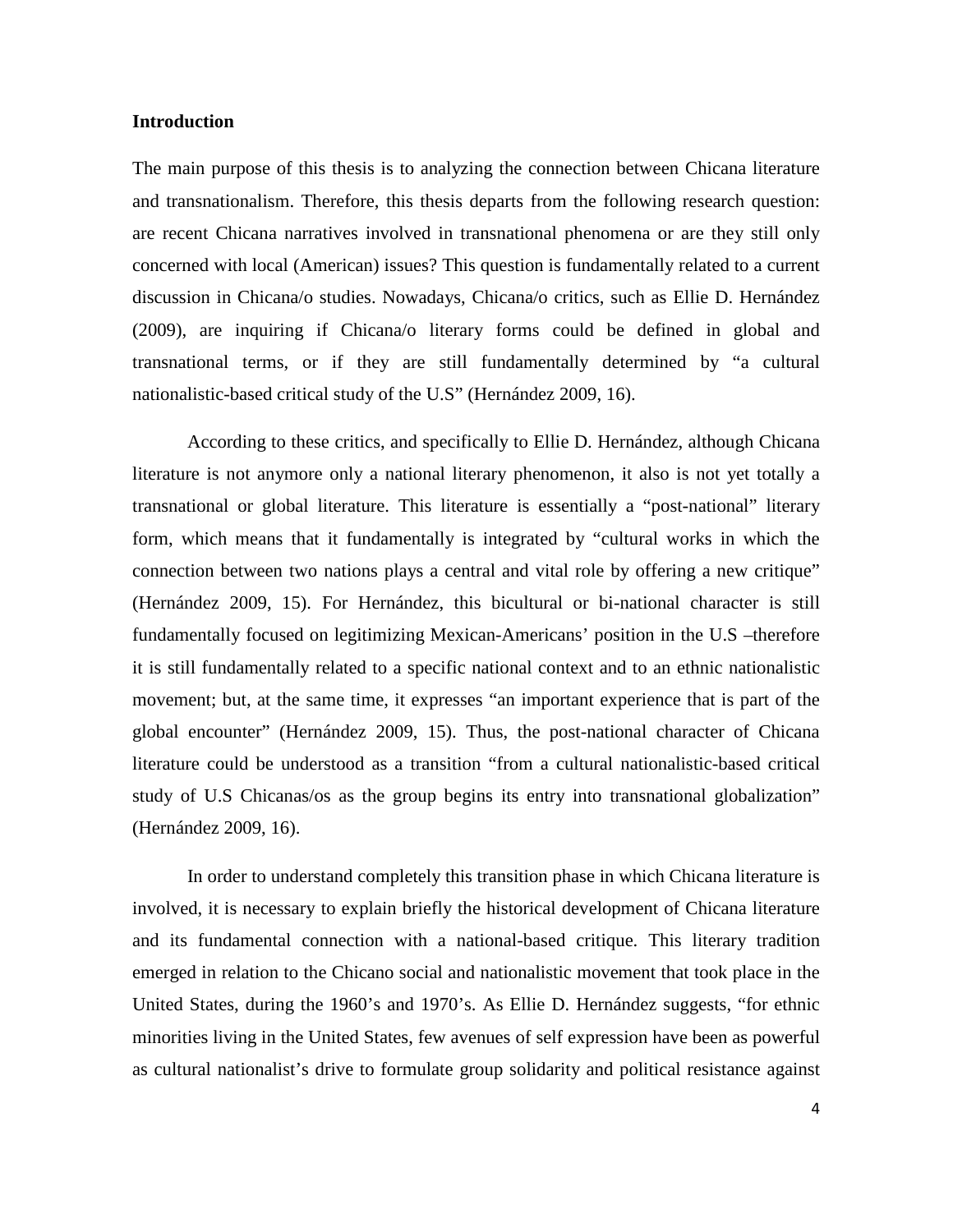### **Introduction**

The main purpose of this thesis is to analyzing the connection between Chicana literature and transnationalism. Therefore, this thesis departs from the following research question: are recent Chicana narratives involved in transnational phenomena or are they still only concerned with local (American) issues? This question is fundamentally related to a current discussion in Chicana/o studies. Nowadays, Chicana/o critics, such as Ellie D. Hernández (2009), are inquiring if Chicana/o literary forms could be defined in global and transnational terms, or if they are still fundamentally determined by "a cultural nationalistic-based critical study of the U.S" (Hernández 2009, 16).

According to these critics, and specifically to Ellie D. Hernández, although Chicana literature is not anymore only a national literary phenomenon, it also is not yet totally a transnational or global literature. This literature is essentially a "post-national" literary form, which means that it fundamentally is integrated by "cultural works in which the connection between two nations plays a central and vital role by offering a new critique" (Hernández 2009, 15). For Hernández, this bicultural or bi-national character is still fundamentally focused on legitimizing Mexican-Americans' position in the U.S –therefore it is still fundamentally related to a specific national context and to an ethnic nationalistic movement; but, at the same time, it expresses "an important experience that is part of the global encounter" (Hernández 2009, 15). Thus, the post-national character of Chicana literature could be understood as a transition "from a cultural nationalistic-based critical study of U.S Chicanas/os as the group begins its entry into transnational globalization" (Hernández 2009, 16).

In order to understand completely this transition phase in which Chicana literature is involved, it is necessary to explain briefly the historical development of Chicana literature and its fundamental connection with a national-based critique. This literary tradition emerged in relation to the Chicano social and nationalistic movement that took place in the United States, during the 1960's and 1970's. As Ellie D. Hernández suggests, "for ethnic minorities living in the United States, few avenues of self expression have been as powerful as cultural nationalist's drive to formulate group solidarity and political resistance against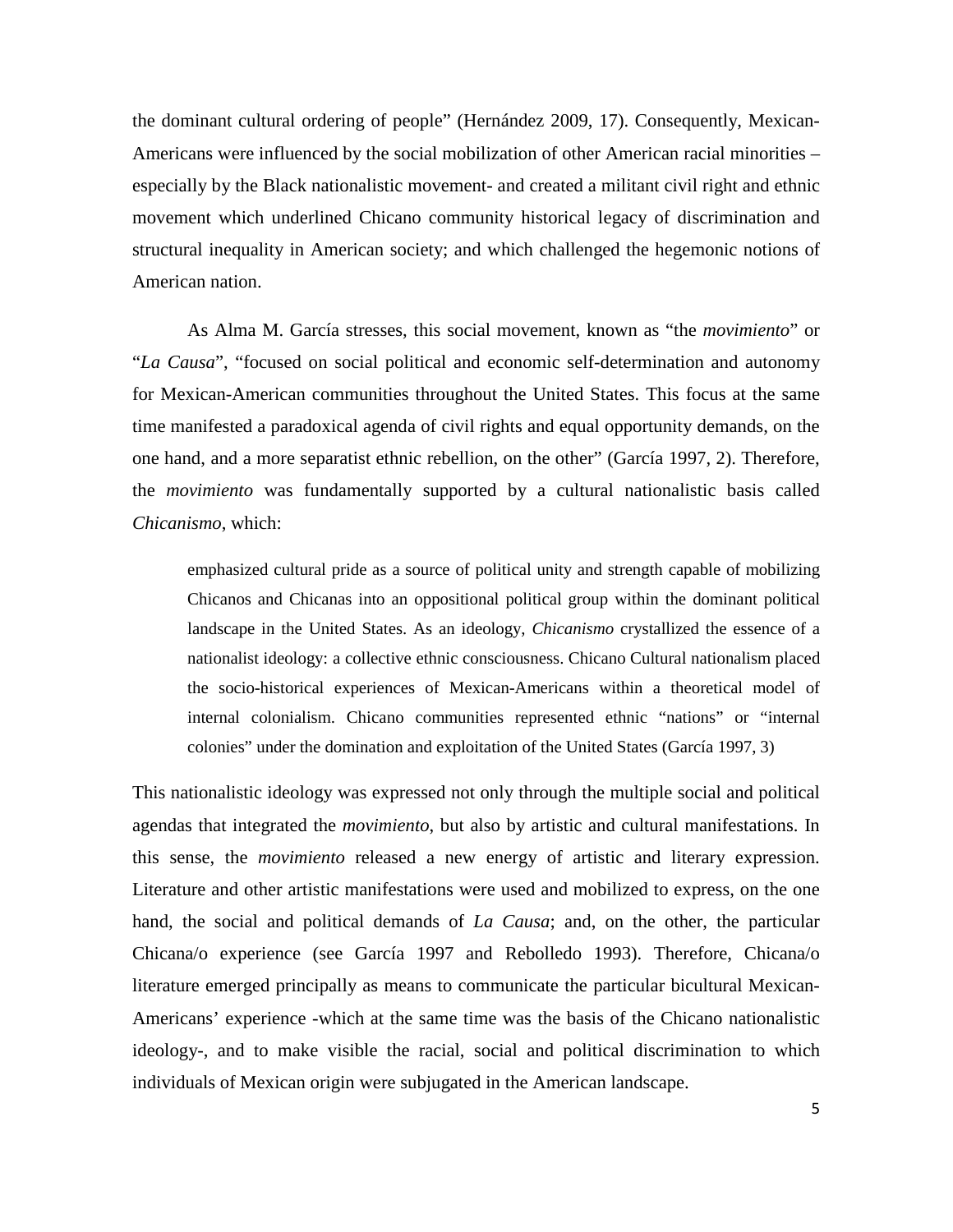the dominant cultural ordering of people" (Hernández 2009, 17). Consequently, Mexican-Americans were influenced by the social mobilization of other American racial minorities – especially by the Black nationalistic movement- and created a militant civil right and ethnic movement which underlined Chicano community historical legacy of discrimination and structural inequality in American society; and which challenged the hegemonic notions of American nation.

As Alma M. García stresses, this social movement, known as "the *movimiento*" or "*La Causa*", "focused on social political and economic self-determination and autonomy for Mexican-American communities throughout the United States. This focus at the same time manifested a paradoxical agenda of civil rights and equal opportunity demands, on the one hand, and a more separatist ethnic rebellion, on the other" (García 1997, 2). Therefore, the *movimiento* was fundamentally supported by a cultural nationalistic basis called *Chicanismo*, which:

emphasized cultural pride as a source of political unity and strength capable of mobilizing Chicanos and Chicanas into an oppositional political group within the dominant political landscape in the United States. As an ideology, *Chicanismo* crystallized the essence of a nationalist ideology: a collective ethnic consciousness. Chicano Cultural nationalism placed the socio-historical experiences of Mexican-Americans within a theoretical model of internal colonialism. Chicano communities represented ethnic "nations" or "internal colonies" under the domination and exploitation of the United States (García 1997, 3)

This nationalistic ideology was expressed not only through the multiple social and political agendas that integrated the *movimiento*, but also by artistic and cultural manifestations. In this sense, the *movimiento* released a new energy of artistic and literary expression. Literature and other artistic manifestations were used and mobilized to express, on the one hand, the social and political demands of *La Causa*; and, on the other, the particular Chicana/o experience (see García 1997 and Rebolledo 1993). Therefore, Chicana/o literature emerged principally as means to communicate the particular bicultural Mexican-Americans' experience -which at the same time was the basis of the Chicano nationalistic ideology-, and to make visible the racial, social and political discrimination to which individuals of Mexican origin were subjugated in the American landscape.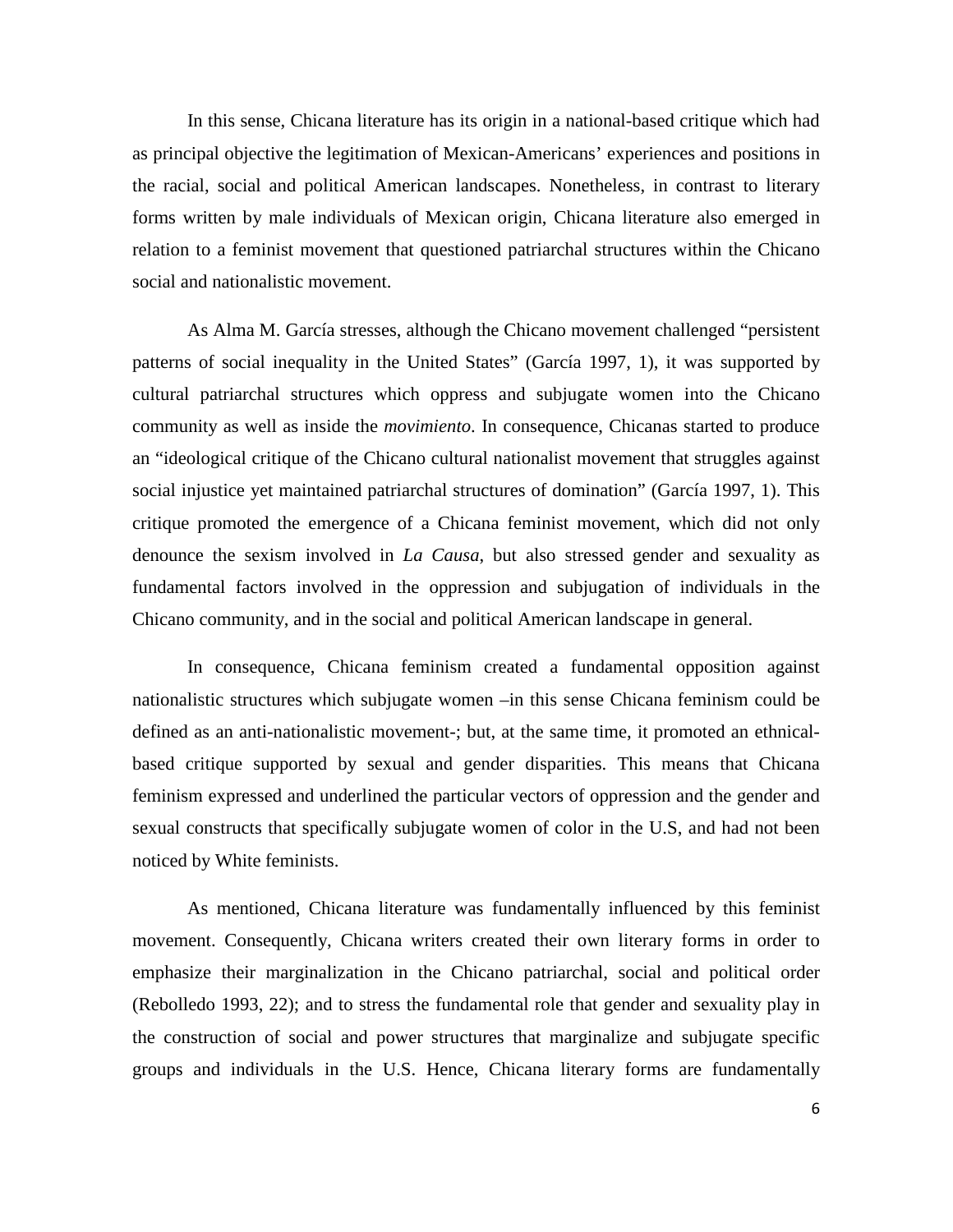In this sense, Chicana literature has its origin in a national-based critique which had as principal objective the legitimation of Mexican-Americans' experiences and positions in the racial, social and political American landscapes. Nonetheless, in contrast to literary forms written by male individuals of Mexican origin, Chicana literature also emerged in relation to a feminist movement that questioned patriarchal structures within the Chicano social and nationalistic movement.

As Alma M. García stresses, although the Chicano movement challenged "persistent patterns of social inequality in the United States" (García 1997, 1), it was supported by cultural patriarchal structures which oppress and subjugate women into the Chicano community as well as inside the *movimiento*. In consequence, Chicanas started to produce an "ideological critique of the Chicano cultural nationalist movement that struggles against social injustice yet maintained patriarchal structures of domination" (García 1997, 1). This critique promoted the emergence of a Chicana feminist movement, which did not only denounce the sexism involved in *La Causa*, but also stressed gender and sexuality as fundamental factors involved in the oppression and subjugation of individuals in the Chicano community, and in the social and political American landscape in general.

In consequence, Chicana feminism created a fundamental opposition against nationalistic structures which subjugate women –in this sense Chicana feminism could be defined as an anti-nationalistic movement-; but, at the same time, it promoted an ethnicalbased critique supported by sexual and gender disparities. This means that Chicana feminism expressed and underlined the particular vectors of oppression and the gender and sexual constructs that specifically subjugate women of color in the U.S, and had not been noticed by White feminists.

As mentioned, Chicana literature was fundamentally influenced by this feminist movement. Consequently, Chicana writers created their own literary forms in order to emphasize their marginalization in the Chicano patriarchal, social and political order (Rebolledo 1993, 22); and to stress the fundamental role that gender and sexuality play in the construction of social and power structures that marginalize and subjugate specific groups and individuals in the U.S. Hence, Chicana literary forms are fundamentally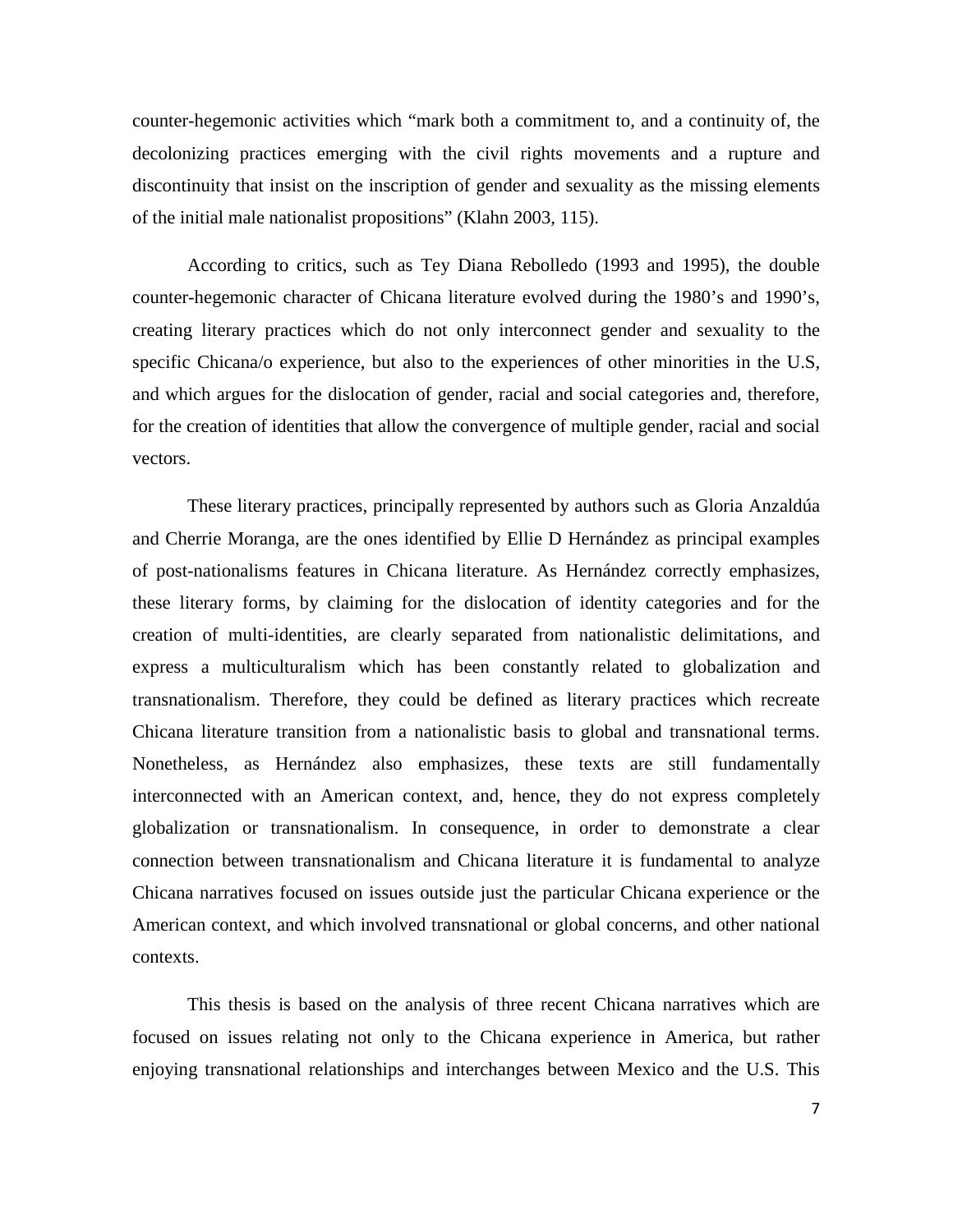counter-hegemonic activities which "mark both a commitment to, and a continuity of, the decolonizing practices emerging with the civil rights movements and a rupture and discontinuity that insist on the inscription of gender and sexuality as the missing elements of the initial male nationalist propositions" (Klahn 2003, 115).

According to critics, such as Tey Diana Rebolledo (1993 and 1995), the double counter-hegemonic character of Chicana literature evolved during the 1980's and 1990's, creating literary practices which do not only interconnect gender and sexuality to the specific Chicana/o experience, but also to the experiences of other minorities in the U.S, and which argues for the dislocation of gender, racial and social categories and, therefore, for the creation of identities that allow the convergence of multiple gender, racial and social vectors.

These literary practices, principally represented by authors such as Gloria Anzaldúa and Cherrie Moranga, are the ones identified by Ellie D Hernández as principal examples of post-nationalisms features in Chicana literature. As Hernández correctly emphasizes, these literary forms, by claiming for the dislocation of identity categories and for the creation of multi-identities, are clearly separated from nationalistic delimitations, and express a multiculturalism which has been constantly related to globalization and transnationalism. Therefore, they could be defined as literary practices which recreate Chicana literature transition from a nationalistic basis to global and transnational terms. Nonetheless, as Hernández also emphasizes, these texts are still fundamentally interconnected with an American context, and, hence, they do not express completely globalization or transnationalism. In consequence, in order to demonstrate a clear connection between transnationalism and Chicana literature it is fundamental to analyze Chicana narratives focused on issues outside just the particular Chicana experience or the American context, and which involved transnational or global concerns, and other national contexts.

This thesis is based on the analysis of three recent Chicana narratives which are focused on issues relating not only to the Chicana experience in America, but rather enjoying transnational relationships and interchanges between Mexico and the U.S. This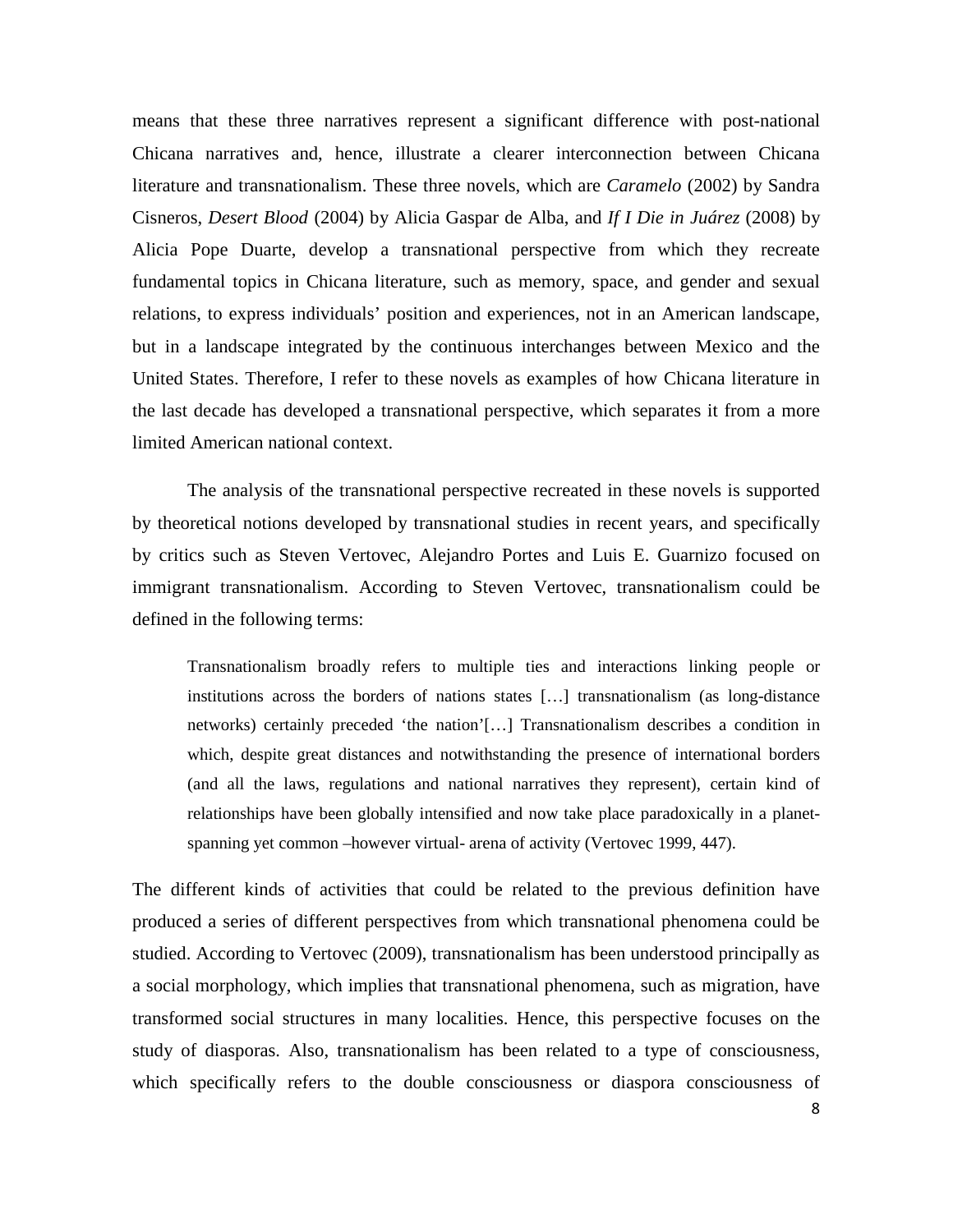means that these three narratives represent a significant difference with post-national Chicana narratives and, hence, illustrate a clearer interconnection between Chicana literature and transnationalism. These three novels, which are *Caramelo* (2002) by Sandra Cisneros, *Desert Blood* (2004) by Alicia Gaspar de Alba, and *If I Die in Juárez* (2008) by Alicia Pope Duarte, develop a transnational perspective from which they recreate fundamental topics in Chicana literature, such as memory, space, and gender and sexual relations, to express individuals' position and experiences, not in an American landscape, but in a landscape integrated by the continuous interchanges between Mexico and the United States. Therefore, I refer to these novels as examples of how Chicana literature in the last decade has developed a transnational perspective, which separates it from a more limited American national context.

The analysis of the transnational perspective recreated in these novels is supported by theoretical notions developed by transnational studies in recent years, and specifically by critics such as Steven Vertovec, Alejandro Portes and Luis E. Guarnizo focused on immigrant transnationalism. According to Steven Vertovec, transnationalism could be defined in the following terms:

Transnationalism broadly refers to multiple ties and interactions linking people or institutions across the borders of nations states […] transnationalism (as long-distance networks) certainly preceded 'the nation'[…] Transnationalism describes a condition in which, despite great distances and notwithstanding the presence of international borders (and all the laws, regulations and national narratives they represent), certain kind of relationships have been globally intensified and now take place paradoxically in a planetspanning yet common –however virtual- arena of activity (Vertovec 1999, 447).

The different kinds of activities that could be related to the previous definition have produced a series of different perspectives from which transnational phenomena could be studied. According to Vertovec (2009), transnationalism has been understood principally as a social morphology, which implies that transnational phenomena, such as migration, have transformed social structures in many localities. Hence, this perspective focuses on the study of diasporas. Also, transnationalism has been related to a type of consciousness, which specifically refers to the double consciousness or diaspora consciousness of

8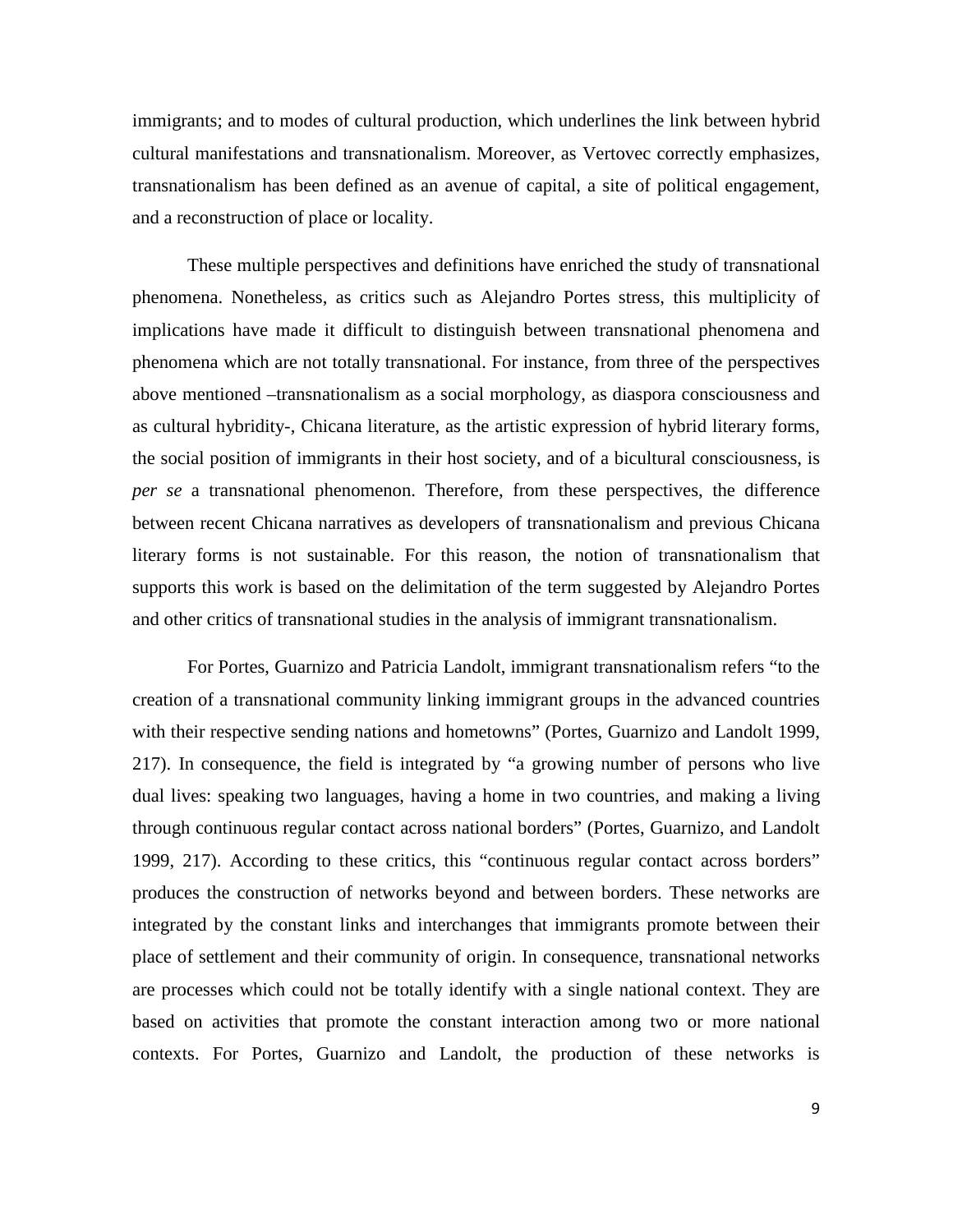immigrants; and to modes of cultural production, which underlines the link between hybrid cultural manifestations and transnationalism. Moreover, as Vertovec correctly emphasizes, transnationalism has been defined as an avenue of capital, a site of political engagement, and a reconstruction of place or locality.

These multiple perspectives and definitions have enriched the study of transnational phenomena. Nonetheless, as critics such as Alejandro Portes stress, this multiplicity of implications have made it difficult to distinguish between transnational phenomena and phenomena which are not totally transnational. For instance, from three of the perspectives above mentioned –transnationalism as a social morphology, as diaspora consciousness and as cultural hybridity-, Chicana literature, as the artistic expression of hybrid literary forms, the social position of immigrants in their host society, and of a bicultural consciousness, is *per se* a transnational phenomenon. Therefore, from these perspectives, the difference between recent Chicana narratives as developers of transnationalism and previous Chicana literary forms is not sustainable. For this reason, the notion of transnationalism that supports this work is based on the delimitation of the term suggested by Alejandro Portes and other critics of transnational studies in the analysis of immigrant transnationalism.

For Portes, Guarnizo and Patricia Landolt, immigrant transnationalism refers "to the creation of a transnational community linking immigrant groups in the advanced countries with their respective sending nations and hometowns" (Portes, Guarnizo and Landolt 1999, 217). In consequence, the field is integrated by "a growing number of persons who live dual lives: speaking two languages, having a home in two countries, and making a living through continuous regular contact across national borders" (Portes, Guarnizo, and Landolt 1999, 217). According to these critics, this "continuous regular contact across borders" produces the construction of networks beyond and between borders. These networks are integrated by the constant links and interchanges that immigrants promote between their place of settlement and their community of origin. In consequence, transnational networks are processes which could not be totally identify with a single national context. They are based on activities that promote the constant interaction among two or more national contexts. For Portes, Guarnizo and Landolt, the production of these networks is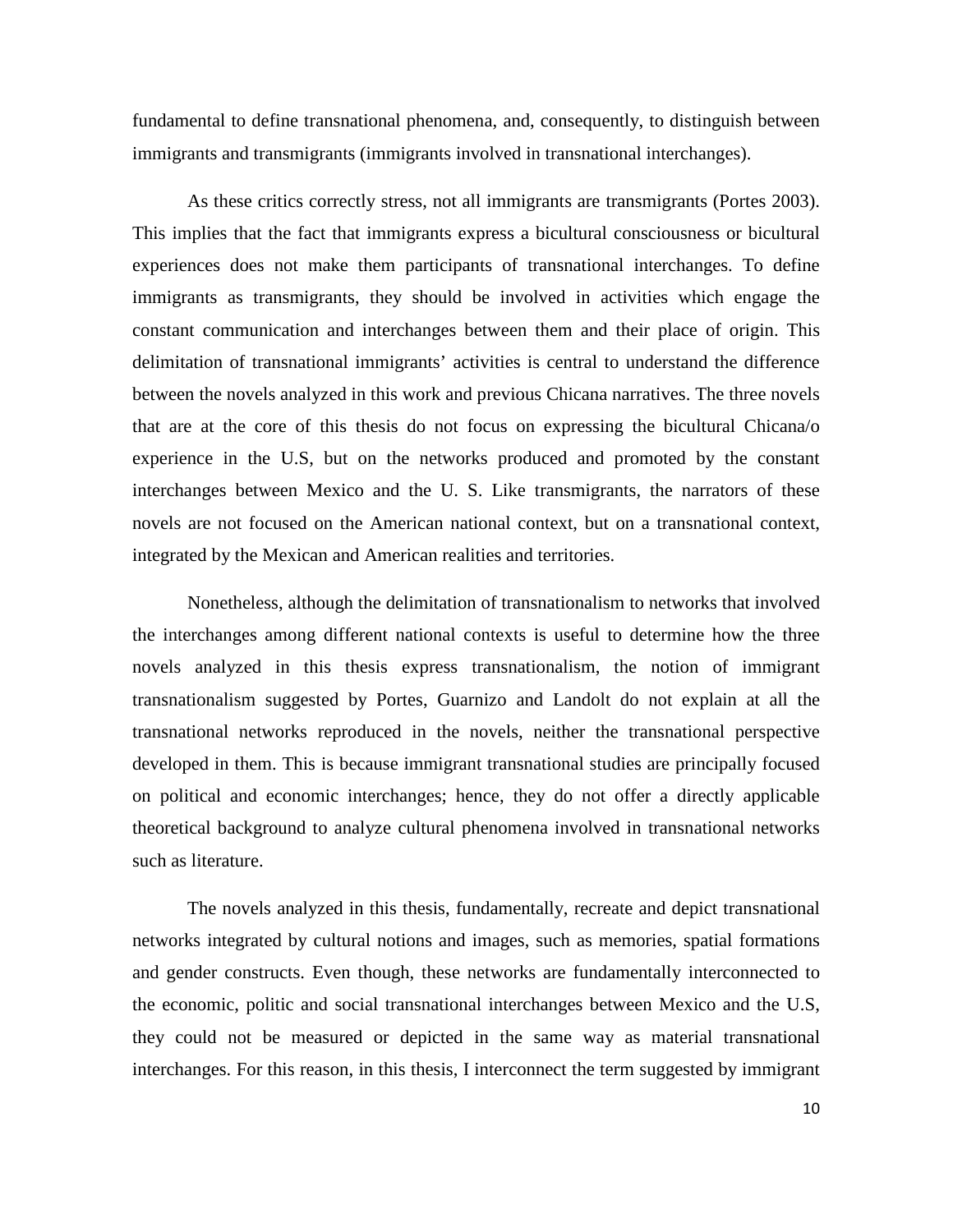fundamental to define transnational phenomena, and, consequently, to distinguish between immigrants and transmigrants (immigrants involved in transnational interchanges).

As these critics correctly stress, not all immigrants are transmigrants (Portes 2003). This implies that the fact that immigrants express a bicultural consciousness or bicultural experiences does not make them participants of transnational interchanges. To define immigrants as transmigrants, they should be involved in activities which engage the constant communication and interchanges between them and their place of origin. This delimitation of transnational immigrants' activities is central to understand the difference between the novels analyzed in this work and previous Chicana narratives. The three novels that are at the core of this thesis do not focus on expressing the bicultural Chicana/o experience in the U.S, but on the networks produced and promoted by the constant interchanges between Mexico and the U. S. Like transmigrants, the narrators of these novels are not focused on the American national context, but on a transnational context, integrated by the Mexican and American realities and territories.

Nonetheless, although the delimitation of transnationalism to networks that involved the interchanges among different national contexts is useful to determine how the three novels analyzed in this thesis express transnationalism, the notion of immigrant transnationalism suggested by Portes, Guarnizo and Landolt do not explain at all the transnational networks reproduced in the novels, neither the transnational perspective developed in them. This is because immigrant transnational studies are principally focused on political and economic interchanges; hence, they do not offer a directly applicable theoretical background to analyze cultural phenomena involved in transnational networks such as literature.

The novels analyzed in this thesis, fundamentally, recreate and depict transnational networks integrated by cultural notions and images, such as memories, spatial formations and gender constructs. Even though, these networks are fundamentally interconnected to the economic, politic and social transnational interchanges between Mexico and the U.S, they could not be measured or depicted in the same way as material transnational interchanges. For this reason, in this thesis, I interconnect the term suggested by immigrant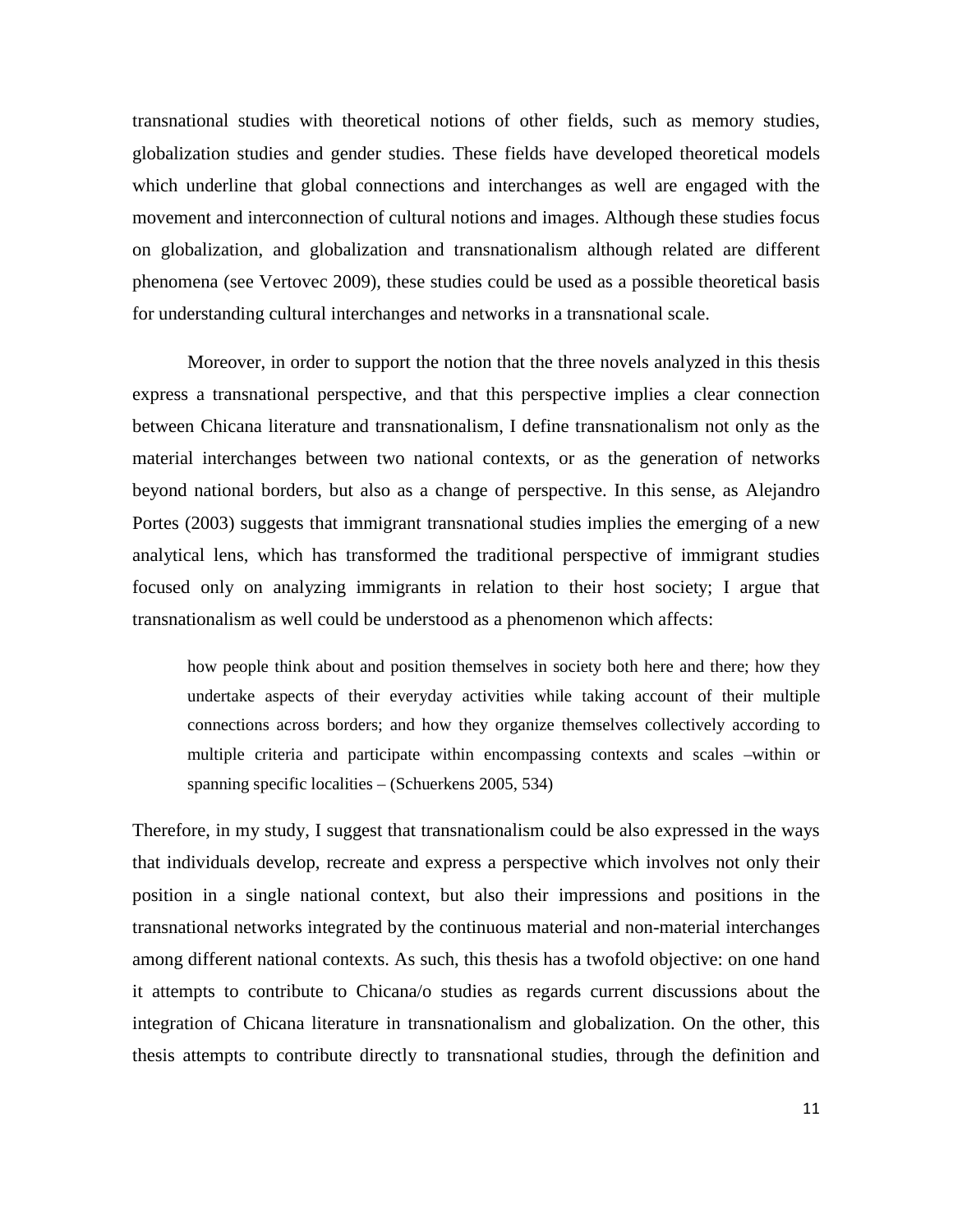transnational studies with theoretical notions of other fields, such as memory studies, globalization studies and gender studies. These fields have developed theoretical models which underline that global connections and interchanges as well are engaged with the movement and interconnection of cultural notions and images. Although these studies focus on globalization, and globalization and transnationalism although related are different phenomena (see Vertovec 2009), these studies could be used as a possible theoretical basis for understanding cultural interchanges and networks in a transnational scale.

Moreover, in order to support the notion that the three novels analyzed in this thesis express a transnational perspective, and that this perspective implies a clear connection between Chicana literature and transnationalism, I define transnationalism not only as the material interchanges between two national contexts, or as the generation of networks beyond national borders, but also as a change of perspective. In this sense, as Alejandro Portes (2003) suggests that immigrant transnational studies implies the emerging of a new analytical lens, which has transformed the traditional perspective of immigrant studies focused only on analyzing immigrants in relation to their host society; I argue that transnationalism as well could be understood as a phenomenon which affects:

how people think about and position themselves in society both here and there; how they undertake aspects of their everyday activities while taking account of their multiple connections across borders; and how they organize themselves collectively according to multiple criteria and participate within encompassing contexts and scales –within or spanning specific localities – (Schuerkens 2005, 534)

Therefore, in my study, I suggest that transnationalism could be also expressed in the ways that individuals develop, recreate and express a perspective which involves not only their position in a single national context, but also their impressions and positions in the transnational networks integrated by the continuous material and non-material interchanges among different national contexts. As such, this thesis has a twofold objective: on one hand it attempts to contribute to Chicana/o studies as regards current discussions about the integration of Chicana literature in transnationalism and globalization. On the other, this thesis attempts to contribute directly to transnational studies, through the definition and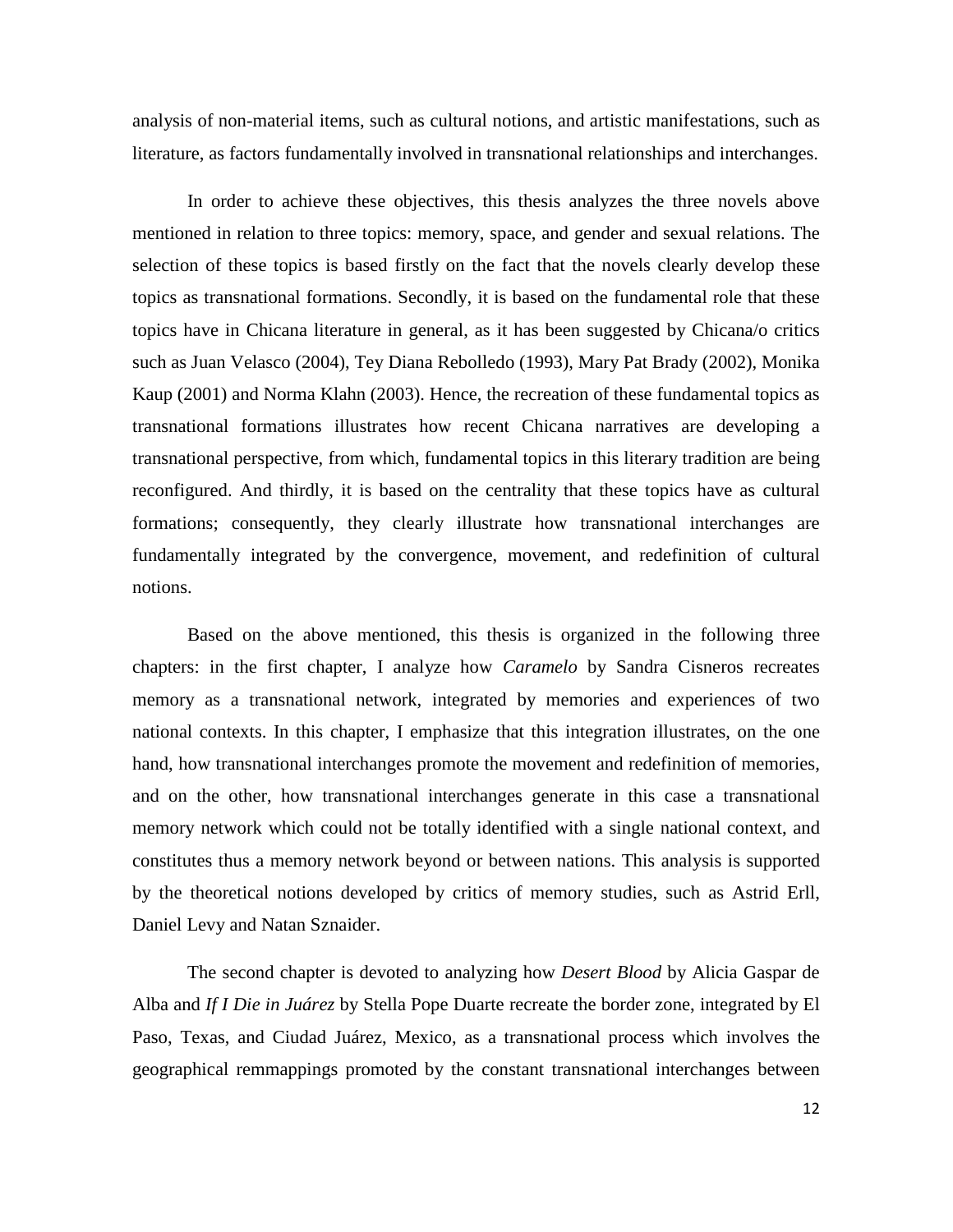analysis of non-material items, such as cultural notions, and artistic manifestations, such as literature, as factors fundamentally involved in transnational relationships and interchanges.

In order to achieve these objectives, this thesis analyzes the three novels above mentioned in relation to three topics: memory, space, and gender and sexual relations. The selection of these topics is based firstly on the fact that the novels clearly develop these topics as transnational formations. Secondly, it is based on the fundamental role that these topics have in Chicana literature in general, as it has been suggested by Chicana/o critics such as Juan Velasco (2004), Tey Diana Rebolledo (1993), Mary Pat Brady (2002), Monika Kaup (2001) and Norma Klahn (2003). Hence, the recreation of these fundamental topics as transnational formations illustrates how recent Chicana narratives are developing a transnational perspective, from which, fundamental topics in this literary tradition are being reconfigured. And thirdly, it is based on the centrality that these topics have as cultural formations; consequently, they clearly illustrate how transnational interchanges are fundamentally integrated by the convergence, movement, and redefinition of cultural notions.

Based on the above mentioned, this thesis is organized in the following three chapters: in the first chapter, I analyze how *Caramelo* by Sandra Cisneros recreates memory as a transnational network, integrated by memories and experiences of two national contexts. In this chapter, I emphasize that this integration illustrates, on the one hand, how transnational interchanges promote the movement and redefinition of memories, and on the other, how transnational interchanges generate in this case a transnational memory network which could not be totally identified with a single national context, and constitutes thus a memory network beyond or between nations. This analysis is supported by the theoretical notions developed by critics of memory studies, such as Astrid Erll, Daniel Levy and Natan Sznaider.

The second chapter is devoted to analyzing how *Desert Blood* by Alicia Gaspar de Alba and *If I Die in Juárez* by Stella Pope Duarte recreate the border zone, integrated by El Paso, Texas, and Ciudad Juárez, Mexico, as a transnational process which involves the geographical remmappings promoted by the constant transnational interchanges between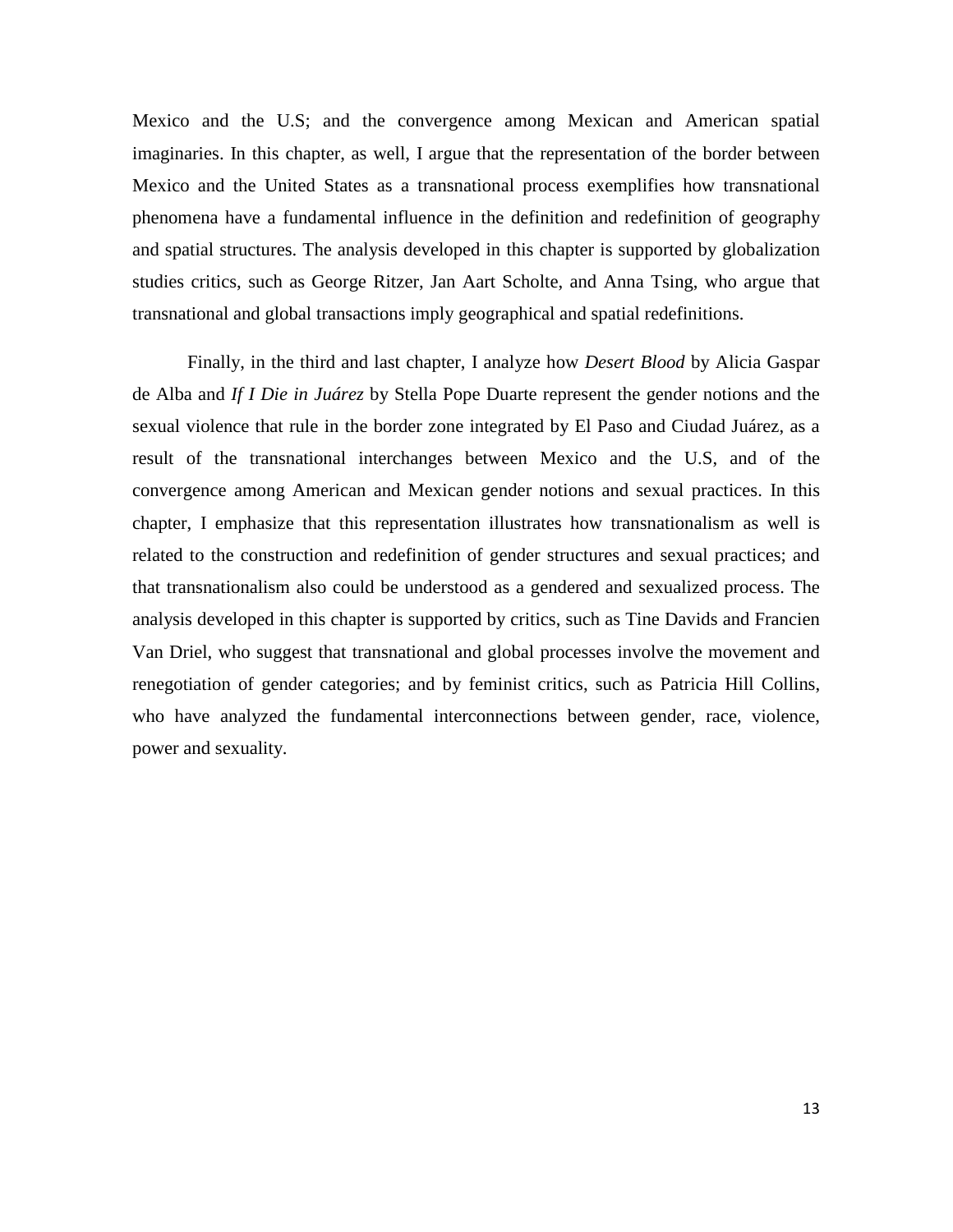Mexico and the U.S; and the convergence among Mexican and American spatial imaginaries. In this chapter, as well, I argue that the representation of the border between Mexico and the United States as a transnational process exemplifies how transnational phenomena have a fundamental influence in the definition and redefinition of geography and spatial structures. The analysis developed in this chapter is supported by globalization studies critics, such as George Ritzer, Jan Aart Scholte, and Anna Tsing, who argue that transnational and global transactions imply geographical and spatial redefinitions.

Finally, in the third and last chapter, I analyze how *Desert Blood* by Alicia Gaspar de Alba and *If I Die in Juárez* by Stella Pope Duarte represent the gender notions and the sexual violence that rule in the border zone integrated by El Paso and Ciudad Juárez, as a result of the transnational interchanges between Mexico and the U.S, and of the convergence among American and Mexican gender notions and sexual practices. In this chapter, I emphasize that this representation illustrates how transnationalism as well is related to the construction and redefinition of gender structures and sexual practices; and that transnationalism also could be understood as a gendered and sexualized process. The analysis developed in this chapter is supported by critics, such as Tine Davids and Francien Van Driel, who suggest that transnational and global processes involve the movement and renegotiation of gender categories; and by feminist critics, such as Patricia Hill Collins, who have analyzed the fundamental interconnections between gender, race, violence, power and sexuality.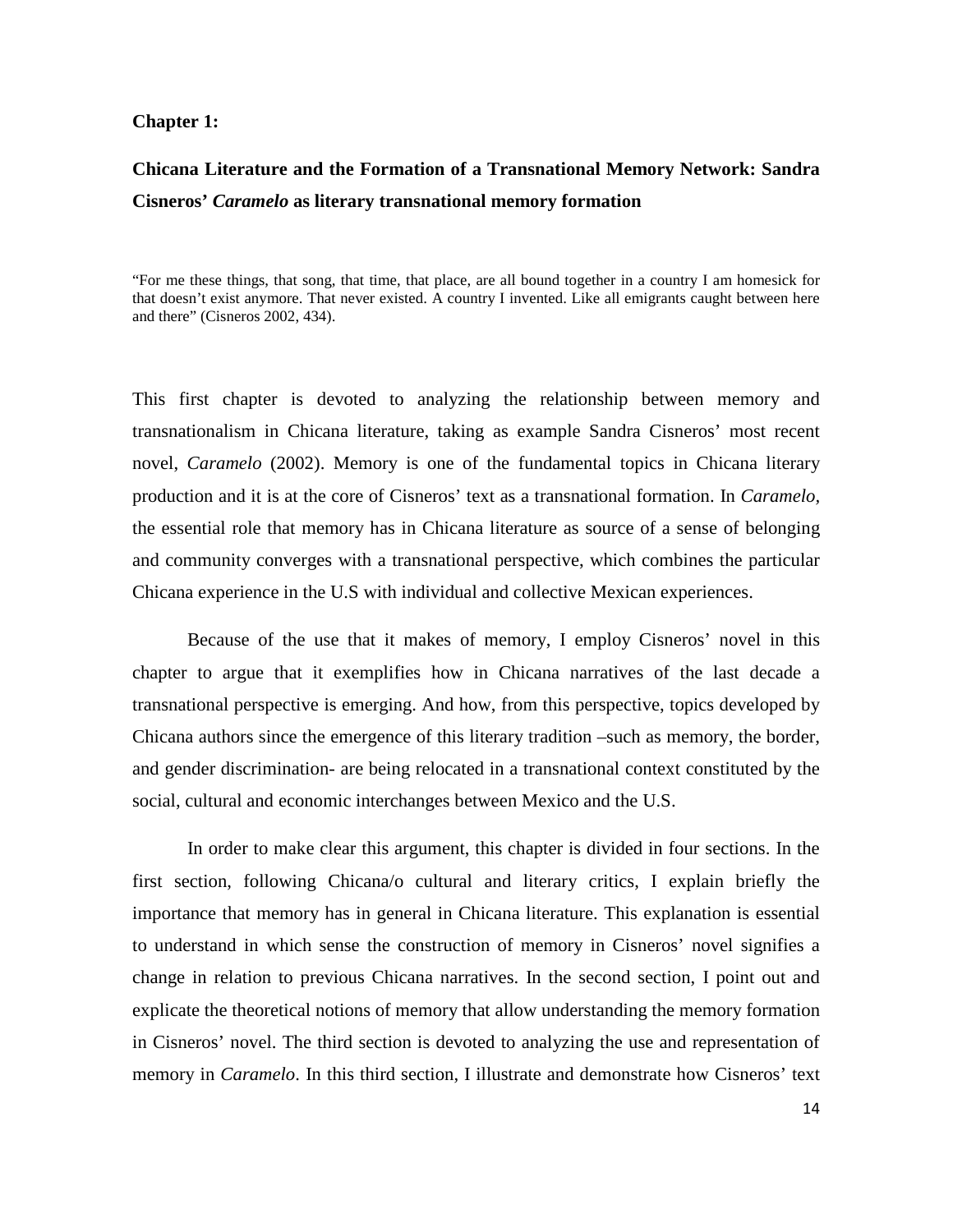### **Chapter 1:**

# **Chicana Literature and the Formation of a Transnational Memory Network: Sandra Cisneros'** *Caramelo* **as literary transnational memory formation**

"For me these things, that song, that time, that place, are all bound together in a country I am homesick for that doesn't exist anymore. That never existed. A country I invented. Like all emigrants caught between here and there" (Cisneros 2002, 434).

This first chapter is devoted to analyzing the relationship between memory and transnationalism in Chicana literature, taking as example Sandra Cisneros' most recent novel, *Caramelo* (2002). Memory is one of the fundamental topics in Chicana literary production and it is at the core of Cisneros' text as a transnational formation. In *Caramelo,* the essential role that memory has in Chicana literature as source of a sense of belonging and community converges with a transnational perspective, which combines the particular Chicana experience in the U.S with individual and collective Mexican experiences.

Because of the use that it makes of memory, I employ Cisneros' novel in this chapter to argue that it exemplifies how in Chicana narratives of the last decade a transnational perspective is emerging. And how, from this perspective, topics developed by Chicana authors since the emergence of this literary tradition –such as memory, the border, and gender discrimination- are being relocated in a transnational context constituted by the social, cultural and economic interchanges between Mexico and the U.S.

In order to make clear this argument, this chapter is divided in four sections. In the first section, following Chicana/o cultural and literary critics, I explain briefly the importance that memory has in general in Chicana literature. This explanation is essential to understand in which sense the construction of memory in Cisneros' novel signifies a change in relation to previous Chicana narratives. In the second section, I point out and explicate the theoretical notions of memory that allow understanding the memory formation in Cisneros' novel. The third section is devoted to analyzing the use and representation of memory in *Caramelo*. In this third section, I illustrate and demonstrate how Cisneros' text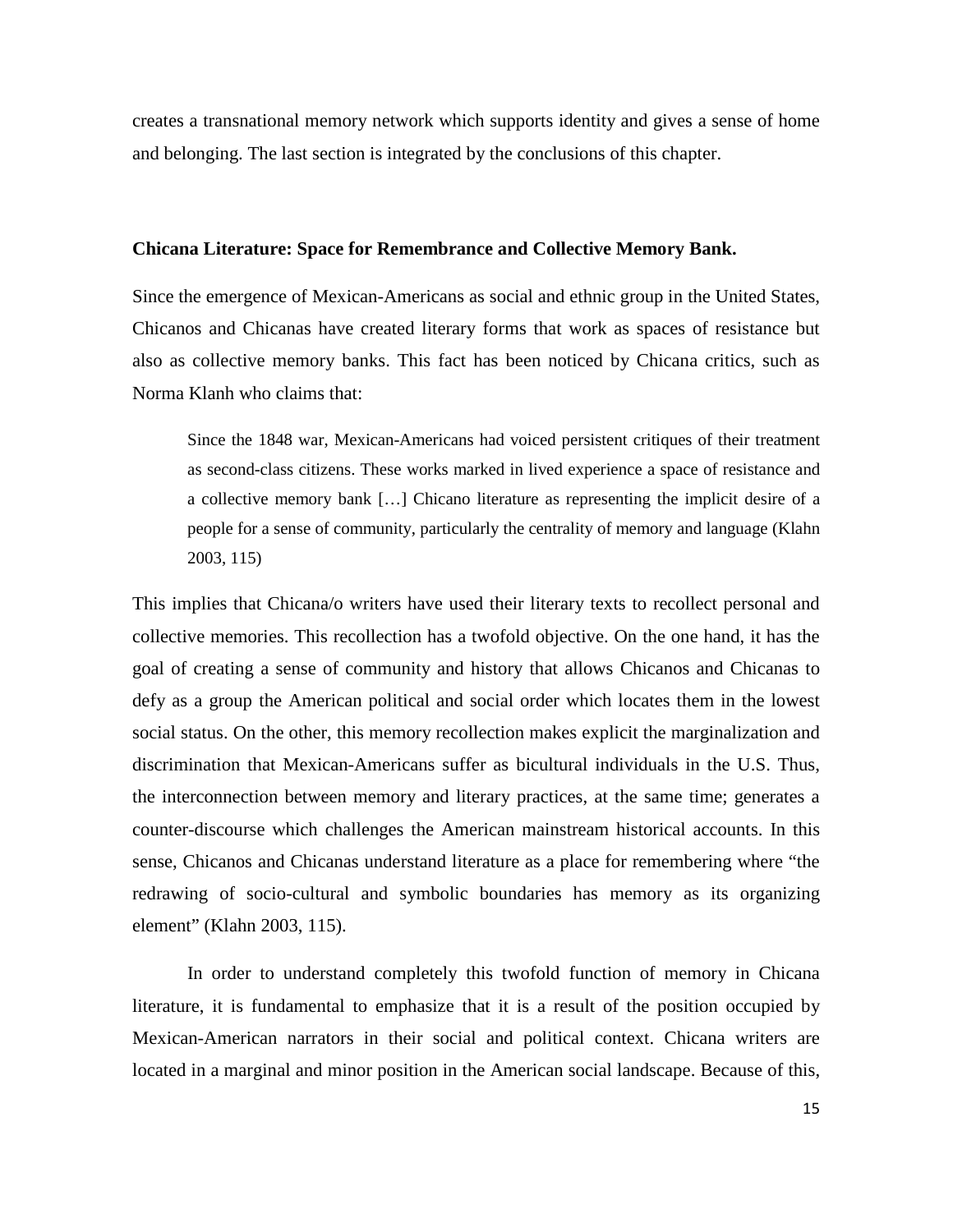creates a transnational memory network which supports identity and gives a sense of home and belonging. The last section is integrated by the conclusions of this chapter.

### **Chicana Literature: Space for Remembrance and Collective Memory Bank.**

Since the emergence of Mexican-Americans as social and ethnic group in the United States, Chicanos and Chicanas have created literary forms that work as spaces of resistance but also as collective memory banks. This fact has been noticed by Chicana critics, such as Norma Klanh who claims that:

Since the 1848 war, Mexican-Americans had voiced persistent critiques of their treatment as second-class citizens. These works marked in lived experience a space of resistance and a collective memory bank […] Chicano literature as representing the implicit desire of a people for a sense of community, particularly the centrality of memory and language (Klahn 2003, 115)

This implies that Chicana/o writers have used their literary texts to recollect personal and collective memories. This recollection has a twofold objective. On the one hand, it has the goal of creating a sense of community and history that allows Chicanos and Chicanas to defy as a group the American political and social order which locates them in the lowest social status. On the other, this memory recollection makes explicit the marginalization and discrimination that Mexican-Americans suffer as bicultural individuals in the U.S. Thus, the interconnection between memory and literary practices, at the same time; generates a counter-discourse which challenges the American mainstream historical accounts. In this sense, Chicanos and Chicanas understand literature as a place for remembering where "the redrawing of socio-cultural and symbolic boundaries has memory as its organizing element" (Klahn 2003, 115).

In order to understand completely this twofold function of memory in Chicana literature, it is fundamental to emphasize that it is a result of the position occupied by Mexican-American narrators in their social and political context. Chicana writers are located in a marginal and minor position in the American social landscape. Because of this,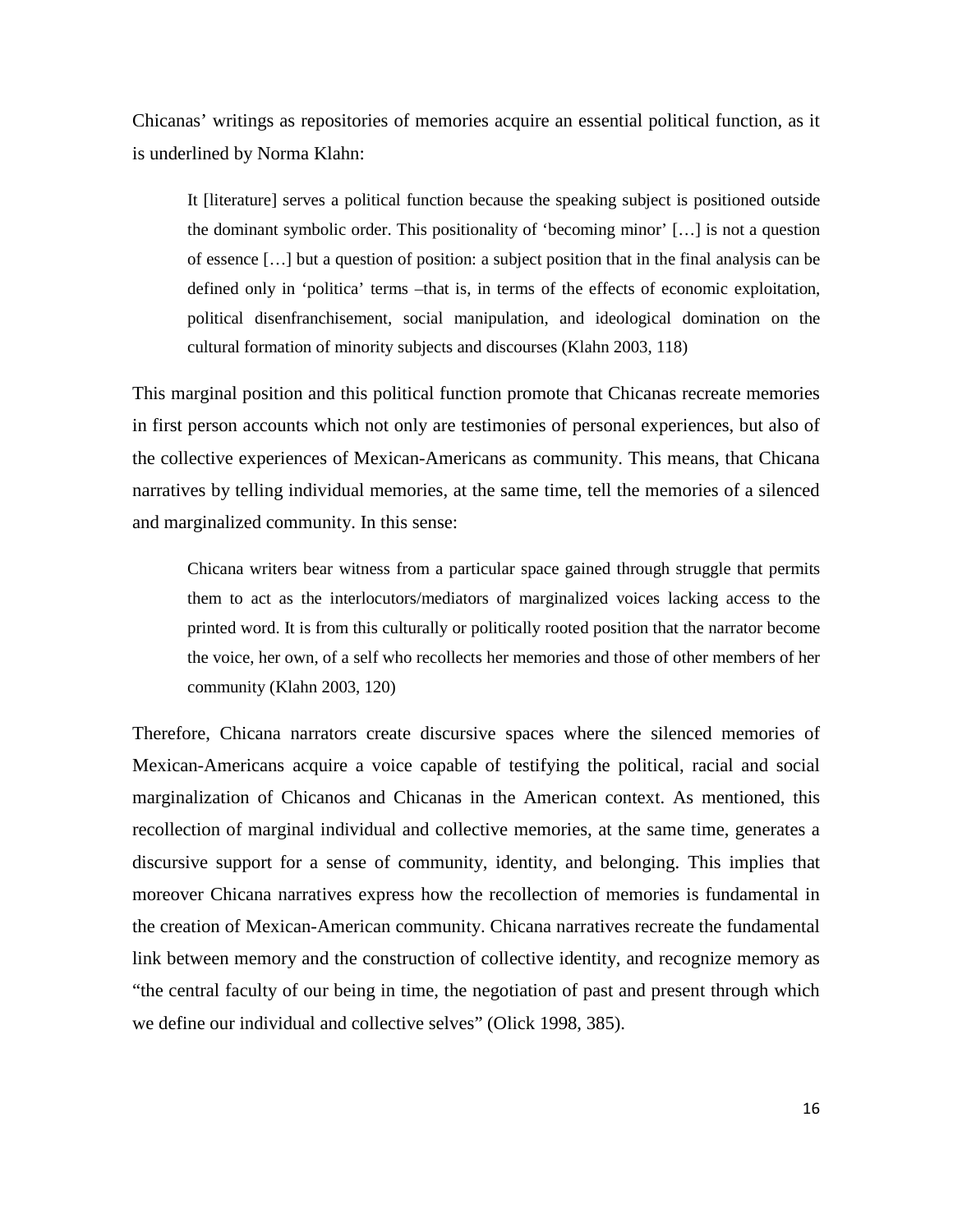Chicanas' writings as repositories of memories acquire an essential political function, as it is underlined by Norma Klahn:

It [literature] serves a political function because the speaking subject is positioned outside the dominant symbolic order. This positionality of 'becoming minor' […] is not a question of essence […] but a question of position: a subject position that in the final analysis can be defined only in 'politica' terms –that is, in terms of the effects of economic exploitation, political disenfranchisement, social manipulation, and ideological domination on the cultural formation of minority subjects and discourses (Klahn 2003, 118)

This marginal position and this political function promote that Chicanas recreate memories in first person accounts which not only are testimonies of personal experiences, but also of the collective experiences of Mexican-Americans as community. This means, that Chicana narratives by telling individual memories, at the same time, tell the memories of a silenced and marginalized community. In this sense:

Chicana writers bear witness from a particular space gained through struggle that permits them to act as the interlocutors/mediators of marginalized voices lacking access to the printed word. It is from this culturally or politically rooted position that the narrator become the voice, her own, of a self who recollects her memories and those of other members of her community (Klahn 2003, 120)

Therefore, Chicana narrators create discursive spaces where the silenced memories of Mexican-Americans acquire a voice capable of testifying the political, racial and social marginalization of Chicanos and Chicanas in the American context. As mentioned, this recollection of marginal individual and collective memories, at the same time, generates a discursive support for a sense of community, identity, and belonging. This implies that moreover Chicana narratives express how the recollection of memories is fundamental in the creation of Mexican-American community. Chicana narratives recreate the fundamental link between memory and the construction of collective identity, and recognize memory as "the central faculty of our being in time, the negotiation of past and present through which we define our individual and collective selves" (Olick 1998, 385).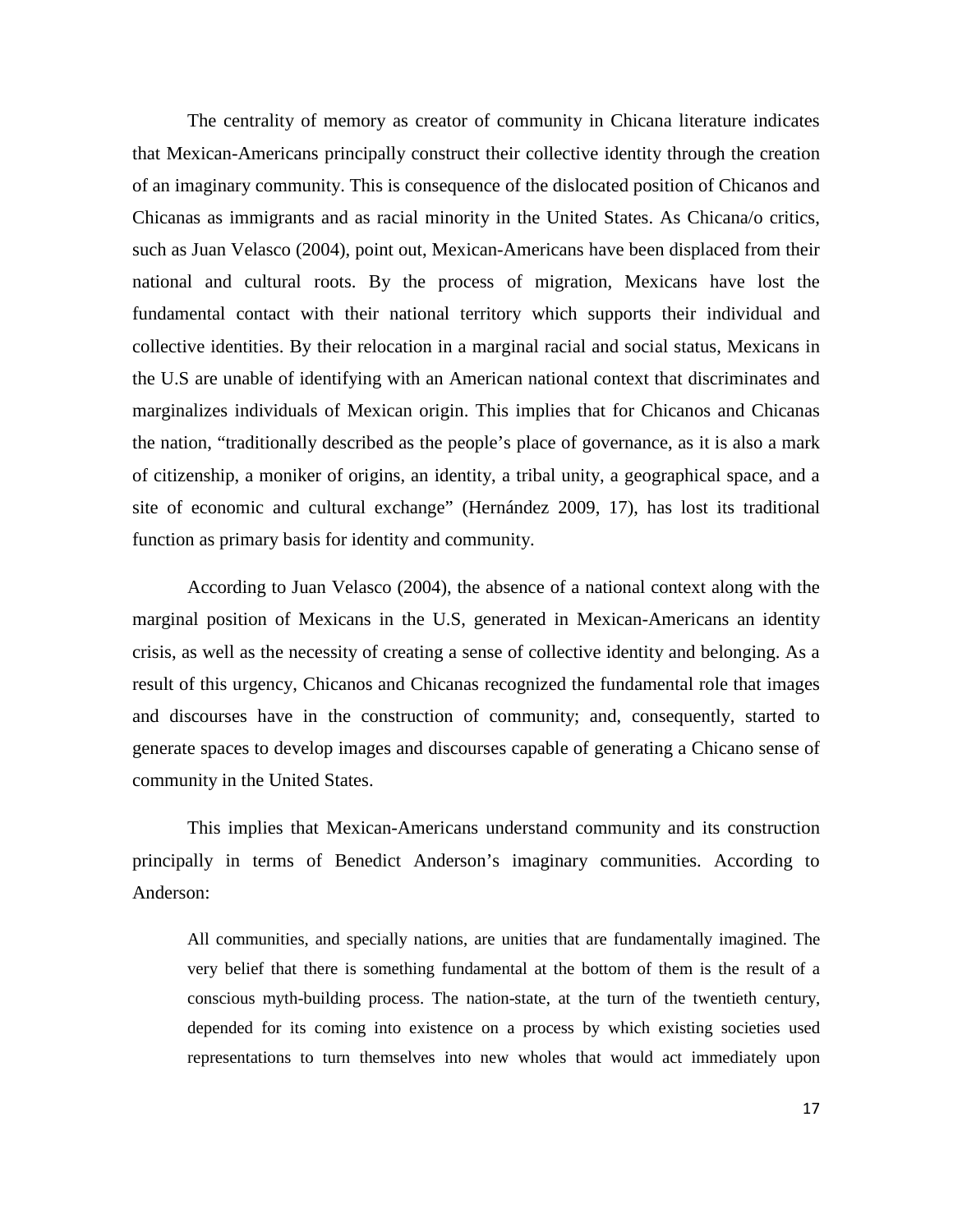The centrality of memory as creator of community in Chicana literature indicates that Mexican-Americans principally construct their collective identity through the creation of an imaginary community. This is consequence of the dislocated position of Chicanos and Chicanas as immigrants and as racial minority in the United States. As Chicana/o critics, such as Juan Velasco (2004), point out, Mexican-Americans have been displaced from their national and cultural roots. By the process of migration, Mexicans have lost the fundamental contact with their national territory which supports their individual and collective identities. By their relocation in a marginal racial and social status, Mexicans in the U.S are unable of identifying with an American national context that discriminates and marginalizes individuals of Mexican origin. This implies that for Chicanos and Chicanas the nation, "traditionally described as the people's place of governance, as it is also a mark of citizenship, a moniker of origins, an identity, a tribal unity, a geographical space, and a site of economic and cultural exchange" (Hernández 2009, 17), has lost its traditional function as primary basis for identity and community.

According to Juan Velasco (2004), the absence of a national context along with the marginal position of Mexicans in the U.S, generated in Mexican-Americans an identity crisis, as well as the necessity of creating a sense of collective identity and belonging. As a result of this urgency, Chicanos and Chicanas recognized the fundamental role that images and discourses have in the construction of community; and, consequently, started to generate spaces to develop images and discourses capable of generating a Chicano sense of community in the United States.

This implies that Mexican-Americans understand community and its construction principally in terms of Benedict Anderson's imaginary communities. According to Anderson:

All communities, and specially nations, are unities that are fundamentally imagined. The very belief that there is something fundamental at the bottom of them is the result of a conscious myth-building process. The nation-state, at the turn of the twentieth century, depended for its coming into existence on a process by which existing societies used representations to turn themselves into new wholes that would act immediately upon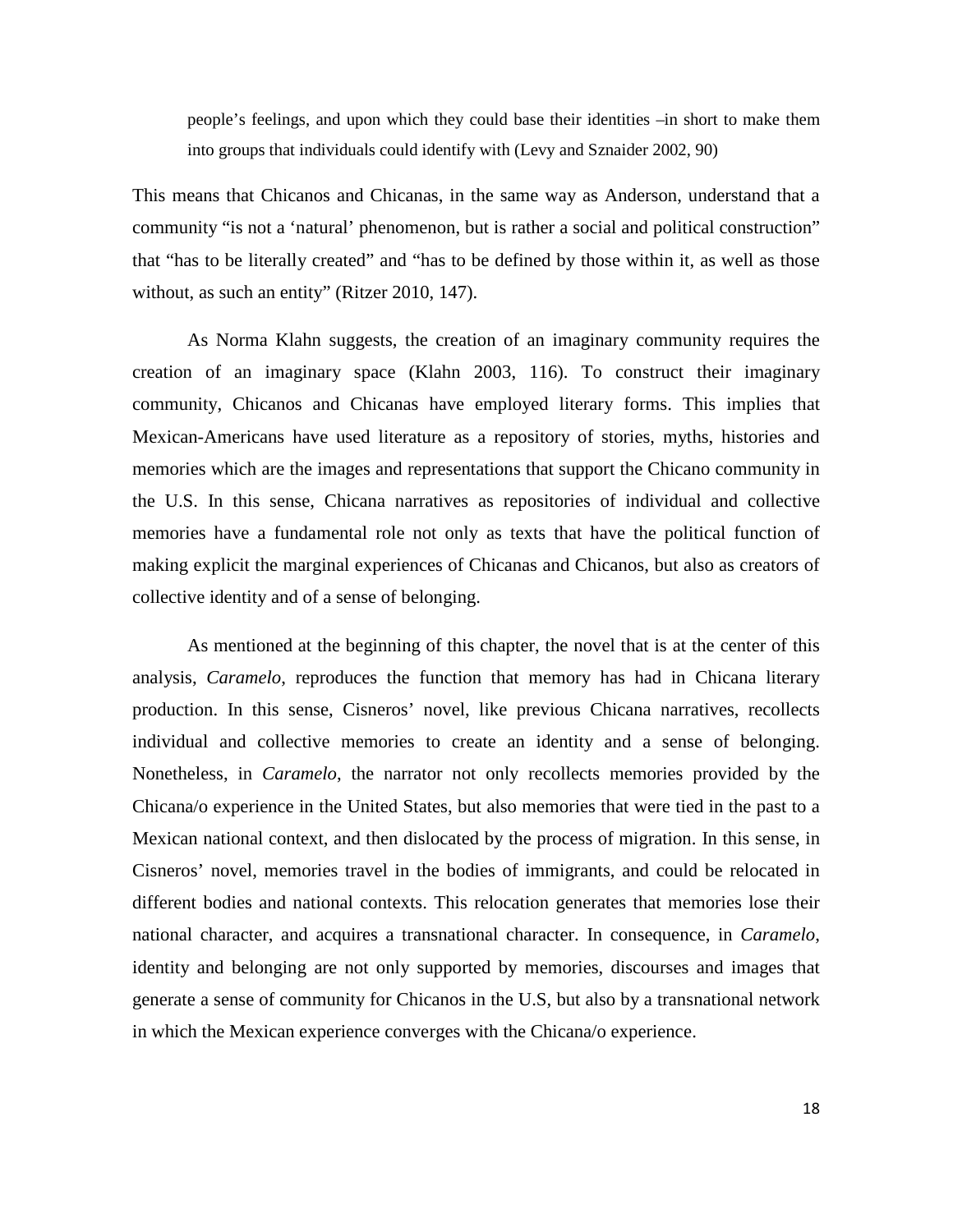people's feelings, and upon which they could base their identities –in short to make them into groups that individuals could identify with (Levy and Sznaider 2002, 90)

This means that Chicanos and Chicanas, in the same way as Anderson, understand that a community "is not a 'natural' phenomenon, but is rather a social and political construction" that "has to be literally created" and "has to be defined by those within it, as well as those without, as such an entity" (Ritzer 2010, 147).

As Norma Klahn suggests, the creation of an imaginary community requires the creation of an imaginary space (Klahn 2003, 116). To construct their imaginary community, Chicanos and Chicanas have employed literary forms. This implies that Mexican-Americans have used literature as a repository of stories, myths, histories and memories which are the images and representations that support the Chicano community in the U.S. In this sense, Chicana narratives as repositories of individual and collective memories have a fundamental role not only as texts that have the political function of making explicit the marginal experiences of Chicanas and Chicanos, but also as creators of collective identity and of a sense of belonging.

As mentioned at the beginning of this chapter, the novel that is at the center of this analysis, *Caramelo*, reproduces the function that memory has had in Chicana literary production. In this sense, Cisneros' novel, like previous Chicana narratives, recollects individual and collective memories to create an identity and a sense of belonging. Nonetheless, in *Caramelo*, the narrator not only recollects memories provided by the Chicana/o experience in the United States, but also memories that were tied in the past to a Mexican national context, and then dislocated by the process of migration. In this sense, in Cisneros' novel, memories travel in the bodies of immigrants, and could be relocated in different bodies and national contexts. This relocation generates that memories lose their national character, and acquires a transnational character. In consequence, in *Caramelo*, identity and belonging are not only supported by memories, discourses and images that generate a sense of community for Chicanos in the U.S, but also by a transnational network in which the Mexican experience converges with the Chicana/o experience.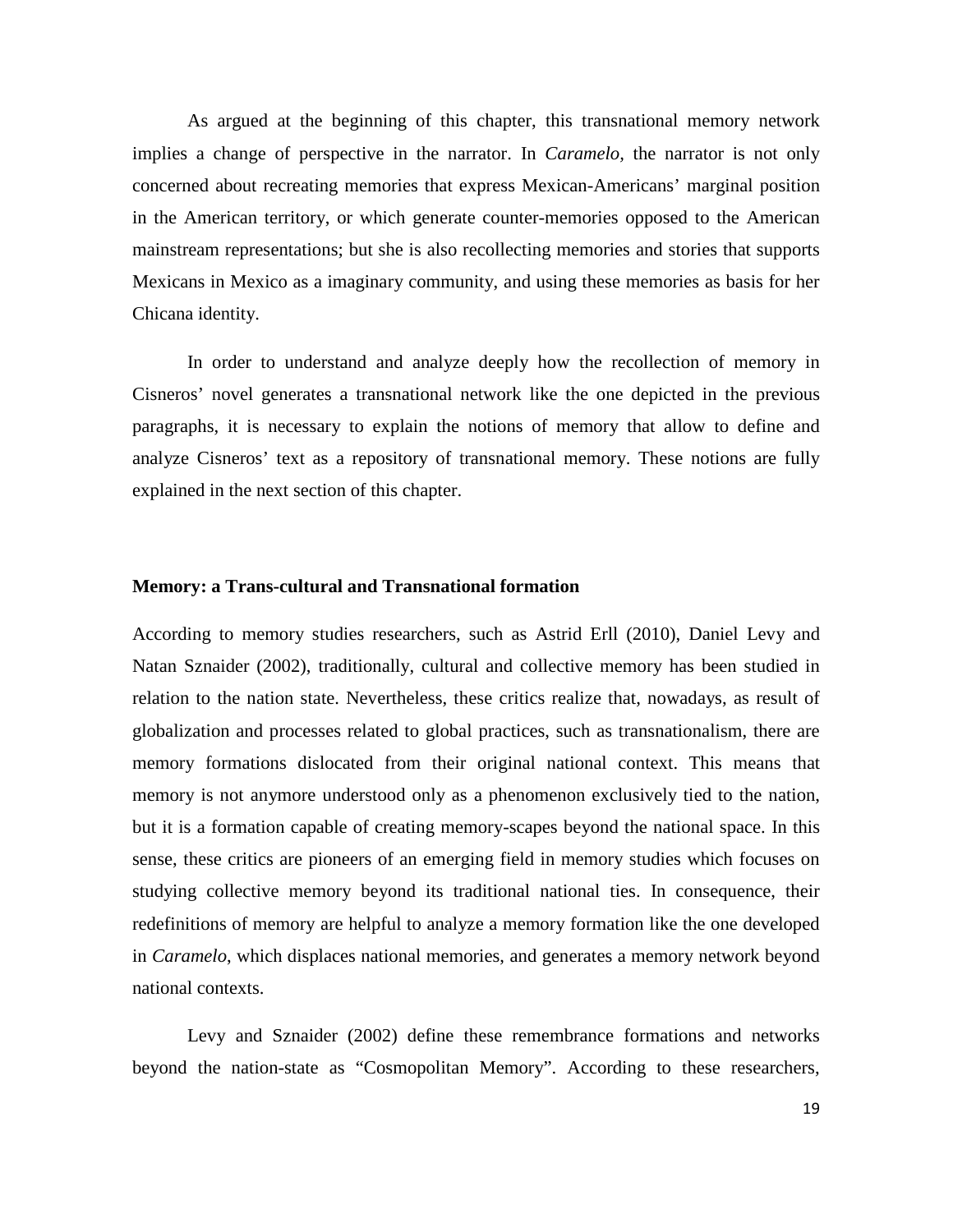As argued at the beginning of this chapter, this transnational memory network implies a change of perspective in the narrator. In *Caramelo,* the narrator is not only concerned about recreating memories that express Mexican-Americans' marginal position in the American territory, or which generate counter-memories opposed to the American mainstream representations; but she is also recollecting memories and stories that supports Mexicans in Mexico as a imaginary community, and using these memories as basis for her Chicana identity.

In order to understand and analyze deeply how the recollection of memory in Cisneros' novel generates a transnational network like the one depicted in the previous paragraphs, it is necessary to explain the notions of memory that allow to define and analyze Cisneros' text as a repository of transnational memory. These notions are fully explained in the next section of this chapter.

#### **Memory: a Trans-cultural and Transnational formation**

According to memory studies researchers, such as Astrid Erll (2010), Daniel Levy and Natan Sznaider (2002), traditionally, cultural and collective memory has been studied in relation to the nation state. Nevertheless, these critics realize that, nowadays, as result of globalization and processes related to global practices, such as transnationalism, there are memory formations dislocated from their original national context. This means that memory is not anymore understood only as a phenomenon exclusively tied to the nation, but it is a formation capable of creating memory-scapes beyond the national space. In this sense, these critics are pioneers of an emerging field in memory studies which focuses on studying collective memory beyond its traditional national ties. In consequence, their redefinitions of memory are helpful to analyze a memory formation like the one developed in *Caramelo*, which displaces national memories, and generates a memory network beyond national contexts.

Levy and Sznaider (2002) define these remembrance formations and networks beyond the nation-state as "Cosmopolitan Memory". According to these researchers,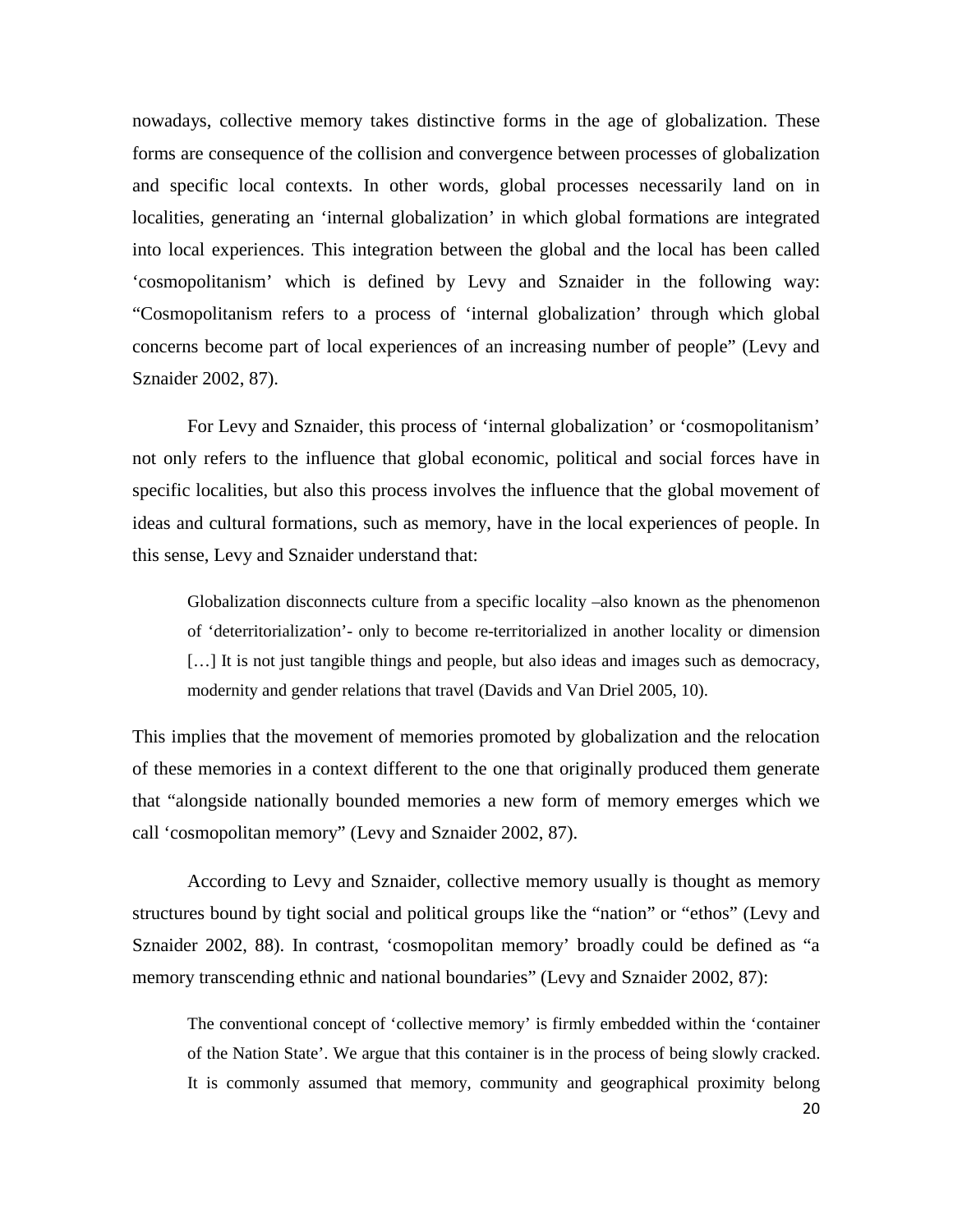nowadays, collective memory takes distinctive forms in the age of globalization. These forms are consequence of the collision and convergence between processes of globalization and specific local contexts. In other words, global processes necessarily land on in localities, generating an 'internal globalization' in which global formations are integrated into local experiences. This integration between the global and the local has been called 'cosmopolitanism' which is defined by Levy and Sznaider in the following way: "Cosmopolitanism refers to a process of 'internal globalization' through which global concerns become part of local experiences of an increasing number of people" (Levy and Sznaider 2002, 87).

For Levy and Sznaider, this process of 'internal globalization' or 'cosmopolitanism' not only refers to the influence that global economic, political and social forces have in specific localities, but also this process involves the influence that the global movement of ideas and cultural formations, such as memory, have in the local experiences of people. In this sense, Levy and Sznaider understand that:

Globalization disconnects culture from a specific locality –also known as the phenomenon of 'deterritorialization'- only to become re-territorialized in another locality or dimension [...] It is not just tangible things and people, but also ideas and images such as democracy, modernity and gender relations that travel (Davids and Van Driel 2005, 10).

This implies that the movement of memories promoted by globalization and the relocation of these memories in a context different to the one that originally produced them generate that "alongside nationally bounded memories a new form of memory emerges which we call 'cosmopolitan memory" (Levy and Sznaider 2002, 87).

According to Levy and Sznaider, collective memory usually is thought as memory structures bound by tight social and political groups like the "nation" or "ethos" (Levy and Sznaider 2002, 88). In contrast, 'cosmopolitan memory' broadly could be defined as "a memory transcending ethnic and national boundaries" (Levy and Sznaider 2002, 87):

The conventional concept of 'collective memory' is firmly embedded within the 'container of the Nation State'. We argue that this container is in the process of being slowly cracked. It is commonly assumed that memory, community and geographical proximity belong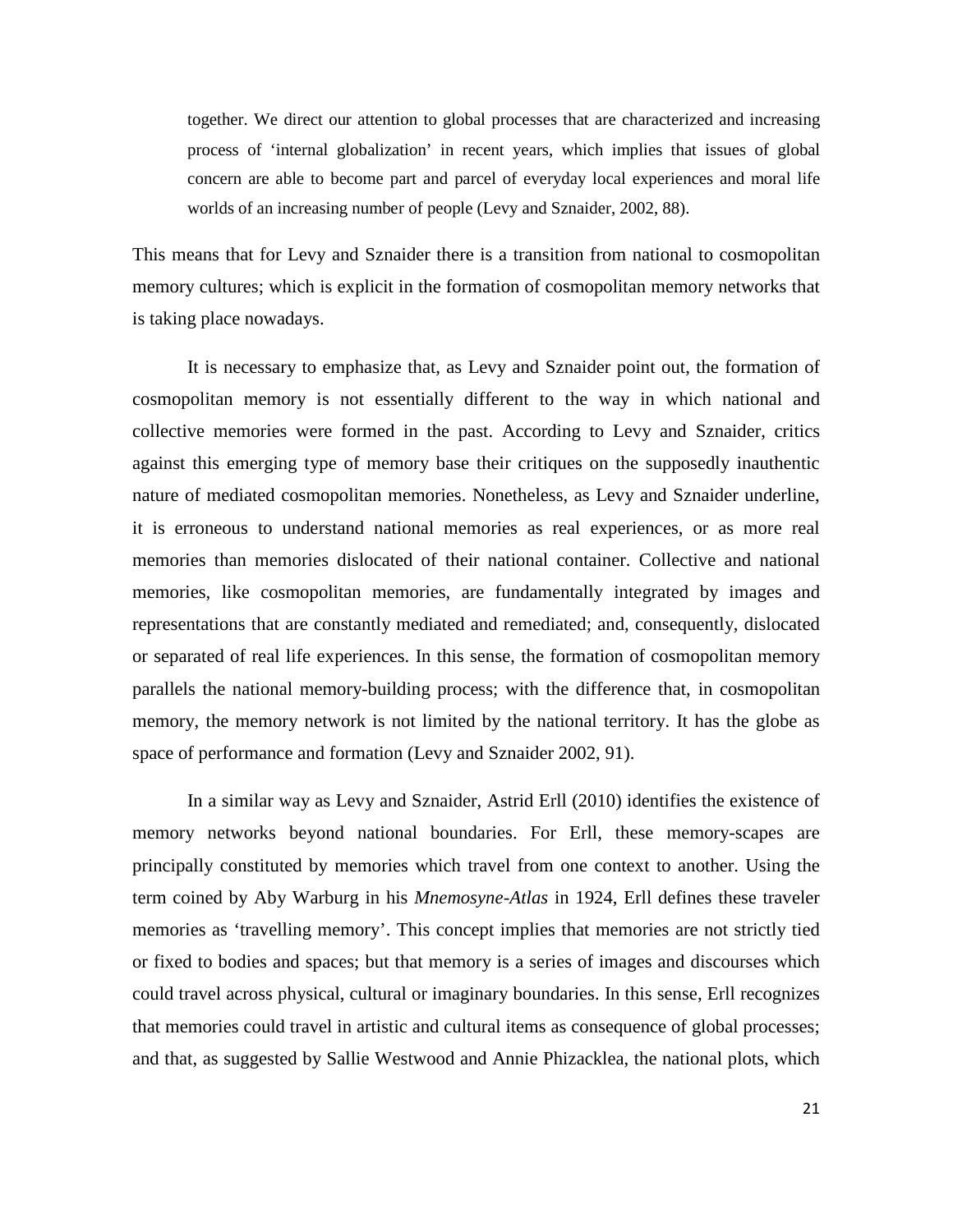together. We direct our attention to global processes that are characterized and increasing process of 'internal globalization' in recent years, which implies that issues of global concern are able to become part and parcel of everyday local experiences and moral life worlds of an increasing number of people (Levy and Sznaider, 2002, 88).

This means that for Levy and Sznaider there is a transition from national to cosmopolitan memory cultures; which is explicit in the formation of cosmopolitan memory networks that is taking place nowadays.

It is necessary to emphasize that, as Levy and Sznaider point out, the formation of cosmopolitan memory is not essentially different to the way in which national and collective memories were formed in the past. According to Levy and Sznaider, critics against this emerging type of memory base their critiques on the supposedly inauthentic nature of mediated cosmopolitan memories. Nonetheless, as Levy and Sznaider underline, it is erroneous to understand national memories as real experiences, or as more real memories than memories dislocated of their national container. Collective and national memories, like cosmopolitan memories, are fundamentally integrated by images and representations that are constantly mediated and remediated; and, consequently, dislocated or separated of real life experiences. In this sense, the formation of cosmopolitan memory parallels the national memory-building process; with the difference that, in cosmopolitan memory, the memory network is not limited by the national territory. It has the globe as space of performance and formation (Levy and Sznaider 2002, 91).

In a similar way as Levy and Sznaider, Astrid Erll (2010) identifies the existence of memory networks beyond national boundaries. For Erll, these memory-scapes are principally constituted by memories which travel from one context to another. Using the term coined by Aby Warburg in his *Mnemosyne-Atlas* in 1924, Erll defines these traveler memories as 'travelling memory'. This concept implies that memories are not strictly tied or fixed to bodies and spaces; but that memory is a series of images and discourses which could travel across physical, cultural or imaginary boundaries. In this sense, Erll recognizes that memories could travel in artistic and cultural items as consequence of global processes; and that, as suggested by Sallie Westwood and Annie Phizacklea, the national plots, which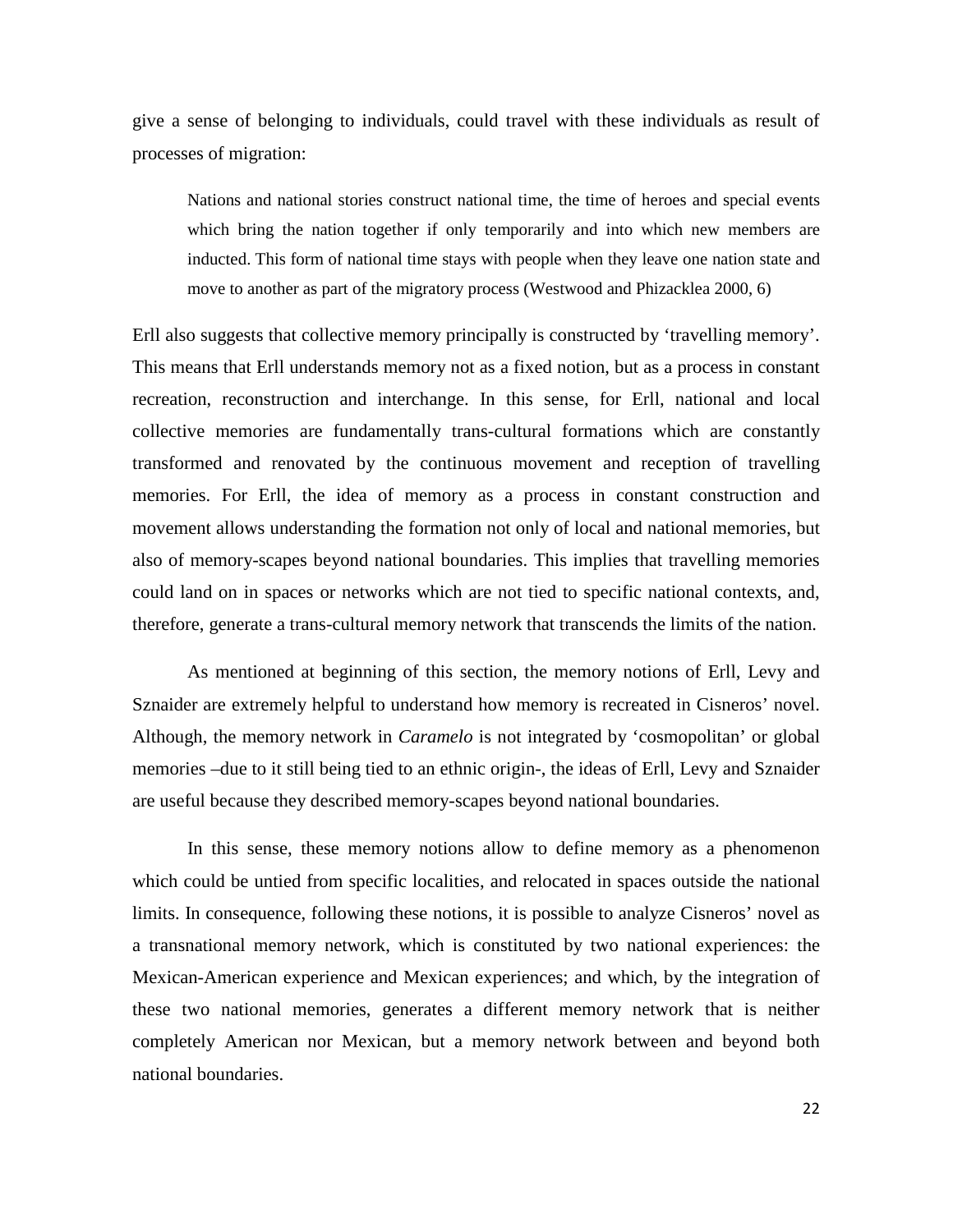give a sense of belonging to individuals, could travel with these individuals as result of processes of migration:

Nations and national stories construct national time, the time of heroes and special events which bring the nation together if only temporarily and into which new members are inducted. This form of national time stays with people when they leave one nation state and move to another as part of the migratory process (Westwood and Phizacklea 2000, 6)

Erll also suggests that collective memory principally is constructed by 'travelling memory'. This means that Erll understands memory not as a fixed notion, but as a process in constant recreation, reconstruction and interchange. In this sense, for Erll, national and local collective memories are fundamentally trans-cultural formations which are constantly transformed and renovated by the continuous movement and reception of travelling memories. For Erll, the idea of memory as a process in constant construction and movement allows understanding the formation not only of local and national memories, but also of memory-scapes beyond national boundaries. This implies that travelling memories could land on in spaces or networks which are not tied to specific national contexts, and, therefore, generate a trans-cultural memory network that transcends the limits of the nation.

As mentioned at beginning of this section, the memory notions of Erll, Levy and Sznaider are extremely helpful to understand how memory is recreated in Cisneros' novel. Although, the memory network in *Caramelo* is not integrated by 'cosmopolitan' or global memories –due to it still being tied to an ethnic origin-, the ideas of Erll, Levy and Sznaider are useful because they described memory-scapes beyond national boundaries.

In this sense, these memory notions allow to define memory as a phenomenon which could be untied from specific localities, and relocated in spaces outside the national limits. In consequence, following these notions, it is possible to analyze Cisneros' novel as a transnational memory network, which is constituted by two national experiences: the Mexican-American experience and Mexican experiences; and which, by the integration of these two national memories, generates a different memory network that is neither completely American nor Mexican, but a memory network between and beyond both national boundaries.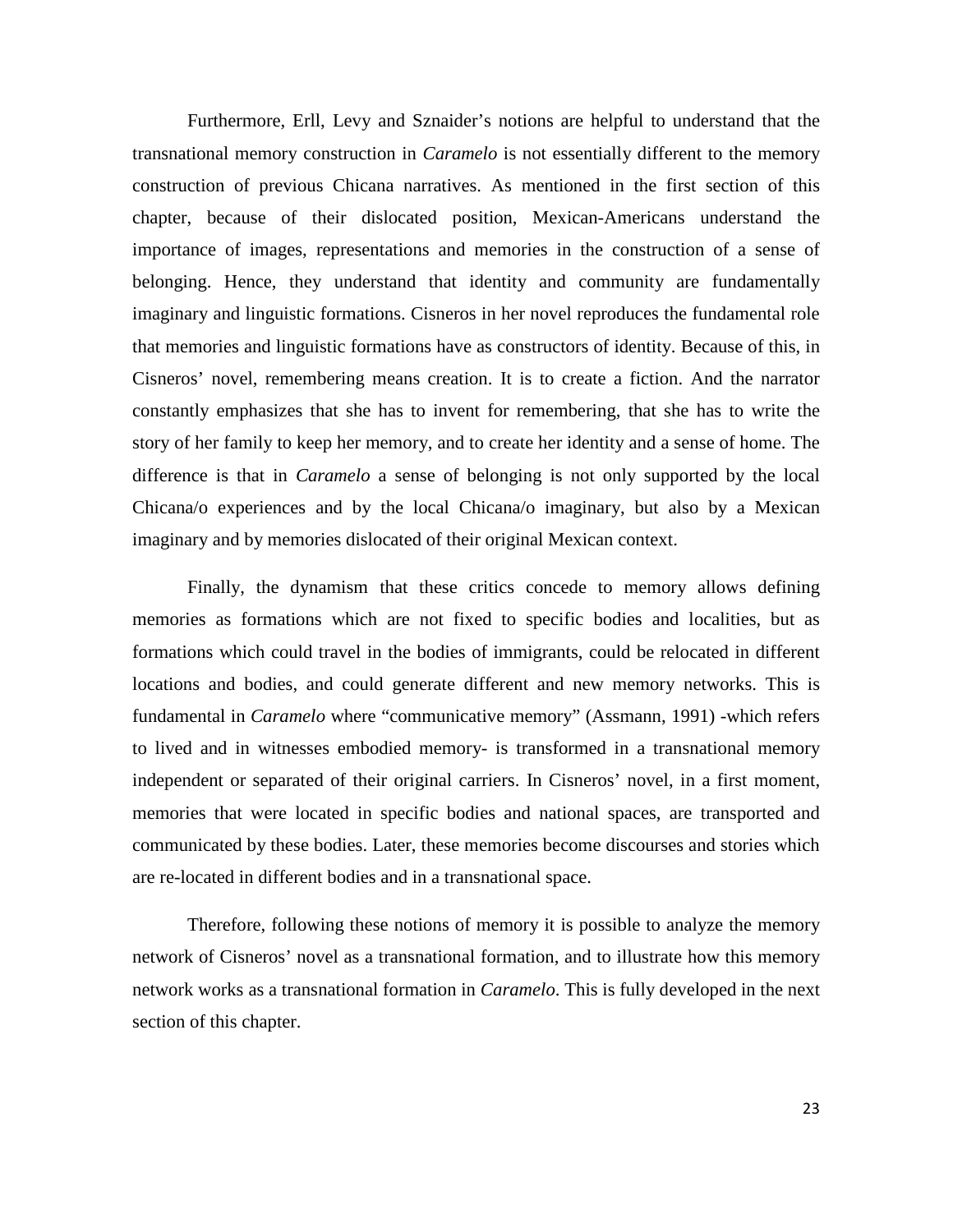Furthermore, Erll, Levy and Sznaider's notions are helpful to understand that the transnational memory construction in *Caramelo* is not essentially different to the memory construction of previous Chicana narratives. As mentioned in the first section of this chapter, because of their dislocated position, Mexican-Americans understand the importance of images, representations and memories in the construction of a sense of belonging. Hence, they understand that identity and community are fundamentally imaginary and linguistic formations. Cisneros in her novel reproduces the fundamental role that memories and linguistic formations have as constructors of identity. Because of this, in Cisneros' novel, remembering means creation. It is to create a fiction. And the narrator constantly emphasizes that she has to invent for remembering, that she has to write the story of her family to keep her memory, and to create her identity and a sense of home. The difference is that in *Caramelo* a sense of belonging is not only supported by the local Chicana/o experiences and by the local Chicana/o imaginary, but also by a Mexican imaginary and by memories dislocated of their original Mexican context.

Finally, the dynamism that these critics concede to memory allows defining memories as formations which are not fixed to specific bodies and localities, but as formations which could travel in the bodies of immigrants, could be relocated in different locations and bodies, and could generate different and new memory networks. This is fundamental in *Caramelo* where "communicative memory" (Assmann, 1991) -which refers to lived and in witnesses embodied memory- is transformed in a transnational memory independent or separated of their original carriers. In Cisneros' novel, in a first moment, memories that were located in specific bodies and national spaces, are transported and communicated by these bodies. Later, these memories become discourses and stories which are re-located in different bodies and in a transnational space.

Therefore, following these notions of memory it is possible to analyze the memory network of Cisneros' novel as a transnational formation, and to illustrate how this memory network works as a transnational formation in *Caramelo*. This is fully developed in the next section of this chapter.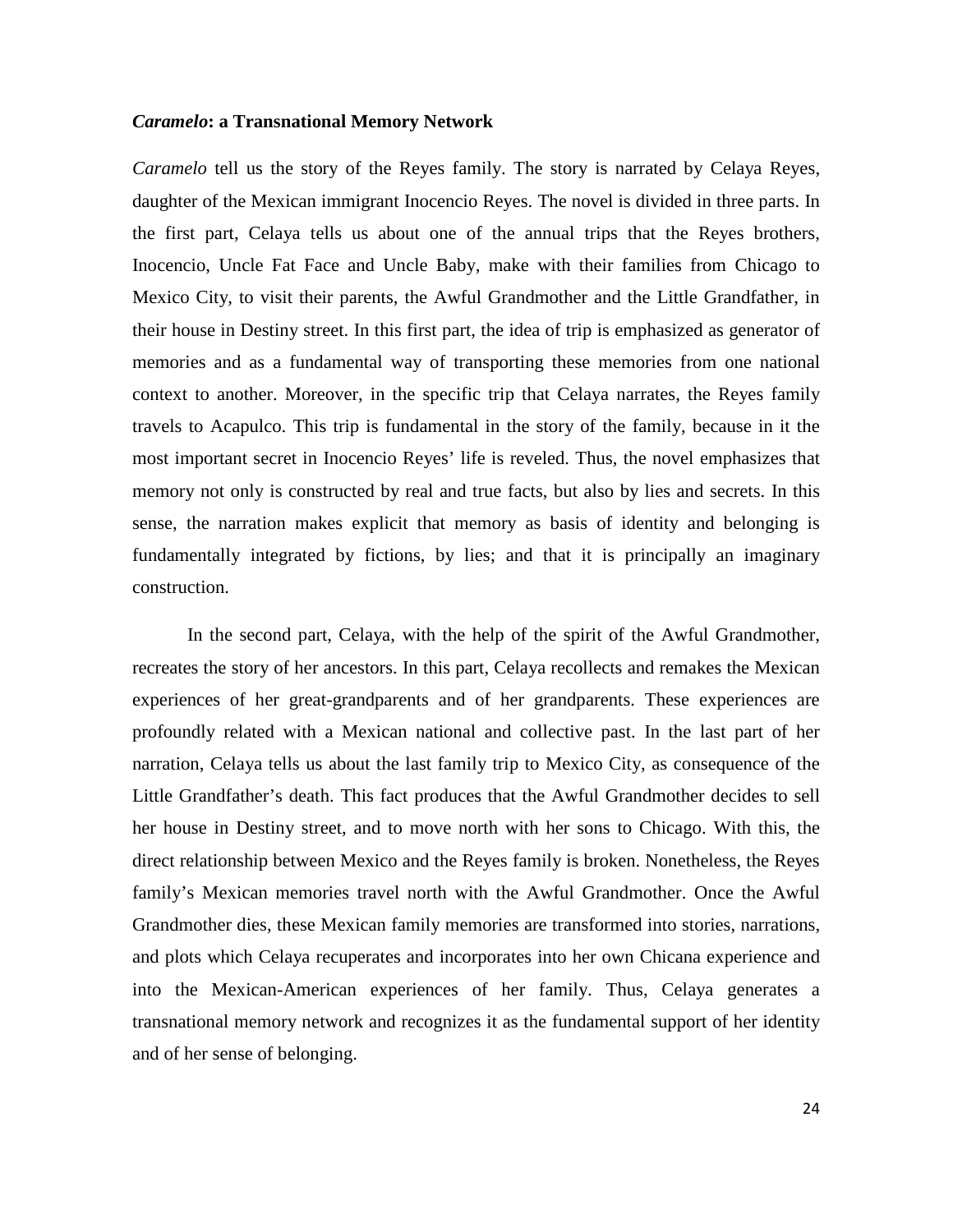### *Caramelo***: a Transnational Memory Network**

*Caramelo* tell us the story of the Reyes family. The story is narrated by Celaya Reyes, daughter of the Mexican immigrant Inocencio Reyes. The novel is divided in three parts. In the first part, Celaya tells us about one of the annual trips that the Reyes brothers, Inocencio, Uncle Fat Face and Uncle Baby, make with their families from Chicago to Mexico City, to visit their parents, the Awful Grandmother and the Little Grandfather, in their house in Destiny street. In this first part, the idea of trip is emphasized as generator of memories and as a fundamental way of transporting these memories from one national context to another. Moreover, in the specific trip that Celaya narrates, the Reyes family travels to Acapulco. This trip is fundamental in the story of the family, because in it the most important secret in Inocencio Reyes' life is reveled. Thus, the novel emphasizes that memory not only is constructed by real and true facts, but also by lies and secrets. In this sense, the narration makes explicit that memory as basis of identity and belonging is fundamentally integrated by fictions, by lies; and that it is principally an imaginary construction.

In the second part, Celaya, with the help of the spirit of the Awful Grandmother, recreates the story of her ancestors. In this part, Celaya recollects and remakes the Mexican experiences of her great-grandparents and of her grandparents. These experiences are profoundly related with a Mexican national and collective past. In the last part of her narration, Celaya tells us about the last family trip to Mexico City, as consequence of the Little Grandfather's death. This fact produces that the Awful Grandmother decides to sell her house in Destiny street, and to move north with her sons to Chicago. With this, the direct relationship between Mexico and the Reyes family is broken. Nonetheless, the Reyes family's Mexican memories travel north with the Awful Grandmother. Once the Awful Grandmother dies, these Mexican family memories are transformed into stories, narrations, and plots which Celaya recuperates and incorporates into her own Chicana experience and into the Mexican-American experiences of her family. Thus, Celaya generates a transnational memory network and recognizes it as the fundamental support of her identity and of her sense of belonging.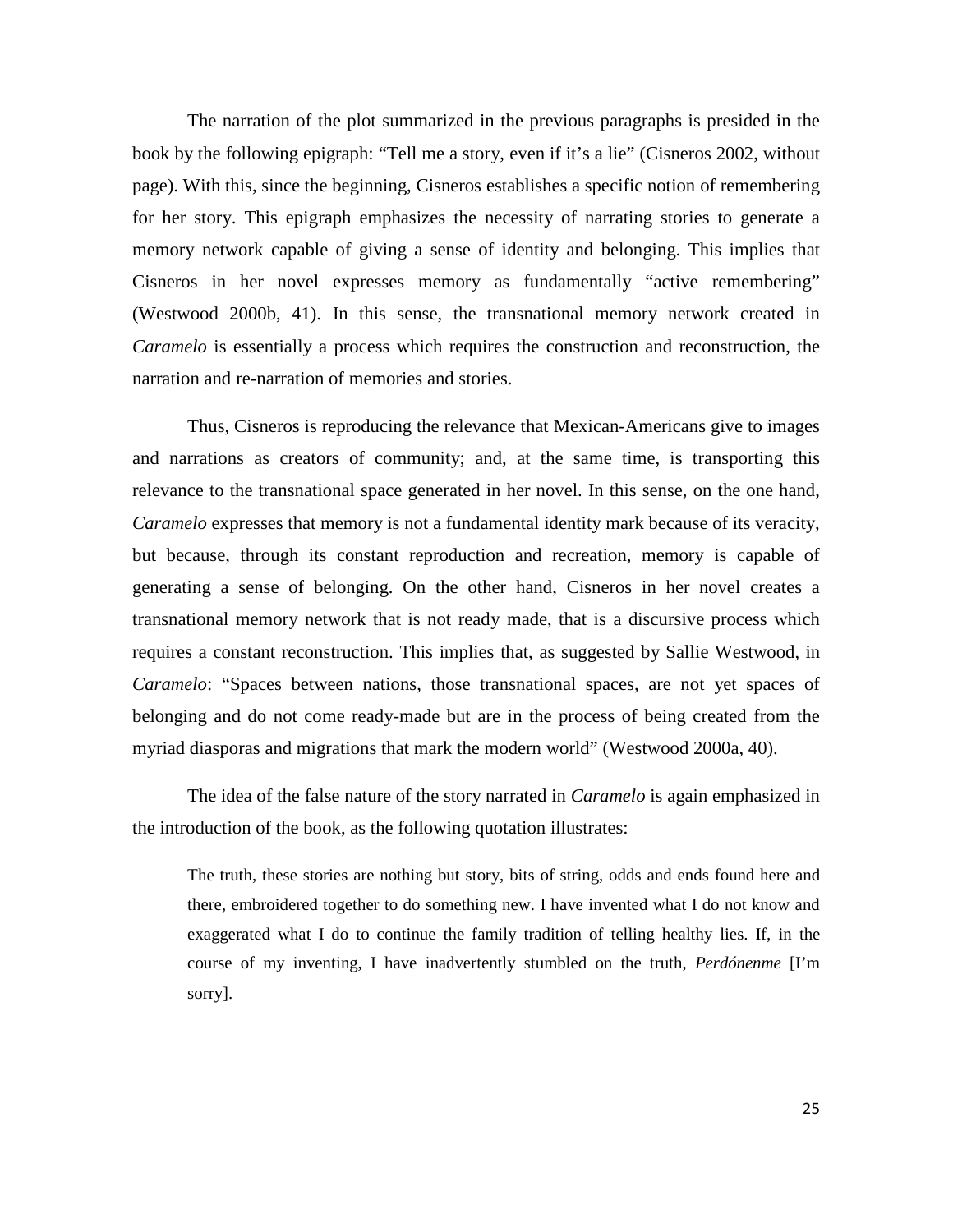The narration of the plot summarized in the previous paragraphs is presided in the book by the following epigraph: "Tell me a story, even if it's a lie" (Cisneros 2002, without page). With this, since the beginning, Cisneros establishes a specific notion of remembering for her story. This epigraph emphasizes the necessity of narrating stories to generate a memory network capable of giving a sense of identity and belonging. This implies that Cisneros in her novel expresses memory as fundamentally "active remembering" (Westwood 2000b, 41). In this sense, the transnational memory network created in *Caramelo* is essentially a process which requires the construction and reconstruction, the narration and re-narration of memories and stories.

Thus, Cisneros is reproducing the relevance that Mexican-Americans give to images and narrations as creators of community; and, at the same time, is transporting this relevance to the transnational space generated in her novel. In this sense, on the one hand, *Caramelo* expresses that memory is not a fundamental identity mark because of its veracity, but because, through its constant reproduction and recreation, memory is capable of generating a sense of belonging. On the other hand, Cisneros in her novel creates a transnational memory network that is not ready made, that is a discursive process which requires a constant reconstruction. This implies that, as suggested by Sallie Westwood, in *Caramelo*: "Spaces between nations, those transnational spaces, are not yet spaces of belonging and do not come ready-made but are in the process of being created from the myriad diasporas and migrations that mark the modern world" (Westwood 2000a, 40).

The idea of the false nature of the story narrated in *Caramelo* is again emphasized in the introduction of the book, as the following quotation illustrates:

The truth, these stories are nothing but story, bits of string, odds and ends found here and there, embroidered together to do something new. I have invented what I do not know and exaggerated what I do to continue the family tradition of telling healthy lies. If, in the course of my inventing, I have inadvertently stumbled on the truth, *Perdónenme* [I'm sorry].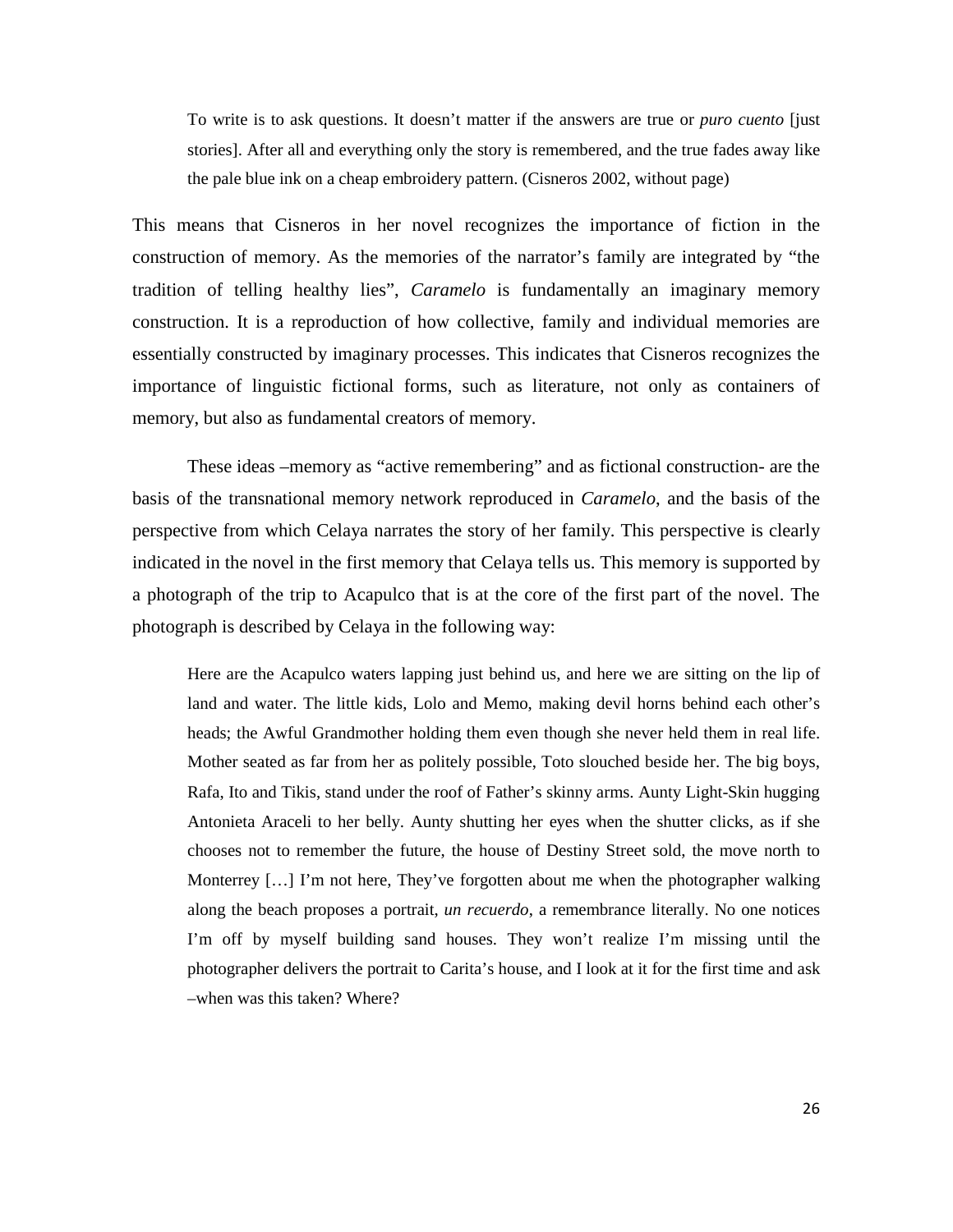To write is to ask questions. It doesn't matter if the answers are true or *puro cuento* [just stories]. After all and everything only the story is remembered, and the true fades away like the pale blue ink on a cheap embroidery pattern. (Cisneros 2002, without page)

This means that Cisneros in her novel recognizes the importance of fiction in the construction of memory. As the memories of the narrator's family are integrated by "the tradition of telling healthy lies", *Caramelo* is fundamentally an imaginary memory construction. It is a reproduction of how collective, family and individual memories are essentially constructed by imaginary processes. This indicates that Cisneros recognizes the importance of linguistic fictional forms, such as literature, not only as containers of memory, but also as fundamental creators of memory.

These ideas –memory as "active remembering" and as fictional construction- are the basis of the transnational memory network reproduced in *Caramelo*, and the basis of the perspective from which Celaya narrates the story of her family. This perspective is clearly indicated in the novel in the first memory that Celaya tells us. This memory is supported by a photograph of the trip to Acapulco that is at the core of the first part of the novel. The photograph is described by Celaya in the following way:

Here are the Acapulco waters lapping just behind us, and here we are sitting on the lip of land and water. The little kids, Lolo and Memo, making devil horns behind each other's heads; the Awful Grandmother holding them even though she never held them in real life. Mother seated as far from her as politely possible, Toto slouched beside her. The big boys, Rafa, Ito and Tikis, stand under the roof of Father's skinny arms. Aunty Light-Skin hugging Antonieta Araceli to her belly. Aunty shutting her eyes when the shutter clicks, as if she chooses not to remember the future, the house of Destiny Street sold, the move north to Monterrey […] I'm not here, They've forgotten about me when the photographer walking along the beach proposes a portrait, *un recuerdo*, a remembrance literally. No one notices I'm off by myself building sand houses. They won't realize I'm missing until the photographer delivers the portrait to Carita's house, and I look at it for the first time and ask –when was this taken? Where?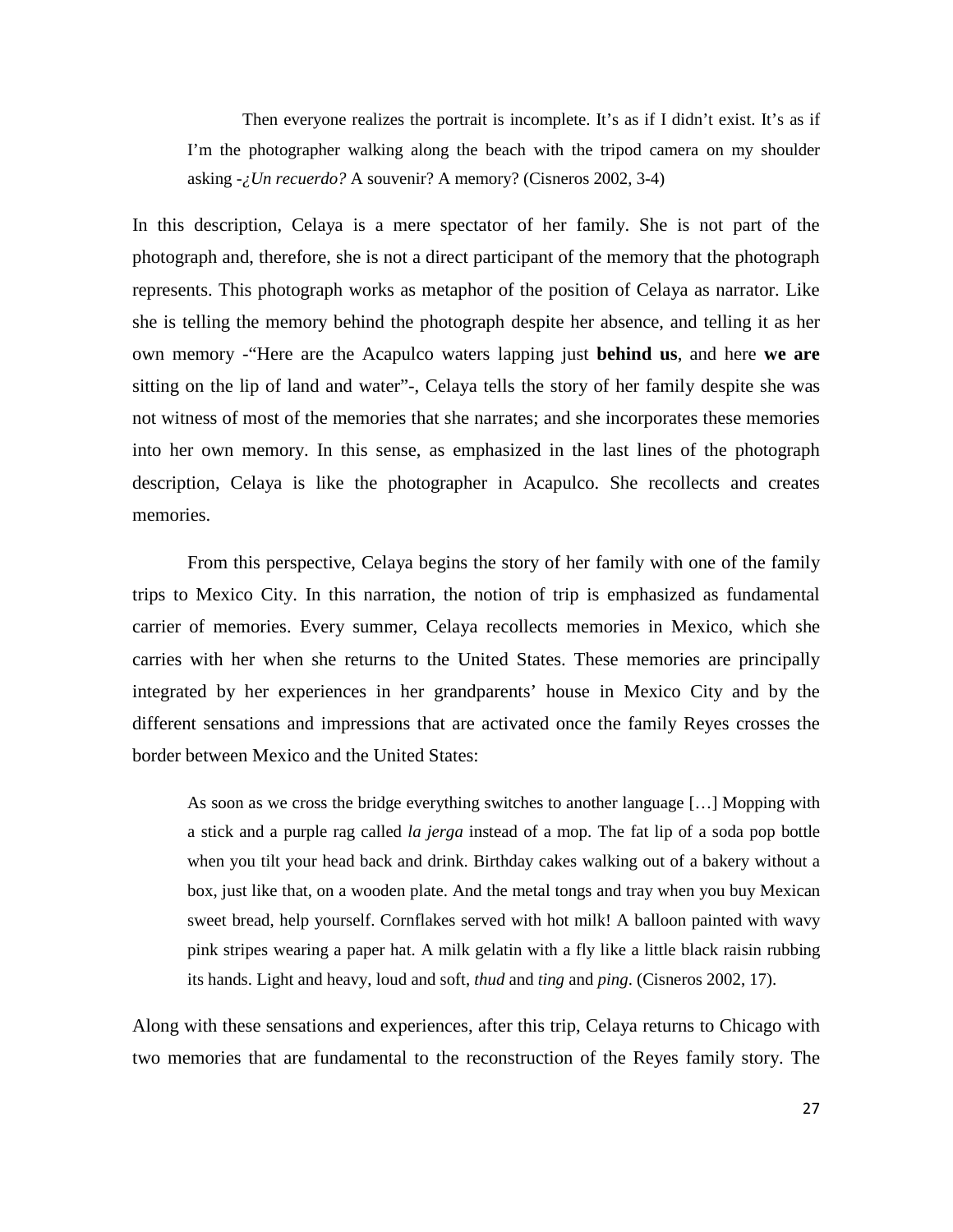Then everyone realizes the portrait is incomplete. It's as if I didn't exist. It's as if I'm the photographer walking along the beach with the tripod camera on my shoulder asking -*¿Un recuerdo?* A souvenir? A memory? (Cisneros 2002, 3-4)

In this description, Celaya is a mere spectator of her family. She is not part of the photograph and, therefore, she is not a direct participant of the memory that the photograph represents. This photograph works as metaphor of the position of Celaya as narrator. Like she is telling the memory behind the photograph despite her absence, and telling it as her own memory -"Here are the Acapulco waters lapping just **behind us**, and here **we are** sitting on the lip of land and water"-, Celaya tells the story of her family despite she was not witness of most of the memories that she narrates; and she incorporates these memories into her own memory. In this sense, as emphasized in the last lines of the photograph description, Celaya is like the photographer in Acapulco. She recollects and creates memories.

From this perspective, Celaya begins the story of her family with one of the family trips to Mexico City. In this narration, the notion of trip is emphasized as fundamental carrier of memories. Every summer, Celaya recollects memories in Mexico, which she carries with her when she returns to the United States. These memories are principally integrated by her experiences in her grandparents' house in Mexico City and by the different sensations and impressions that are activated once the family Reyes crosses the border between Mexico and the United States:

As soon as we cross the bridge everything switches to another language […] Mopping with a stick and a purple rag called *la jerga* instead of a mop. The fat lip of a soda pop bottle when you tilt your head back and drink. Birthday cakes walking out of a bakery without a box, just like that, on a wooden plate. And the metal tongs and tray when you buy Mexican sweet bread, help yourself. Cornflakes served with hot milk! A balloon painted with wavy pink stripes wearing a paper hat. A milk gelatin with a fly like a little black raisin rubbing its hands. Light and heavy, loud and soft, *thud* and *ting* and *ping*. (Cisneros 2002, 17).

Along with these sensations and experiences, after this trip, Celaya returns to Chicago with two memories that are fundamental to the reconstruction of the Reyes family story. The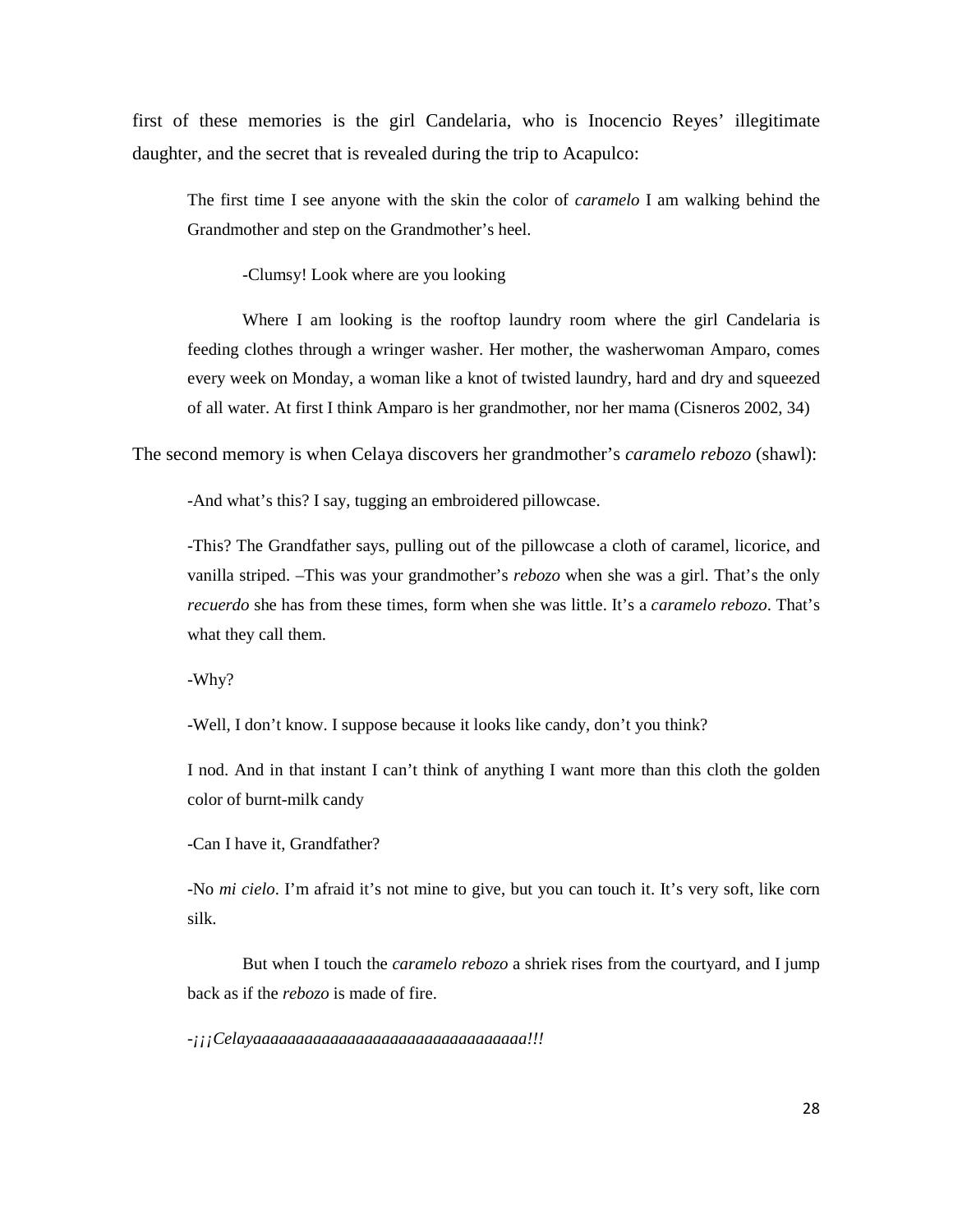first of these memories is the girl Candelaria, who is Inocencio Reyes' illegitimate daughter, and the secret that is revealed during the trip to Acapulco:

The first time I see anyone with the skin the color of *caramelo* I am walking behind the Grandmother and step on the Grandmother's heel.

-Clumsy! Look where are you looking

Where I am looking is the rooftop laundry room where the girl Candelaria is feeding clothes through a wringer washer. Her mother, the washerwoman Amparo, comes every week on Monday, a woman like a knot of twisted laundry, hard and dry and squeezed of all water. At first I think Amparo is her grandmother, nor her mama (Cisneros 2002, 34)

The second memory is when Celaya discovers her grandmother's *caramelo rebozo* (shawl):

-And what's this? I say, tugging an embroidered pillowcase.

-This? The Grandfather says, pulling out of the pillowcase a cloth of caramel, licorice, and vanilla striped. –This was your grandmother's *rebozo* when she was a girl. That's the only *recuerdo* she has from these times, form when she was little. It's a *caramelo rebozo*. That's what they call them.

-Why?

-Well, I don't know. I suppose because it looks like candy, don't you think?

I nod. And in that instant I can't think of anything I want more than this cloth the golden color of burnt-milk candy

-Can I have it, Grandfather?

-No *mi cielo*. I'm afraid it's not mine to give, but you can touch it. It's very soft, like corn silk.

But when I touch the *caramelo rebozo* a shriek rises from the courtyard, and I jump back as if the *rebozo* is made of fire.

-*¡¡¡Celayaaaaaaaaaaaaaaaaaaaaaaaaaaaaaaaa!!!*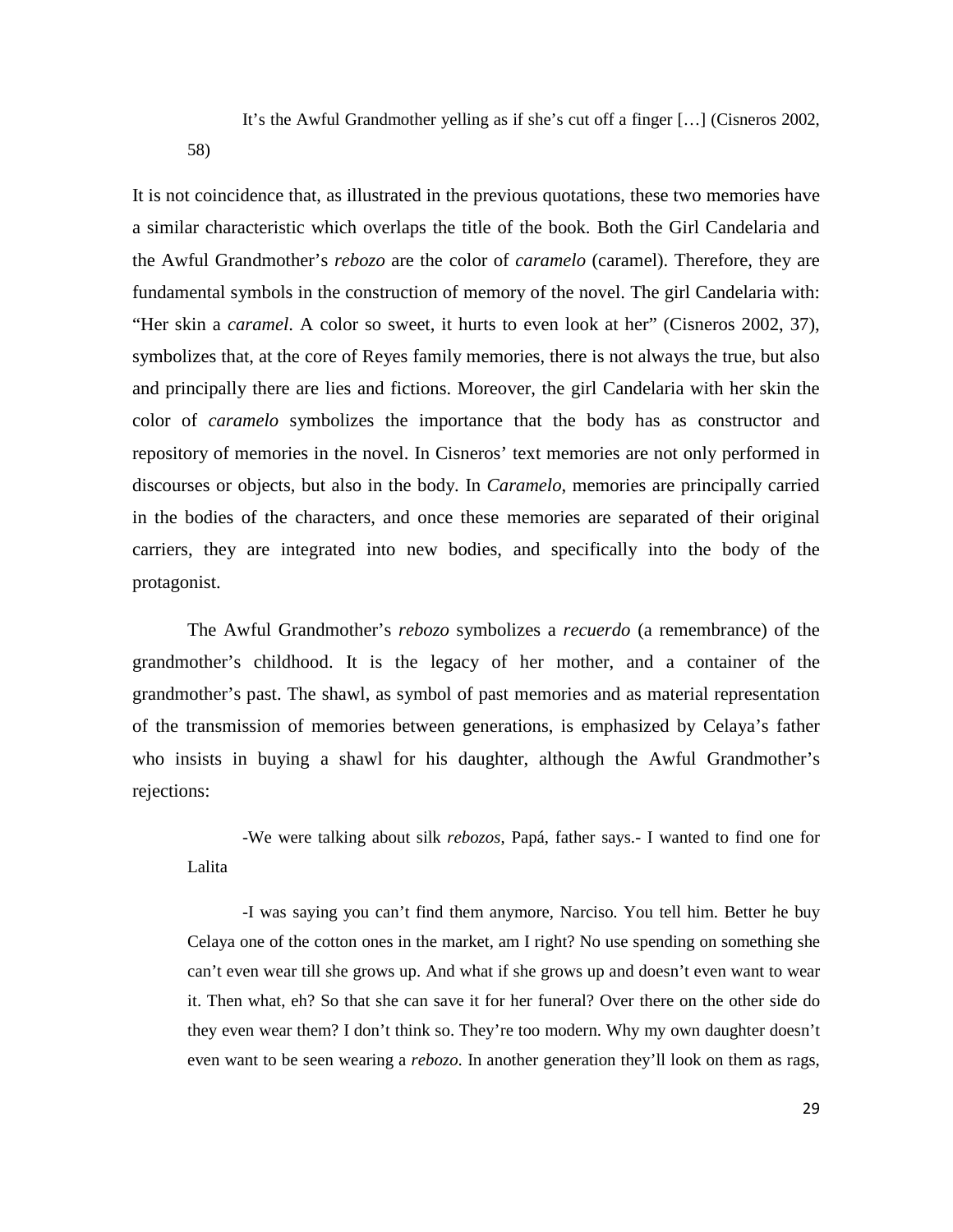It's the Awful Grandmother yelling as if she's cut off a finger […] (Cisneros 2002,

58)

It is not coincidence that, as illustrated in the previous quotations, these two memories have a similar characteristic which overlaps the title of the book. Both the Girl Candelaria and the Awful Grandmother's *rebozo* are the color of *caramelo* (caramel). Therefore, they are fundamental symbols in the construction of memory of the novel. The girl Candelaria with: "Her skin a *caramel*. A color so sweet, it hurts to even look at her" (Cisneros 2002, 37), symbolizes that, at the core of Reyes family memories, there is not always the true, but also and principally there are lies and fictions. Moreover, the girl Candelaria with her skin the color of *caramelo* symbolizes the importance that the body has as constructor and repository of memories in the novel. In Cisneros' text memories are not only performed in discourses or objects, but also in the body. In *Caramelo*, memories are principally carried in the bodies of the characters, and once these memories are separated of their original carriers, they are integrated into new bodies, and specifically into the body of the protagonist.

The Awful Grandmother's *rebozo* symbolizes a *recuerdo* (a remembrance) of the grandmother's childhood. It is the legacy of her mother, and a container of the grandmother's past. The shawl, as symbol of past memories and as material representation of the transmission of memories between generations, is emphasized by Celaya's father who insists in buying a shawl for his daughter, although the Awful Grandmother's rejections:

-We were talking about silk *rebozos*, Papá, father says.- I wanted to find one for Lalita

-I was saying you can't find them anymore, Narciso. You tell him. Better he buy Celaya one of the cotton ones in the market, am I right? No use spending on something she can't even wear till she grows up. And what if she grows up and doesn't even want to wear it. Then what, eh? So that she can save it for her funeral? Over there on the other side do they even wear them? I don't think so. They're too modern. Why my own daughter doesn't even want to be seen wearing a *rebozo*. In another generation they'll look on them as rags,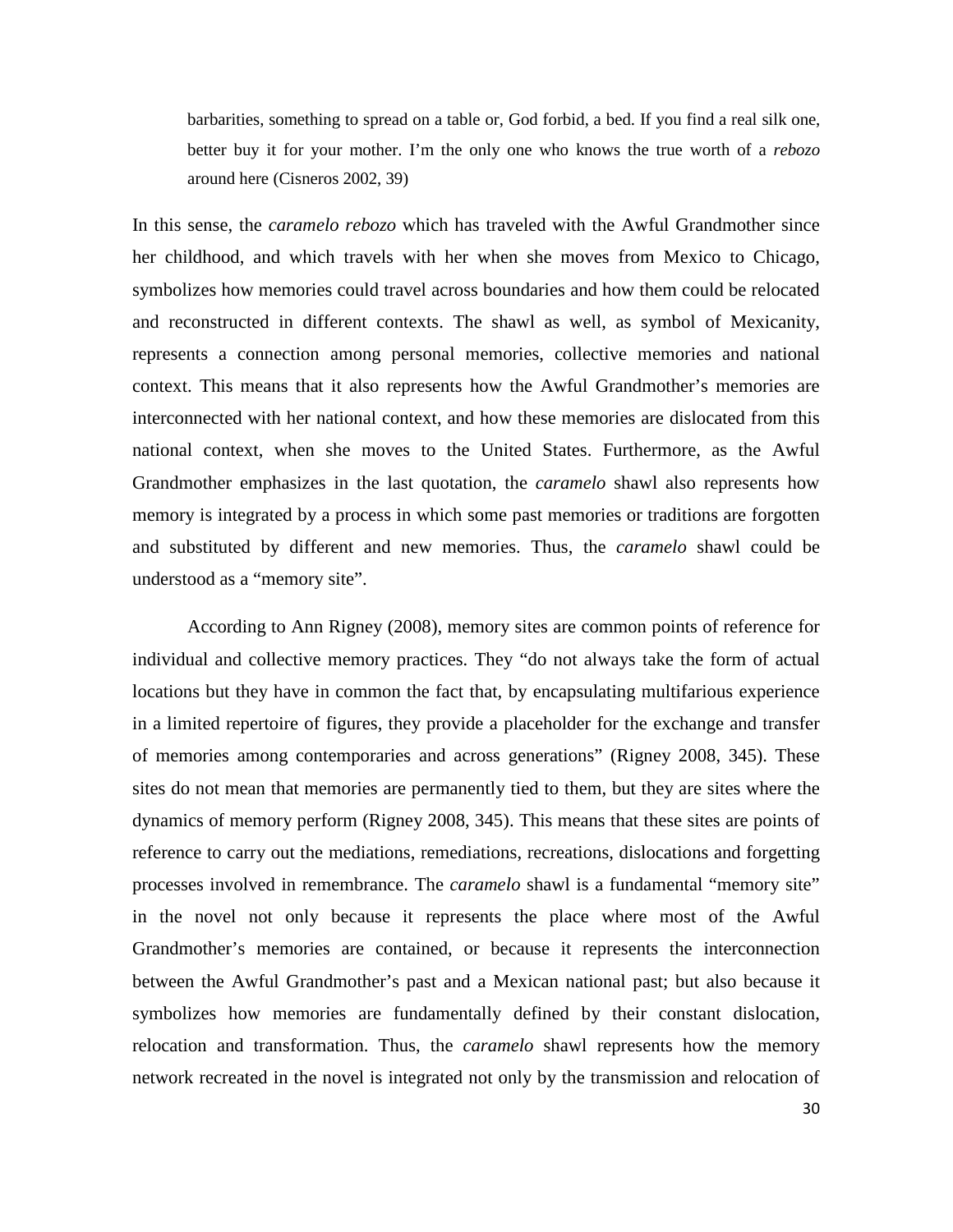barbarities, something to spread on a table or, God forbid, a bed. If you find a real silk one, better buy it for your mother. I'm the only one who knows the true worth of a *rebozo* around here (Cisneros 2002, 39)

In this sense, the *caramelo rebozo* which has traveled with the Awful Grandmother since her childhood, and which travels with her when she moves from Mexico to Chicago, symbolizes how memories could travel across boundaries and how them could be relocated and reconstructed in different contexts. The shawl as well, as symbol of Mexicanity, represents a connection among personal memories, collective memories and national context. This means that it also represents how the Awful Grandmother's memories are interconnected with her national context, and how these memories are dislocated from this national context, when she moves to the United States. Furthermore, as the Awful Grandmother emphasizes in the last quotation, the *caramelo* shawl also represents how memory is integrated by a process in which some past memories or traditions are forgotten and substituted by different and new memories. Thus, the *caramelo* shawl could be understood as a "memory site".

According to Ann Rigney (2008), memory sites are common points of reference for individual and collective memory practices. They "do not always take the form of actual locations but they have in common the fact that, by encapsulating multifarious experience in a limited repertoire of figures, they provide a placeholder for the exchange and transfer of memories among contemporaries and across generations" (Rigney 2008, 345). These sites do not mean that memories are permanently tied to them, but they are sites where the dynamics of memory perform (Rigney 2008, 345). This means that these sites are points of reference to carry out the mediations, remediations, recreations, dislocations and forgetting processes involved in remembrance. The *caramelo* shawl is a fundamental "memory site" in the novel not only because it represents the place where most of the Awful Grandmother's memories are contained, or because it represents the interconnection between the Awful Grandmother's past and a Mexican national past; but also because it symbolizes how memories are fundamentally defined by their constant dislocation, relocation and transformation. Thus, the *caramelo* shawl represents how the memory network recreated in the novel is integrated not only by the transmission and relocation of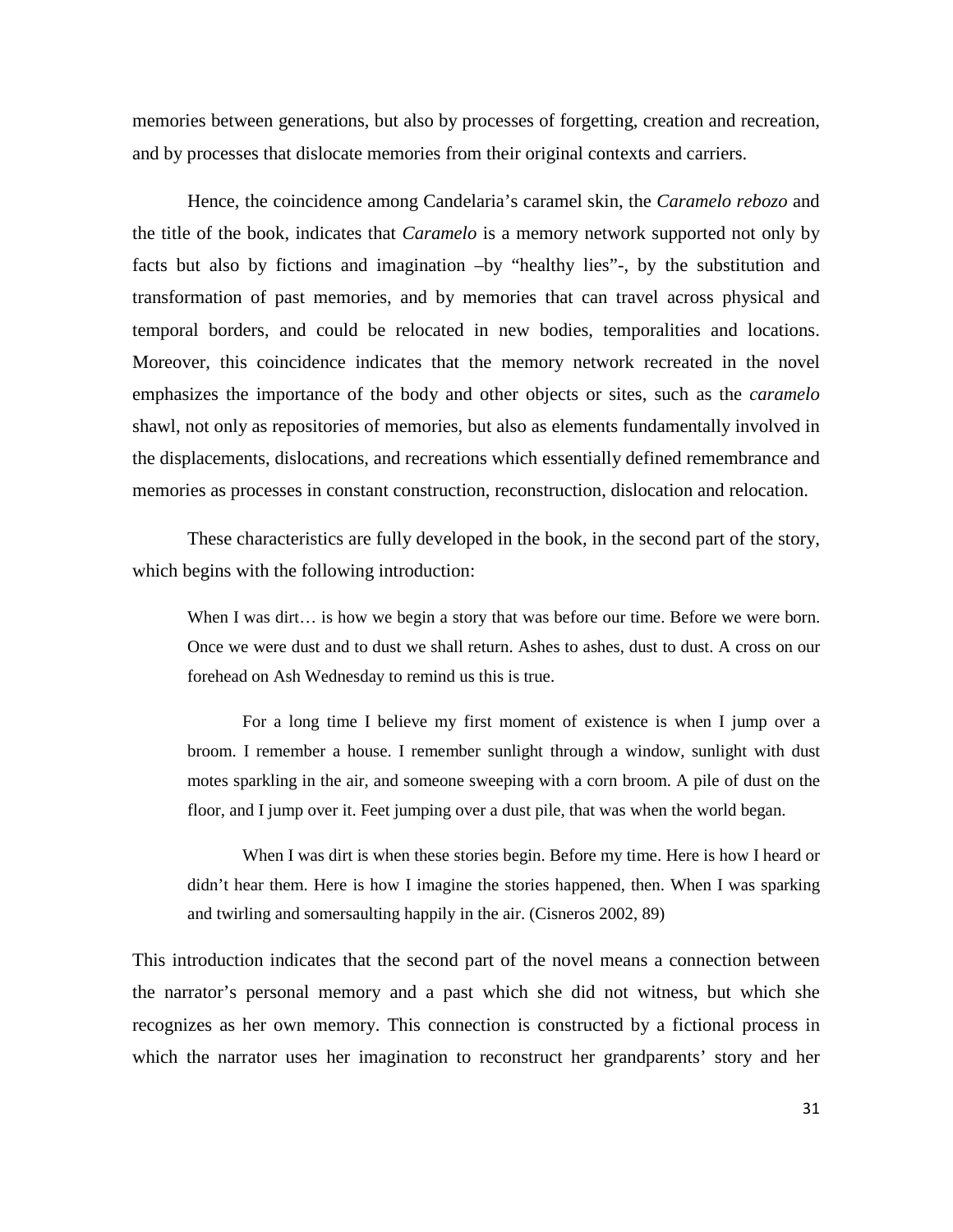memories between generations, but also by processes of forgetting, creation and recreation, and by processes that dislocate memories from their original contexts and carriers.

Hence, the coincidence among Candelaria's caramel skin, the *Caramelo rebozo* and the title of the book, indicates that *Caramelo* is a memory network supported not only by facts but also by fictions and imagination –by "healthy lies"-, by the substitution and transformation of past memories, and by memories that can travel across physical and temporal borders, and could be relocated in new bodies, temporalities and locations. Moreover, this coincidence indicates that the memory network recreated in the novel emphasizes the importance of the body and other objects or sites, such as the *caramelo*  shawl, not only as repositories of memories, but also as elements fundamentally involved in the displacements, dislocations, and recreations which essentially defined remembrance and memories as processes in constant construction, reconstruction, dislocation and relocation.

These characteristics are fully developed in the book, in the second part of the story, which begins with the following introduction:

When I was dirt… is how we begin a story that was before our time. Before we were born. Once we were dust and to dust we shall return. Ashes to ashes, dust to dust. A cross on our forehead on Ash Wednesday to remind us this is true.

For a long time I believe my first moment of existence is when I jump over a broom. I remember a house. I remember sunlight through a window, sunlight with dust motes sparkling in the air, and someone sweeping with a corn broom. A pile of dust on the floor, and I jump over it. Feet jumping over a dust pile, that was when the world began.

When I was dirt is when these stories begin. Before my time. Here is how I heard or didn't hear them. Here is how I imagine the stories happened, then. When I was sparking and twirling and somersaulting happily in the air. (Cisneros 2002, 89)

This introduction indicates that the second part of the novel means a connection between the narrator's personal memory and a past which she did not witness, but which she recognizes as her own memory. This connection is constructed by a fictional process in which the narrator uses her imagination to reconstruct her grandparents' story and her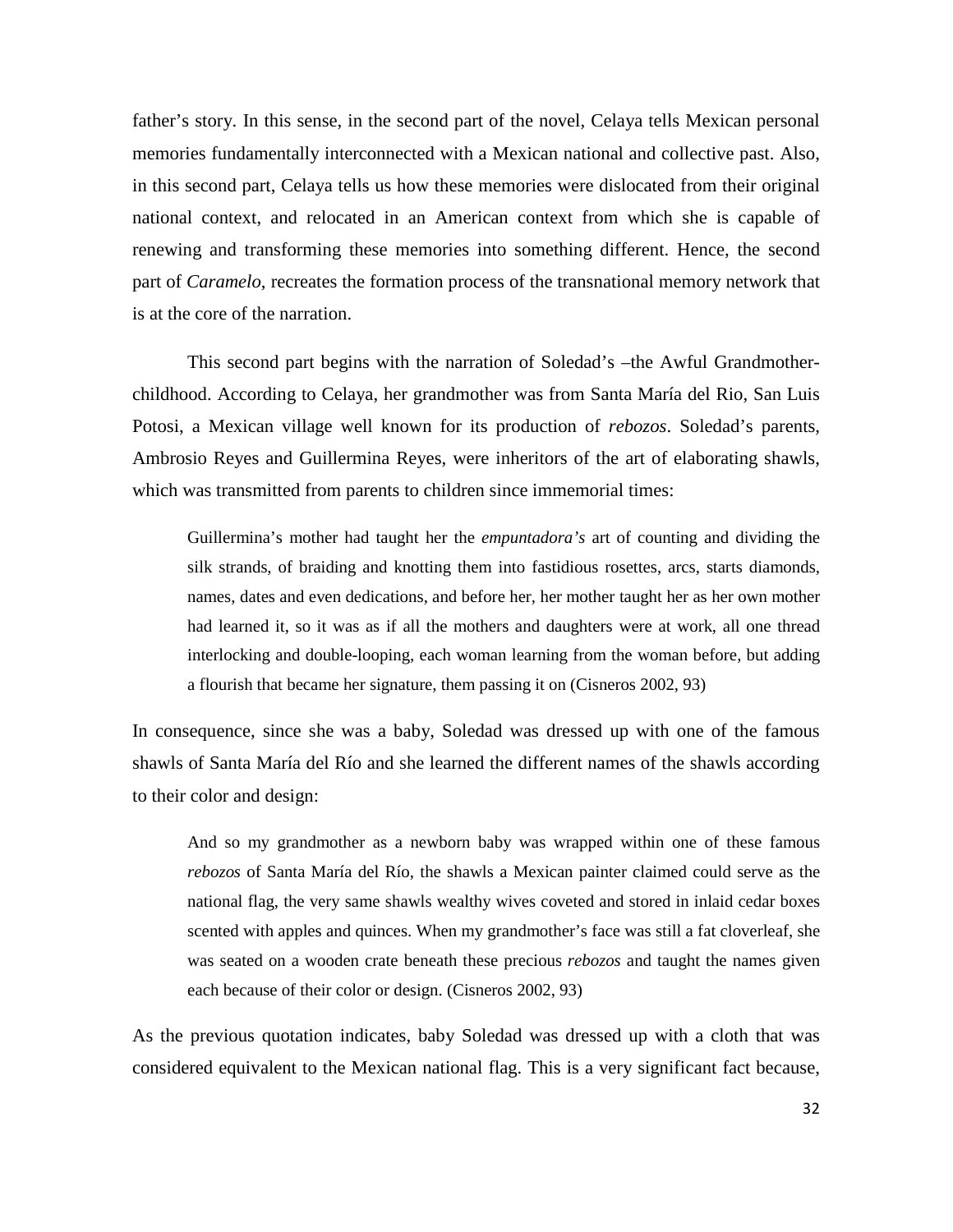father's story. In this sense, in the second part of the novel, Celaya tells Mexican personal memories fundamentally interconnected with a Mexican national and collective past. Also, in this second part, Celaya tells us how these memories were dislocated from their original national context, and relocated in an American context from which she is capable of renewing and transforming these memories into something different. Hence, the second part of *Caramelo*, recreates the formation process of the transnational memory network that is at the core of the narration.

This second part begins with the narration of Soledad's –the Awful Grandmotherchildhood. According to Celaya, her grandmother was from Santa María del Rio, San Luis Potosi, a Mexican village well known for its production of *rebozos*. Soledad's parents, Ambrosio Reyes and Guillermina Reyes, were inheritors of the art of elaborating shawls, which was transmitted from parents to children since immemorial times:

Guillermina's mother had taught her the *empuntadora's* art of counting and dividing the silk strands, of braiding and knotting them into fastidious rosettes, arcs, starts diamonds, names, dates and even dedications, and before her, her mother taught her as her own mother had learned it, so it was as if all the mothers and daughters were at work, all one thread interlocking and double-looping, each woman learning from the woman before, but adding a flourish that became her signature, them passing it on (Cisneros 2002, 93)

In consequence, since she was a baby, Soledad was dressed up with one of the famous shawls of Santa María del Río and she learned the different names of the shawls according to their color and design:

And so my grandmother as a newborn baby was wrapped within one of these famous *rebozos* of Santa María del Río, the shawls a Mexican painter claimed could serve as the national flag, the very same shawls wealthy wives coveted and stored in inlaid cedar boxes scented with apples and quinces. When my grandmother's face was still a fat cloverleaf, she was seated on a wooden crate beneath these precious *rebozos* and taught the names given each because of their color or design. (Cisneros 2002, 93)

As the previous quotation indicates, baby Soledad was dressed up with a cloth that was considered equivalent to the Mexican national flag. This is a very significant fact because,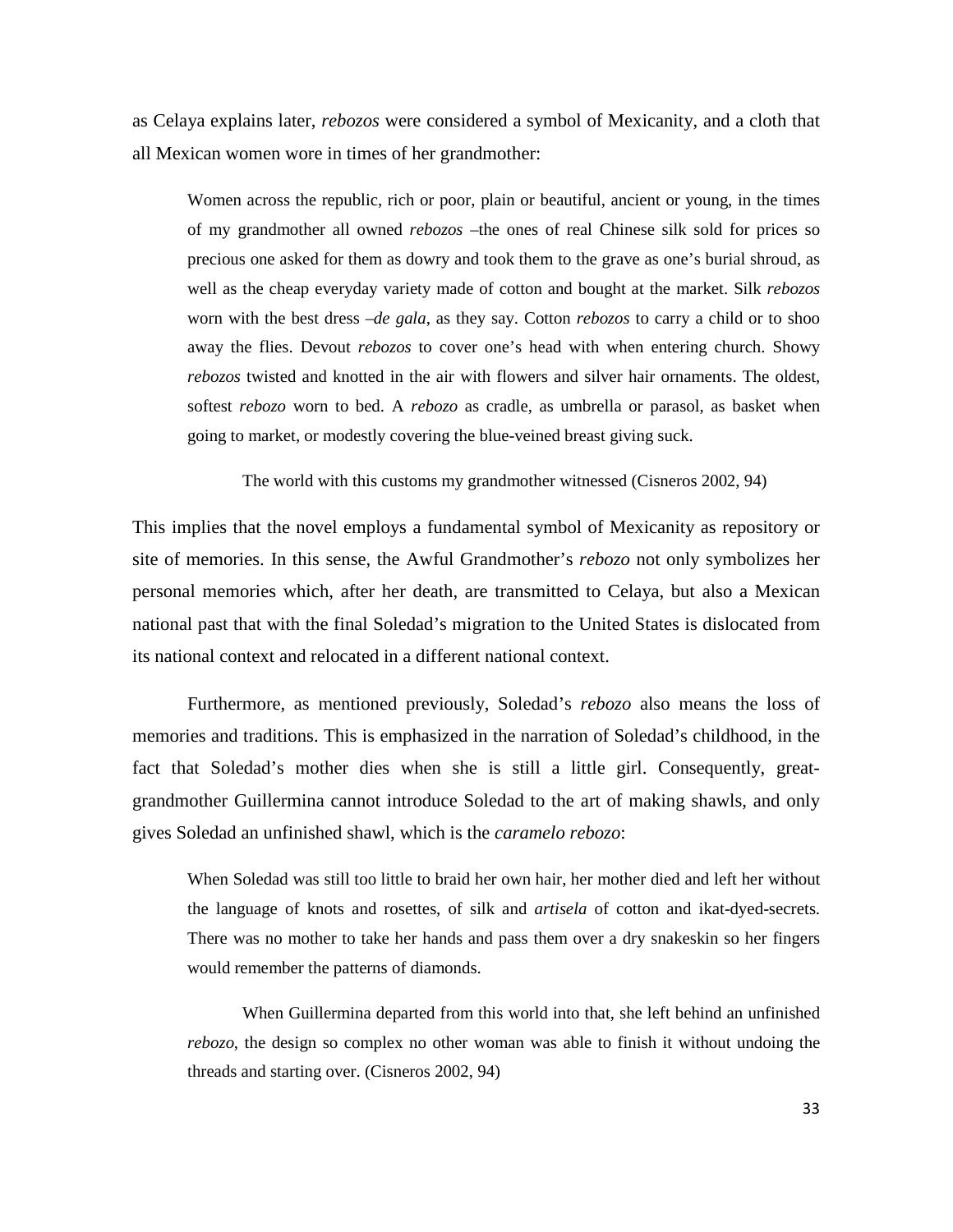as Celaya explains later, *rebozos* were considered a symbol of Mexicanity, and a cloth that all Mexican women wore in times of her grandmother:

Women across the republic, rich or poor, plain or beautiful, ancient or young, in the times of my grandmother all owned *rebozos* –the ones of real Chinese silk sold for prices so precious one asked for them as dowry and took them to the grave as one's burial shroud, as well as the cheap everyday variety made of cotton and bought at the market. Silk *rebozos* worn with the best dress –*de gala*, as they say. Cotton *rebozos* to carry a child or to shoo away the flies. Devout *rebozos* to cover one's head with when entering church. Showy *rebozos* twisted and knotted in the air with flowers and silver hair ornaments. The oldest, softest *rebozo* worn to bed. A *rebozo* as cradle, as umbrella or parasol, as basket when going to market, or modestly covering the blue-veined breast giving suck.

The world with this customs my grandmother witnessed (Cisneros 2002, 94)

This implies that the novel employs a fundamental symbol of Mexicanity as repository or site of memories. In this sense, the Awful Grandmother's *rebozo* not only symbolizes her personal memories which, after her death, are transmitted to Celaya, but also a Mexican national past that with the final Soledad's migration to the United States is dislocated from its national context and relocated in a different national context.

Furthermore, as mentioned previously, Soledad's *rebozo* also means the loss of memories and traditions. This is emphasized in the narration of Soledad's childhood, in the fact that Soledad's mother dies when she is still a little girl. Consequently, greatgrandmother Guillermina cannot introduce Soledad to the art of making shawls, and only gives Soledad an unfinished shawl, which is the *caramelo rebozo*:

When Soledad was still too little to braid her own hair, her mother died and left her without the language of knots and rosettes, of silk and *artisela* of cotton and ikat-dyed-secrets. There was no mother to take her hands and pass them over a dry snakeskin so her fingers would remember the patterns of diamonds.

When Guillermina departed from this world into that, she left behind an unfinished *rebozo*, the design so complex no other woman was able to finish it without undoing the threads and starting over. (Cisneros 2002, 94)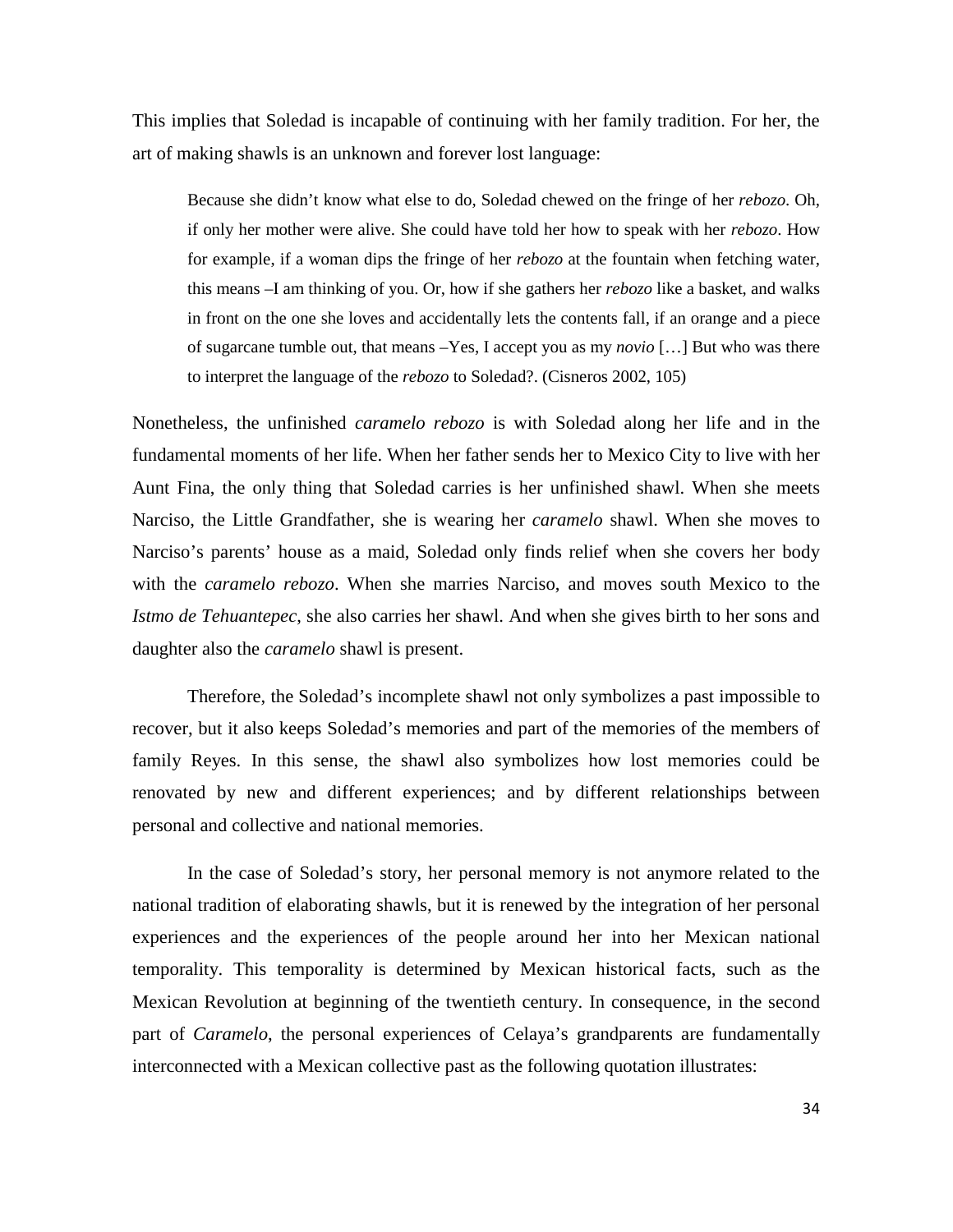This implies that Soledad is incapable of continuing with her family tradition. For her, the art of making shawls is an unknown and forever lost language:

Because she didn't know what else to do, Soledad chewed on the fringe of her *rebozo*. Oh, if only her mother were alive. She could have told her how to speak with her *rebozo*. How for example, if a woman dips the fringe of her *rebozo* at the fountain when fetching water, this means –I am thinking of you. Or, how if she gathers her *rebozo* like a basket, and walks in front on the one she loves and accidentally lets the contents fall, if an orange and a piece of sugarcane tumble out, that means –Yes, I accept you as my *novio* […] But who was there to interpret the language of the *rebozo* to Soledad?. (Cisneros 2002, 105)

Nonetheless, the unfinished *caramelo rebozo* is with Soledad along her life and in the fundamental moments of her life. When her father sends her to Mexico City to live with her Aunt Fina, the only thing that Soledad carries is her unfinished shawl. When she meets Narciso, the Little Grandfather, she is wearing her *caramelo* shawl. When she moves to Narciso's parents' house as a maid, Soledad only finds relief when she covers her body with the *caramelo rebozo*. When she marries Narciso, and moves south Mexico to the *Istmo de Tehuantepec*, she also carries her shawl. And when she gives birth to her sons and daughter also the *caramelo* shawl is present.

Therefore, the Soledad's incomplete shawl not only symbolizes a past impossible to recover, but it also keeps Soledad's memories and part of the memories of the members of family Reyes. In this sense, the shawl also symbolizes how lost memories could be renovated by new and different experiences; and by different relationships between personal and collective and national memories.

In the case of Soledad's story, her personal memory is not anymore related to the national tradition of elaborating shawls, but it is renewed by the integration of her personal experiences and the experiences of the people around her into her Mexican national temporality. This temporality is determined by Mexican historical facts, such as the Mexican Revolution at beginning of the twentieth century. In consequence, in the second part of *Caramelo*, the personal experiences of Celaya's grandparents are fundamentally interconnected with a Mexican collective past as the following quotation illustrates: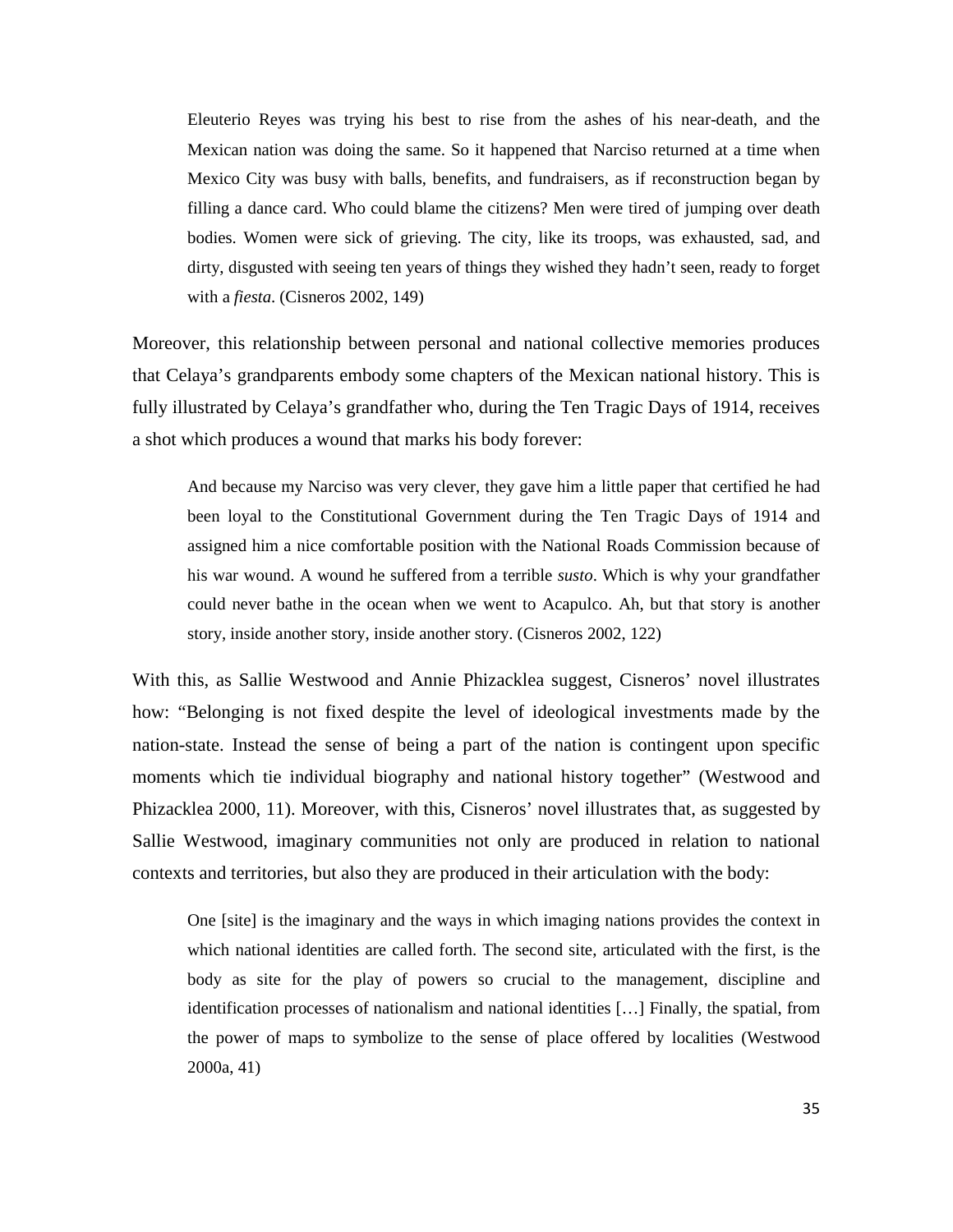Eleuterio Reyes was trying his best to rise from the ashes of his near-death, and the Mexican nation was doing the same. So it happened that Narciso returned at a time when Mexico City was busy with balls, benefits, and fundraisers, as if reconstruction began by filling a dance card. Who could blame the citizens? Men were tired of jumping over death bodies. Women were sick of grieving. The city, like its troops, was exhausted, sad, and dirty, disgusted with seeing ten years of things they wished they hadn't seen, ready to forget with a *fiesta*. (Cisneros 2002, 149)

Moreover, this relationship between personal and national collective memories produces that Celaya's grandparents embody some chapters of the Mexican national history. This is fully illustrated by Celaya's grandfather who, during the Ten Tragic Days of 1914, receives a shot which produces a wound that marks his body forever:

And because my Narciso was very clever, they gave him a little paper that certified he had been loyal to the Constitutional Government during the Ten Tragic Days of 1914 and assigned him a nice comfortable position with the National Roads Commission because of his war wound. A wound he suffered from a terrible *susto*. Which is why your grandfather could never bathe in the ocean when we went to Acapulco. Ah, but that story is another story, inside another story, inside another story. (Cisneros 2002, 122)

With this, as Sallie Westwood and Annie Phizacklea suggest, Cisneros' novel illustrates how: "Belonging is not fixed despite the level of ideological investments made by the nation-state. Instead the sense of being a part of the nation is contingent upon specific moments which tie individual biography and national history together" (Westwood and Phizacklea 2000, 11). Moreover, with this, Cisneros' novel illustrates that, as suggested by Sallie Westwood, imaginary communities not only are produced in relation to national contexts and territories, but also they are produced in their articulation with the body:

One [site] is the imaginary and the ways in which imaging nations provides the context in which national identities are called forth. The second site, articulated with the first, is the body as site for the play of powers so crucial to the management, discipline and identification processes of nationalism and national identities […] Finally, the spatial, from the power of maps to symbolize to the sense of place offered by localities (Westwood 2000a, 41)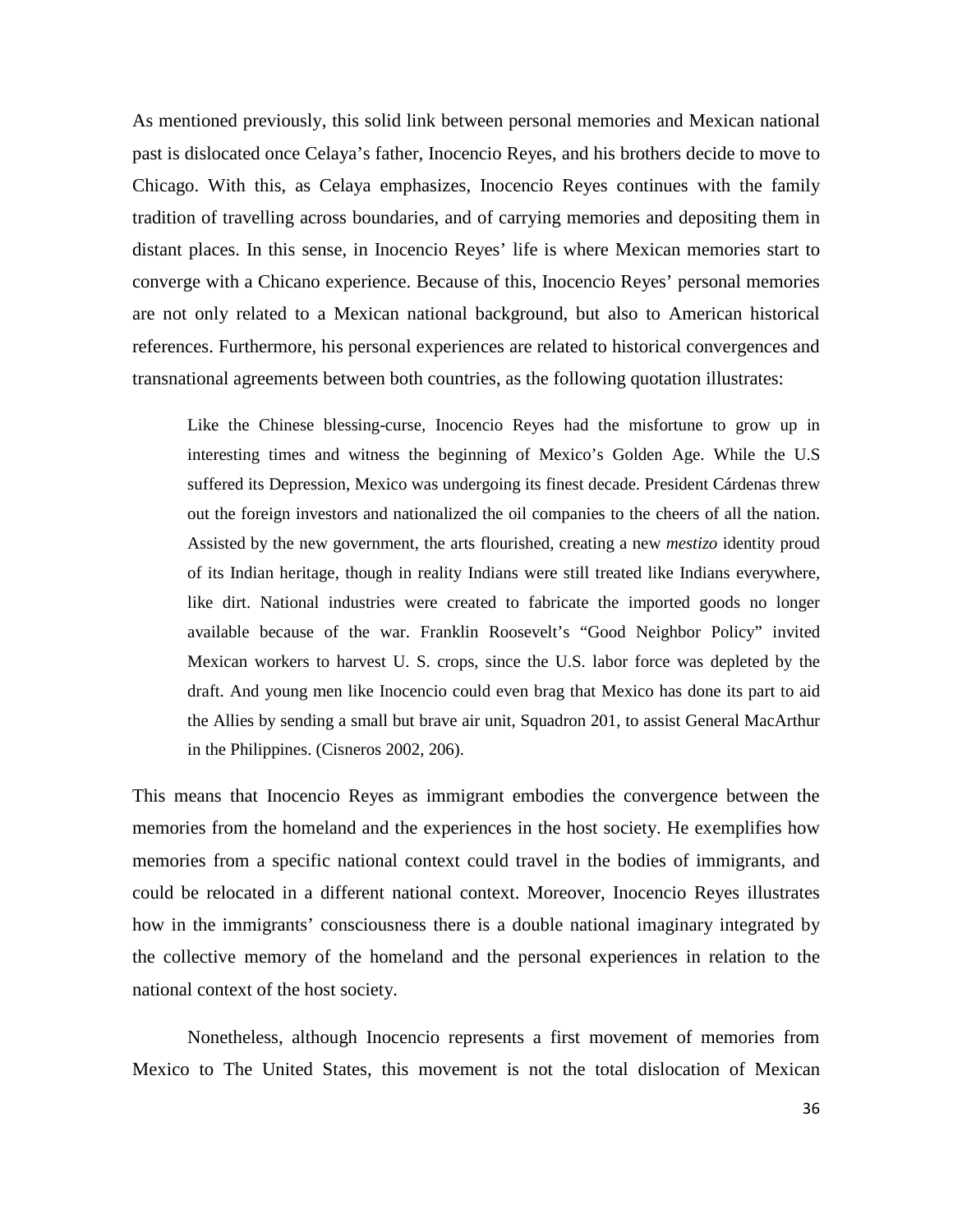As mentioned previously, this solid link between personal memories and Mexican national past is dislocated once Celaya's father, Inocencio Reyes, and his brothers decide to move to Chicago. With this, as Celaya emphasizes, Inocencio Reyes continues with the family tradition of travelling across boundaries, and of carrying memories and depositing them in distant places. In this sense, in Inocencio Reyes' life is where Mexican memories start to converge with a Chicano experience. Because of this, Inocencio Reyes' personal memories are not only related to a Mexican national background, but also to American historical references. Furthermore, his personal experiences are related to historical convergences and transnational agreements between both countries, as the following quotation illustrates:

Like the Chinese blessing-curse, Inocencio Reyes had the misfortune to grow up in interesting times and witness the beginning of Mexico's Golden Age. While the U.S suffered its Depression, Mexico was undergoing its finest decade. President Cárdenas threw out the foreign investors and nationalized the oil companies to the cheers of all the nation. Assisted by the new government, the arts flourished, creating a new *mestizo* identity proud of its Indian heritage, though in reality Indians were still treated like Indians everywhere, like dirt. National industries were created to fabricate the imported goods no longer available because of the war. Franklin Roosevelt's "Good Neighbor Policy" invited Mexican workers to harvest U. S. crops, since the U.S. labor force was depleted by the draft. And young men like Inocencio could even brag that Mexico has done its part to aid the Allies by sending a small but brave air unit, Squadron 201, to assist General MacArthur in the Philippines. (Cisneros 2002, 206).

This means that Inocencio Reyes as immigrant embodies the convergence between the memories from the homeland and the experiences in the host society. He exemplifies how memories from a specific national context could travel in the bodies of immigrants, and could be relocated in a different national context. Moreover, Inocencio Reyes illustrates how in the immigrants' consciousness there is a double national imaginary integrated by the collective memory of the homeland and the personal experiences in relation to the national context of the host society.

Nonetheless, although Inocencio represents a first movement of memories from Mexico to The United States, this movement is not the total dislocation of Mexican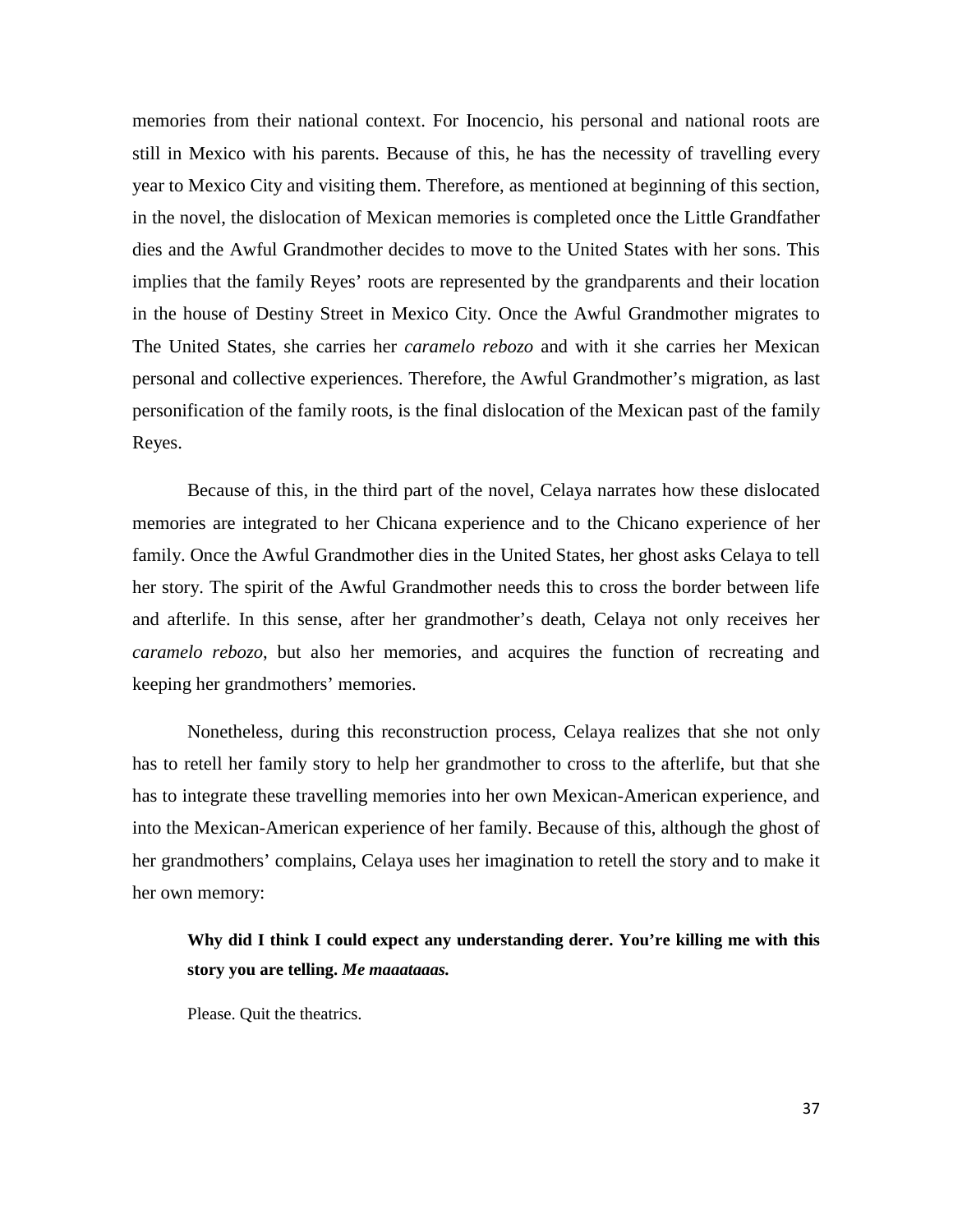memories from their national context. For Inocencio, his personal and national roots are still in Mexico with his parents. Because of this, he has the necessity of travelling every year to Mexico City and visiting them. Therefore, as mentioned at beginning of this section, in the novel, the dislocation of Mexican memories is completed once the Little Grandfather dies and the Awful Grandmother decides to move to the United States with her sons. This implies that the family Reyes' roots are represented by the grandparents and their location in the house of Destiny Street in Mexico City. Once the Awful Grandmother migrates to The United States, she carries her *caramelo rebozo* and with it she carries her Mexican personal and collective experiences. Therefore, the Awful Grandmother's migration, as last personification of the family roots, is the final dislocation of the Mexican past of the family Reyes.

Because of this, in the third part of the novel, Celaya narrates how these dislocated memories are integrated to her Chicana experience and to the Chicano experience of her family. Once the Awful Grandmother dies in the United States, her ghost asks Celaya to tell her story. The spirit of the Awful Grandmother needs this to cross the border between life and afterlife. In this sense, after her grandmother's death, Celaya not only receives her *caramelo rebozo*, but also her memories, and acquires the function of recreating and keeping her grandmothers' memories.

Nonetheless, during this reconstruction process, Celaya realizes that she not only has to retell her family story to help her grandmother to cross to the afterlife, but that she has to integrate these travelling memories into her own Mexican-American experience, and into the Mexican-American experience of her family. Because of this, although the ghost of her grandmothers' complains, Celaya uses her imagination to retell the story and to make it her own memory:

## **Why did I think I could expect any understanding derer. You're killing me with this story you are telling.** *Me maaataaas.*

Please. Quit the theatrics.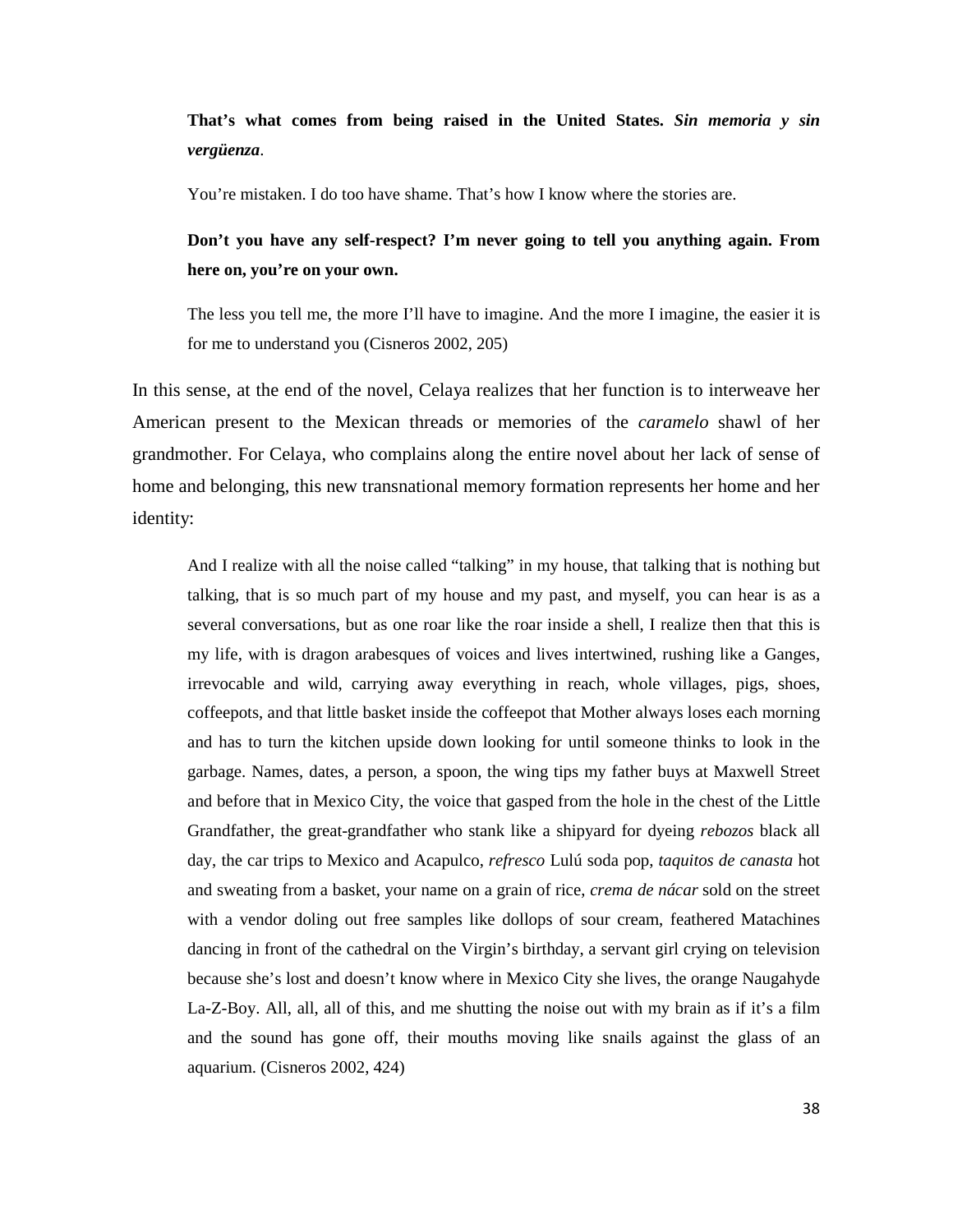**That's what comes from being raised in the United States.** *Sin memoria y sin vergüenza*.

You're mistaken. I do too have shame. That's how I know where the stories are.

**Don't you have any self-respect? I'm never going to tell you anything again. From here on, you're on your own.**

The less you tell me, the more I'll have to imagine. And the more I imagine, the easier it is for me to understand you (Cisneros 2002, 205)

In this sense, at the end of the novel, Celaya realizes that her function is to interweave her American present to the Mexican threads or memories of the *caramelo* shawl of her grandmother. For Celaya, who complains along the entire novel about her lack of sense of home and belonging, this new transnational memory formation represents her home and her identity:

And I realize with all the noise called "talking" in my house, that talking that is nothing but talking, that is so much part of my house and my past, and myself, you can hear is as a several conversations, but as one roar like the roar inside a shell, I realize then that this is my life, with is dragon arabesques of voices and lives intertwined, rushing like a Ganges, irrevocable and wild, carrying away everything in reach, whole villages, pigs, shoes, coffeepots, and that little basket inside the coffeepot that Mother always loses each morning and has to turn the kitchen upside down looking for until someone thinks to look in the garbage. Names, dates, a person, a spoon, the wing tips my father buys at Maxwell Street and before that in Mexico City, the voice that gasped from the hole in the chest of the Little Grandfather, the great-grandfather who stank like a shipyard for dyeing *rebozos* black all day, the car trips to Mexico and Acapulco, *refresco* Lulú soda pop, *taquitos de canasta* hot and sweating from a basket, your name on a grain of rice, *crema de nácar* sold on the street with a vendor doling out free samples like dollops of sour cream, feathered Matachines dancing in front of the cathedral on the Virgin's birthday, a servant girl crying on television because she's lost and doesn't know where in Mexico City she lives, the orange Naugahyde La-Z-Boy. All, all, all of this, and me shutting the noise out with my brain as if it's a film and the sound has gone off, their mouths moving like snails against the glass of an aquarium. (Cisneros 2002, 424)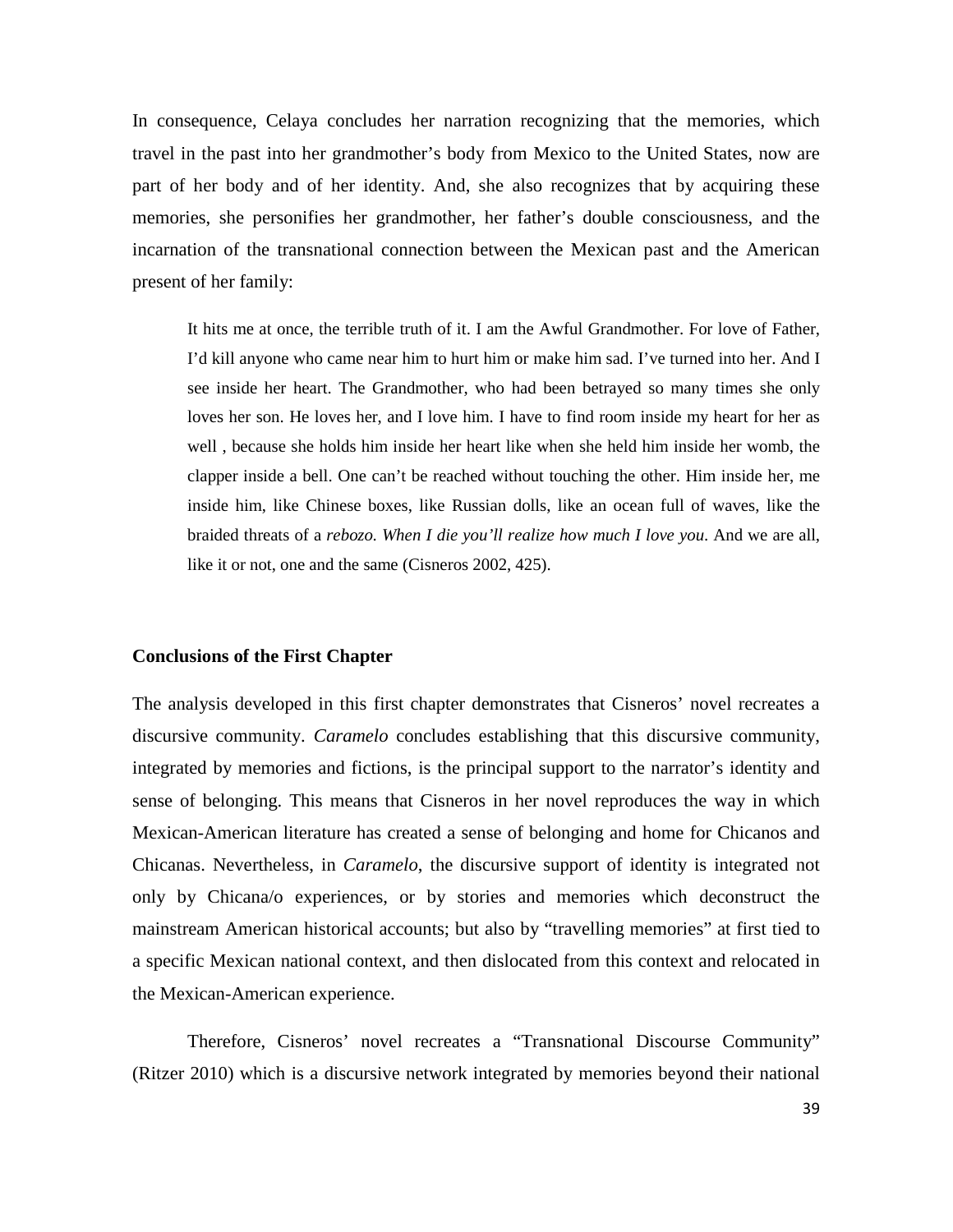In consequence, Celaya concludes her narration recognizing that the memories, which travel in the past into her grandmother's body from Mexico to the United States, now are part of her body and of her identity. And, she also recognizes that by acquiring these memories, she personifies her grandmother, her father's double consciousness, and the incarnation of the transnational connection between the Mexican past and the American present of her family:

It hits me at once, the terrible truth of it. I am the Awful Grandmother. For love of Father, I'd kill anyone who came near him to hurt him or make him sad. I've turned into her. And I see inside her heart. The Grandmother, who had been betrayed so many times she only loves her son. He loves her, and I love him. I have to find room inside my heart for her as well , because she holds him inside her heart like when she held him inside her womb, the clapper inside a bell. One can't be reached without touching the other. Him inside her, me inside him, like Chinese boxes, like Russian dolls, like an ocean full of waves, like the braided threats of a *rebozo. When I die you'll realize how much I love you*. And we are all, like it or not, one and the same (Cisneros 2002, 425).

#### **Conclusions of the First Chapter**

The analysis developed in this first chapter demonstrates that Cisneros' novel recreates a discursive community. *Caramelo* concludes establishing that this discursive community, integrated by memories and fictions, is the principal support to the narrator's identity and sense of belonging. This means that Cisneros in her novel reproduces the way in which Mexican-American literature has created a sense of belonging and home for Chicanos and Chicanas. Nevertheless, in *Caramelo*, the discursive support of identity is integrated not only by Chicana/o experiences, or by stories and memories which deconstruct the mainstream American historical accounts; but also by "travelling memories" at first tied to a specific Mexican national context, and then dislocated from this context and relocated in the Mexican-American experience.

Therefore, Cisneros' novel recreates a "Transnational Discourse Community" (Ritzer 2010) which is a discursive network integrated by memories beyond their national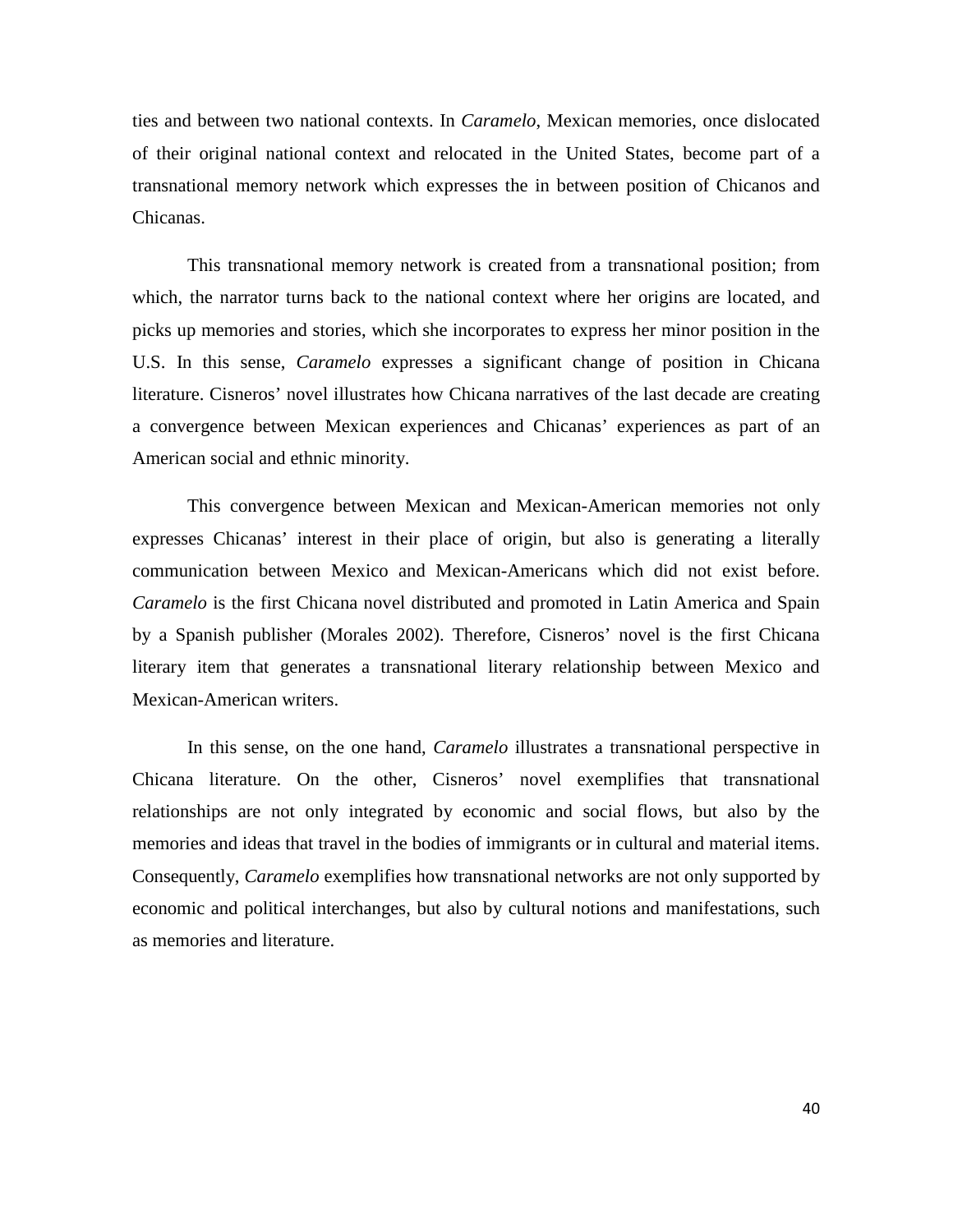ties and between two national contexts. In *Caramelo*, Mexican memories, once dislocated of their original national context and relocated in the United States, become part of a transnational memory network which expresses the in between position of Chicanos and Chicanas.

This transnational memory network is created from a transnational position; from which, the narrator turns back to the national context where her origins are located, and picks up memories and stories, which she incorporates to express her minor position in the U.S. In this sense, *Caramelo* expresses a significant change of position in Chicana literature. Cisneros' novel illustrates how Chicana narratives of the last decade are creating a convergence between Mexican experiences and Chicanas' experiences as part of an American social and ethnic minority.

This convergence between Mexican and Mexican-American memories not only expresses Chicanas' interest in their place of origin, but also is generating a literally communication between Mexico and Mexican-Americans which did not exist before. *Caramelo* is the first Chicana novel distributed and promoted in Latin America and Spain by a Spanish publisher (Morales 2002). Therefore, Cisneros' novel is the first Chicana literary item that generates a transnational literary relationship between Mexico and Mexican-American writers.

In this sense, on the one hand, *Caramelo* illustrates a transnational perspective in Chicana literature. On the other, Cisneros' novel exemplifies that transnational relationships are not only integrated by economic and social flows, but also by the memories and ideas that travel in the bodies of immigrants or in cultural and material items. Consequently, *Caramelo* exemplifies how transnational networks are not only supported by economic and political interchanges, but also by cultural notions and manifestations, such as memories and literature.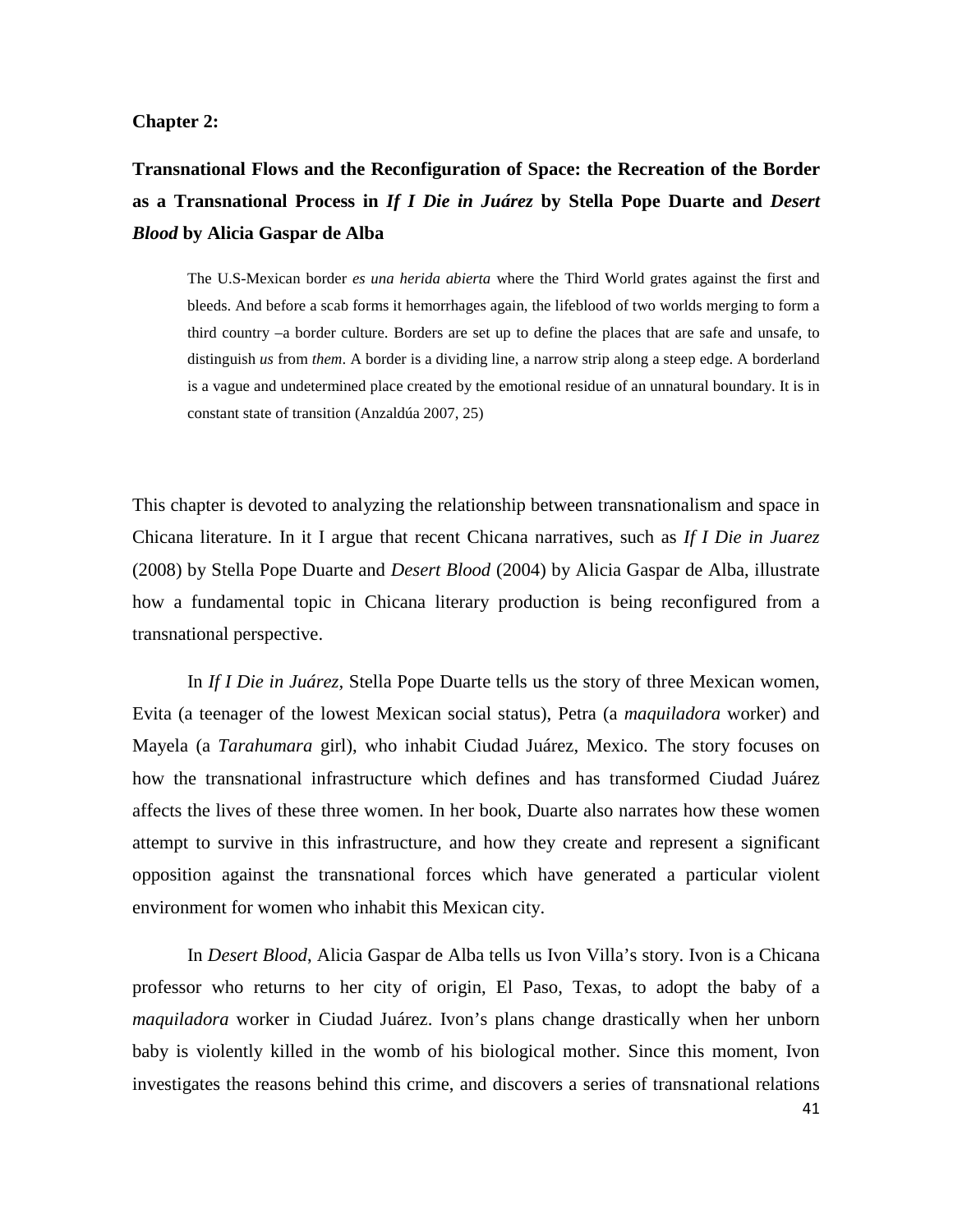#### **Chapter 2:**

**Transnational Flows and the Reconfiguration of Space: the Recreation of the Border as a Transnational Process in** *If I Die in Juárez* **by Stella Pope Duarte and** *Desert Blood* **by Alicia Gaspar de Alba**

The U.S-Mexican border *es una herida abierta* where the Third World grates against the first and bleeds. And before a scab forms it hemorrhages again, the lifeblood of two worlds merging to form a third country –a border culture. Borders are set up to define the places that are safe and unsafe, to distinguish *us* from *them*. A border is a dividing line, a narrow strip along a steep edge. A borderland is a vague and undetermined place created by the emotional residue of an unnatural boundary. It is in constant state of transition (Anzaldúa 2007, 25)

This chapter is devoted to analyzing the relationship between transnationalism and space in Chicana literature. In it I argue that recent Chicana narratives, such as *If I Die in Juarez* (2008) by Stella Pope Duarte and *Desert Blood* (2004) by Alicia Gaspar de Alba, illustrate how a fundamental topic in Chicana literary production is being reconfigured from a transnational perspective.

In *If I Die in Juárez,* Stella Pope Duarte tells us the story of three Mexican women, Evita (a teenager of the lowest Mexican social status), Petra (a *maquiladora* worker) and Mayela (a *Tarahumara* girl), who inhabit Ciudad Juárez, Mexico. The story focuses on how the transnational infrastructure which defines and has transformed Ciudad Juárez affects the lives of these three women. In her book, Duarte also narrates how these women attempt to survive in this infrastructure, and how they create and represent a significant opposition against the transnational forces which have generated a particular violent environment for women who inhabit this Mexican city.

In *Desert Blood*, Alicia Gaspar de Alba tells us Ivon Villa's story. Ivon is a Chicana professor who returns to her city of origin, El Paso, Texas, to adopt the baby of a *maquiladora* worker in Ciudad Juárez. Ivon's plans change drastically when her unborn baby is violently killed in the womb of his biological mother. Since this moment, Ivon investigates the reasons behind this crime, and discovers a series of transnational relations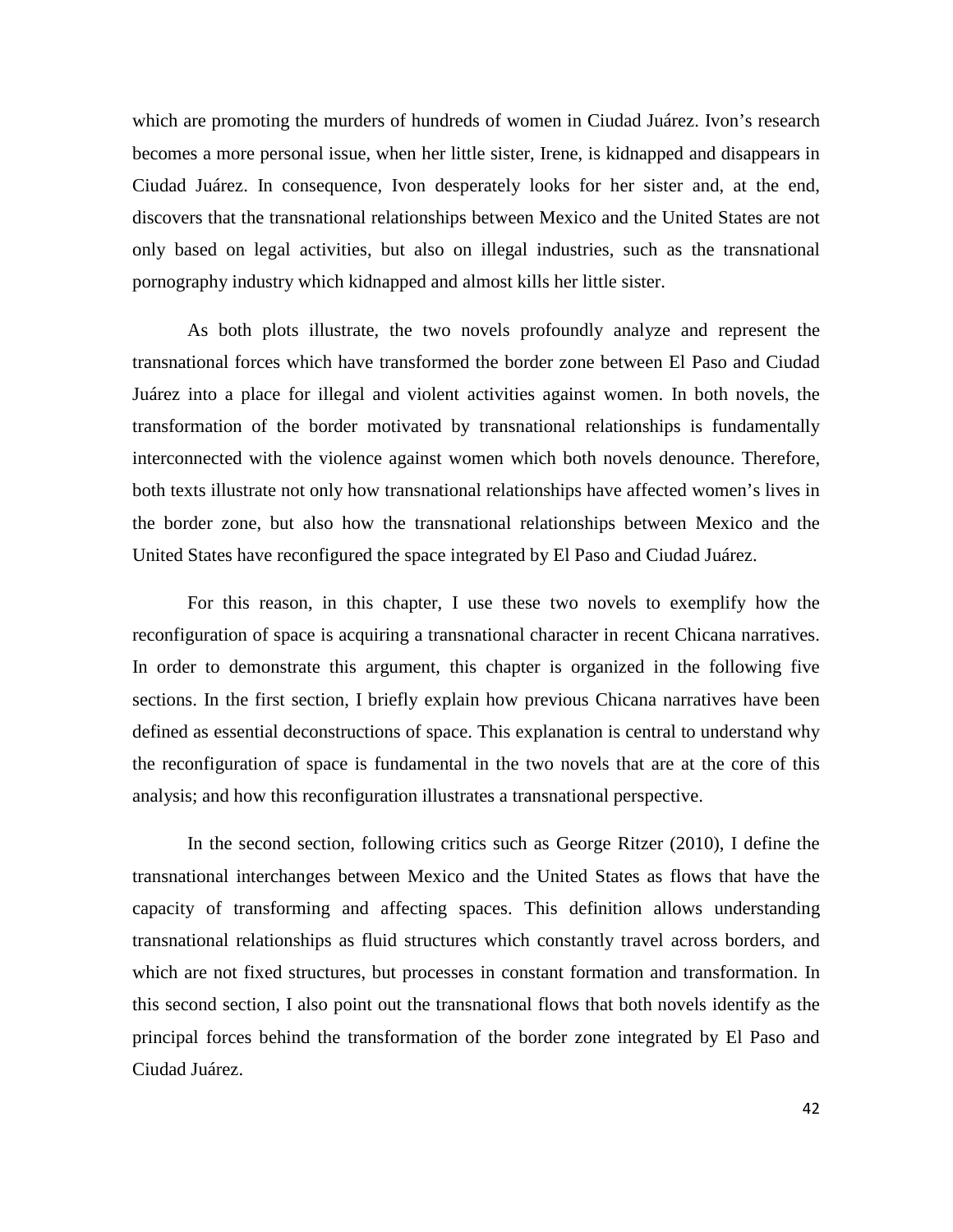which are promoting the murders of hundreds of women in Ciudad Juárez. Ivon's research becomes a more personal issue, when her little sister, Irene, is kidnapped and disappears in Ciudad Juárez. In consequence, Ivon desperately looks for her sister and, at the end, discovers that the transnational relationships between Mexico and the United States are not only based on legal activities, but also on illegal industries, such as the transnational pornography industry which kidnapped and almost kills her little sister.

As both plots illustrate, the two novels profoundly analyze and represent the transnational forces which have transformed the border zone between El Paso and Ciudad Juárez into a place for illegal and violent activities against women. In both novels, the transformation of the border motivated by transnational relationships is fundamentally interconnected with the violence against women which both novels denounce. Therefore, both texts illustrate not only how transnational relationships have affected women's lives in the border zone, but also how the transnational relationships between Mexico and the United States have reconfigured the space integrated by El Paso and Ciudad Juárez.

For this reason, in this chapter, I use these two novels to exemplify how the reconfiguration of space is acquiring a transnational character in recent Chicana narratives. In order to demonstrate this argument, this chapter is organized in the following five sections. In the first section, I briefly explain how previous Chicana narratives have been defined as essential deconstructions of space. This explanation is central to understand why the reconfiguration of space is fundamental in the two novels that are at the core of this analysis; and how this reconfiguration illustrates a transnational perspective.

In the second section, following critics such as George Ritzer (2010), I define the transnational interchanges between Mexico and the United States as flows that have the capacity of transforming and affecting spaces. This definition allows understanding transnational relationships as fluid structures which constantly travel across borders, and which are not fixed structures, but processes in constant formation and transformation. In this second section, I also point out the transnational flows that both novels identify as the principal forces behind the transformation of the border zone integrated by El Paso and Ciudad Juárez.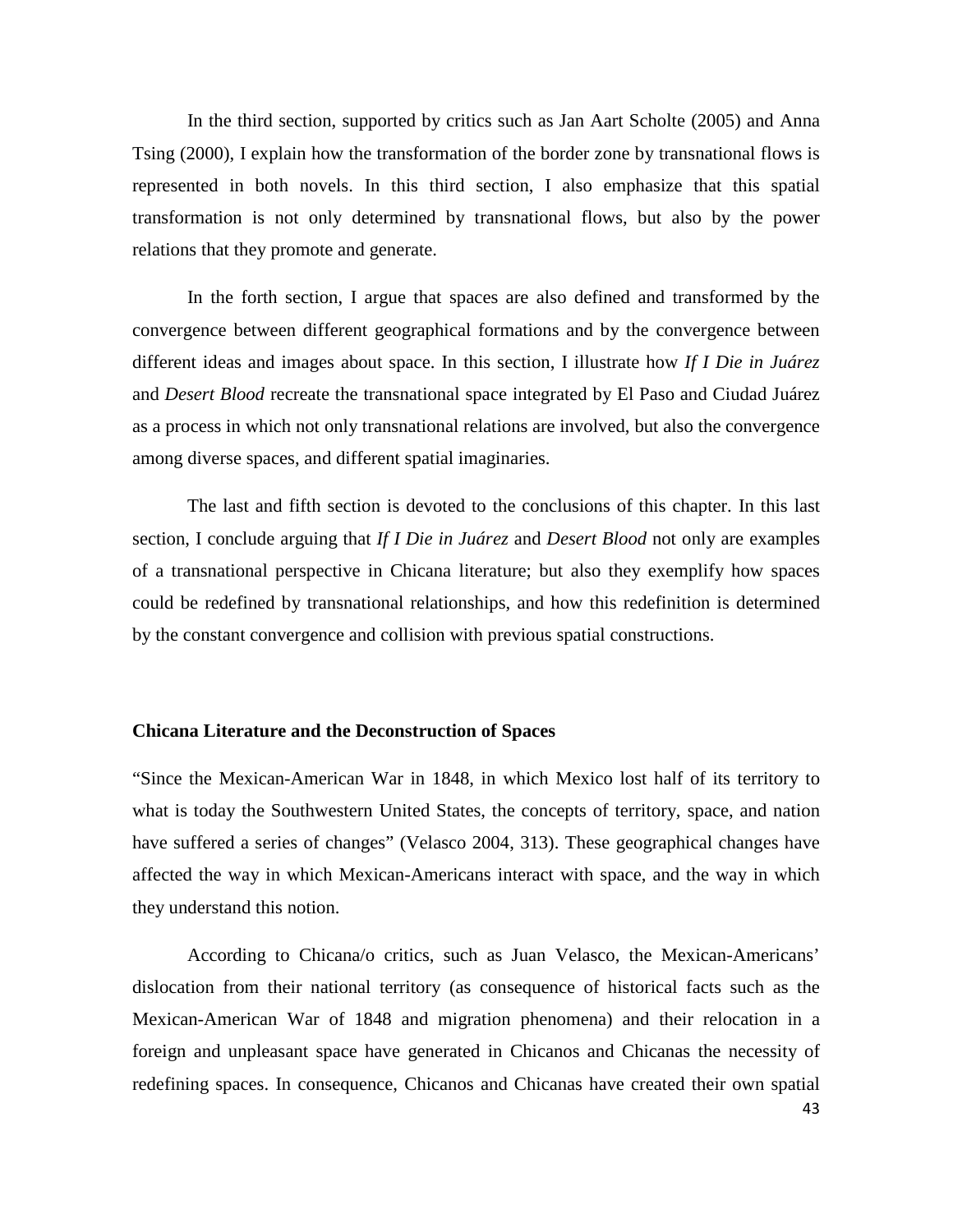In the third section, supported by critics such as Jan Aart Scholte (2005) and Anna Tsing (2000), I explain how the transformation of the border zone by transnational flows is represented in both novels. In this third section, I also emphasize that this spatial transformation is not only determined by transnational flows, but also by the power relations that they promote and generate.

In the forth section, I argue that spaces are also defined and transformed by the convergence between different geographical formations and by the convergence between different ideas and images about space. In this section, I illustrate how *If I Die in Juárez*  and *Desert Blood* recreate the transnational space integrated by El Paso and Ciudad Juárez as a process in which not only transnational relations are involved, but also the convergence among diverse spaces, and different spatial imaginaries.

The last and fifth section is devoted to the conclusions of this chapter. In this last section, I conclude arguing that *If I Die in Juárez* and *Desert Blood* not only are examples of a transnational perspective in Chicana literature; but also they exemplify how spaces could be redefined by transnational relationships, and how this redefinition is determined by the constant convergence and collision with previous spatial constructions.

### **Chicana Literature and the Deconstruction of Spaces**

"Since the Mexican-American War in 1848, in which Mexico lost half of its territory to what is today the Southwestern United States, the concepts of territory, space, and nation have suffered a series of changes" (Velasco 2004, 313). These geographical changes have affected the way in which Mexican-Americans interact with space, and the way in which they understand this notion.

According to Chicana/o critics, such as Juan Velasco, the Mexican-Americans' dislocation from their national territory (as consequence of historical facts such as the Mexican-American War of 1848 and migration phenomena) and their relocation in a foreign and unpleasant space have generated in Chicanos and Chicanas the necessity of redefining spaces. In consequence, Chicanos and Chicanas have created their own spatial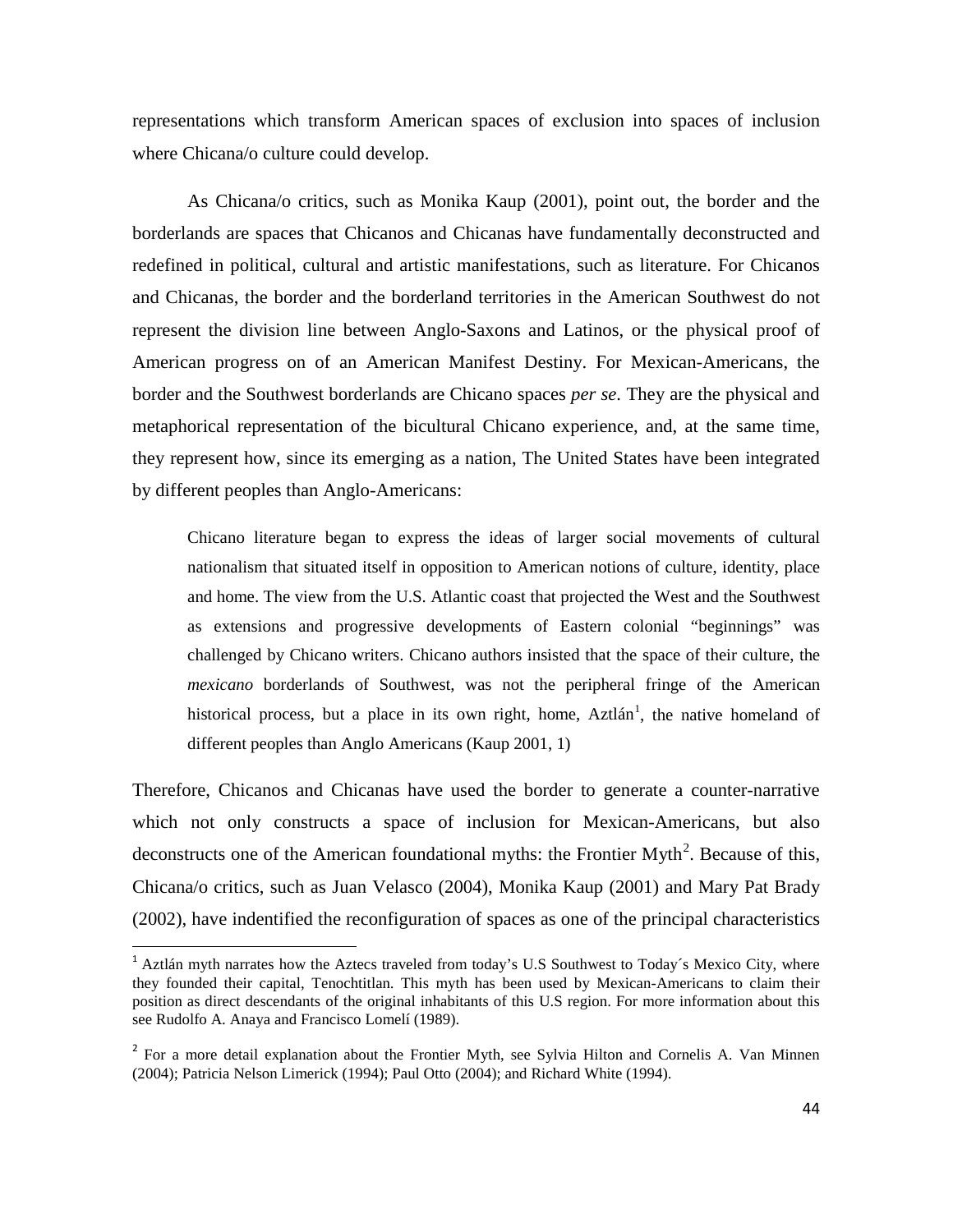representations which transform American spaces of exclusion into spaces of inclusion where Chicana/o culture could develop.

As Chicana/o critics, such as Monika Kaup (2001), point out, the border and the borderlands are spaces that Chicanos and Chicanas have fundamentally deconstructed and redefined in political, cultural and artistic manifestations, such as literature. For Chicanos and Chicanas, the border and the borderland territories in the American Southwest do not represent the division line between Anglo-Saxons and Latinos, or the physical proof of American progress on of an American Manifest Destiny. For Mexican-Americans, the border and the Southwest borderlands are Chicano spaces *per se*. They are the physical and metaphorical representation of the bicultural Chicano experience, and, at the same time, they represent how, since its emerging as a nation, The United States have been integrated by different peoples than Anglo-Americans:

Chicano literature began to express the ideas of larger social movements of cultural nationalism that situated itself in opposition to American notions of culture, identity, place and home. The view from the U.S. Atlantic coast that projected the West and the Southwest as extensions and progressive developments of Eastern colonial "beginnings" was challenged by Chicano writers. Chicano authors insisted that the space of their culture, the *mexicano* borderlands of Southwest, was not the peripheral fringe of the American historical process, but a place in its own right, home, Aztlán<sup>[1](#page-43-0)</sup>, the native homeland of different peoples than Anglo Americans (Kaup 2001, 1)

Therefore, Chicanos and Chicanas have used the border to generate a counter-narrative which not only constructs a space of inclusion for Mexican-Americans, but also deconstructs one of the American foundational myths: the Frontier Myth<sup>[2](#page-43-1)</sup>. Because of this, Chicana/o critics, such as Juan Velasco (2004), Monika Kaup (2001) and Mary Pat Brady (2002), have indentified the reconfiguration of spaces as one of the principal characteristics

<span id="page-43-0"></span><sup>&</sup>lt;sup>1</sup> Aztlán myth narrates how the Aztecs traveled from today's U.S Southwest to Today's Mexico City, where they founded their capital, Tenochtitlan. This myth has been used by Mexican-Americans to claim their position as direct descendants of the original inhabitants of this U.S region. For more information about this see Rudolfo A. Anaya and Francisco Lomelí (1989).

<span id="page-43-1"></span><sup>&</sup>lt;sup>2</sup> For a more detail explanation about the Frontier Myth, see Sylvia Hilton and Cornelis A. Van Minnen (2004); Patricia Nelson Limerick (1994); Paul Otto (2004); and Richard White (1994).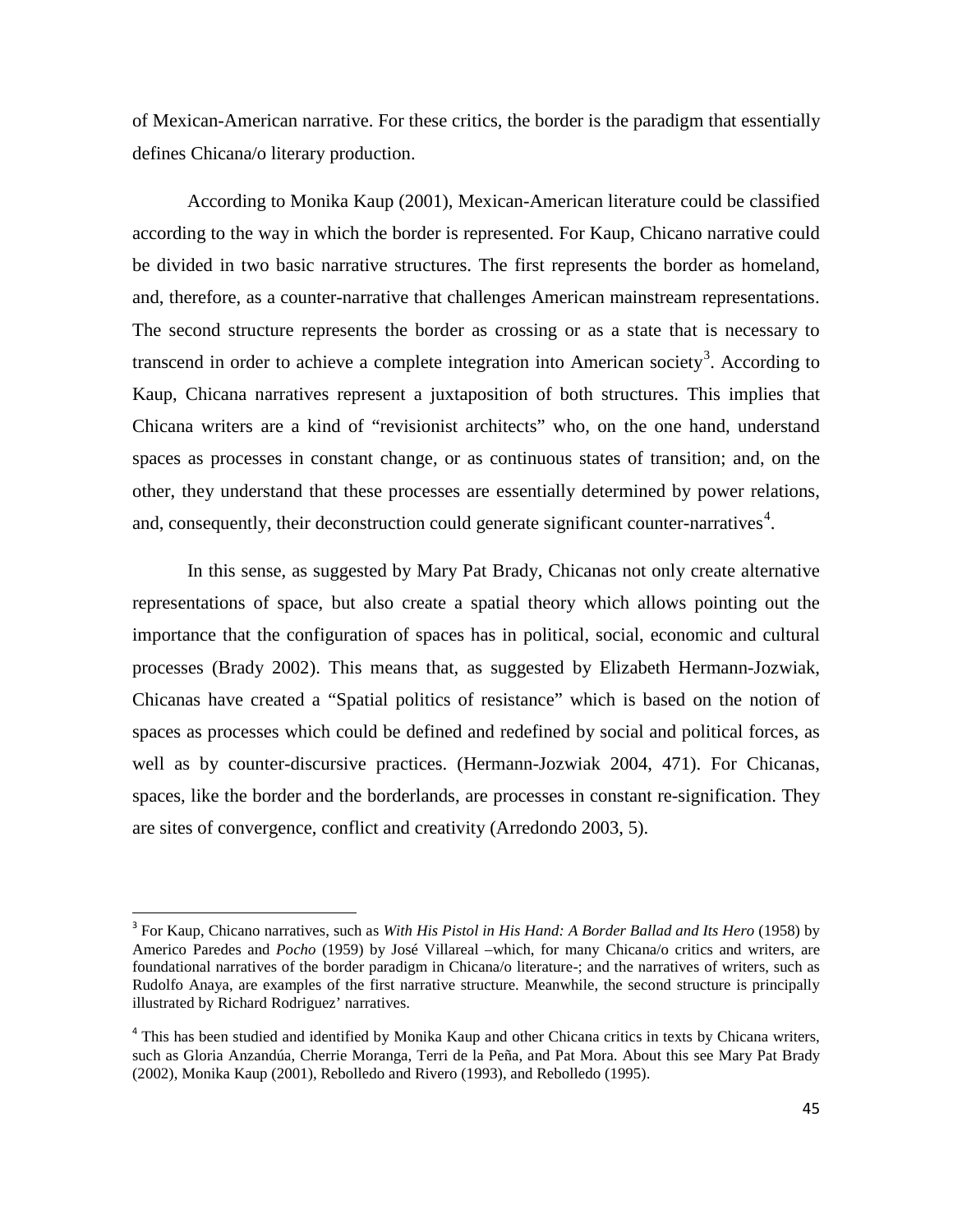of Mexican-American narrative. For these critics, the border is the paradigm that essentially defines Chicana/o literary production.

According to Monika Kaup (2001), Mexican-American literature could be classified according to the way in which the border is represented. For Kaup, Chicano narrative could be divided in two basic narrative structures. The first represents the border as homeland, and, therefore, as a counter-narrative that challenges American mainstream representations. The second structure represents the border as crossing or as a state that is necessary to transcend in order to achieve a complete integration into American society<sup>[3](#page-44-0)</sup>. According to Kaup, Chicana narratives represent a juxtaposition of both structures. This implies that Chicana writers are a kind of "revisionist architects" who, on the one hand, understand spaces as processes in constant change, or as continuous states of transition; and, on the other, they understand that these processes are essentially determined by power relations, and, consequently, their deconstruction could generate significant counter-narratives $4$ .

In this sense, as suggested by Mary Pat Brady, Chicanas not only create alternative representations of space, but also create a spatial theory which allows pointing out the importance that the configuration of spaces has in political, social, economic and cultural processes (Brady 2002). This means that, as suggested by Elizabeth Hermann-Jozwiak, Chicanas have created a "Spatial politics of resistance" which is based on the notion of spaces as processes which could be defined and redefined by social and political forces, as well as by counter-discursive practices. (Hermann-Jozwiak 2004, 471). For Chicanas, spaces, like the border and the borderlands, are processes in constant re-signification. They are sites of convergence, conflict and creativity (Arredondo 2003, 5).

<span id="page-44-0"></span> <sup>3</sup> For Kaup, Chicano narratives, such as *With His Pistol in His Hand: A Border Ballad and Its Hero* (1958) by Americo Paredes and *Pocho* (1959) by José Villareal –which, for many Chicana/o critics and writers, are foundational narratives of the border paradigm in Chicana/o literature-; and the narratives of writers, such as Rudolfo Anaya, are examples of the first narrative structure. Meanwhile, the second structure is principally illustrated by Richard Rodriguez' narratives.

<span id="page-44-1"></span><sup>&</sup>lt;sup>4</sup> This has been studied and identified by Monika Kaup and other Chicana critics in texts by Chicana writers, such as Gloria Anzandúa, Cherrie Moranga, Terri de la Peña, and Pat Mora. About this see Mary Pat Brady (2002), Monika Kaup (2001), Rebolledo and Rivero (1993), and Rebolledo (1995).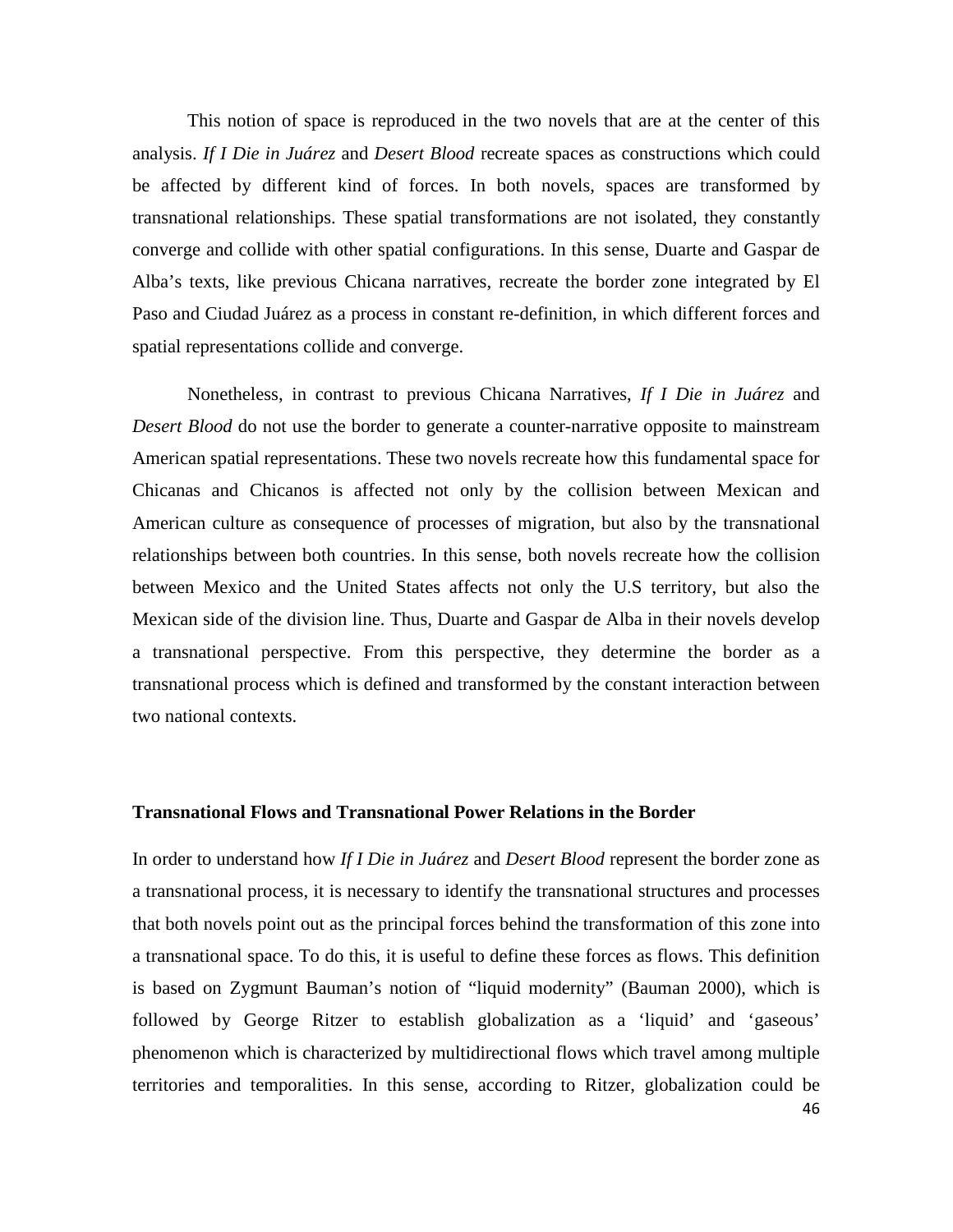This notion of space is reproduced in the two novels that are at the center of this analysis. *If I Die in Juárez* and *Desert Blood* recreate spaces as constructions which could be affected by different kind of forces. In both novels, spaces are transformed by transnational relationships. These spatial transformations are not isolated, they constantly converge and collide with other spatial configurations. In this sense, Duarte and Gaspar de Alba's texts, like previous Chicana narratives, recreate the border zone integrated by El Paso and Ciudad Juárez as a process in constant re-definition, in which different forces and spatial representations collide and converge.

Nonetheless, in contrast to previous Chicana Narratives, *If I Die in Juárez* and *Desert Blood* do not use the border to generate a counter-narrative opposite to mainstream American spatial representations. These two novels recreate how this fundamental space for Chicanas and Chicanos is affected not only by the collision between Mexican and American culture as consequence of processes of migration, but also by the transnational relationships between both countries. In this sense, both novels recreate how the collision between Mexico and the United States affects not only the U.S territory, but also the Mexican side of the division line. Thus, Duarte and Gaspar de Alba in their novels develop a transnational perspective. From this perspective, they determine the border as a transnational process which is defined and transformed by the constant interaction between two national contexts.

### **Transnational Flows and Transnational Power Relations in the Border**

46 In order to understand how *If I Die in Juárez* and *Desert Blood* represent the border zone as a transnational process, it is necessary to identify the transnational structures and processes that both novels point out as the principal forces behind the transformation of this zone into a transnational space. To do this, it is useful to define these forces as flows. This definition is based on Zygmunt Bauman's notion of "liquid modernity" (Bauman 2000), which is followed by George Ritzer to establish globalization as a 'liquid' and 'gaseous' phenomenon which is characterized by multidirectional flows which travel among multiple territories and temporalities. In this sense, according to Ritzer, globalization could be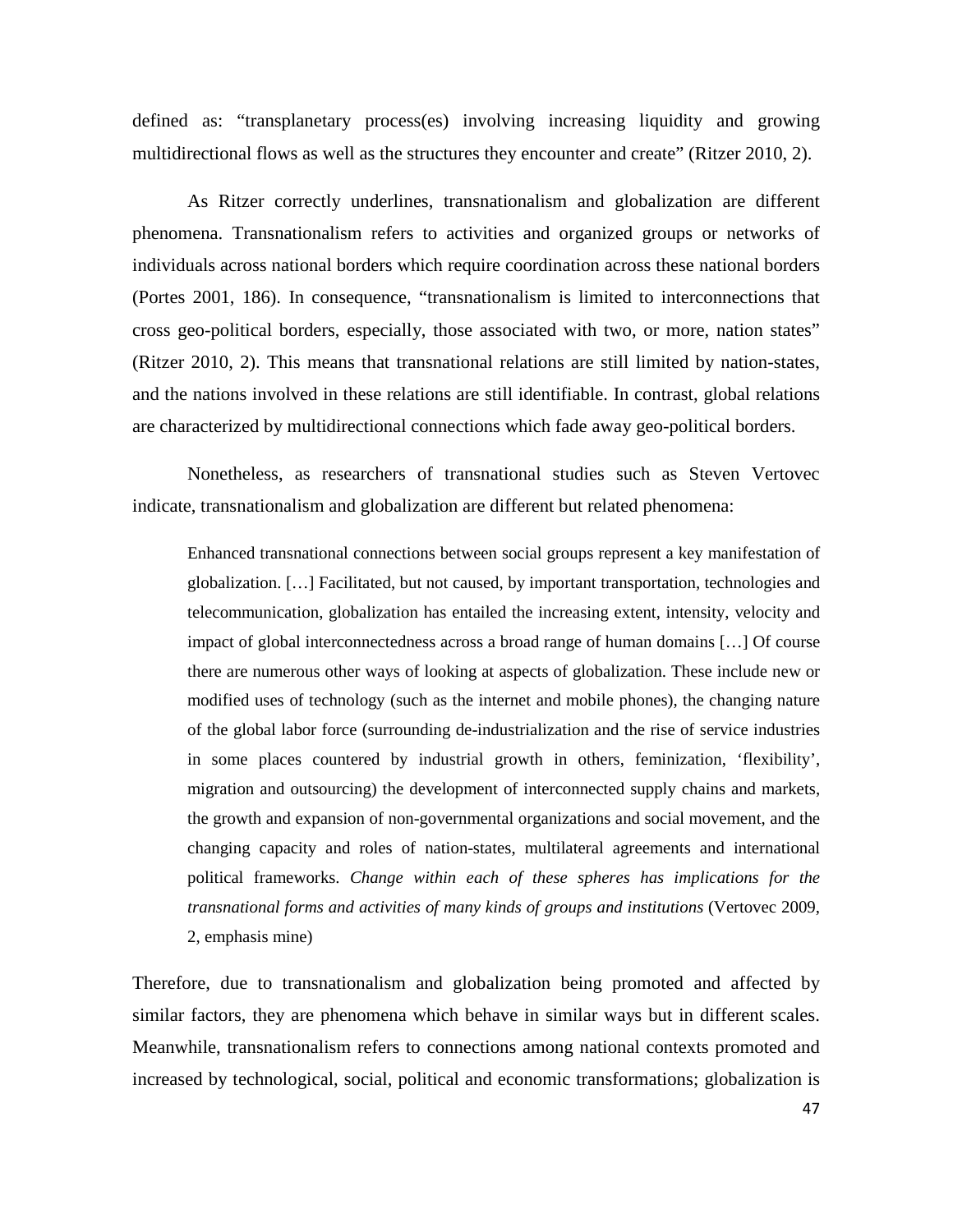defined as: "transplanetary process(es) involving increasing liquidity and growing multidirectional flows as well as the structures they encounter and create" (Ritzer 2010, 2).

As Ritzer correctly underlines, transnationalism and globalization are different phenomena. Transnationalism refers to activities and organized groups or networks of individuals across national borders which require coordination across these national borders (Portes 2001, 186). In consequence, "transnationalism is limited to interconnections that cross geo-political borders, especially, those associated with two, or more, nation states" (Ritzer 2010, 2). This means that transnational relations are still limited by nation-states, and the nations involved in these relations are still identifiable. In contrast, global relations are characterized by multidirectional connections which fade away geo-political borders.

Nonetheless, as researchers of transnational studies such as Steven Vertovec indicate, transnationalism and globalization are different but related phenomena:

Enhanced transnational connections between social groups represent a key manifestation of globalization. […] Facilitated, but not caused, by important transportation, technologies and telecommunication, globalization has entailed the increasing extent, intensity, velocity and impact of global interconnectedness across a broad range of human domains […] Of course there are numerous other ways of looking at aspects of globalization. These include new or modified uses of technology (such as the internet and mobile phones), the changing nature of the global labor force (surrounding de-industrialization and the rise of service industries in some places countered by industrial growth in others, feminization, 'flexibility', migration and outsourcing) the development of interconnected supply chains and markets, the growth and expansion of non-governmental organizations and social movement, and the changing capacity and roles of nation-states, multilateral agreements and international political frameworks. *Change within each of these spheres has implications for the transnational forms and activities of many kinds of groups and institutions* (Vertovec 2009, 2, emphasis mine)

Therefore, due to transnationalism and globalization being promoted and affected by similar factors, they are phenomena which behave in similar ways but in different scales. Meanwhile, transnationalism refers to connections among national contexts promoted and increased by technological, social, political and economic transformations; globalization is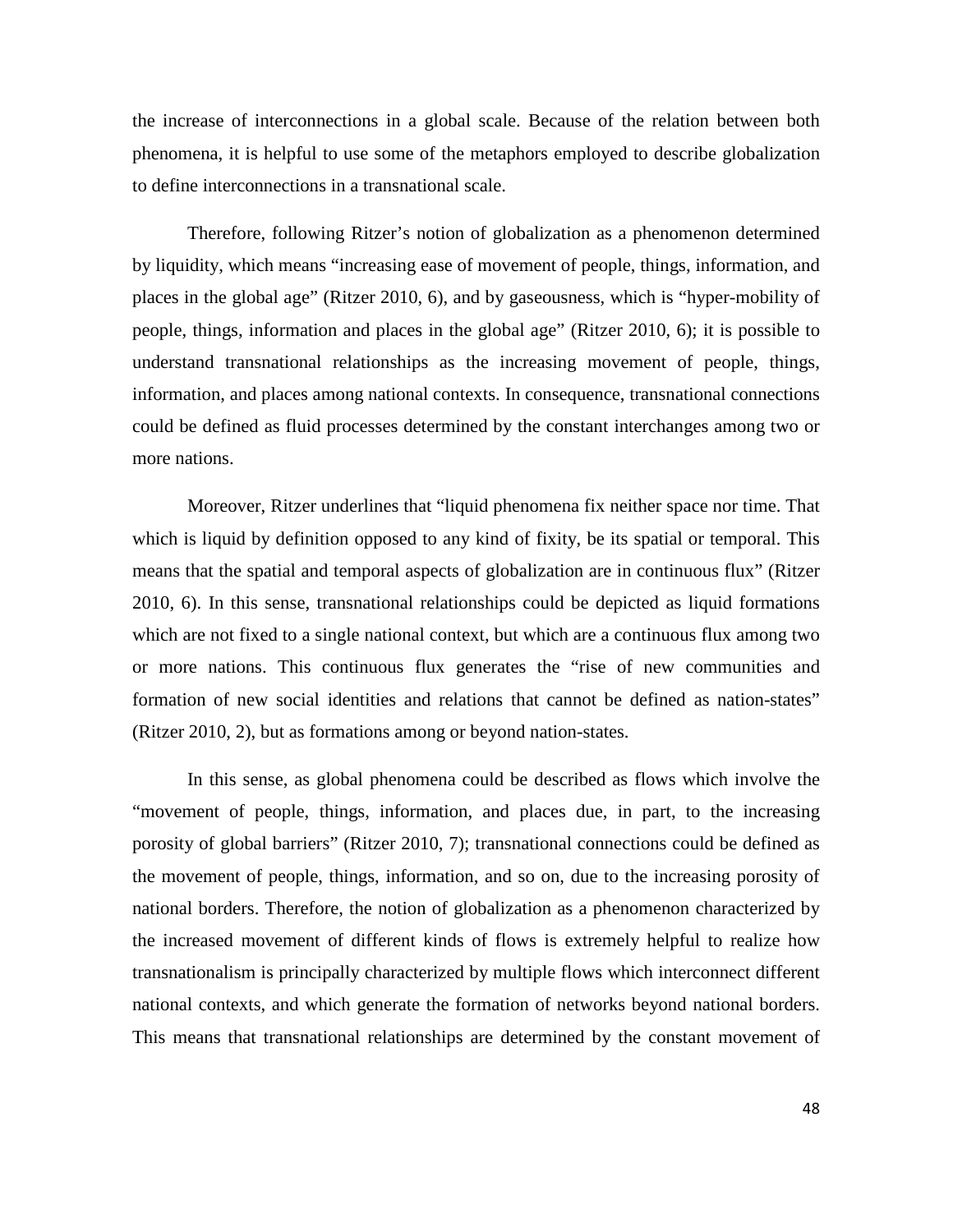the increase of interconnections in a global scale. Because of the relation between both phenomena, it is helpful to use some of the metaphors employed to describe globalization to define interconnections in a transnational scale.

Therefore, following Ritzer's notion of globalization as a phenomenon determined by liquidity, which means "increasing ease of movement of people, things, information, and places in the global age" (Ritzer 2010, 6), and by gaseousness, which is "hyper-mobility of people, things, information and places in the global age" (Ritzer 2010, 6); it is possible to understand transnational relationships as the increasing movement of people, things, information, and places among national contexts. In consequence, transnational connections could be defined as fluid processes determined by the constant interchanges among two or more nations.

Moreover, Ritzer underlines that "liquid phenomena fix neither space nor time. That which is liquid by definition opposed to any kind of fixity, be its spatial or temporal. This means that the spatial and temporal aspects of globalization are in continuous flux" (Ritzer 2010, 6). In this sense, transnational relationships could be depicted as liquid formations which are not fixed to a single national context, but which are a continuous flux among two or more nations. This continuous flux generates the "rise of new communities and formation of new social identities and relations that cannot be defined as nation-states" (Ritzer 2010, 2), but as formations among or beyond nation-states.

In this sense, as global phenomena could be described as flows which involve the "movement of people, things, information, and places due, in part, to the increasing porosity of global barriers" (Ritzer 2010, 7); transnational connections could be defined as the movement of people, things, information, and so on, due to the increasing porosity of national borders. Therefore, the notion of globalization as a phenomenon characterized by the increased movement of different kinds of flows is extremely helpful to realize how transnationalism is principally characterized by multiple flows which interconnect different national contexts, and which generate the formation of networks beyond national borders. This means that transnational relationships are determined by the constant movement of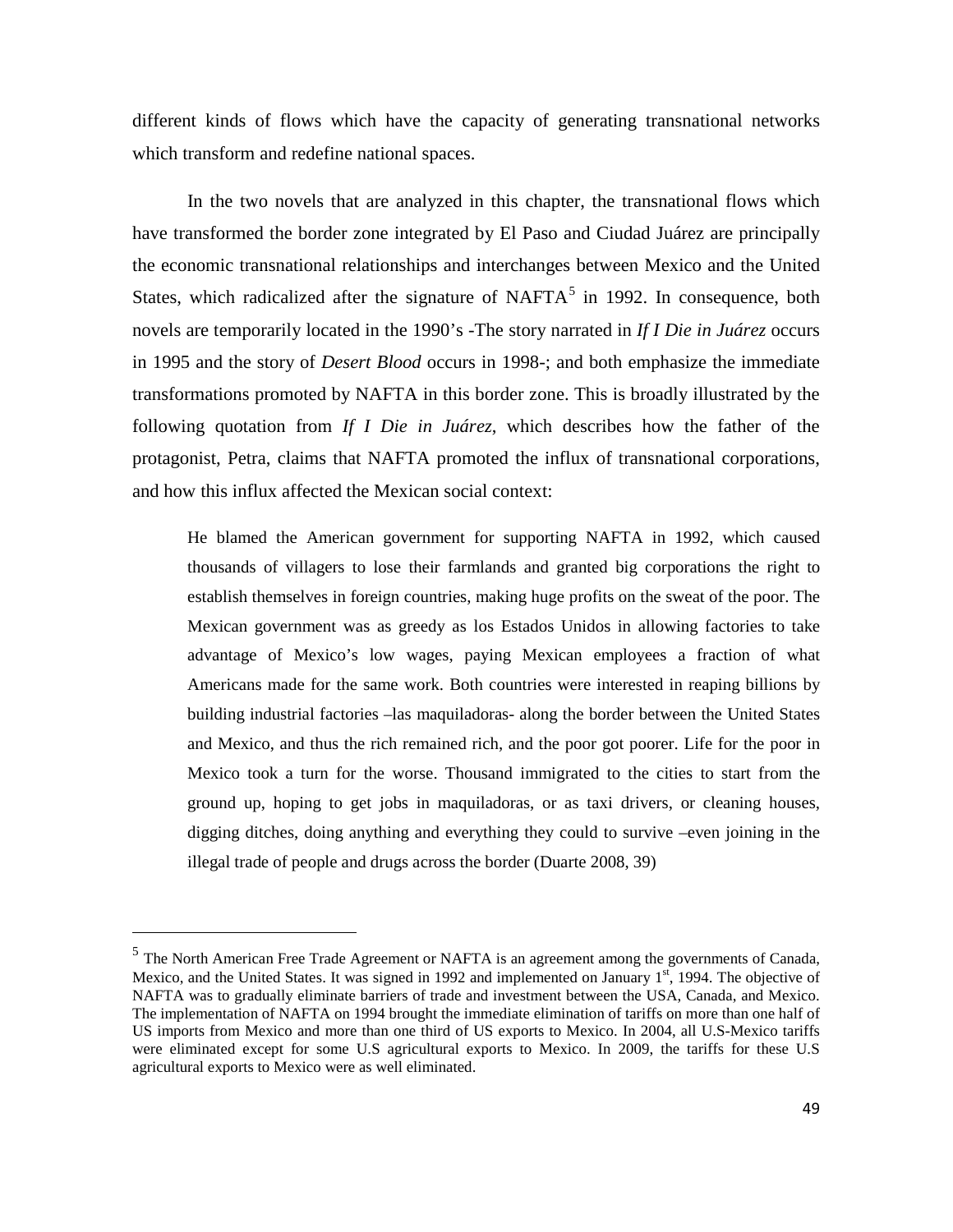different kinds of flows which have the capacity of generating transnational networks which transform and redefine national spaces.

In the two novels that are analyzed in this chapter, the transnational flows which have transformed the border zone integrated by El Paso and Ciudad Juárez are principally the economic transnational relationships and interchanges between Mexico and the United States, which radicalized after the signature of NAFTA $<sup>5</sup>$  $<sup>5</sup>$  $<sup>5</sup>$  in 1992. In consequence, both</sup> novels are temporarily located in the 1990's -The story narrated in *If I Die in Juárez* occurs in 1995 and the story of *Desert Blood* occurs in 1998-; and both emphasize the immediate transformations promoted by NAFTA in this border zone. This is broadly illustrated by the following quotation from *If I Die in Juárez*, which describes how the father of the protagonist, Petra, claims that NAFTA promoted the influx of transnational corporations, and how this influx affected the Mexican social context:

He blamed the American government for supporting NAFTA in 1992, which caused thousands of villagers to lose their farmlands and granted big corporations the right to establish themselves in foreign countries, making huge profits on the sweat of the poor. The Mexican government was as greedy as los Estados Unidos in allowing factories to take advantage of Mexico's low wages, paying Mexican employees a fraction of what Americans made for the same work. Both countries were interested in reaping billions by building industrial factories –las maquiladoras- along the border between the United States and Mexico, and thus the rich remained rich, and the poor got poorer. Life for the poor in Mexico took a turn for the worse. Thousand immigrated to the cities to start from the ground up, hoping to get jobs in maquiladoras, or as taxi drivers, or cleaning houses, digging ditches, doing anything and everything they could to survive –even joining in the illegal trade of people and drugs across the border (Duarte 2008, 39)

<u>.</u>

<span id="page-48-0"></span><sup>&</sup>lt;sup>5</sup> The North American Free Trade Agreement or NAFTA is an agreement among the governments of Canada, [Mexico,](http://en.wikipedia.org/wiki/Mexico) and the [United States.](http://en.wikipedia.org/wiki/United_States) It was signed in 1992 and implemented on January 1st, 1994. The objective of NAFTA was to gradually eliminate barriers of trade and investment between the USA, Canada, and Mexico. The implementation of NAFTA on 1994 brought the immediate elimination of [tariffs](http://en.wikipedia.org/wiki/Tariff) on more than one half of US imports from Mexico and more than one third of US exports to Mexico. In 2004, all U.S-Mexico tariffs were eliminated except for some U.S agricultural exports to Mexico. In 2009, the tariffs for these U.S agricultural exports to Mexico were as well eliminated.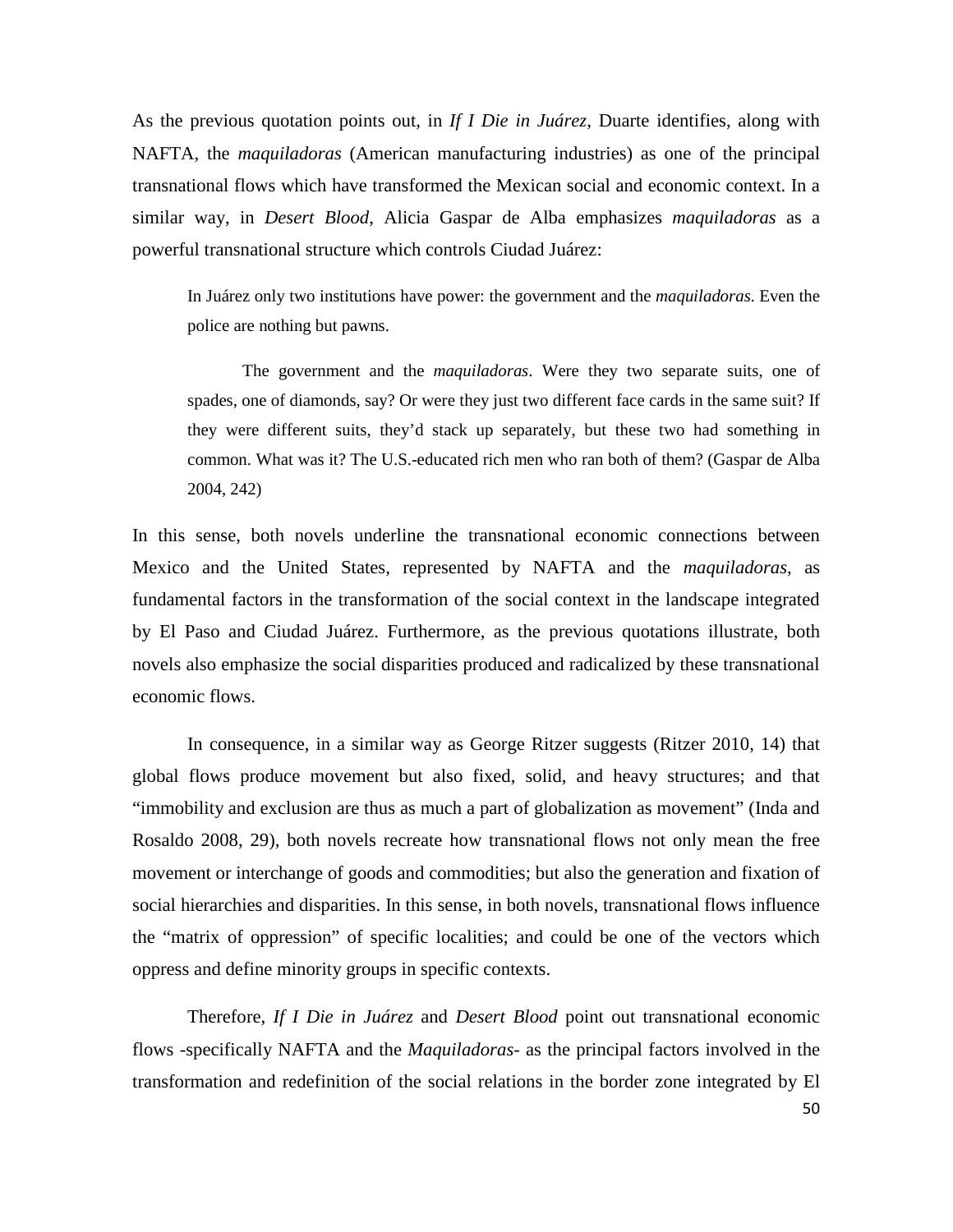As the previous quotation points out, in *If I Die in Juárez*, Duarte identifies, along with NAFTA, the *maquiladoras* (American manufacturing industries) as one of the principal transnational flows which have transformed the Mexican social and economic context. In a similar way, in *Desert Blood*, Alicia Gaspar de Alba emphasizes *maquiladoras* as a powerful transnational structure which controls Ciudad Juárez:

In Juárez only two institutions have power: the government and the *maquiladoras*. Even the police are nothing but pawns.

The government and the *maquiladoras*. Were they two separate suits, one of spades, one of diamonds, say? Or were they just two different face cards in the same suit? If they were different suits, they'd stack up separately, but these two had something in common. What was it? The U.S.-educated rich men who ran both of them? (Gaspar de Alba 2004, 242)

In this sense, both novels underline the transnational economic connections between Mexico and the United States, represented by NAFTA and the *maquiladoras*, as fundamental factors in the transformation of the social context in the landscape integrated by El Paso and Ciudad Juárez. Furthermore, as the previous quotations illustrate, both novels also emphasize the social disparities produced and radicalized by these transnational economic flows.

In consequence, in a similar way as George Ritzer suggests (Ritzer 2010, 14) that global flows produce movement but also fixed, solid, and heavy structures; and that "immobility and exclusion are thus as much a part of globalization as movement" (Inda and Rosaldo 2008, 29), both novels recreate how transnational flows not only mean the free movement or interchange of goods and commodities; but also the generation and fixation of social hierarchies and disparities. In this sense, in both novels, transnational flows influence the "matrix of oppression" of specific localities; and could be one of the vectors which oppress and define minority groups in specific contexts.

Therefore, *If I Die in Juárez* and *Desert Blood* point out transnational economic flows -specifically NAFTA and the *Maquiladoras*- as the principal factors involved in the transformation and redefinition of the social relations in the border zone integrated by El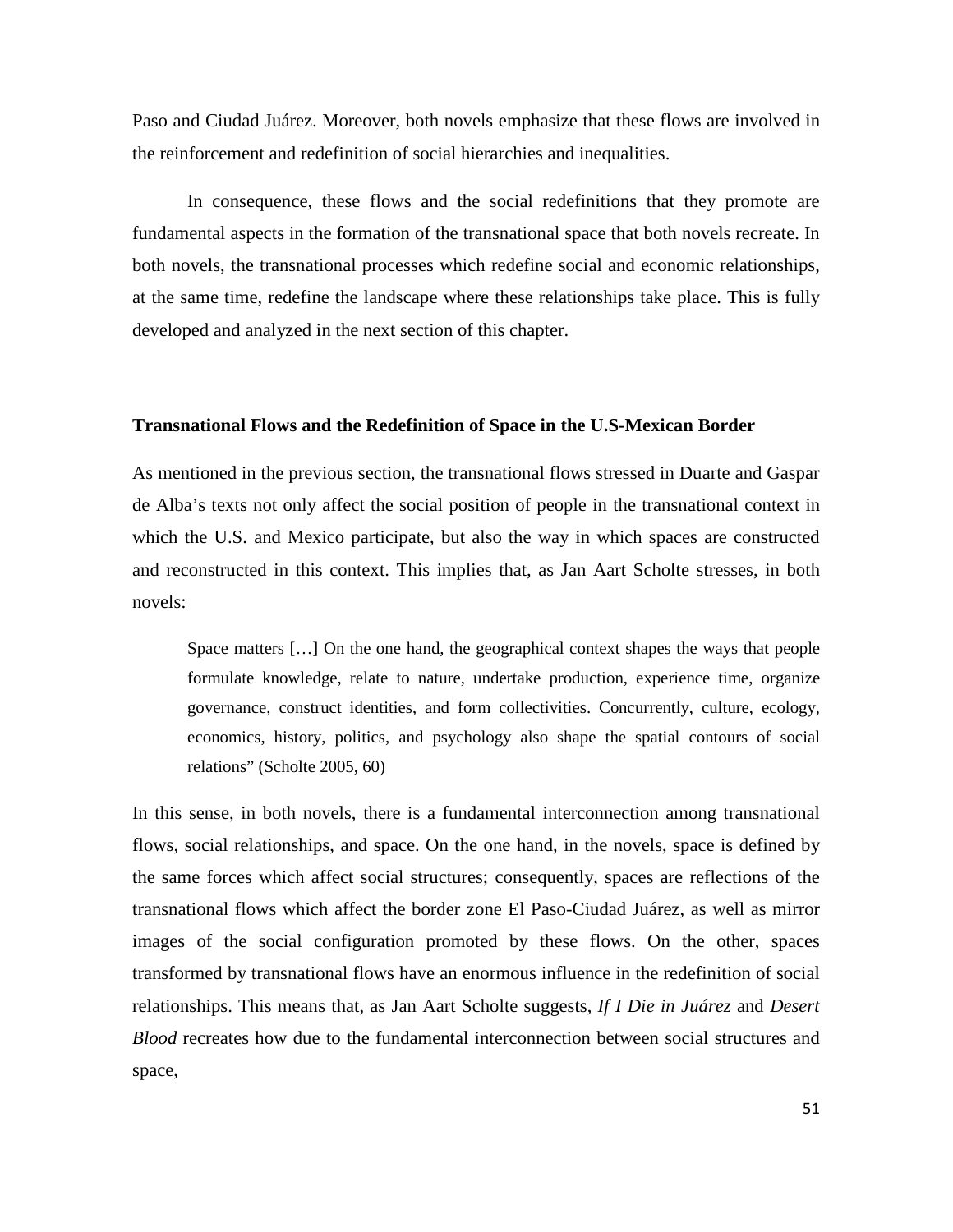Paso and Ciudad Juárez. Moreover, both novels emphasize that these flows are involved in the reinforcement and redefinition of social hierarchies and inequalities.

In consequence, these flows and the social redefinitions that they promote are fundamental aspects in the formation of the transnational space that both novels recreate. In both novels, the transnational processes which redefine social and economic relationships, at the same time, redefine the landscape where these relationships take place. This is fully developed and analyzed in the next section of this chapter.

#### **Transnational Flows and the Redefinition of Space in the U.S-Mexican Border**

As mentioned in the previous section, the transnational flows stressed in Duarte and Gaspar de Alba's texts not only affect the social position of people in the transnational context in which the U.S. and Mexico participate, but also the way in which spaces are constructed and reconstructed in this context. This implies that, as Jan Aart Scholte stresses, in both novels:

Space matters […] On the one hand, the geographical context shapes the ways that people formulate knowledge, relate to nature, undertake production, experience time, organize governance, construct identities, and form collectivities. Concurrently, culture, ecology, economics, history, politics, and psychology also shape the spatial contours of social relations" (Scholte 2005, 60)

In this sense, in both novels, there is a fundamental interconnection among transnational flows, social relationships, and space. On the one hand, in the novels, space is defined by the same forces which affect social structures; consequently, spaces are reflections of the transnational flows which affect the border zone El Paso-Ciudad Juárez, as well as mirror images of the social configuration promoted by these flows. On the other, spaces transformed by transnational flows have an enormous influence in the redefinition of social relationships. This means that, as Jan Aart Scholte suggests, *If I Die in Juárez* and *Desert Blood* recreates how due to the fundamental interconnection between social structures and space,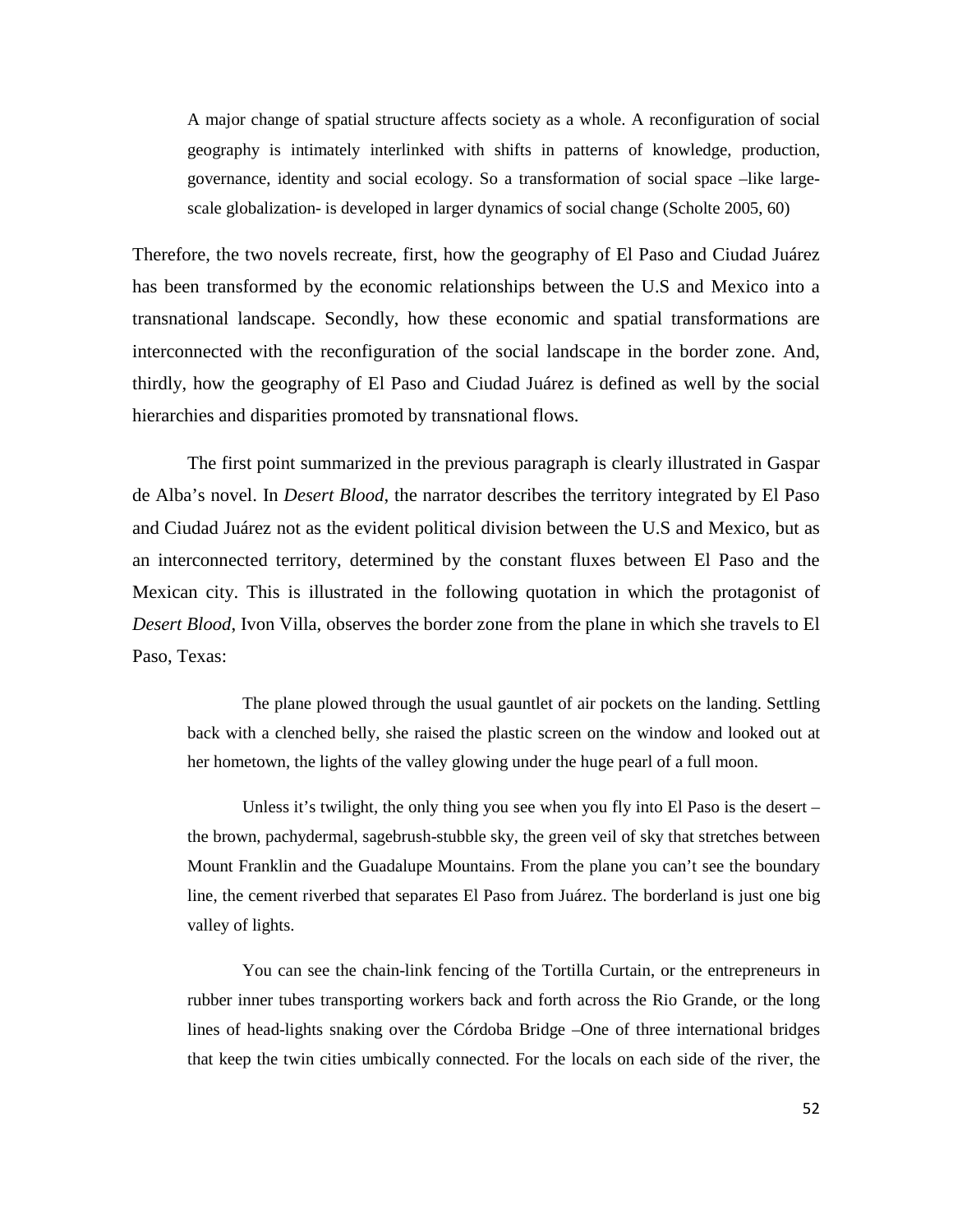A major change of spatial structure affects society as a whole. A reconfiguration of social geography is intimately interlinked with shifts in patterns of knowledge, production, governance, identity and social ecology. So a transformation of social space –like largescale globalization- is developed in larger dynamics of social change (Scholte 2005, 60)

Therefore, the two novels recreate, first, how the geography of El Paso and Ciudad Juárez has been transformed by the economic relationships between the U.S and Mexico into a transnational landscape. Secondly, how these economic and spatial transformations are interconnected with the reconfiguration of the social landscape in the border zone. And, thirdly, how the geography of El Paso and Ciudad Juárez is defined as well by the social hierarchies and disparities promoted by transnational flows.

The first point summarized in the previous paragraph is clearly illustrated in Gaspar de Alba's novel. In *Desert Blood*, the narrator describes the territory integrated by El Paso and Ciudad Juárez not as the evident political division between the U.S and Mexico, but as an interconnected territory, determined by the constant fluxes between El Paso and the Mexican city. This is illustrated in the following quotation in which the protagonist of *Desert Blood*, Ivon Villa, observes the border zone from the plane in which she travels to El Paso, Texas:

The plane plowed through the usual gauntlet of air pockets on the landing. Settling back with a clenched belly, she raised the plastic screen on the window and looked out at her hometown, the lights of the valley glowing under the huge pearl of a full moon.

Unless it's twilight, the only thing you see when you fly into El Paso is the desert – the brown, pachydermal, sagebrush-stubble sky, the green veil of sky that stretches between Mount Franklin and the Guadalupe Mountains. From the plane you can't see the boundary line, the cement riverbed that separates El Paso from Juárez. The borderland is just one big valley of lights.

You can see the chain-link fencing of the Tortilla Curtain, or the entrepreneurs in rubber inner tubes transporting workers back and forth across the Rio Grande, or the long lines of head-lights snaking over the Córdoba Bridge –One of three international bridges that keep the twin cities umbically connected. For the locals on each side of the river, the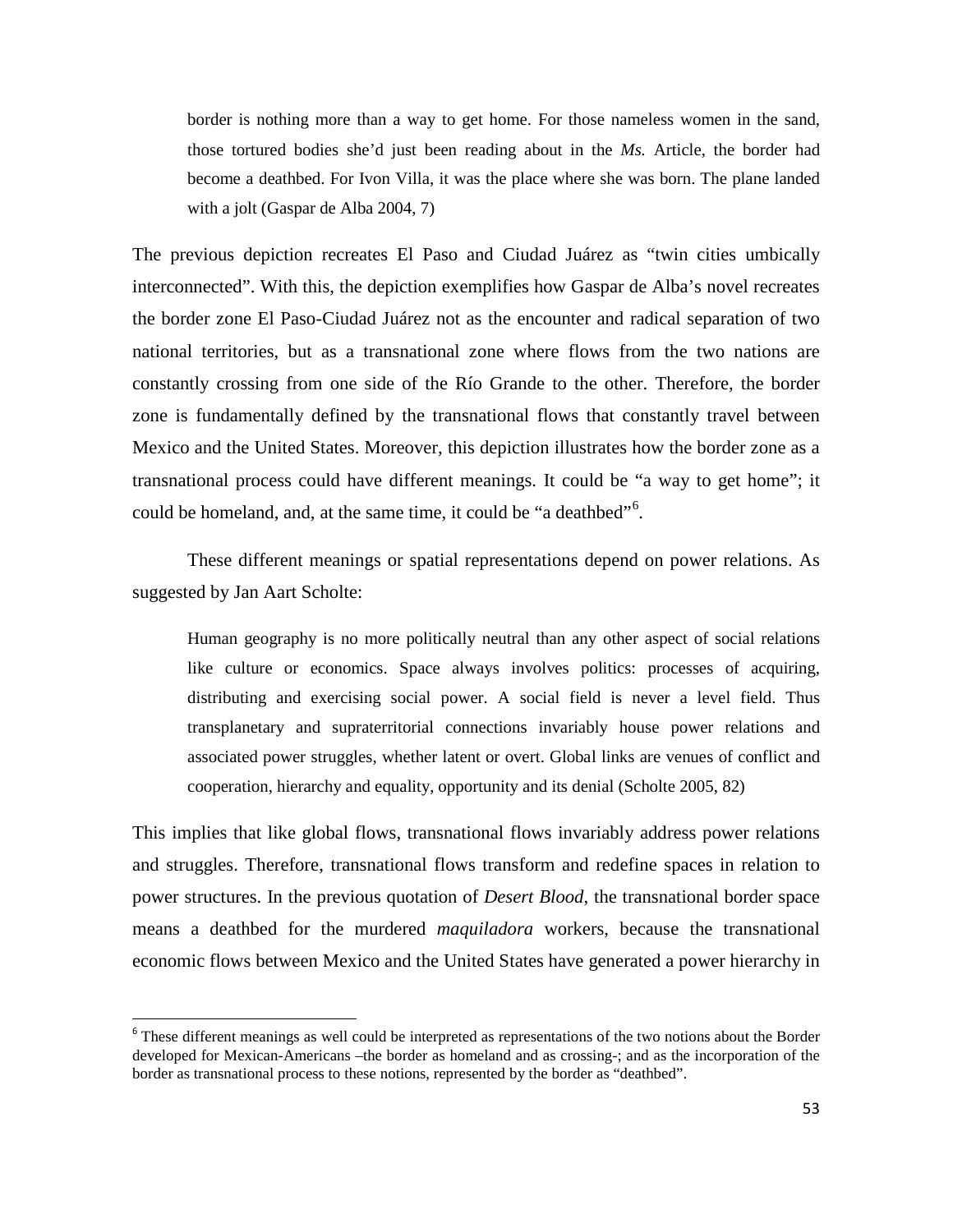border is nothing more than a way to get home. For those nameless women in the sand, those tortured bodies she'd just been reading about in the *Ms.* Article, the border had become a deathbed. For Ivon Villa, it was the place where she was born. The plane landed with a jolt (Gaspar de Alba 2004, 7)

The previous depiction recreates El Paso and Ciudad Juárez as "twin cities umbically interconnected". With this, the depiction exemplifies how Gaspar de Alba's novel recreates the border zone El Paso-Ciudad Juárez not as the encounter and radical separation of two national territories, but as a transnational zone where flows from the two nations are constantly crossing from one side of the Río Grande to the other. Therefore, the border zone is fundamentally defined by the transnational flows that constantly travel between Mexico and the United States. Moreover, this depiction illustrates how the border zone as a transnational process could have different meanings. It could be "a way to get home"; it could be homeland, and, at the same time, it could be "a deathbed"<sup>[6](#page-52-0)</sup>.

These different meanings or spatial representations depend on power relations. As suggested by Jan Aart Scholte:

Human geography is no more politically neutral than any other aspect of social relations like culture or economics. Space always involves politics: processes of acquiring, distributing and exercising social power. A social field is never a level field. Thus transplanetary and supraterritorial connections invariably house power relations and associated power struggles, whether latent or overt. Global links are venues of conflict and cooperation, hierarchy and equality, opportunity and its denial (Scholte 2005, 82)

This implies that like global flows, transnational flows invariably address power relations and struggles. Therefore, transnational flows transform and redefine spaces in relation to power structures. In the previous quotation of *Desert Blood*, the transnational border space means a deathbed for the murdered *maquiladora* workers, because the transnational economic flows between Mexico and the United States have generated a power hierarchy in

<span id="page-52-0"></span><sup>&</sup>lt;sup>6</sup> These different meanings as well could be interpreted as representations of the two notions about the Border developed for Mexican-Americans –the border as homeland and as crossing-; and as the incorporation of the border as transnational process to these notions, represented by the border as "deathbed".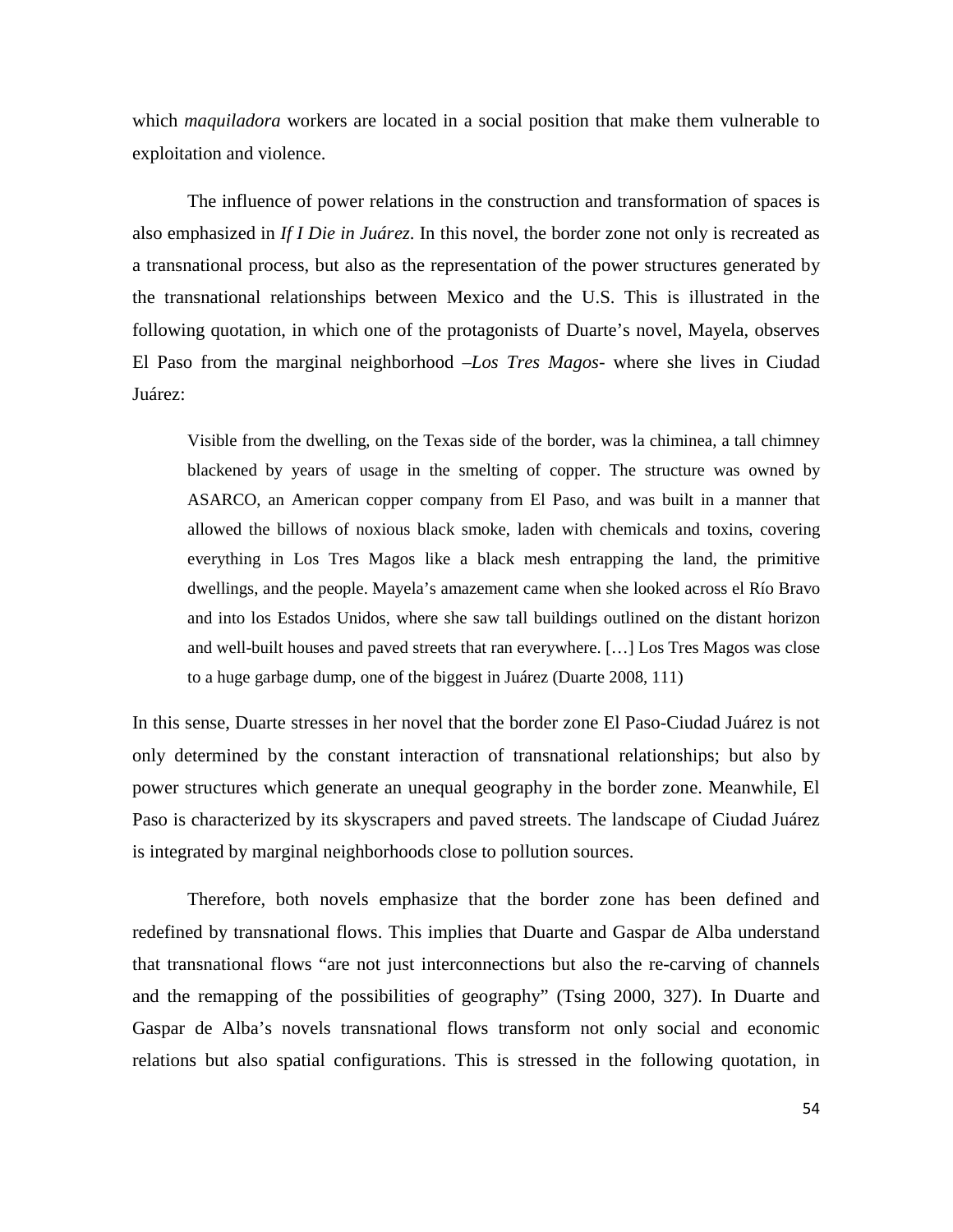which *maquiladora* workers are located in a social position that make them vulnerable to exploitation and violence.

The influence of power relations in the construction and transformation of spaces is also emphasized in *If I Die in Juárez*. In this novel, the border zone not only is recreated as a transnational process, but also as the representation of the power structures generated by the transnational relationships between Mexico and the U.S. This is illustrated in the following quotation, in which one of the protagonists of Duarte's novel, Mayela, observes El Paso from the marginal neighborhood –*Los Tres Magos*- where she lives in Ciudad Juárez:

Visible from the dwelling, on the Texas side of the border, was la chiminea, a tall chimney blackened by years of usage in the smelting of copper. The structure was owned by ASARCO, an American copper company from El Paso, and was built in a manner that allowed the billows of noxious black smoke, laden with chemicals and toxins, covering everything in Los Tres Magos like a black mesh entrapping the land, the primitive dwellings, and the people. Mayela's amazement came when she looked across el Río Bravo and into los Estados Unidos, where she saw tall buildings outlined on the distant horizon and well-built houses and paved streets that ran everywhere. […] Los Tres Magos was close to a huge garbage dump, one of the biggest in Juárez (Duarte 2008, 111)

In this sense, Duarte stresses in her novel that the border zone El Paso-Ciudad Juárez is not only determined by the constant interaction of transnational relationships; but also by power structures which generate an unequal geography in the border zone. Meanwhile, El Paso is characterized by its skyscrapers and paved streets. The landscape of Ciudad Juárez is integrated by marginal neighborhoods close to pollution sources.

Therefore, both novels emphasize that the border zone has been defined and redefined by transnational flows. This implies that Duarte and Gaspar de Alba understand that transnational flows "are not just interconnections but also the re-carving of channels and the remapping of the possibilities of geography" (Tsing 2000, 327). In Duarte and Gaspar de Alba's novels transnational flows transform not only social and economic relations but also spatial configurations. This is stressed in the following quotation, in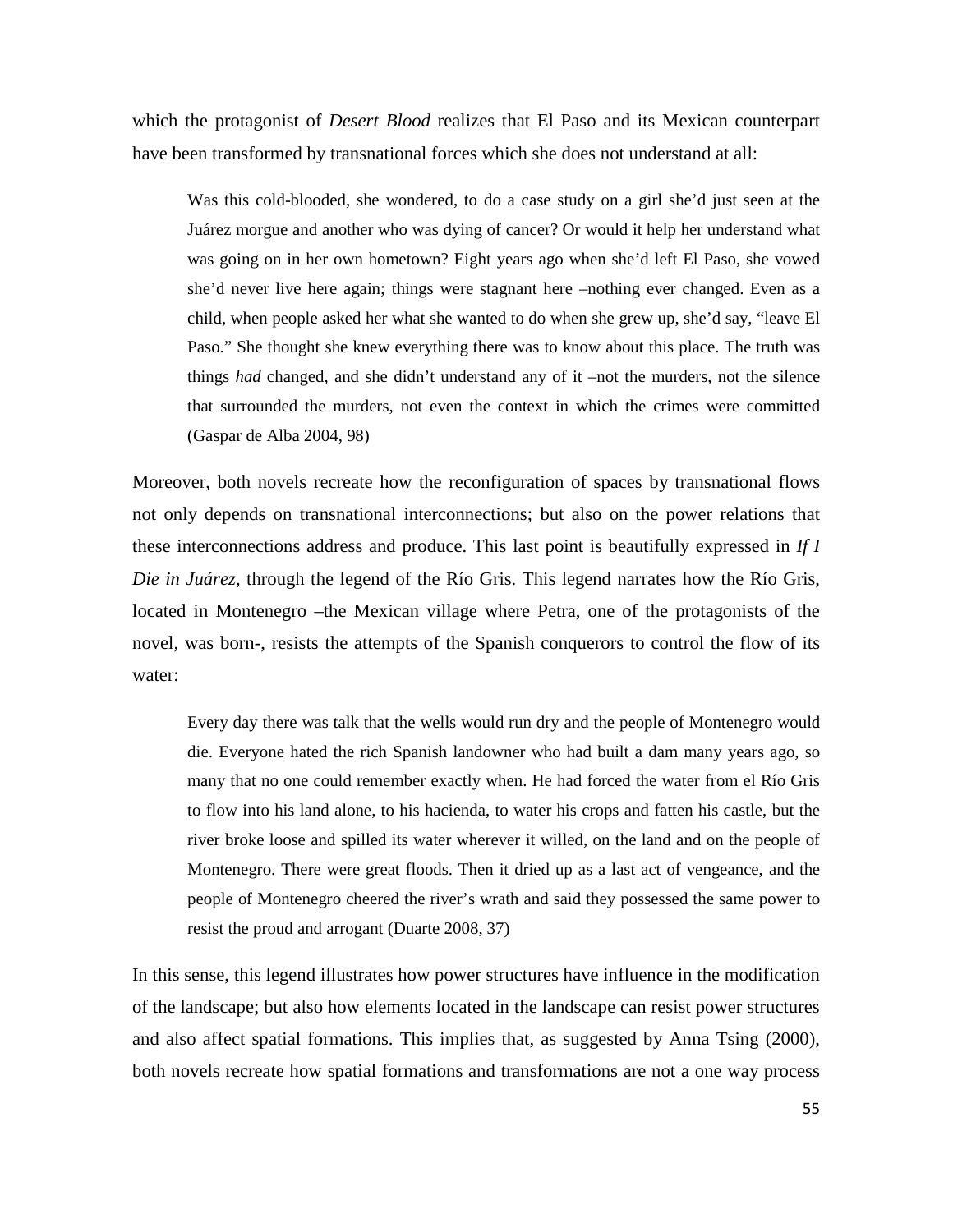which the protagonist of *Desert Blood* realizes that El Paso and its Mexican counterpart have been transformed by transnational forces which she does not understand at all:

Was this cold-blooded, she wondered, to do a case study on a girl she'd just seen at the Juárez morgue and another who was dying of cancer? Or would it help her understand what was going on in her own hometown? Eight years ago when she'd left El Paso, she vowed she'd never live here again; things were stagnant here –nothing ever changed. Even as a child, when people asked her what she wanted to do when she grew up, she'd say, "leave El Paso." She thought she knew everything there was to know about this place. The truth was things *had* changed, and she didn't understand any of it –not the murders, not the silence that surrounded the murders, not even the context in which the crimes were committed (Gaspar de Alba 2004, 98)

Moreover, both novels recreate how the reconfiguration of spaces by transnational flows not only depends on transnational interconnections; but also on the power relations that these interconnections address and produce. This last point is beautifully expressed in *If I Die in Juárez*, through the legend of the Río Gris. This legend narrates how the Río Gris, located in Montenegro –the Mexican village where Petra, one of the protagonists of the novel, was born-, resists the attempts of the Spanish conquerors to control the flow of its water:

Every day there was talk that the wells would run dry and the people of Montenegro would die. Everyone hated the rich Spanish landowner who had built a dam many years ago, so many that no one could remember exactly when. He had forced the water from el Río Gris to flow into his land alone, to his hacienda, to water his crops and fatten his castle, but the river broke loose and spilled its water wherever it willed, on the land and on the people of Montenegro. There were great floods. Then it dried up as a last act of vengeance, and the people of Montenegro cheered the river's wrath and said they possessed the same power to resist the proud and arrogant (Duarte 2008, 37)

In this sense, this legend illustrates how power structures have influence in the modification of the landscape; but also how elements located in the landscape can resist power structures and also affect spatial formations. This implies that, as suggested by Anna Tsing (2000), both novels recreate how spatial formations and transformations are not a one way process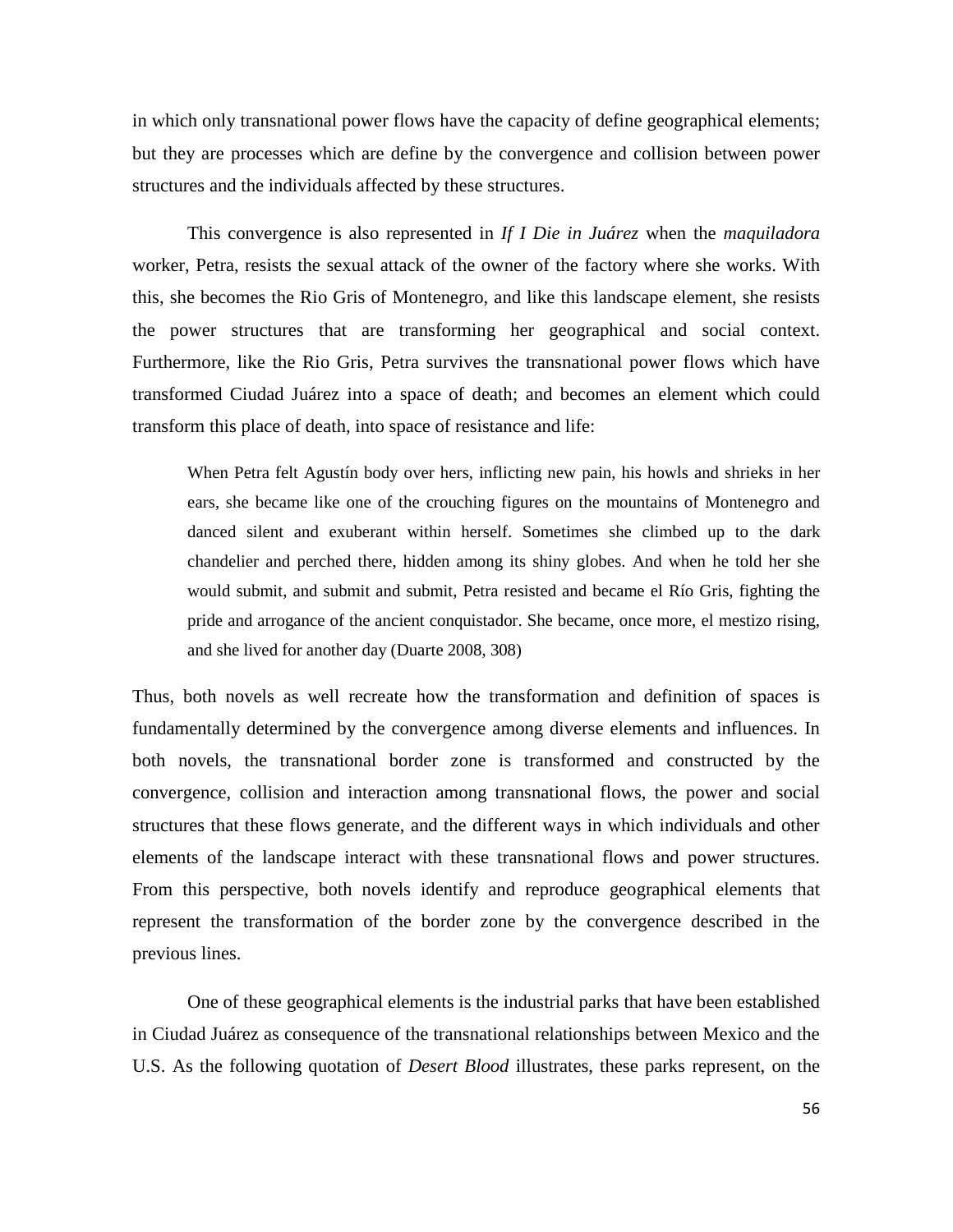in which only transnational power flows have the capacity of define geographical elements; but they are processes which are define by the convergence and collision between power structures and the individuals affected by these structures.

This convergence is also represented in *If I Die in Juárez* when the *maquiladora*  worker, Petra, resists the sexual attack of the owner of the factory where she works. With this, she becomes the Rio Gris of Montenegro, and like this landscape element, she resists the power structures that are transforming her geographical and social context. Furthermore, like the Rio Gris, Petra survives the transnational power flows which have transformed Ciudad Juárez into a space of death; and becomes an element which could transform this place of death, into space of resistance and life:

When Petra felt Agustín body over hers, inflicting new pain, his howls and shrieks in her ears, she became like one of the crouching figures on the mountains of Montenegro and danced silent and exuberant within herself. Sometimes she climbed up to the dark chandelier and perched there, hidden among its shiny globes. And when he told her she would submit, and submit and submit, Petra resisted and became el Río Gris, fighting the pride and arrogance of the ancient conquistador. She became, once more, el mestizo rising, and she lived for another day (Duarte 2008, 308)

Thus, both novels as well recreate how the transformation and definition of spaces is fundamentally determined by the convergence among diverse elements and influences. In both novels, the transnational border zone is transformed and constructed by the convergence, collision and interaction among transnational flows, the power and social structures that these flows generate, and the different ways in which individuals and other elements of the landscape interact with these transnational flows and power structures. From this perspective, both novels identify and reproduce geographical elements that represent the transformation of the border zone by the convergence described in the previous lines.

One of these geographical elements is the industrial parks that have been established in Ciudad Juárez as consequence of the transnational relationships between Mexico and the U.S. As the following quotation of *Desert Blood* illustrates, these parks represent, on the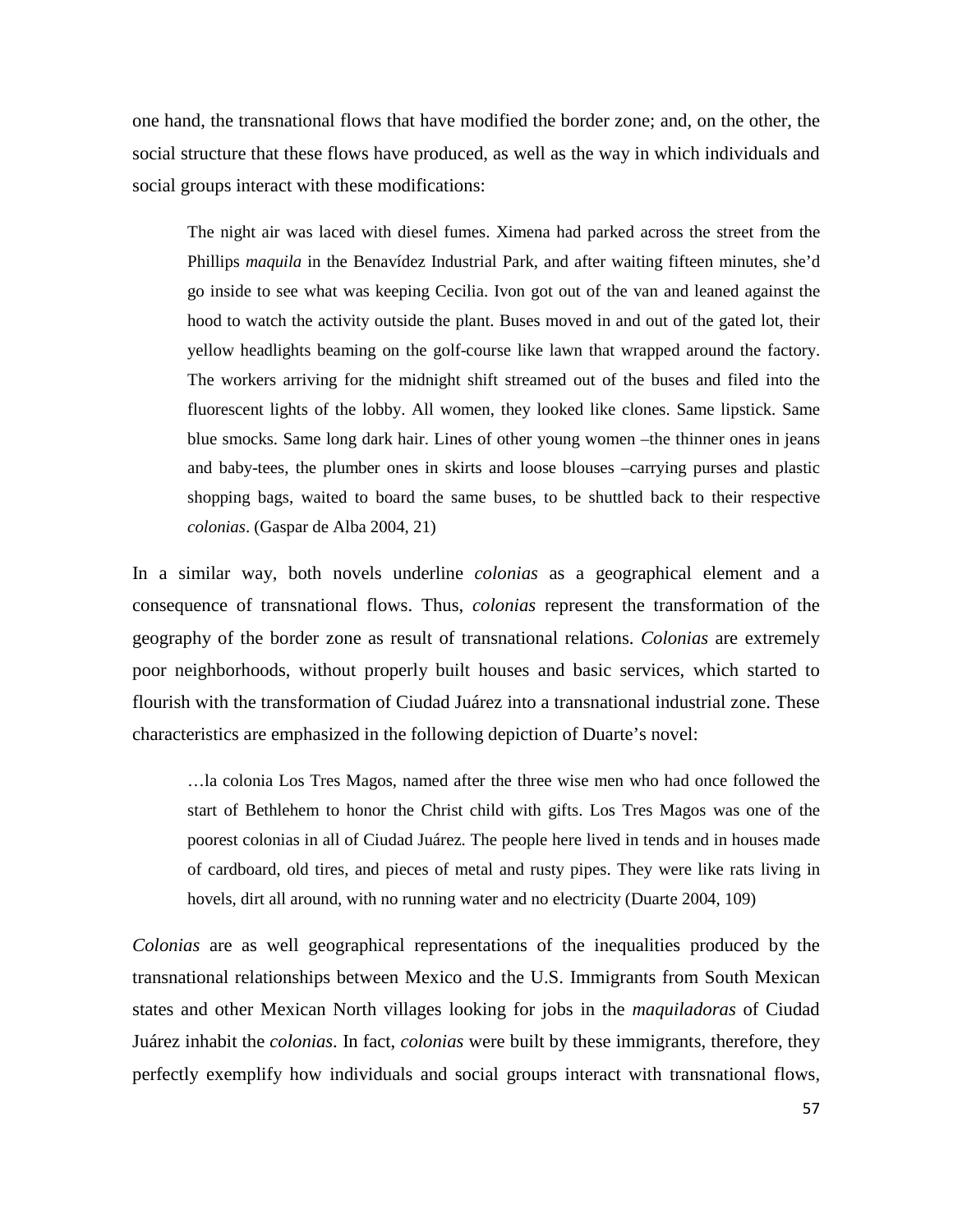one hand, the transnational flows that have modified the border zone; and, on the other, the social structure that these flows have produced, as well as the way in which individuals and social groups interact with these modifications:

The night air was laced with diesel fumes. Ximena had parked across the street from the Phillips *maquila* in the Benavídez Industrial Park, and after waiting fifteen minutes, she'd go inside to see what was keeping Cecilia. Ivon got out of the van and leaned against the hood to watch the activity outside the plant. Buses moved in and out of the gated lot, their yellow headlights beaming on the golf-course like lawn that wrapped around the factory. The workers arriving for the midnight shift streamed out of the buses and filed into the fluorescent lights of the lobby. All women, they looked like clones. Same lipstick. Same blue smocks. Same long dark hair. Lines of other young women –the thinner ones in jeans and baby-tees, the plumber ones in skirts and loose blouses –carrying purses and plastic shopping bags, waited to board the same buses, to be shuttled back to their respective *colonias*. (Gaspar de Alba 2004, 21)

In a similar way, both novels underline *colonias* as a geographical element and a consequence of transnational flows. Thus, *colonias* represent the transformation of the geography of the border zone as result of transnational relations. *Colonias* are extremely poor neighborhoods, without properly built houses and basic services, which started to flourish with the transformation of Ciudad Juárez into a transnational industrial zone. These characteristics are emphasized in the following depiction of Duarte's novel:

…la colonia Los Tres Magos, named after the three wise men who had once followed the start of Bethlehem to honor the Christ child with gifts. Los Tres Magos was one of the poorest colonias in all of Ciudad Juárez. The people here lived in tends and in houses made of cardboard, old tires, and pieces of metal and rusty pipes. They were like rats living in hovels, dirt all around, with no running water and no electricity (Duarte 2004, 109)

*Colonias* are as well geographical representations of the inequalities produced by the transnational relationships between Mexico and the U.S. Immigrants from South Mexican states and other Mexican North villages looking for jobs in the *maquiladoras* of Ciudad Juárez inhabit the *colonias*. In fact, *colonias* were built by these immigrants, therefore, they perfectly exemplify how individuals and social groups interact with transnational flows,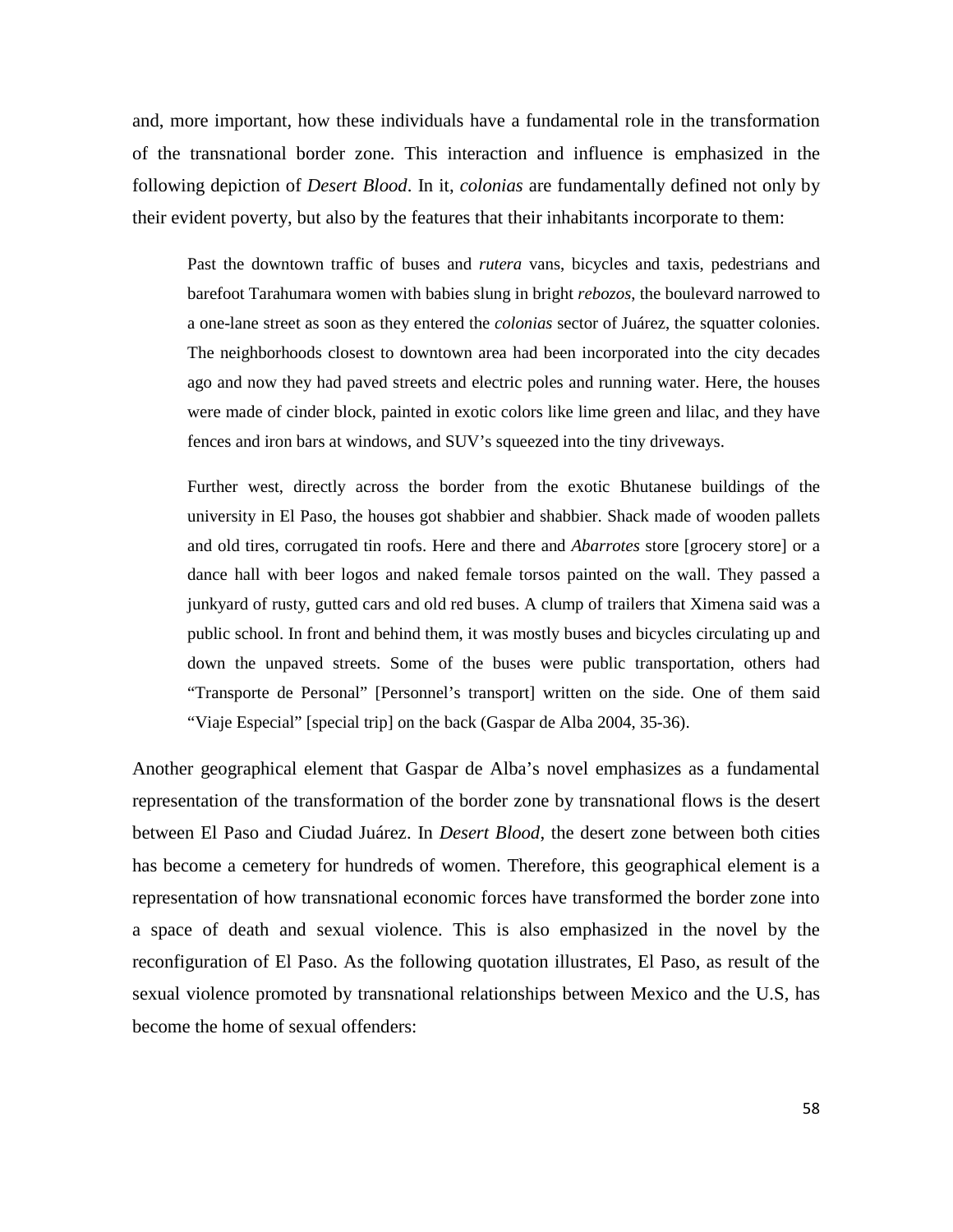and, more important, how these individuals have a fundamental role in the transformation of the transnational border zone. This interaction and influence is emphasized in the following depiction of *Desert Blood*. In it, *colonias* are fundamentally defined not only by their evident poverty, but also by the features that their inhabitants incorporate to them:

Past the downtown traffic of buses and *rutera* vans, bicycles and taxis, pedestrians and barefoot Tarahumara women with babies slung in bright *rebozos*, the boulevard narrowed to a one-lane street as soon as they entered the *colonias* sector of Juárez, the squatter colonies. The neighborhoods closest to downtown area had been incorporated into the city decades ago and now they had paved streets and electric poles and running water. Here, the houses were made of cinder block, painted in exotic colors like lime green and lilac, and they have fences and iron bars at windows, and SUV's squeezed into the tiny driveways.

Further west, directly across the border from the exotic Bhutanese buildings of the university in El Paso, the houses got shabbier and shabbier. Shack made of wooden pallets and old tires, corrugated tin roofs. Here and there and *Abarrotes* store [grocery store] or a dance hall with beer logos and naked female torsos painted on the wall. They passed a junkyard of rusty, gutted cars and old red buses. A clump of trailers that Ximena said was a public school. In front and behind them, it was mostly buses and bicycles circulating up and down the unpaved streets. Some of the buses were public transportation, others had "Transporte de Personal" [Personnel's transport] written on the side. One of them said "Viaje Especial" [special trip] on the back (Gaspar de Alba 2004, 35-36).

Another geographical element that Gaspar de Alba's novel emphasizes as a fundamental representation of the transformation of the border zone by transnational flows is the desert between El Paso and Ciudad Juárez. In *Desert Blood*, the desert zone between both cities has become a cemetery for hundreds of women. Therefore, this geographical element is a representation of how transnational economic forces have transformed the border zone into a space of death and sexual violence. This is also emphasized in the novel by the reconfiguration of El Paso. As the following quotation illustrates, El Paso, as result of the sexual violence promoted by transnational relationships between Mexico and the U.S, has become the home of sexual offenders: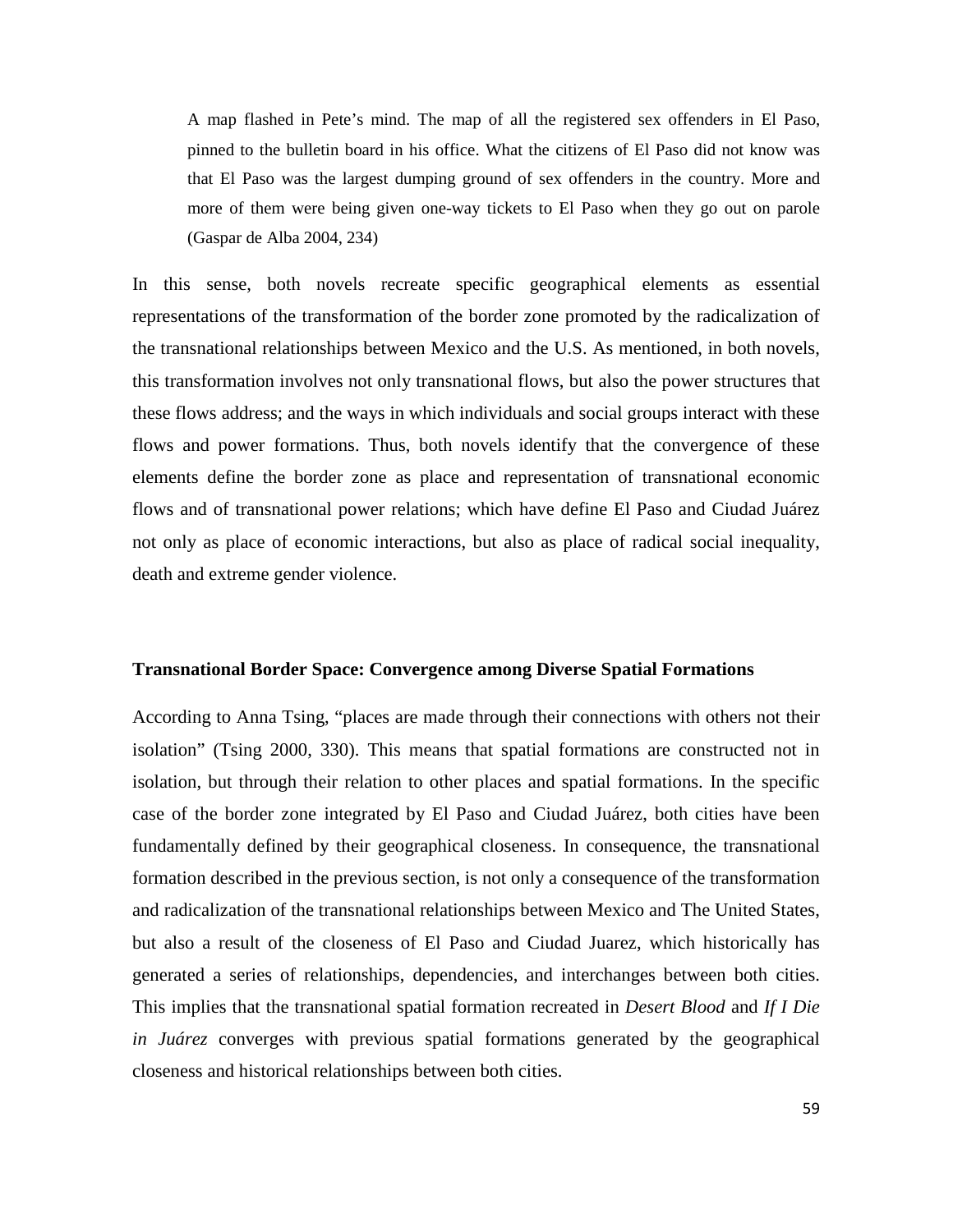A map flashed in Pete's mind. The map of all the registered sex offenders in El Paso, pinned to the bulletin board in his office. What the citizens of El Paso did not know was that El Paso was the largest dumping ground of sex offenders in the country. More and more of them were being given one-way tickets to El Paso when they go out on parole (Gaspar de Alba 2004, 234)

In this sense, both novels recreate specific geographical elements as essential representations of the transformation of the border zone promoted by the radicalization of the transnational relationships between Mexico and the U.S. As mentioned, in both novels, this transformation involves not only transnational flows, but also the power structures that these flows address; and the ways in which individuals and social groups interact with these flows and power formations. Thus, both novels identify that the convergence of these elements define the border zone as place and representation of transnational economic flows and of transnational power relations; which have define El Paso and Ciudad Juárez not only as place of economic interactions, but also as place of radical social inequality, death and extreme gender violence.

#### **Transnational Border Space: Convergence among Diverse Spatial Formations**

According to Anna Tsing, "places are made through their connections with others not their isolation" (Tsing 2000, 330). This means that spatial formations are constructed not in isolation, but through their relation to other places and spatial formations. In the specific case of the border zone integrated by El Paso and Ciudad Juárez, both cities have been fundamentally defined by their geographical closeness. In consequence, the transnational formation described in the previous section, is not only a consequence of the transformation and radicalization of the transnational relationships between Mexico and The United States, but also a result of the closeness of El Paso and Ciudad Juarez, which historically has generated a series of relationships, dependencies, and interchanges between both cities. This implies that the transnational spatial formation recreated in *Desert Blood* and *If I Die in Juárez* converges with previous spatial formations generated by the geographical closeness and historical relationships between both cities.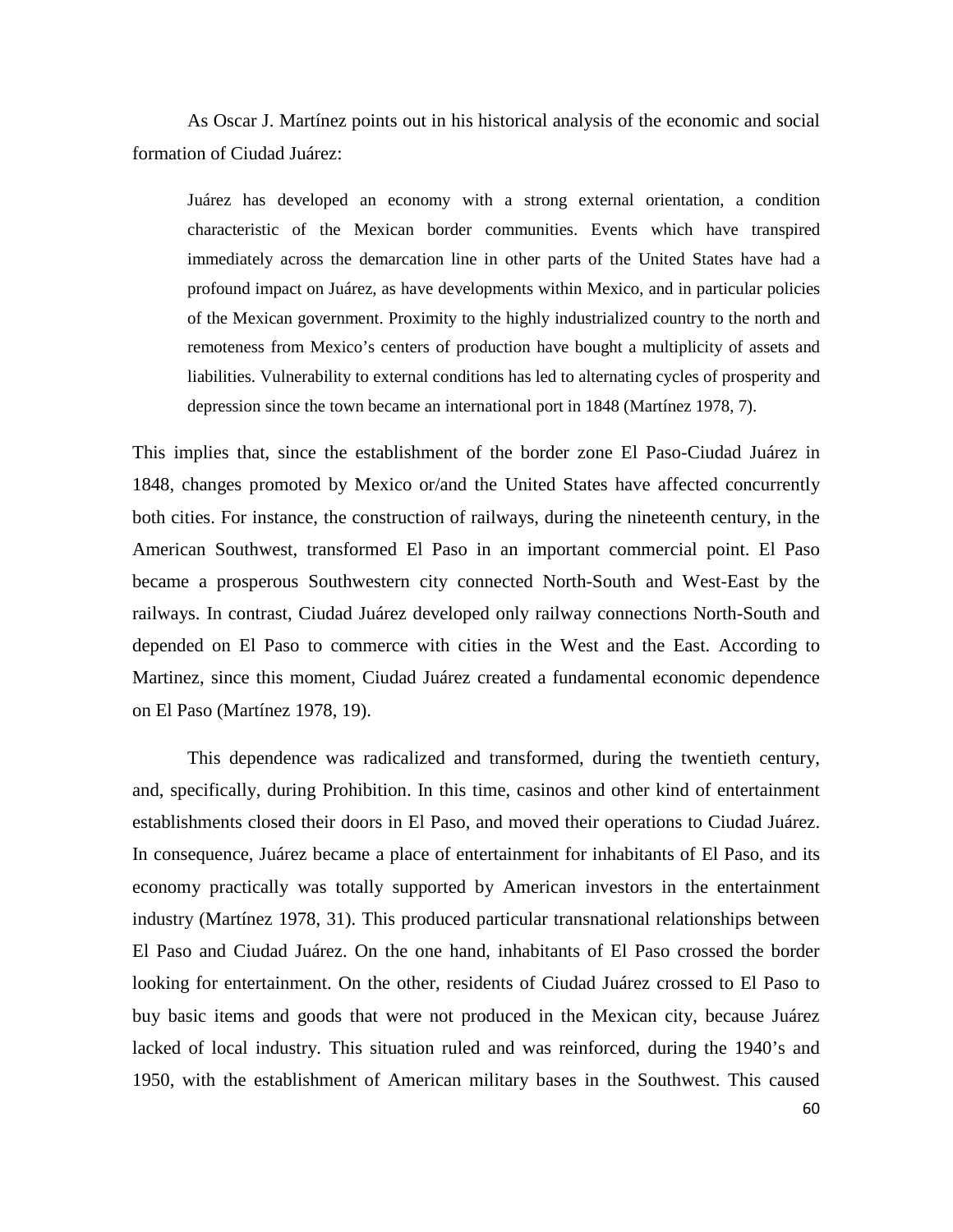As Oscar J. Martínez points out in his historical analysis of the economic and social formation of Ciudad Juárez:

Juárez has developed an economy with a strong external orientation, a condition characteristic of the Mexican border communities. Events which have transpired immediately across the demarcation line in other parts of the United States have had a profound impact on Juárez, as have developments within Mexico, and in particular policies of the Mexican government. Proximity to the highly industrialized country to the north and remoteness from Mexico's centers of production have bought a multiplicity of assets and liabilities. Vulnerability to external conditions has led to alternating cycles of prosperity and depression since the town became an international port in 1848 (Martínez 1978, 7).

This implies that, since the establishment of the border zone El Paso-Ciudad Juárez in 1848, changes promoted by Mexico or/and the United States have affected concurrently both cities. For instance, the construction of railways, during the nineteenth century, in the American Southwest, transformed El Paso in an important commercial point. El Paso became a prosperous Southwestern city connected North-South and West-East by the railways. In contrast, Ciudad Juárez developed only railway connections North-South and depended on El Paso to commerce with cities in the West and the East. According to Martinez, since this moment, Ciudad Juárez created a fundamental economic dependence on El Paso (Martínez 1978, 19).

This dependence was radicalized and transformed, during the twentieth century, and, specifically, during Prohibition. In this time, casinos and other kind of entertainment establishments closed their doors in El Paso, and moved their operations to Ciudad Juárez. In consequence, Juárez became a place of entertainment for inhabitants of El Paso, and its economy practically was totally supported by American investors in the entertainment industry (Martínez 1978, 31). This produced particular transnational relationships between El Paso and Ciudad Juárez. On the one hand, inhabitants of El Paso crossed the border looking for entertainment. On the other, residents of Ciudad Juárez crossed to El Paso to buy basic items and goods that were not produced in the Mexican city, because Juárez lacked of local industry. This situation ruled and was reinforced, during the 1940's and 1950, with the establishment of American military bases in the Southwest. This caused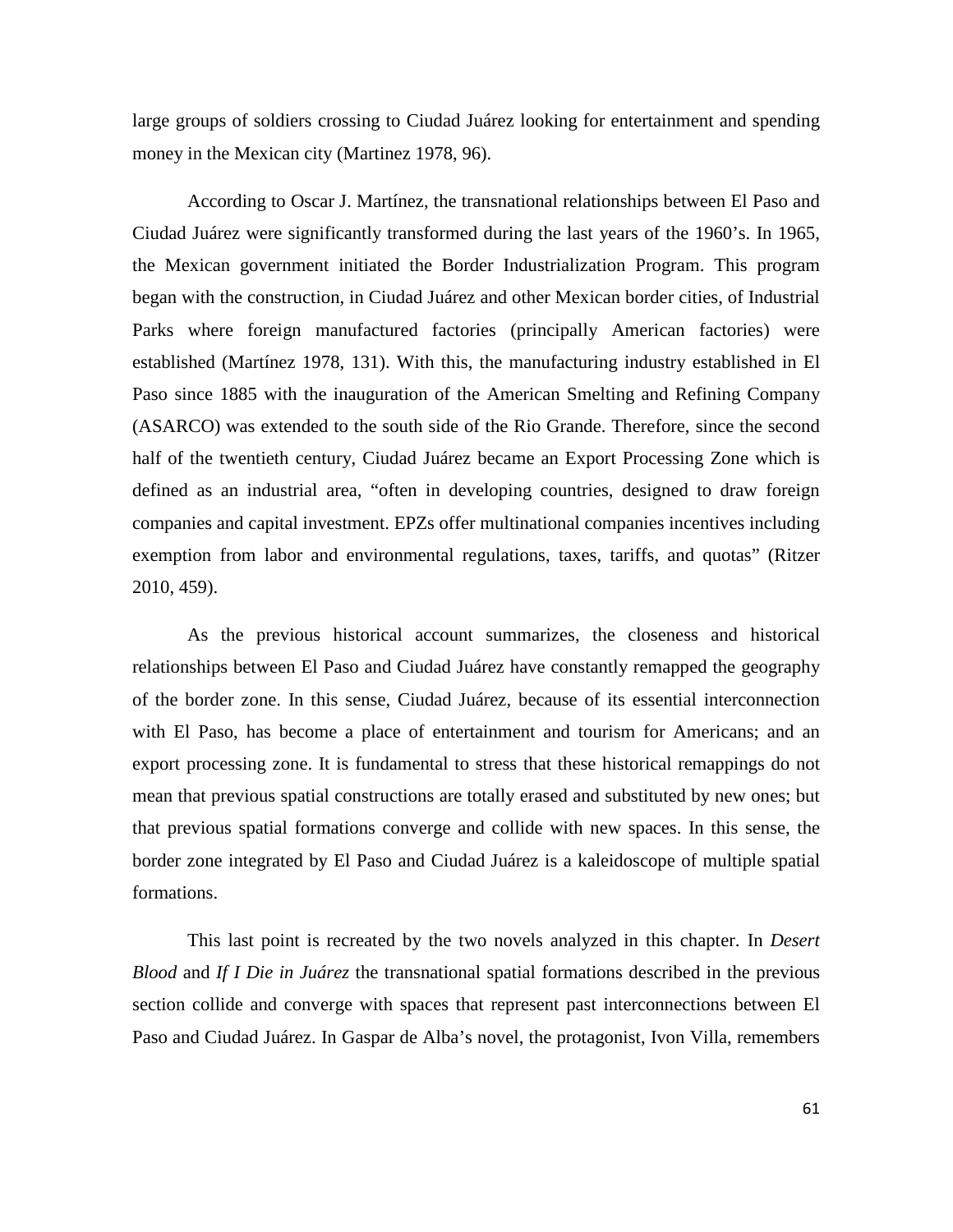large groups of soldiers crossing to Ciudad Juárez looking for entertainment and spending money in the Mexican city (Martinez 1978, 96).

According to Oscar J. Martínez, the transnational relationships between El Paso and Ciudad Juárez were significantly transformed during the last years of the 1960's. In 1965, the Mexican government initiated the Border Industrialization Program. This program began with the construction, in Ciudad Juárez and other Mexican border cities, of Industrial Parks where foreign manufactured factories (principally American factories) were established (Martínez 1978, 131). With this, the manufacturing industry established in El Paso since 1885 with the inauguration of the American Smelting and Refining Company (ASARCO) was extended to the south side of the Rio Grande. Therefore, since the second half of the twentieth century, Ciudad Juárez became an Export Processing Zone which is defined as an industrial area, "often in developing countries, designed to draw foreign companies and capital investment. EPZs offer multinational companies incentives including exemption from labor and environmental regulations, taxes, tariffs, and quotas" (Ritzer 2010, 459).

As the previous historical account summarizes, the closeness and historical relationships between El Paso and Ciudad Juárez have constantly remapped the geography of the border zone. In this sense, Ciudad Juárez, because of its essential interconnection with El Paso, has become a place of entertainment and tourism for Americans; and an export processing zone. It is fundamental to stress that these historical remappings do not mean that previous spatial constructions are totally erased and substituted by new ones; but that previous spatial formations converge and collide with new spaces. In this sense, the border zone integrated by El Paso and Ciudad Juárez is a kaleidoscope of multiple spatial formations.

This last point is recreated by the two novels analyzed in this chapter. In *Desert Blood* and *If I Die in Juárez* the transnational spatial formations described in the previous section collide and converge with spaces that represent past interconnections between El Paso and Ciudad Juárez. In Gaspar de Alba's novel, the protagonist, Ivon Villa, remembers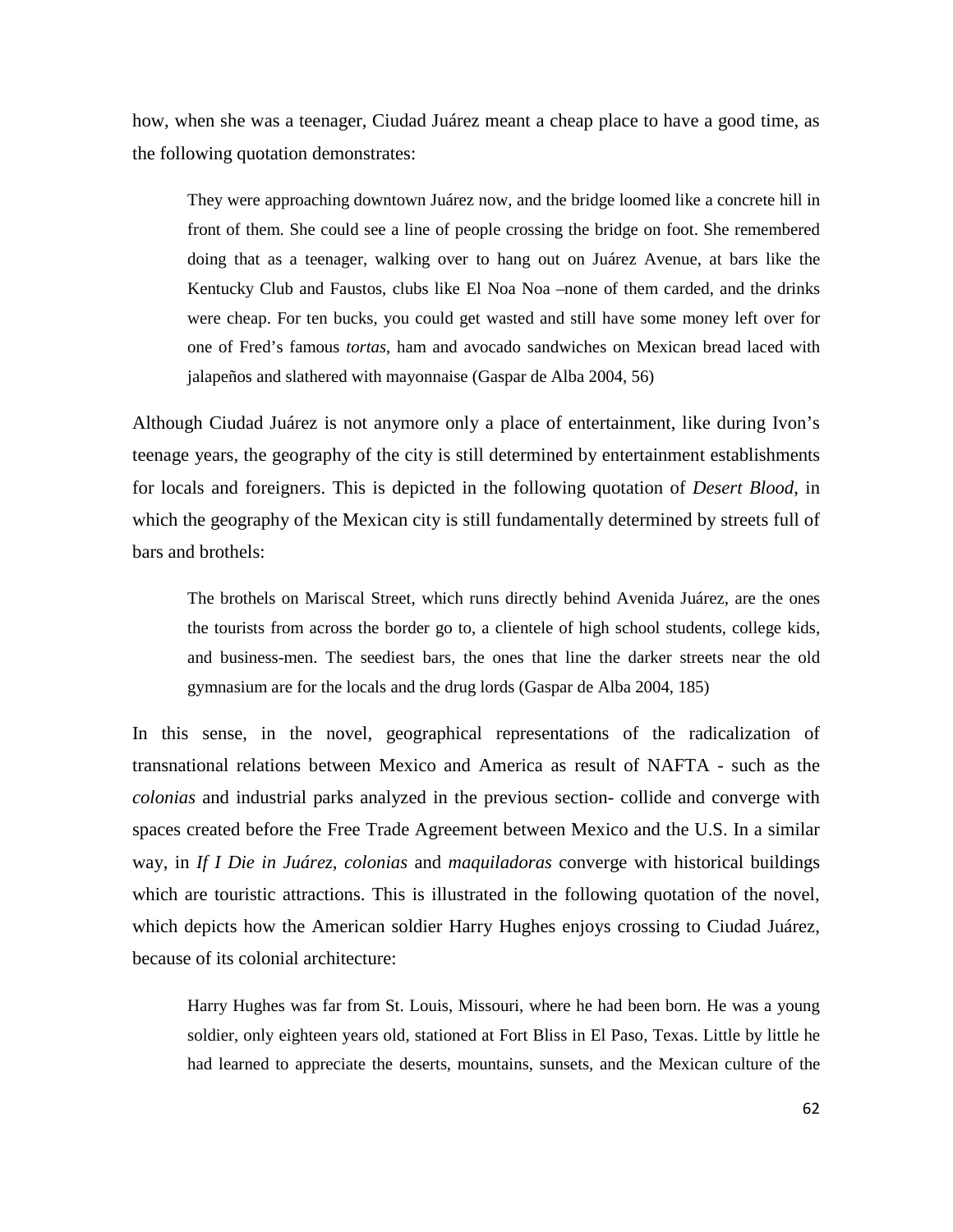how, when she was a teenager, Ciudad Juárez meant a cheap place to have a good time, as the following quotation demonstrates:

They were approaching downtown Juárez now, and the bridge loomed like a concrete hill in front of them. She could see a line of people crossing the bridge on foot. She remembered doing that as a teenager, walking over to hang out on Juárez Avenue, at bars like the Kentucky Club and Faustos, clubs like El Noa Noa –none of them carded, and the drinks were cheap. For ten bucks, you could get wasted and still have some money left over for one of Fred's famous *tortas*, ham and avocado sandwiches on Mexican bread laced with jalapeños and slathered with mayonnaise (Gaspar de Alba 2004, 56)

Although Ciudad Juárez is not anymore only a place of entertainment, like during Ivon's teenage years, the geography of the city is still determined by entertainment establishments for locals and foreigners. This is depicted in the following quotation of *Desert Blood*, in which the geography of the Mexican city is still fundamentally determined by streets full of bars and brothels:

The brothels on Mariscal Street, which runs directly behind Avenida Juárez, are the ones the tourists from across the border go to, a clientele of high school students, college kids, and business-men. The seediest bars, the ones that line the darker streets near the old gymnasium are for the locals and the drug lords (Gaspar de Alba 2004, 185)

In this sense, in the novel, geographical representations of the radicalization of transnational relations between Mexico and America as result of NAFTA - such as the *colonias* and industrial parks analyzed in the previous section- collide and converge with spaces created before the Free Trade Agreement between Mexico and the U.S. In a similar way, in *If I Die in Juárez*, *colonias* and *maquiladoras* converge with historical buildings which are touristic attractions. This is illustrated in the following quotation of the novel, which depicts how the American soldier Harry Hughes enjoys crossing to Ciudad Juárez, because of its colonial architecture:

Harry Hughes was far from St. Louis, Missouri, where he had been born. He was a young soldier, only eighteen years old, stationed at Fort Bliss in El Paso, Texas. Little by little he had learned to appreciate the deserts, mountains, sunsets, and the Mexican culture of the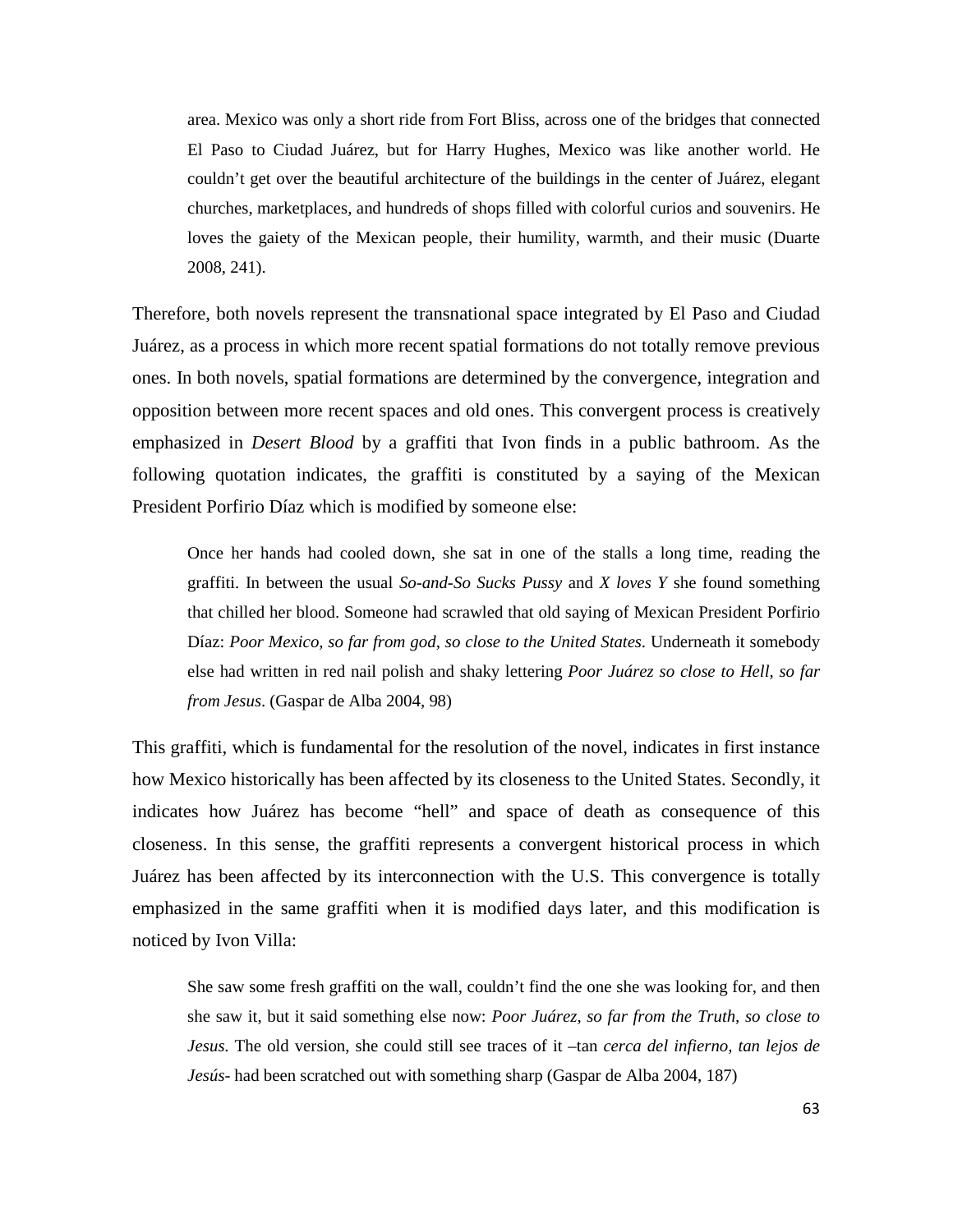area. Mexico was only a short ride from Fort Bliss, across one of the bridges that connected El Paso to Ciudad Juárez, but for Harry Hughes, Mexico was like another world. He couldn't get over the beautiful architecture of the buildings in the center of Juárez, elegant churches, marketplaces, and hundreds of shops filled with colorful curios and souvenirs. He loves the gaiety of the Mexican people, their humility, warmth, and their music (Duarte 2008, 241).

Therefore, both novels represent the transnational space integrated by El Paso and Ciudad Juárez, as a process in which more recent spatial formations do not totally remove previous ones. In both novels, spatial formations are determined by the convergence, integration and opposition between more recent spaces and old ones. This convergent process is creatively emphasized in *Desert Blood* by a graffiti that Ivon finds in a public bathroom. As the following quotation indicates, the graffiti is constituted by a saying of the Mexican President Porfirio Díaz which is modified by someone else:

Once her hands had cooled down, she sat in one of the stalls a long time, reading the graffiti. In between the usual *So-and-So Sucks Pussy* and *X loves Y* she found something that chilled her blood. Someone had scrawled that old saying of Mexican President Porfirio Díaz: *Poor Mexico, so far from god, so close to the United States*. Underneath it somebody else had written in red nail polish and shaky lettering *Poor Juárez so close to Hell, so far from Jesus*. (Gaspar de Alba 2004, 98)

This graffiti, which is fundamental for the resolution of the novel, indicates in first instance how Mexico historically has been affected by its closeness to the United States. Secondly, it indicates how Juárez has become "hell" and space of death as consequence of this closeness. In this sense, the graffiti represents a convergent historical process in which Juárez has been affected by its interconnection with the U.S. This convergence is totally emphasized in the same graffiti when it is modified days later, and this modification is noticed by Ivon Villa:

She saw some fresh graffiti on the wall, couldn't find the one she was looking for, and then she saw it, but it said something else now: *Poor Juárez, so far from the Truth, so close to Jesus*. The old version, she could still see traces of it –tan *cerca del infierno, tan lejos de Jesús*- had been scratched out with something sharp (Gaspar de Alba 2004, 187)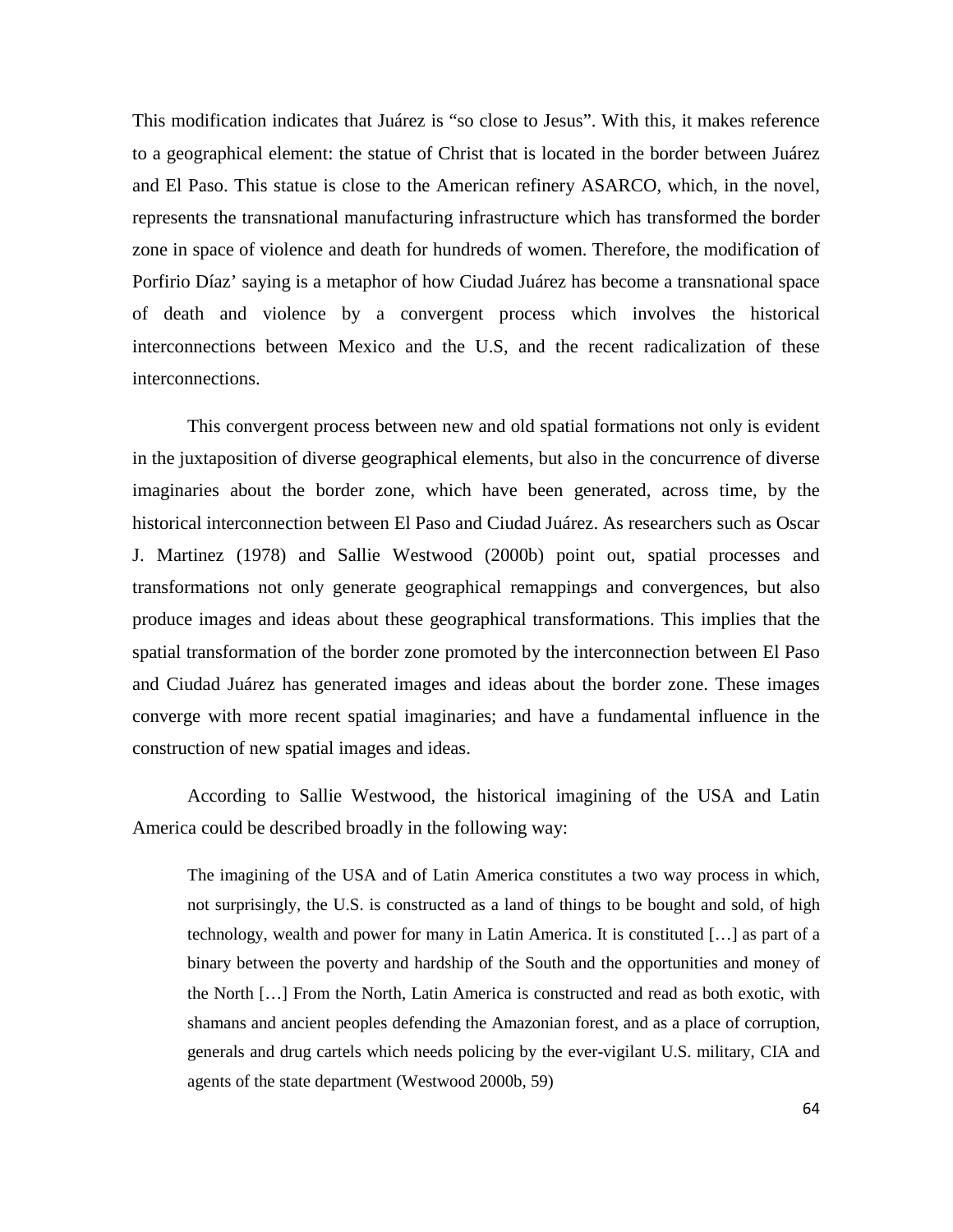This modification indicates that Juárez is "so close to Jesus". With this, it makes reference to a geographical element: the statue of Christ that is located in the border between Juárez and El Paso. This statue is close to the American refinery ASARCO, which, in the novel, represents the transnational manufacturing infrastructure which has transformed the border zone in space of violence and death for hundreds of women. Therefore, the modification of Porfirio Díaz' saying is a metaphor of how Ciudad Juárez has become a transnational space of death and violence by a convergent process which involves the historical interconnections between Mexico and the U.S, and the recent radicalization of these interconnections.

This convergent process between new and old spatial formations not only is evident in the juxtaposition of diverse geographical elements, but also in the concurrence of diverse imaginaries about the border zone, which have been generated, across time, by the historical interconnection between El Paso and Ciudad Juárez. As researchers such as Oscar J. Martinez (1978) and Sallie Westwood (2000b) point out, spatial processes and transformations not only generate geographical remappings and convergences, but also produce images and ideas about these geographical transformations. This implies that the spatial transformation of the border zone promoted by the interconnection between El Paso and Ciudad Juárez has generated images and ideas about the border zone. These images converge with more recent spatial imaginaries; and have a fundamental influence in the construction of new spatial images and ideas.

According to Sallie Westwood, the historical imagining of the USA and Latin America could be described broadly in the following way:

The imagining of the USA and of Latin America constitutes a two way process in which, not surprisingly, the U.S. is constructed as a land of things to be bought and sold, of high technology, wealth and power for many in Latin America. It is constituted […] as part of a binary between the poverty and hardship of the South and the opportunities and money of the North […] From the North, Latin America is constructed and read as both exotic, with shamans and ancient peoples defending the Amazonian forest, and as a place of corruption, generals and drug cartels which needs policing by the ever-vigilant U.S. military, CIA and agents of the state department (Westwood 2000b, 59)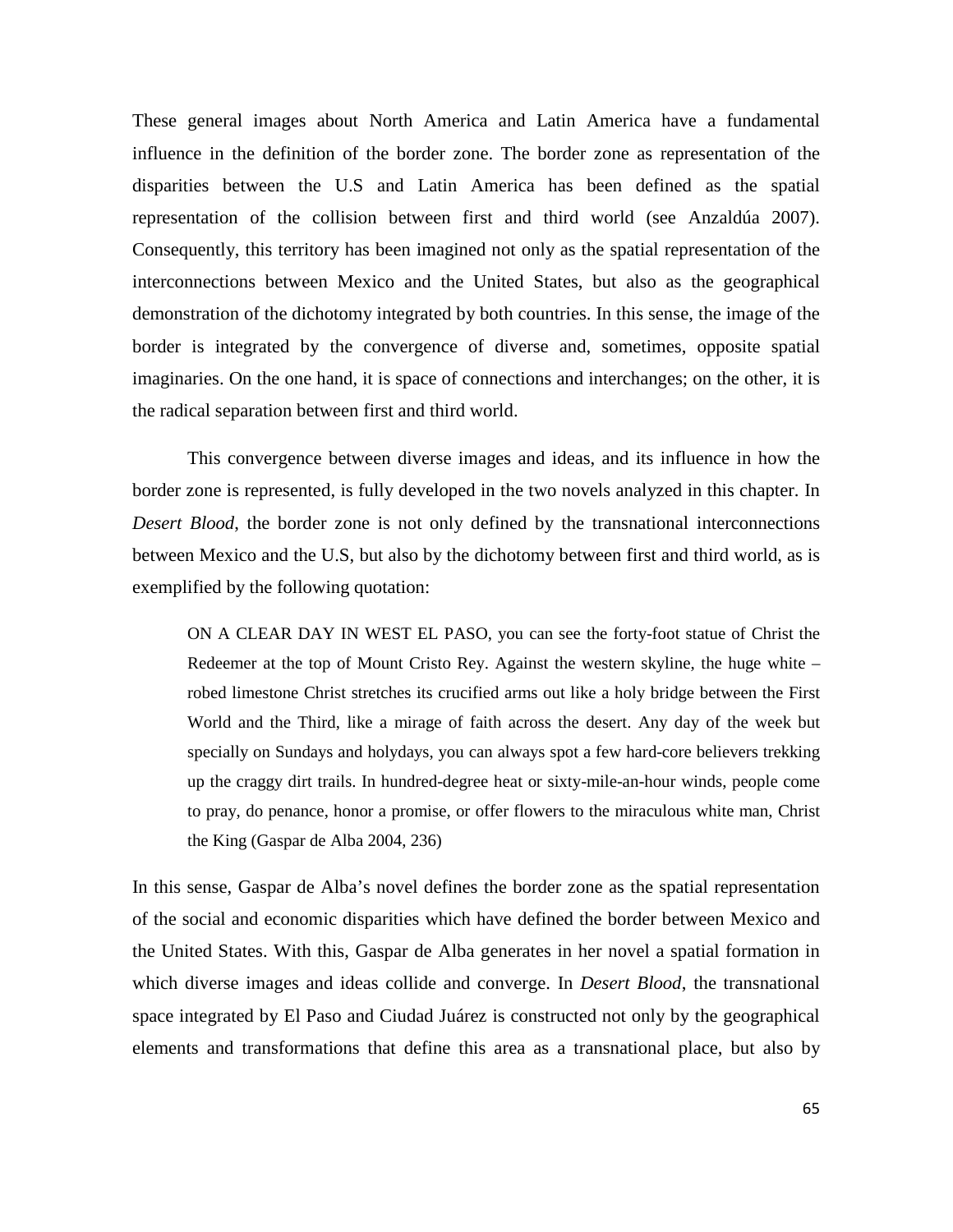These general images about North America and Latin America have a fundamental influence in the definition of the border zone. The border zone as representation of the disparities between the U.S and Latin America has been defined as the spatial representation of the collision between first and third world (see Anzaldúa 2007). Consequently, this territory has been imagined not only as the spatial representation of the interconnections between Mexico and the United States, but also as the geographical demonstration of the dichotomy integrated by both countries. In this sense, the image of the border is integrated by the convergence of diverse and, sometimes, opposite spatial imaginaries. On the one hand, it is space of connections and interchanges; on the other, it is the radical separation between first and third world.

This convergence between diverse images and ideas, and its influence in how the border zone is represented, is fully developed in the two novels analyzed in this chapter. In *Desert Blood*, the border zone is not only defined by the transnational interconnections between Mexico and the U.S, but also by the dichotomy between first and third world, as is exemplified by the following quotation:

ON A CLEAR DAY IN WEST EL PASO, you can see the forty-foot statue of Christ the Redeemer at the top of Mount Cristo Rey. Against the western skyline, the huge white – robed limestone Christ stretches its crucified arms out like a holy bridge between the First World and the Third, like a mirage of faith across the desert. Any day of the week but specially on Sundays and holydays, you can always spot a few hard-core believers trekking up the craggy dirt trails. In hundred-degree heat or sixty-mile-an-hour winds, people come to pray, do penance, honor a promise, or offer flowers to the miraculous white man, Christ the King (Gaspar de Alba 2004, 236)

In this sense, Gaspar de Alba's novel defines the border zone as the spatial representation of the social and economic disparities which have defined the border between Mexico and the United States. With this, Gaspar de Alba generates in her novel a spatial formation in which diverse images and ideas collide and converge. In *Desert Blood*, the transnational space integrated by El Paso and Ciudad Juárez is constructed not only by the geographical elements and transformations that define this area as a transnational place, but also by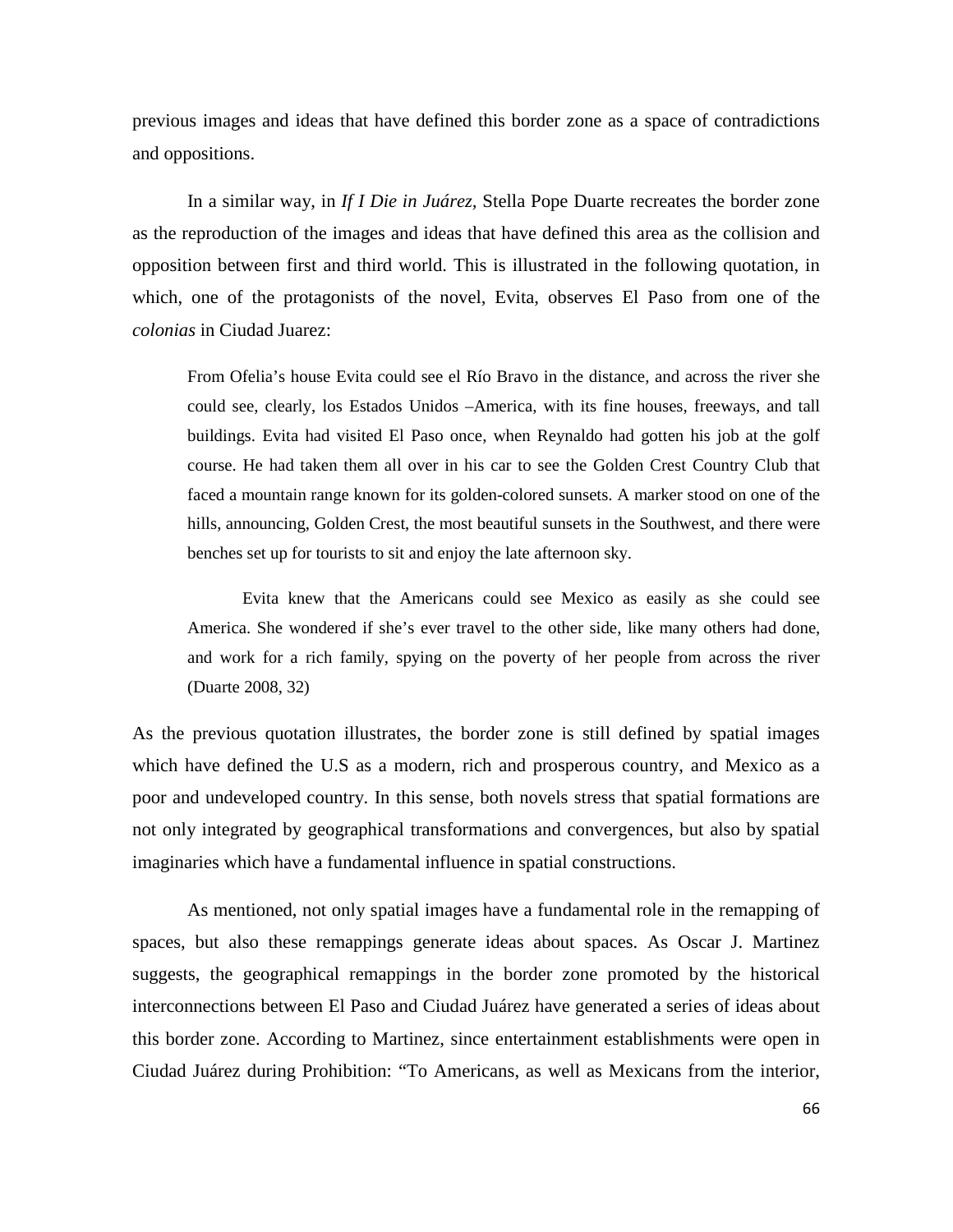previous images and ideas that have defined this border zone as a space of contradictions and oppositions.

In a similar way, in *If I Die in Juárez,* Stella Pope Duarte recreates the border zone as the reproduction of the images and ideas that have defined this area as the collision and opposition between first and third world. This is illustrated in the following quotation, in which, one of the protagonists of the novel, Evita, observes El Paso from one of the *colonias* in Ciudad Juarez:

From Ofelia's house Evita could see el Río Bravo in the distance, and across the river she could see, clearly, los Estados Unidos –America, with its fine houses, freeways, and tall buildings. Evita had visited El Paso once, when Reynaldo had gotten his job at the golf course. He had taken them all over in his car to see the Golden Crest Country Club that faced a mountain range known for its golden-colored sunsets. A marker stood on one of the hills, announcing, Golden Crest, the most beautiful sunsets in the Southwest, and there were benches set up for tourists to sit and enjoy the late afternoon sky.

Evita knew that the Americans could see Mexico as easily as she could see America. She wondered if she's ever travel to the other side, like many others had done, and work for a rich family, spying on the poverty of her people from across the river (Duarte 2008, 32)

As the previous quotation illustrates, the border zone is still defined by spatial images which have defined the U.S as a modern, rich and prosperous country, and Mexico as a poor and undeveloped country. In this sense, both novels stress that spatial formations are not only integrated by geographical transformations and convergences, but also by spatial imaginaries which have a fundamental influence in spatial constructions.

As mentioned, not only spatial images have a fundamental role in the remapping of spaces, but also these remappings generate ideas about spaces. As Oscar J. Martinez suggests, the geographical remappings in the border zone promoted by the historical interconnections between El Paso and Ciudad Juárez have generated a series of ideas about this border zone. According to Martinez, since entertainment establishments were open in Ciudad Juárez during Prohibition: "To Americans, as well as Mexicans from the interior,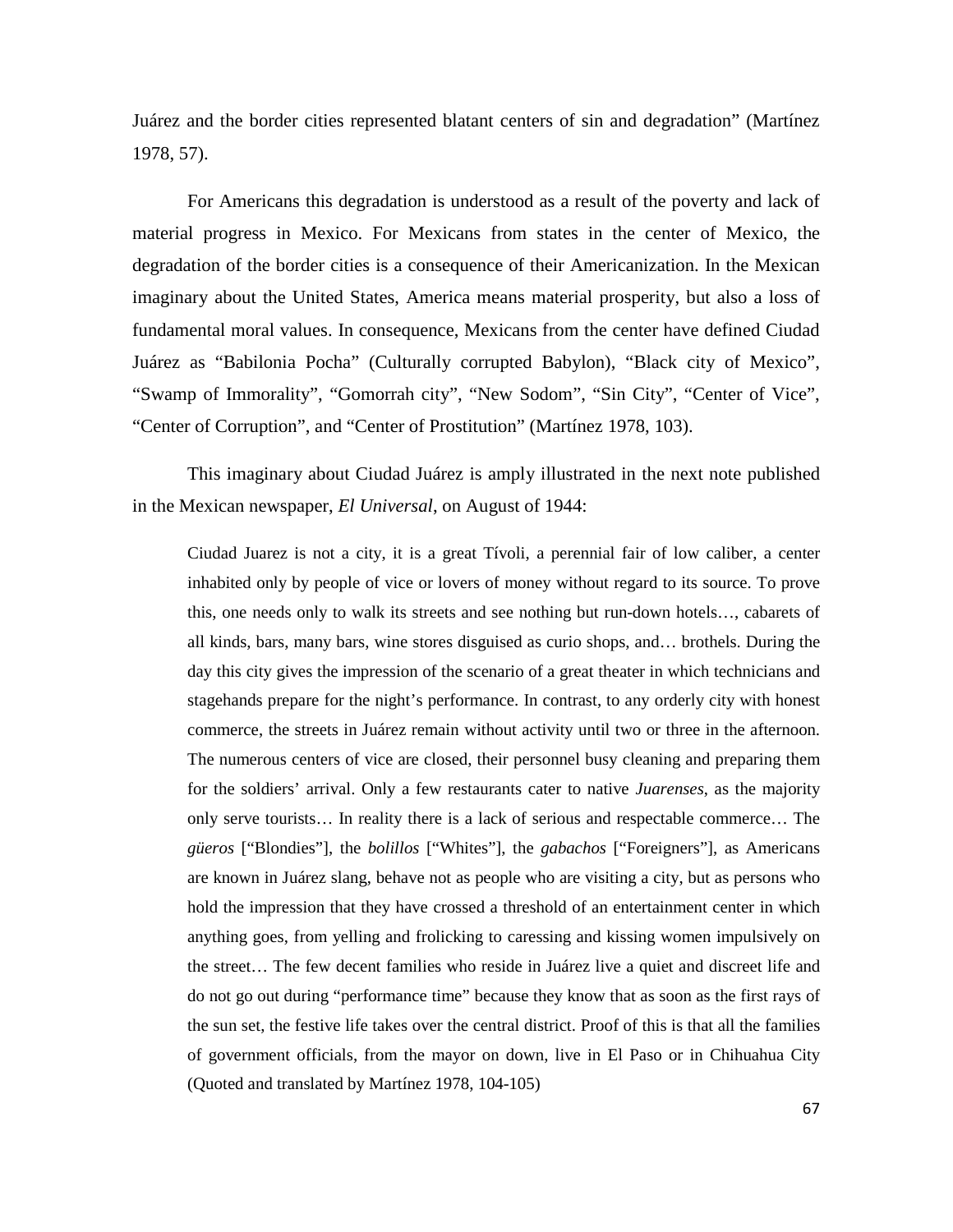Juárez and the border cities represented blatant centers of sin and degradation" (Martínez 1978, 57).

For Americans this degradation is understood as a result of the poverty and lack of material progress in Mexico. For Mexicans from states in the center of Mexico, the degradation of the border cities is a consequence of their Americanization. In the Mexican imaginary about the United States, America means material prosperity, but also a loss of fundamental moral values. In consequence, Mexicans from the center have defined Ciudad Juárez as "Babilonia Pocha" (Culturally corrupted Babylon), "Black city of Mexico", "Swamp of Immorality", "Gomorrah city", "New Sodom", "Sin City", "Center of Vice", "Center of Corruption", and "Center of Prostitution" (Martínez 1978, 103).

This imaginary about Ciudad Juárez is amply illustrated in the next note published in the Mexican newspaper, *El Universal*, on August of 1944:

Ciudad Juarez is not a city, it is a great Tívoli, a perennial fair of low caliber, a center inhabited only by people of vice or lovers of money without regard to its source. To prove this, one needs only to walk its streets and see nothing but run-down hotels…, cabarets of all kinds, bars, many bars, wine stores disguised as curio shops, and… brothels. During the day this city gives the impression of the scenario of a great theater in which technicians and stagehands prepare for the night's performance. In contrast, to any orderly city with honest commerce, the streets in Juárez remain without activity until two or three in the afternoon. The numerous centers of vice are closed, their personnel busy cleaning and preparing them for the soldiers' arrival. Only a few restaurants cater to native *Juarenses*, as the majority only serve tourists… In reality there is a lack of serious and respectable commerce… The *güeros* ["Blondies"], the *bolillos* ["Whites"], the *gabachos* ["Foreigners"], as Americans are known in Juárez slang, behave not as people who are visiting a city, but as persons who hold the impression that they have crossed a threshold of an entertainment center in which anything goes, from yelling and frolicking to caressing and kissing women impulsively on the street… The few decent families who reside in Juárez live a quiet and discreet life and do not go out during "performance time" because they know that as soon as the first rays of the sun set, the festive life takes over the central district. Proof of this is that all the families of government officials, from the mayor on down, live in El Paso or in Chihuahua City (Quoted and translated by Martínez 1978, 104-105)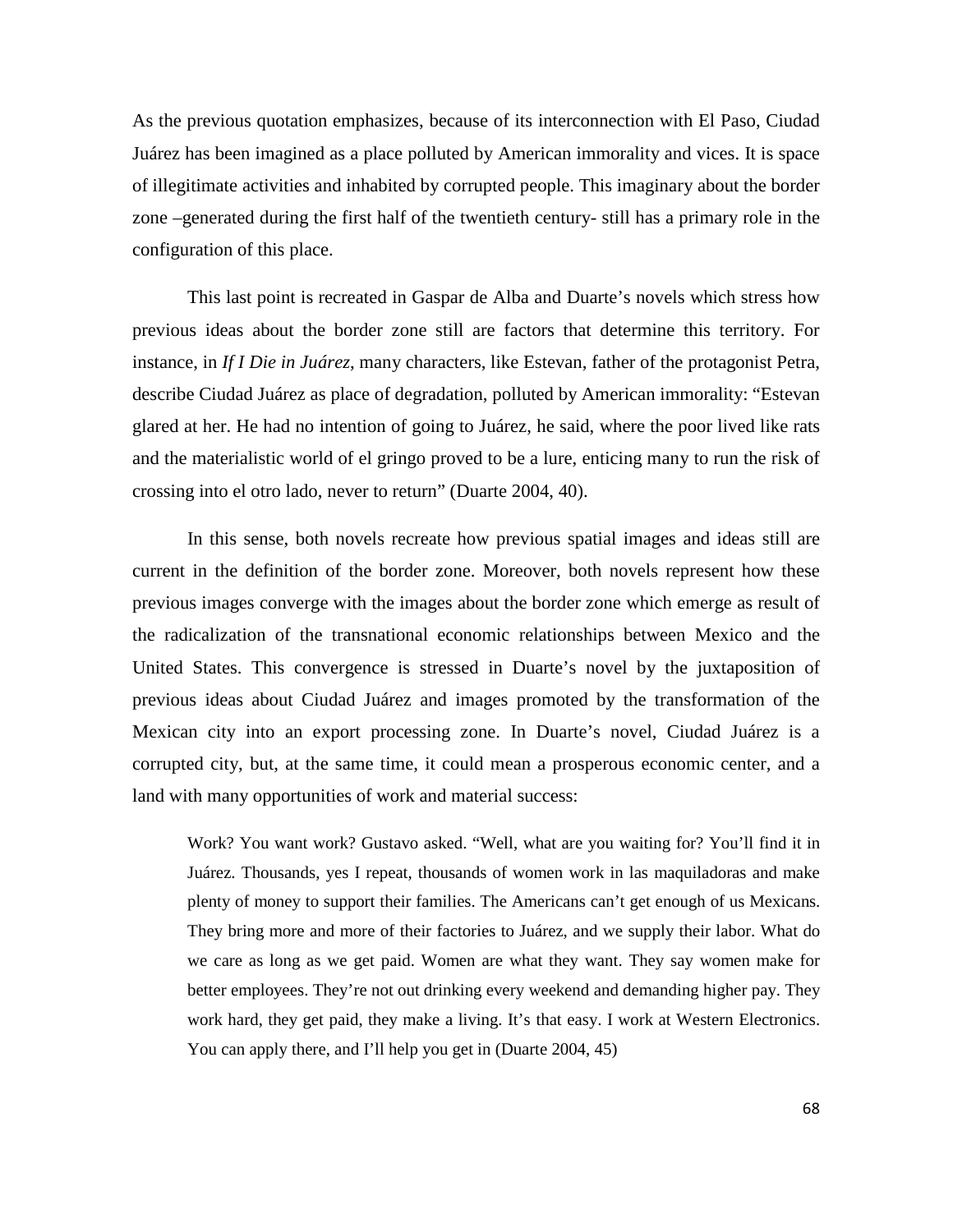As the previous quotation emphasizes, because of its interconnection with El Paso, Ciudad Juárez has been imagined as a place polluted by American immorality and vices. It is space of illegitimate activities and inhabited by corrupted people. This imaginary about the border zone –generated during the first half of the twentieth century- still has a primary role in the configuration of this place.

This last point is recreated in Gaspar de Alba and Duarte's novels which stress how previous ideas about the border zone still are factors that determine this territory. For instance, in *If I Die in Juárez*, many characters, like Estevan, father of the protagonist Petra, describe Ciudad Juárez as place of degradation, polluted by American immorality: "Estevan glared at her. He had no intention of going to Juárez, he said, where the poor lived like rats and the materialistic world of el gringo proved to be a lure, enticing many to run the risk of crossing into el otro lado, never to return" (Duarte 2004, 40).

In this sense, both novels recreate how previous spatial images and ideas still are current in the definition of the border zone. Moreover, both novels represent how these previous images converge with the images about the border zone which emerge as result of the radicalization of the transnational economic relationships between Mexico and the United States. This convergence is stressed in Duarte's novel by the juxtaposition of previous ideas about Ciudad Juárez and images promoted by the transformation of the Mexican city into an export processing zone. In Duarte's novel, Ciudad Juárez is a corrupted city, but, at the same time, it could mean a prosperous economic center, and a land with many opportunities of work and material success:

Work? You want work? Gustavo asked. "Well, what are you waiting for? You'll find it in Juárez. Thousands, yes I repeat, thousands of women work in las maquiladoras and make plenty of money to support their families. The Americans can't get enough of us Mexicans. They bring more and more of their factories to Juárez, and we supply their labor. What do we care as long as we get paid. Women are what they want. They say women make for better employees. They're not out drinking every weekend and demanding higher pay. They work hard, they get paid, they make a living. It's that easy. I work at Western Electronics. You can apply there, and I'll help you get in (Duarte 2004, 45)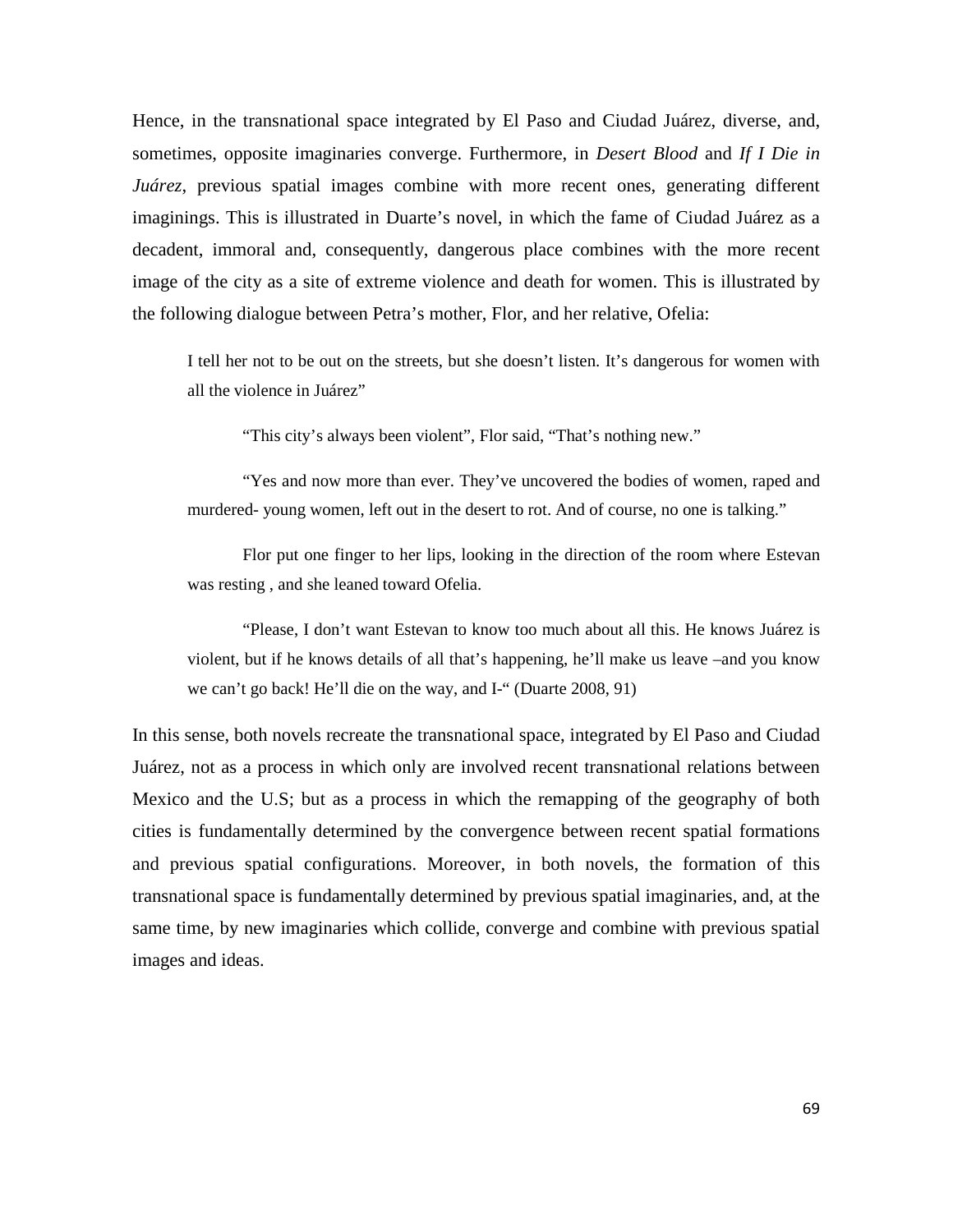Hence, in the transnational space integrated by El Paso and Ciudad Juárez, diverse, and, sometimes, opposite imaginaries converge. Furthermore, in *Desert Blood* and *If I Die in Juárez*, previous spatial images combine with more recent ones, generating different imaginings. This is illustrated in Duarte's novel, in which the fame of Ciudad Juárez as a decadent, immoral and, consequently, dangerous place combines with the more recent image of the city as a site of extreme violence and death for women. This is illustrated by the following dialogue between Petra's mother, Flor, and her relative, Ofelia:

I tell her not to be out on the streets, but she doesn't listen. It's dangerous for women with all the violence in Juárez"

"This city's always been violent", Flor said, "That's nothing new."

"Yes and now more than ever. They've uncovered the bodies of women, raped and murdered- young women, left out in the desert to rot. And of course, no one is talking."

Flor put one finger to her lips, looking in the direction of the room where Estevan was resting , and she leaned toward Ofelia.

"Please, I don't want Estevan to know too much about all this. He knows Juárez is violent, but if he knows details of all that's happening, he'll make us leave –and you know we can't go back! He'll die on the way, and I-" (Duarte 2008, 91)

In this sense, both novels recreate the transnational space, integrated by El Paso and Ciudad Juárez, not as a process in which only are involved recent transnational relations between Mexico and the U.S; but as a process in which the remapping of the geography of both cities is fundamentally determined by the convergence between recent spatial formations and previous spatial configurations. Moreover, in both novels, the formation of this transnational space is fundamentally determined by previous spatial imaginaries, and, at the same time, by new imaginaries which collide, converge and combine with previous spatial images and ideas.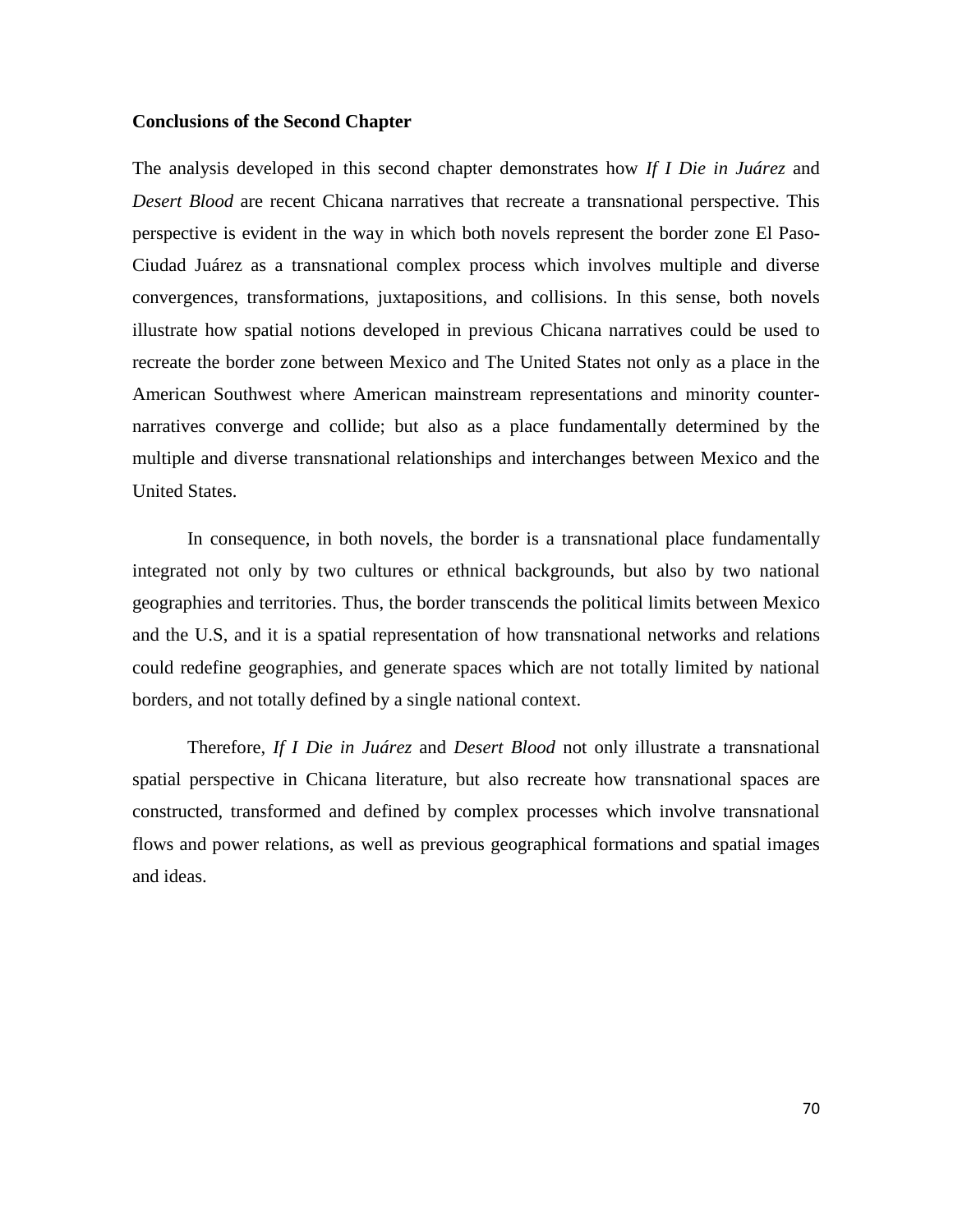#### **Conclusions of the Second Chapter**

The analysis developed in this second chapter demonstrates how *If I Die in Juárez* and *Desert Blood* are recent Chicana narratives that recreate a transnational perspective. This perspective is evident in the way in which both novels represent the border zone El Paso-Ciudad Juárez as a transnational complex process which involves multiple and diverse convergences, transformations, juxtapositions, and collisions. In this sense, both novels illustrate how spatial notions developed in previous Chicana narratives could be used to recreate the border zone between Mexico and The United States not only as a place in the American Southwest where American mainstream representations and minority counternarratives converge and collide; but also as a place fundamentally determined by the multiple and diverse transnational relationships and interchanges between Mexico and the United States.

In consequence, in both novels, the border is a transnational place fundamentally integrated not only by two cultures or ethnical backgrounds, but also by two national geographies and territories. Thus, the border transcends the political limits between Mexico and the U.S, and it is a spatial representation of how transnational networks and relations could redefine geographies, and generate spaces which are not totally limited by national borders, and not totally defined by a single national context.

Therefore, *If I Die in Juárez* and *Desert Blood* not only illustrate a transnational spatial perspective in Chicana literature, but also recreate how transnational spaces are constructed, transformed and defined by complex processes which involve transnational flows and power relations, as well as previous geographical formations and spatial images and ideas.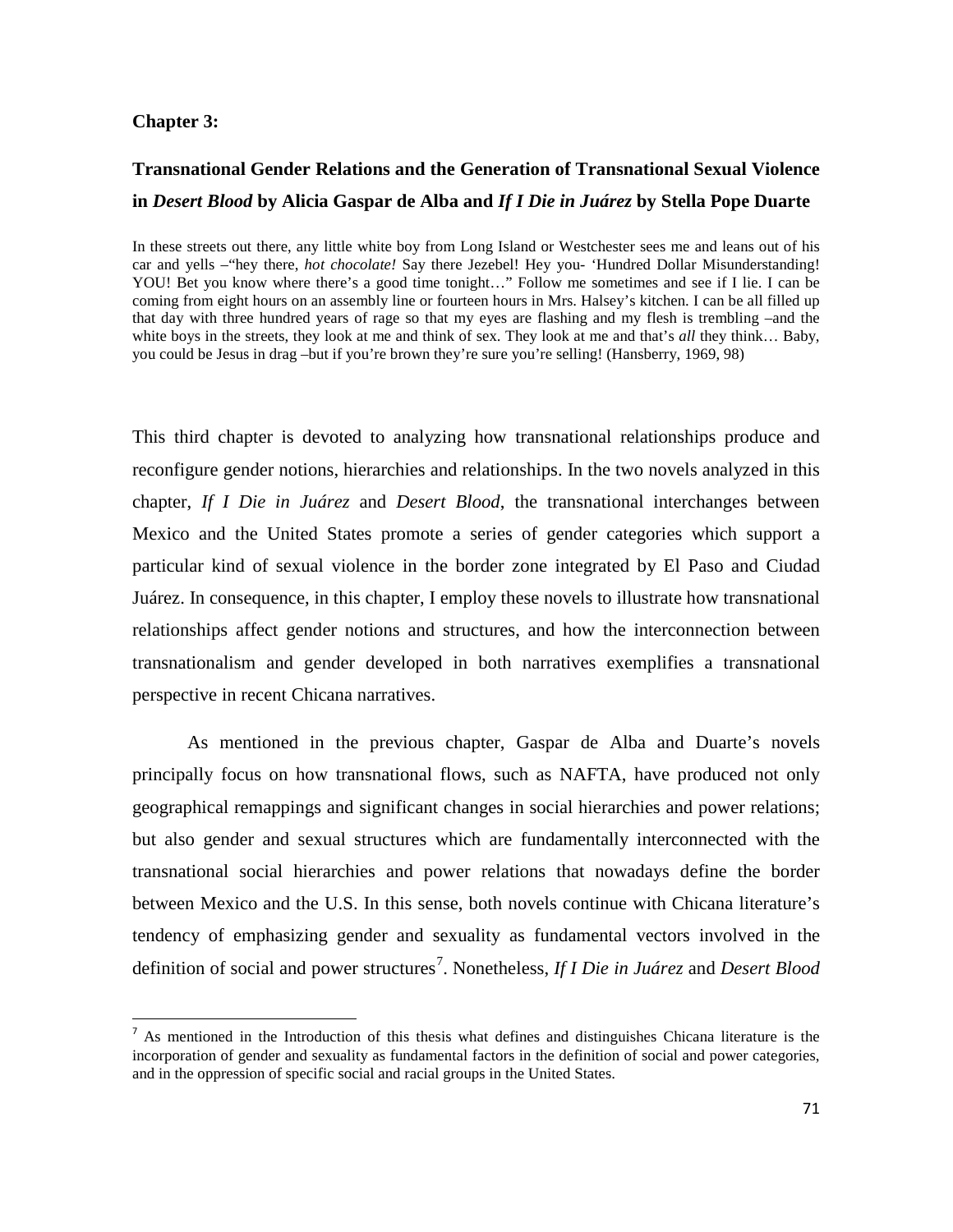#### **Chapter 3:**

## **Transnational Gender Relations and the Generation of Transnational Sexual Violence in** *Desert Blood* **by Alicia Gaspar de Alba and** *If I Die in Juárez* **by Stella Pope Duarte**

In these streets out there, any little white boy from Long Island or Westchester sees me and leans out of his car and yells –"hey there, *hot chocolate!* Say there Jezebel! Hey you- 'Hundred Dollar Misunderstanding! YOU! Bet you know where there's a good time tonight…" Follow me sometimes and see if I lie. I can be coming from eight hours on an assembly line or fourteen hours in Mrs. Halsey's kitchen. I can be all filled up that day with three hundred years of rage so that my eyes are flashing and my flesh is trembling –and the white boys in the streets, they look at me and think of sex. They look at me and that's *all* they think… Baby, you could be Jesus in drag –but if you're brown they're sure you're selling! (Hansberry, 1969, 98)

This third chapter is devoted to analyzing how transnational relationships produce and reconfigure gender notions, hierarchies and relationships. In the two novels analyzed in this chapter, *If I Die in Juárez* and *Desert Blood*, the transnational interchanges between Mexico and the United States promote a series of gender categories which support a particular kind of sexual violence in the border zone integrated by El Paso and Ciudad Juárez. In consequence, in this chapter, I employ these novels to illustrate how transnational relationships affect gender notions and structures, and how the interconnection between transnationalism and gender developed in both narratives exemplifies a transnational perspective in recent Chicana narratives.

As mentioned in the previous chapter, Gaspar de Alba and Duarte's novels principally focus on how transnational flows, such as NAFTA, have produced not only geographical remappings and significant changes in social hierarchies and power relations; but also gender and sexual structures which are fundamentally interconnected with the transnational social hierarchies and power relations that nowadays define the border between Mexico and the U.S. In this sense, both novels continue with Chicana literature's tendency of emphasizing gender and sexuality as fundamental vectors involved in the definition of social and power structures<sup>[7](#page-70-0)</sup>. Nonetheless, *If I Die in Juárez* and *Desert Blood* 

<span id="page-70-0"></span><sup>&</sup>lt;sup>7</sup> As mentioned in the Introduction of this thesis what defines and distinguishes Chicana literature is the incorporation of gender and sexuality as fundamental factors in the definition of social and power categories, and in the oppression of specific social and racial groups in the United States.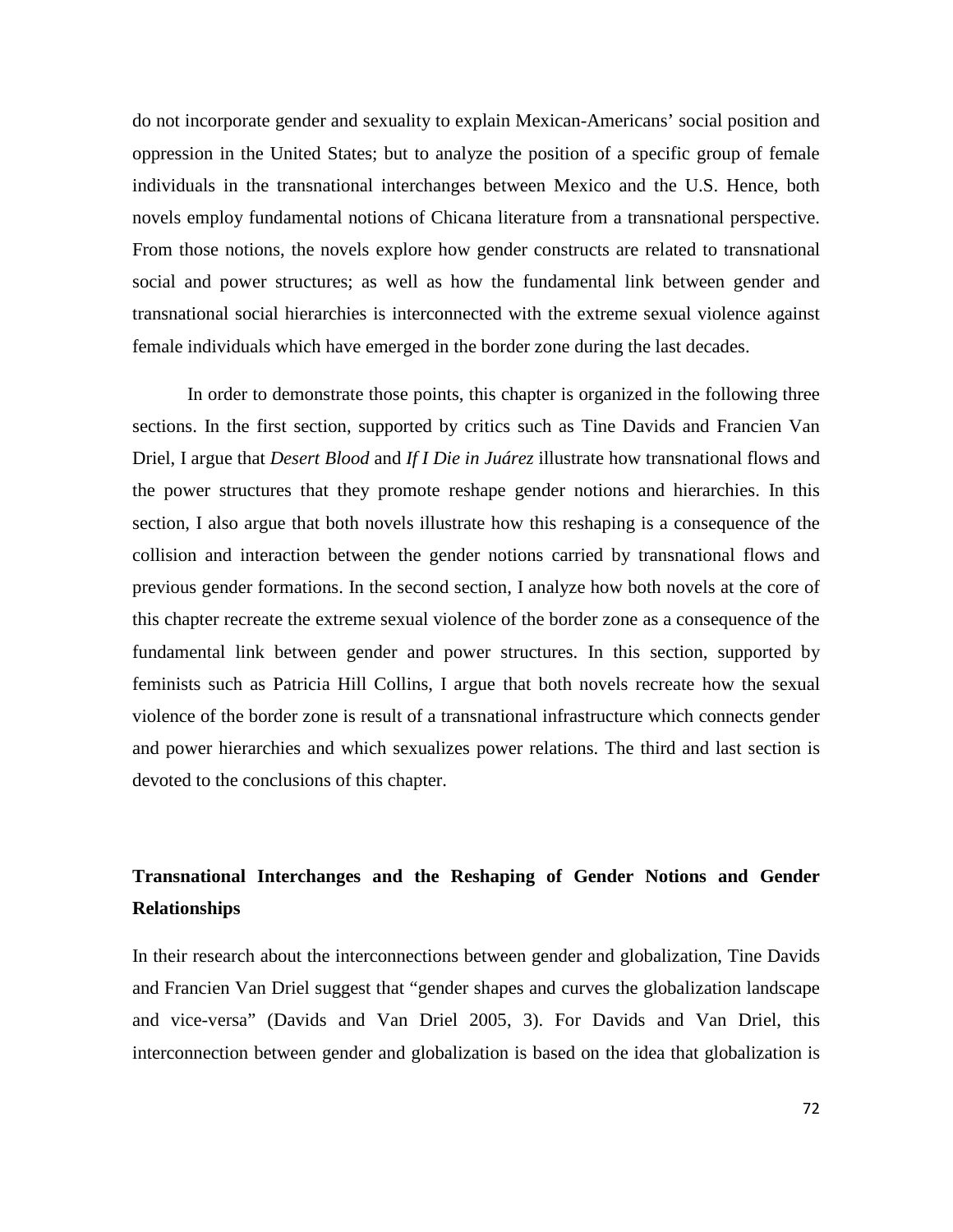do not incorporate gender and sexuality to explain Mexican-Americans' social position and oppression in the United States; but to analyze the position of a specific group of female individuals in the transnational interchanges between Mexico and the U.S. Hence, both novels employ fundamental notions of Chicana literature from a transnational perspective. From those notions, the novels explore how gender constructs are related to transnational social and power structures; as well as how the fundamental link between gender and transnational social hierarchies is interconnected with the extreme sexual violence against female individuals which have emerged in the border zone during the last decades.

In order to demonstrate those points, this chapter is organized in the following three sections. In the first section, supported by critics such as Tine Davids and Francien Van Driel, I argue that *Desert Blood* and *If I Die in Juárez* illustrate how transnational flows and the power structures that they promote reshape gender notions and hierarchies. In this section, I also argue that both novels illustrate how this reshaping is a consequence of the collision and interaction between the gender notions carried by transnational flows and previous gender formations. In the second section, I analyze how both novels at the core of this chapter recreate the extreme sexual violence of the border zone as a consequence of the fundamental link between gender and power structures. In this section, supported by feminists such as Patricia Hill Collins, I argue that both novels recreate how the sexual violence of the border zone is result of a transnational infrastructure which connects gender and power hierarchies and which sexualizes power relations. The third and last section is devoted to the conclusions of this chapter.

# **Transnational Interchanges and the Reshaping of Gender Notions and Gender Relationships**

In their research about the interconnections between gender and globalization, Tine Davids and Francien Van Driel suggest that "gender shapes and curves the globalization landscape and vice-versa" (Davids and Van Driel 2005, 3). For Davids and Van Driel, this interconnection between gender and globalization is based on the idea that globalization is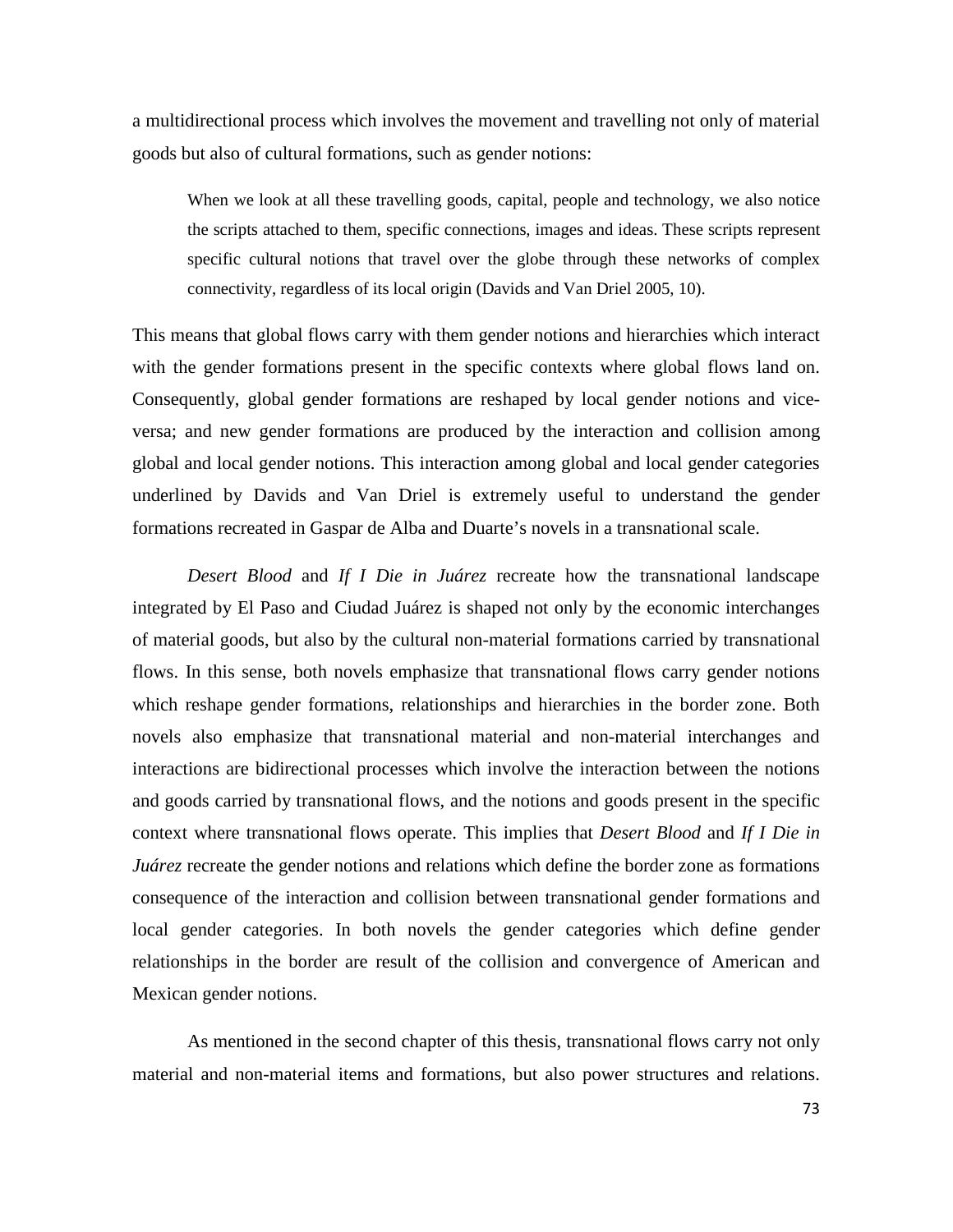a multidirectional process which involves the movement and travelling not only of material goods but also of cultural formations, such as gender notions:

When we look at all these travelling goods, capital, people and technology, we also notice the scripts attached to them, specific connections, images and ideas. These scripts represent specific cultural notions that travel over the globe through these networks of complex connectivity, regardless of its local origin (Davids and Van Driel 2005, 10).

This means that global flows carry with them gender notions and hierarchies which interact with the gender formations present in the specific contexts where global flows land on. Consequently, global gender formations are reshaped by local gender notions and viceversa; and new gender formations are produced by the interaction and collision among global and local gender notions. This interaction among global and local gender categories underlined by Davids and Van Driel is extremely useful to understand the gender formations recreated in Gaspar de Alba and Duarte's novels in a transnational scale.

*Desert Blood* and *If I Die in Juárez* recreate how the transnational landscape integrated by El Paso and Ciudad Juárez is shaped not only by the economic interchanges of material goods, but also by the cultural non-material formations carried by transnational flows. In this sense, both novels emphasize that transnational flows carry gender notions which reshape gender formations, relationships and hierarchies in the border zone. Both novels also emphasize that transnational material and non-material interchanges and interactions are bidirectional processes which involve the interaction between the notions and goods carried by transnational flows, and the notions and goods present in the specific context where transnational flows operate. This implies that *Desert Blood* and *If I Die in Juárez* recreate the gender notions and relations which define the border zone as formations consequence of the interaction and collision between transnational gender formations and local gender categories. In both novels the gender categories which define gender relationships in the border are result of the collision and convergence of American and Mexican gender notions.

As mentioned in the second chapter of this thesis, transnational flows carry not only material and non-material items and formations, but also power structures and relations.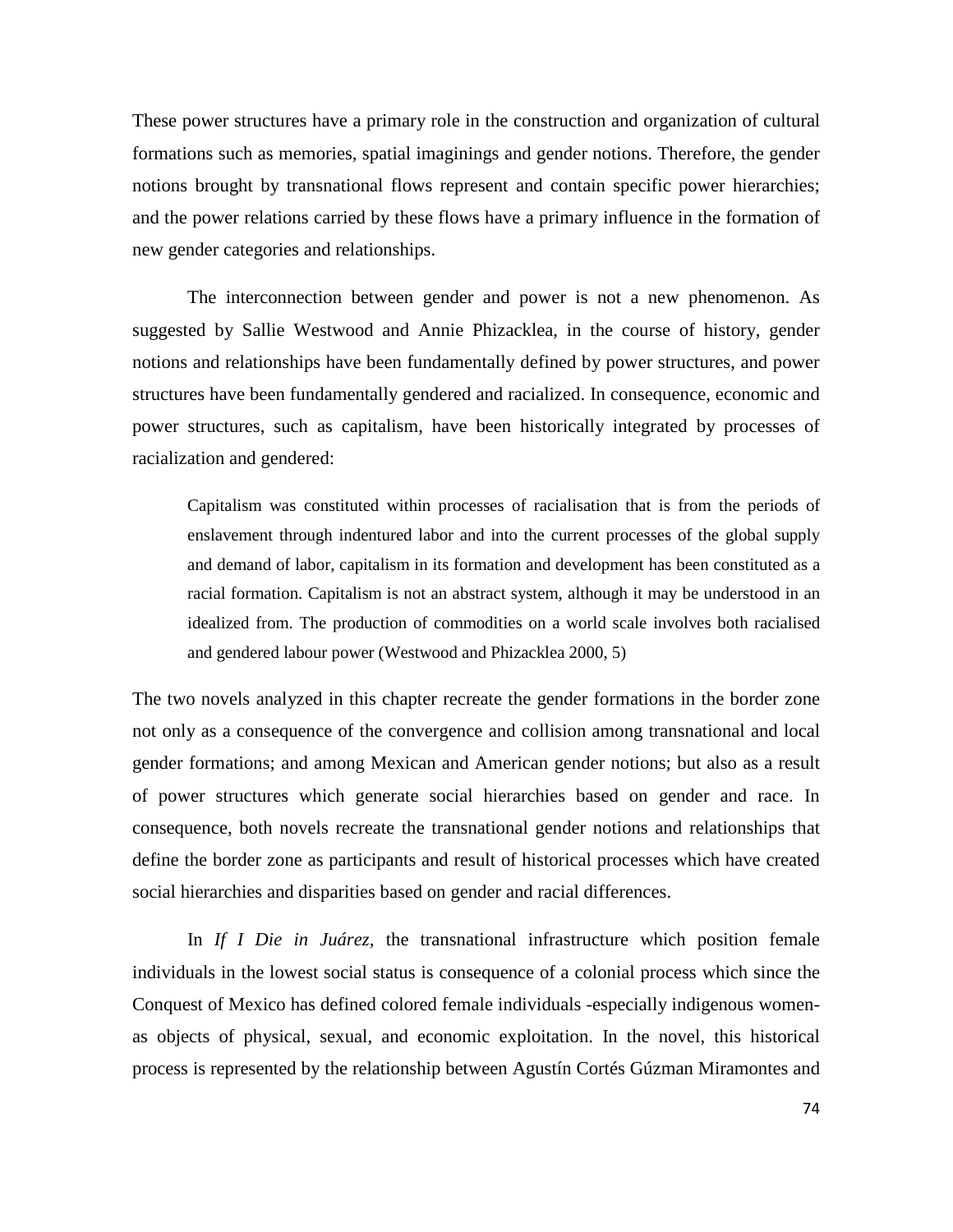These power structures have a primary role in the construction and organization of cultural formations such as memories, spatial imaginings and gender notions. Therefore, the gender notions brought by transnational flows represent and contain specific power hierarchies; and the power relations carried by these flows have a primary influence in the formation of new gender categories and relationships.

The interconnection between gender and power is not a new phenomenon. As suggested by Sallie Westwood and Annie Phizacklea, in the course of history, gender notions and relationships have been fundamentally defined by power structures, and power structures have been fundamentally gendered and racialized. In consequence, economic and power structures, such as capitalism, have been historically integrated by processes of racialization and gendered:

Capitalism was constituted within processes of racialisation that is from the periods of enslavement through indentured labor and into the current processes of the global supply and demand of labor, capitalism in its formation and development has been constituted as a racial formation. Capitalism is not an abstract system, although it may be understood in an idealized from. The production of commodities on a world scale involves both racialised and gendered labour power (Westwood and Phizacklea 2000, 5)

The two novels analyzed in this chapter recreate the gender formations in the border zone not only as a consequence of the convergence and collision among transnational and local gender formations; and among Mexican and American gender notions; but also as a result of power structures which generate social hierarchies based on gender and race. In consequence, both novels recreate the transnational gender notions and relationships that define the border zone as participants and result of historical processes which have created social hierarchies and disparities based on gender and racial differences.

In *If I Die in Juárez,* the transnational infrastructure which position female individuals in the lowest social status is consequence of a colonial process which since the Conquest of Mexico has defined colored female individuals -especially indigenous womenas objects of physical, sexual, and economic exploitation. In the novel, this historical process is represented by the relationship between Agustín Cortés Gúzman Miramontes and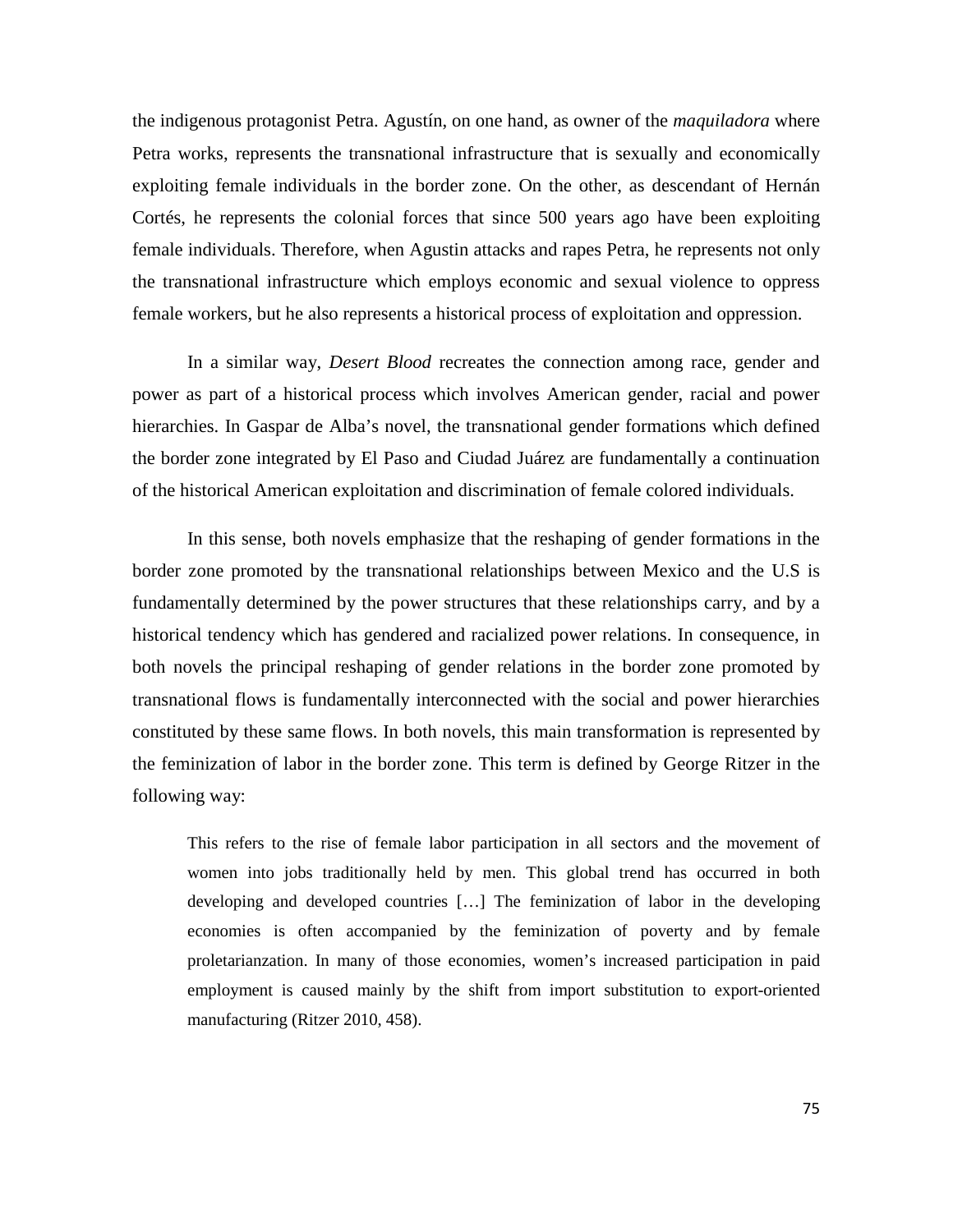the indigenous protagonist Petra. Agustín, on one hand, as owner of the *maquiladora* where Petra works, represents the transnational infrastructure that is sexually and economically exploiting female individuals in the border zone. On the other, as descendant of Hernán Cortés, he represents the colonial forces that since 500 years ago have been exploiting female individuals. Therefore, when Agustin attacks and rapes Petra, he represents not only the transnational infrastructure which employs economic and sexual violence to oppress female workers, but he also represents a historical process of exploitation and oppression.

In a similar way, *Desert Blood* recreates the connection among race, gender and power as part of a historical process which involves American gender, racial and power hierarchies. In Gaspar de Alba's novel, the transnational gender formations which defined the border zone integrated by El Paso and Ciudad Juárez are fundamentally a continuation of the historical American exploitation and discrimination of female colored individuals.

In this sense, both novels emphasize that the reshaping of gender formations in the border zone promoted by the transnational relationships between Mexico and the U.S is fundamentally determined by the power structures that these relationships carry, and by a historical tendency which has gendered and racialized power relations. In consequence, in both novels the principal reshaping of gender relations in the border zone promoted by transnational flows is fundamentally interconnected with the social and power hierarchies constituted by these same flows. In both novels, this main transformation is represented by the feminization of labor in the border zone. This term is defined by George Ritzer in the following way:

This refers to the rise of female labor participation in all sectors and the movement of women into jobs traditionally held by men. This global trend has occurred in both developing and developed countries […] The feminization of labor in the developing economies is often accompanied by the feminization of poverty and by female proletarianzation. In many of those economies, women's increased participation in paid employment is caused mainly by the shift from import substitution to export-oriented manufacturing (Ritzer 2010, 458).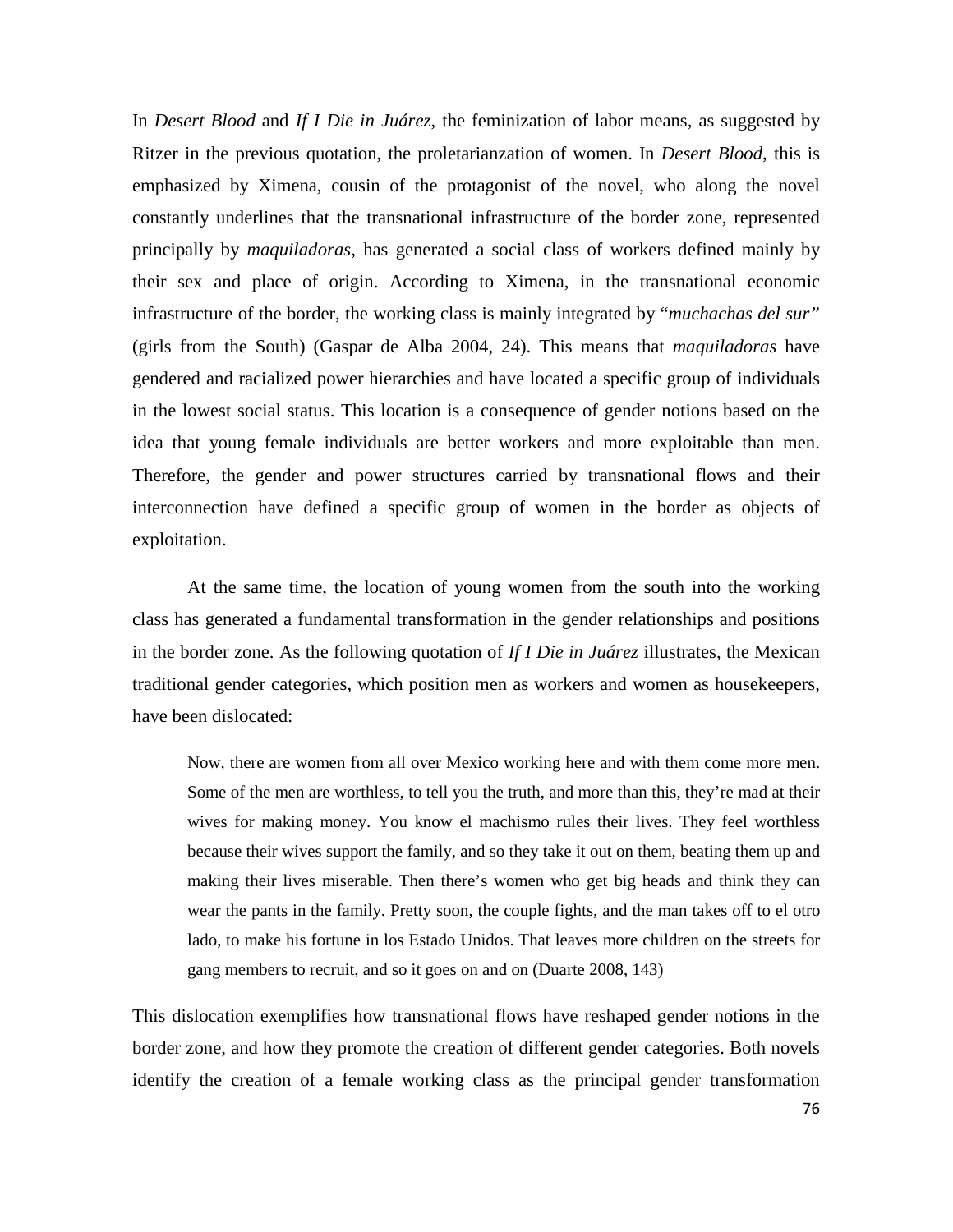In *Desert Blood* and *If I Die in Juárez*, the feminization of labor means, as suggested by Ritzer in the previous quotation, the proletarianzation of women. In *Desert Blood*, this is emphasized by Ximena, cousin of the protagonist of the novel, who along the novel constantly underlines that the transnational infrastructure of the border zone, represented principally by *maquiladoras,* has generated a social class of workers defined mainly by their sex and place of origin. According to Ximena, in the transnational economic infrastructure of the border, the working class is mainly integrated by "*muchachas del sur"* (girls from the South) (Gaspar de Alba 2004, 24). This means that *maquiladoras* have gendered and racialized power hierarchies and have located a specific group of individuals in the lowest social status. This location is a consequence of gender notions based on the idea that young female individuals are better workers and more exploitable than men. Therefore, the gender and power structures carried by transnational flows and their interconnection have defined a specific group of women in the border as objects of exploitation.

At the same time, the location of young women from the south into the working class has generated a fundamental transformation in the gender relationships and positions in the border zone. As the following quotation of *If I Die in Juárez* illustrates, the Mexican traditional gender categories, which position men as workers and women as housekeepers, have been dislocated:

Now, there are women from all over Mexico working here and with them come more men. Some of the men are worthless, to tell you the truth, and more than this, they're mad at their wives for making money. You know el machismo rules their lives. They feel worthless because their wives support the family, and so they take it out on them, beating them up and making their lives miserable. Then there's women who get big heads and think they can wear the pants in the family. Pretty soon, the couple fights, and the man takes off to el otro lado, to make his fortune in los Estado Unidos. That leaves more children on the streets for gang members to recruit, and so it goes on and on (Duarte 2008, 143)

This dislocation exemplifies how transnational flows have reshaped gender notions in the border zone, and how they promote the creation of different gender categories. Both novels identify the creation of a female working class as the principal gender transformation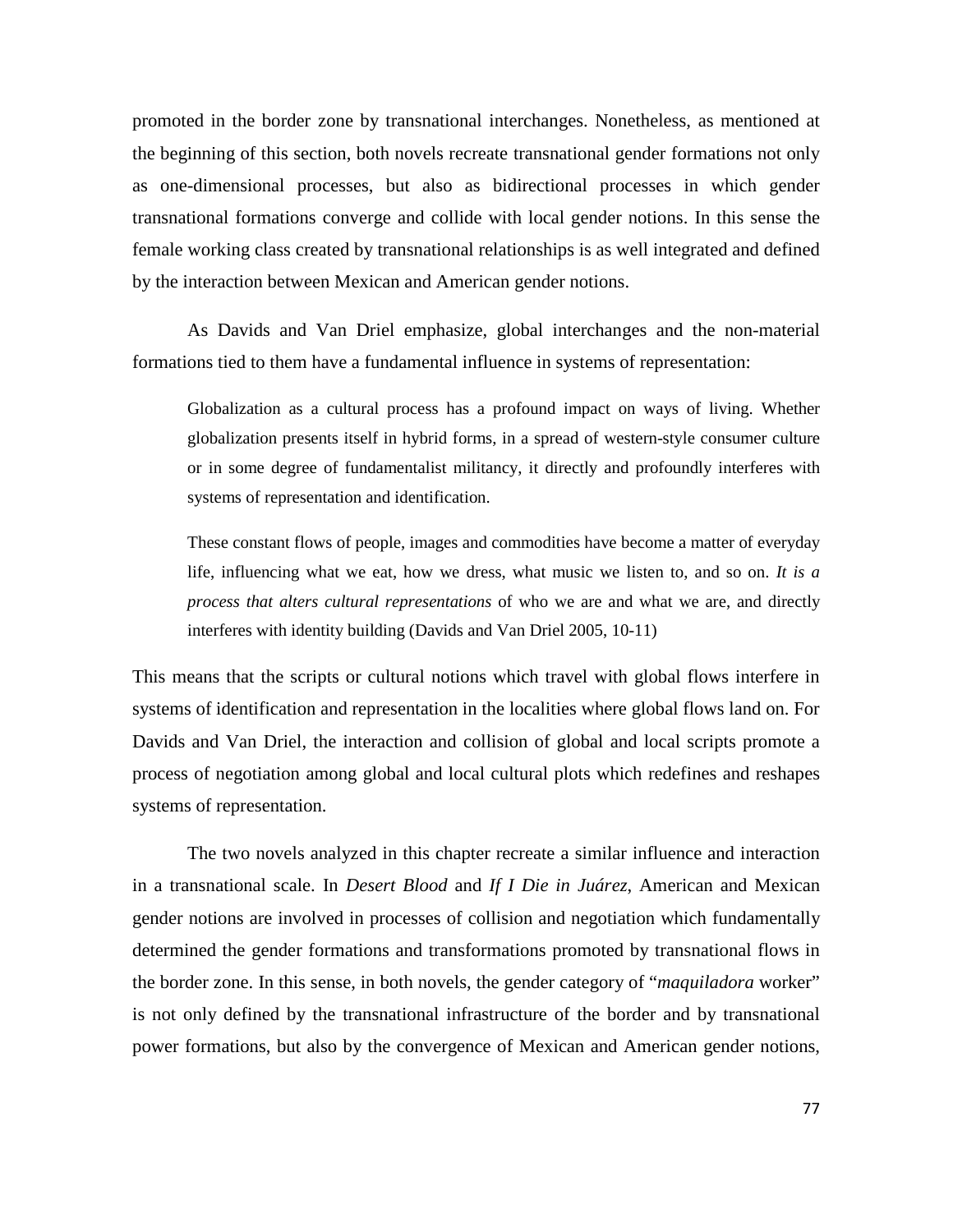promoted in the border zone by transnational interchanges. Nonetheless, as mentioned at the beginning of this section, both novels recreate transnational gender formations not only as one-dimensional processes, but also as bidirectional processes in which gender transnational formations converge and collide with local gender notions. In this sense the female working class created by transnational relationships is as well integrated and defined by the interaction between Mexican and American gender notions.

As Davids and Van Driel emphasize, global interchanges and the non-material formations tied to them have a fundamental influence in systems of representation:

Globalization as a cultural process has a profound impact on ways of living. Whether globalization presents itself in hybrid forms, in a spread of western-style consumer culture or in some degree of fundamentalist militancy, it directly and profoundly interferes with systems of representation and identification.

These constant flows of people, images and commodities have become a matter of everyday life, influencing what we eat, how we dress, what music we listen to, and so on. *It is a process that alters cultural representations* of who we are and what we are, and directly interferes with identity building (Davids and Van Driel 2005, 10-11)

This means that the scripts or cultural notions which travel with global flows interfere in systems of identification and representation in the localities where global flows land on. For Davids and Van Driel, the interaction and collision of global and local scripts promote a process of negotiation among global and local cultural plots which redefines and reshapes systems of representation.

The two novels analyzed in this chapter recreate a similar influence and interaction in a transnational scale. In *Desert Blood* and *If I Die in Juárez*, American and Mexican gender notions are involved in processes of collision and negotiation which fundamentally determined the gender formations and transformations promoted by transnational flows in the border zone. In this sense, in both novels, the gender category of "*maquiladora* worker" is not only defined by the transnational infrastructure of the border and by transnational power formations, but also by the convergence of Mexican and American gender notions,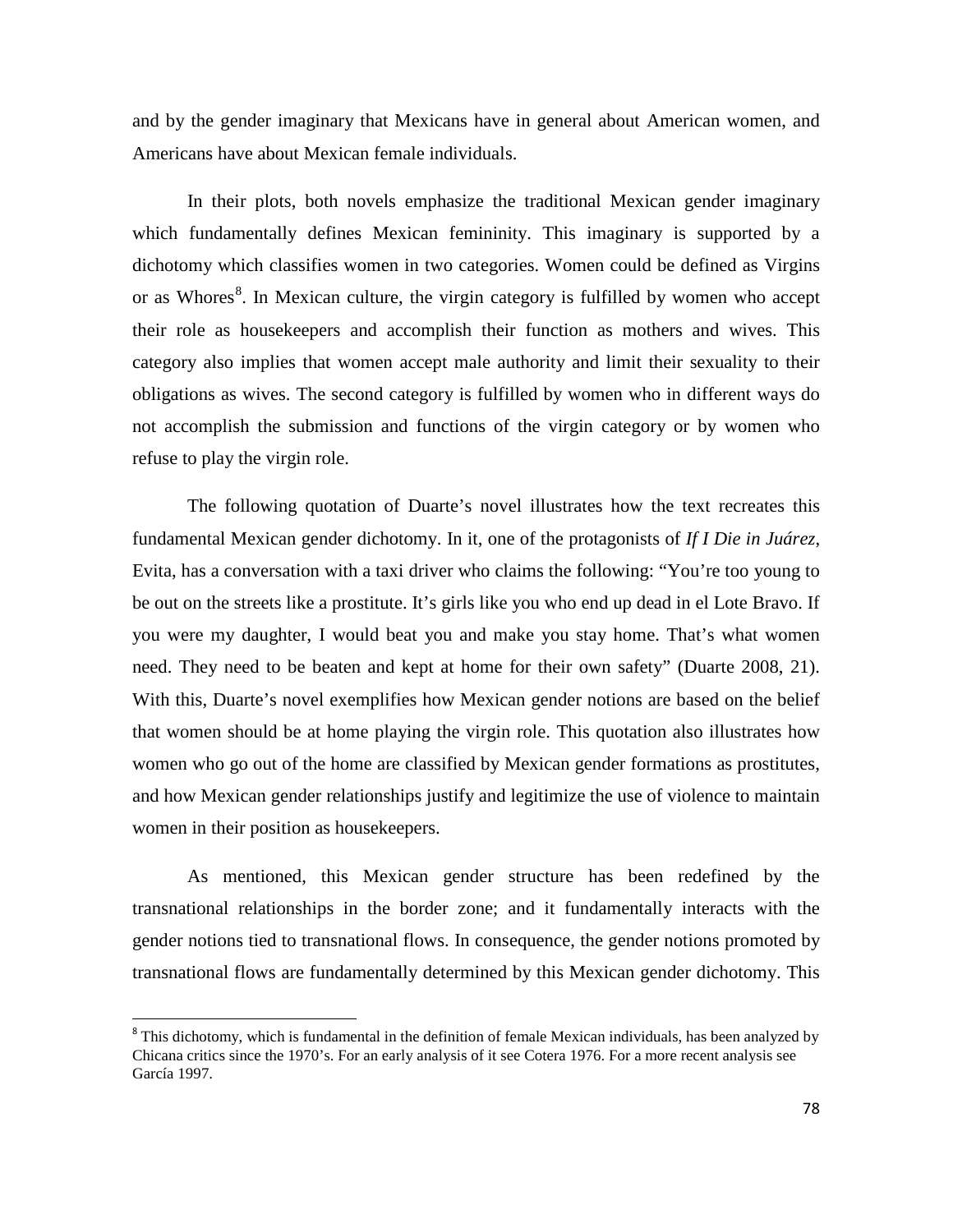and by the gender imaginary that Mexicans have in general about American women, and Americans have about Mexican female individuals.

In their plots, both novels emphasize the traditional Mexican gender imaginary which fundamentally defines Mexican femininity. This imaginary is supported by a dichotomy which classifies women in two categories. Women could be defined as Virgins or as Whores<sup>[8](#page-77-0)</sup>. In Mexican culture, the virgin category is fulfilled by women who accept their role as housekeepers and accomplish their function as mothers and wives. This category also implies that women accept male authority and limit their sexuality to their obligations as wives. The second category is fulfilled by women who in different ways do not accomplish the submission and functions of the virgin category or by women who refuse to play the virgin role.

The following quotation of Duarte's novel illustrates how the text recreates this fundamental Mexican gender dichotomy. In it, one of the protagonists of *If I Die in Juárez*, Evita, has a conversation with a taxi driver who claims the following: "You're too young to be out on the streets like a prostitute. It's girls like you who end up dead in el Lote Bravo. If you were my daughter, I would beat you and make you stay home. That's what women need. They need to be beaten and kept at home for their own safety" (Duarte 2008, 21). With this, Duarte's novel exemplifies how Mexican gender notions are based on the belief that women should be at home playing the virgin role. This quotation also illustrates how women who go out of the home are classified by Mexican gender formations as prostitutes, and how Mexican gender relationships justify and legitimize the use of violence to maintain women in their position as housekeepers.

As mentioned, this Mexican gender structure has been redefined by the transnational relationships in the border zone; and it fundamentally interacts with the gender notions tied to transnational flows. In consequence, the gender notions promoted by transnational flows are fundamentally determined by this Mexican gender dichotomy. This

<span id="page-77-0"></span> $8$  This dichotomy, which is fundamental in the definition of female Mexican individuals, has been analyzed by Chicana critics since the 1970's. For an early analysis of it see Cotera 1976. For a more recent analysis see García 1997.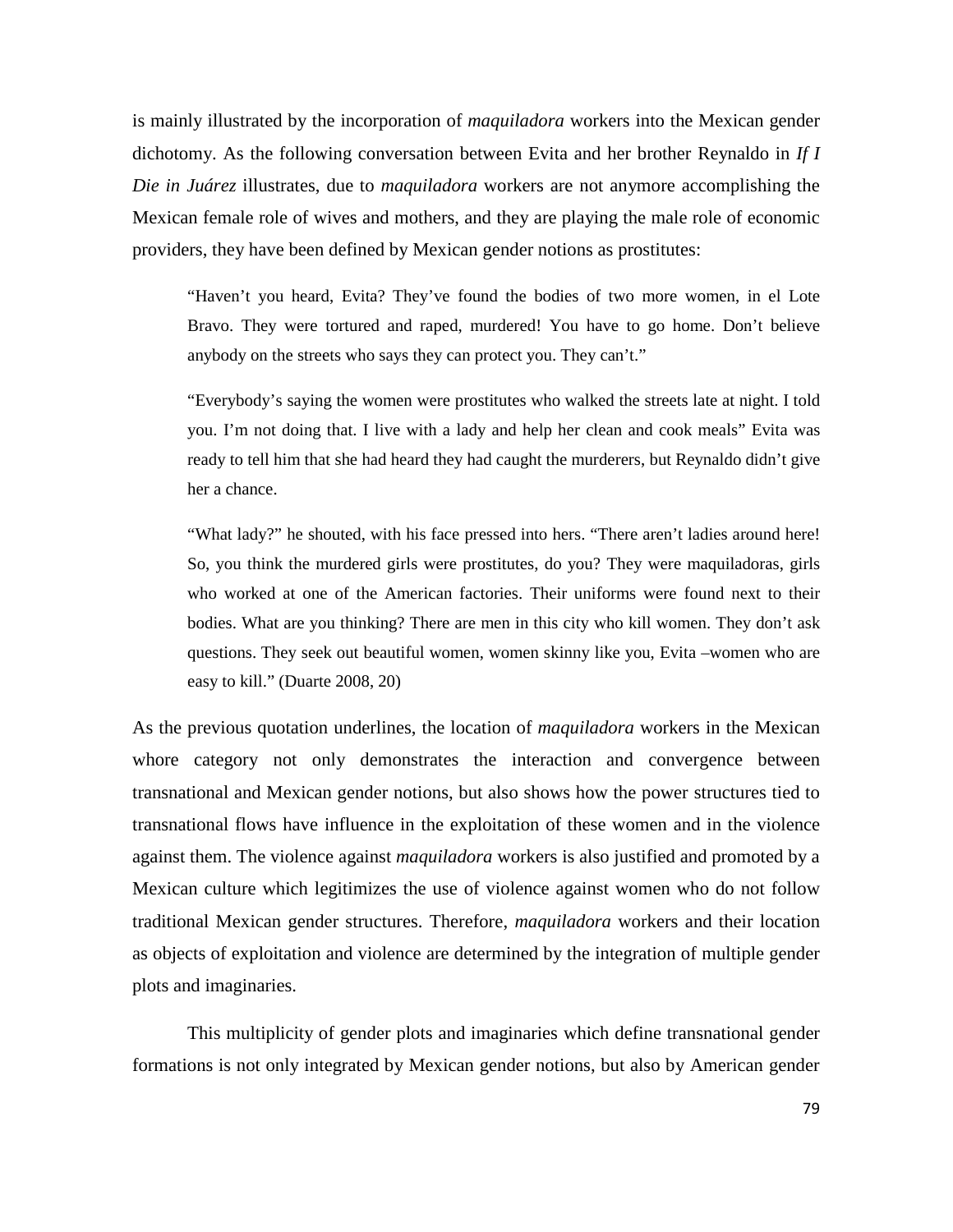is mainly illustrated by the incorporation of *maquiladora* workers into the Mexican gender dichotomy. As the following conversation between Evita and her brother Reynaldo in *If I Die in Juárez* illustrates, due to *maquiladora* workers are not anymore accomplishing the Mexican female role of wives and mothers, and they are playing the male role of economic providers, they have been defined by Mexican gender notions as prostitutes:

"Haven't you heard, Evita? They've found the bodies of two more women, in el Lote Bravo. They were tortured and raped, murdered! You have to go home. Don't believe anybody on the streets who says they can protect you. They can't."

"Everybody's saying the women were prostitutes who walked the streets late at night. I told you. I'm not doing that. I live with a lady and help her clean and cook meals" Evita was ready to tell him that she had heard they had caught the murderers, but Reynaldo didn't give her a chance.

"What lady?" he shouted, with his face pressed into hers. "There aren't ladies around here! So, you think the murdered girls were prostitutes, do you? They were maquiladoras, girls who worked at one of the American factories. Their uniforms were found next to their bodies. What are you thinking? There are men in this city who kill women. They don't ask questions. They seek out beautiful women, women skinny like you, Evita –women who are easy to kill." (Duarte 2008, 20)

As the previous quotation underlines, the location of *maquiladora* workers in the Mexican whore category not only demonstrates the interaction and convergence between transnational and Mexican gender notions, but also shows how the power structures tied to transnational flows have influence in the exploitation of these women and in the violence against them. The violence against *maquiladora* workers is also justified and promoted by a Mexican culture which legitimizes the use of violence against women who do not follow traditional Mexican gender structures. Therefore, *maquiladora* workers and their location as objects of exploitation and violence are determined by the integration of multiple gender plots and imaginaries.

This multiplicity of gender plots and imaginaries which define transnational gender formations is not only integrated by Mexican gender notions, but also by American gender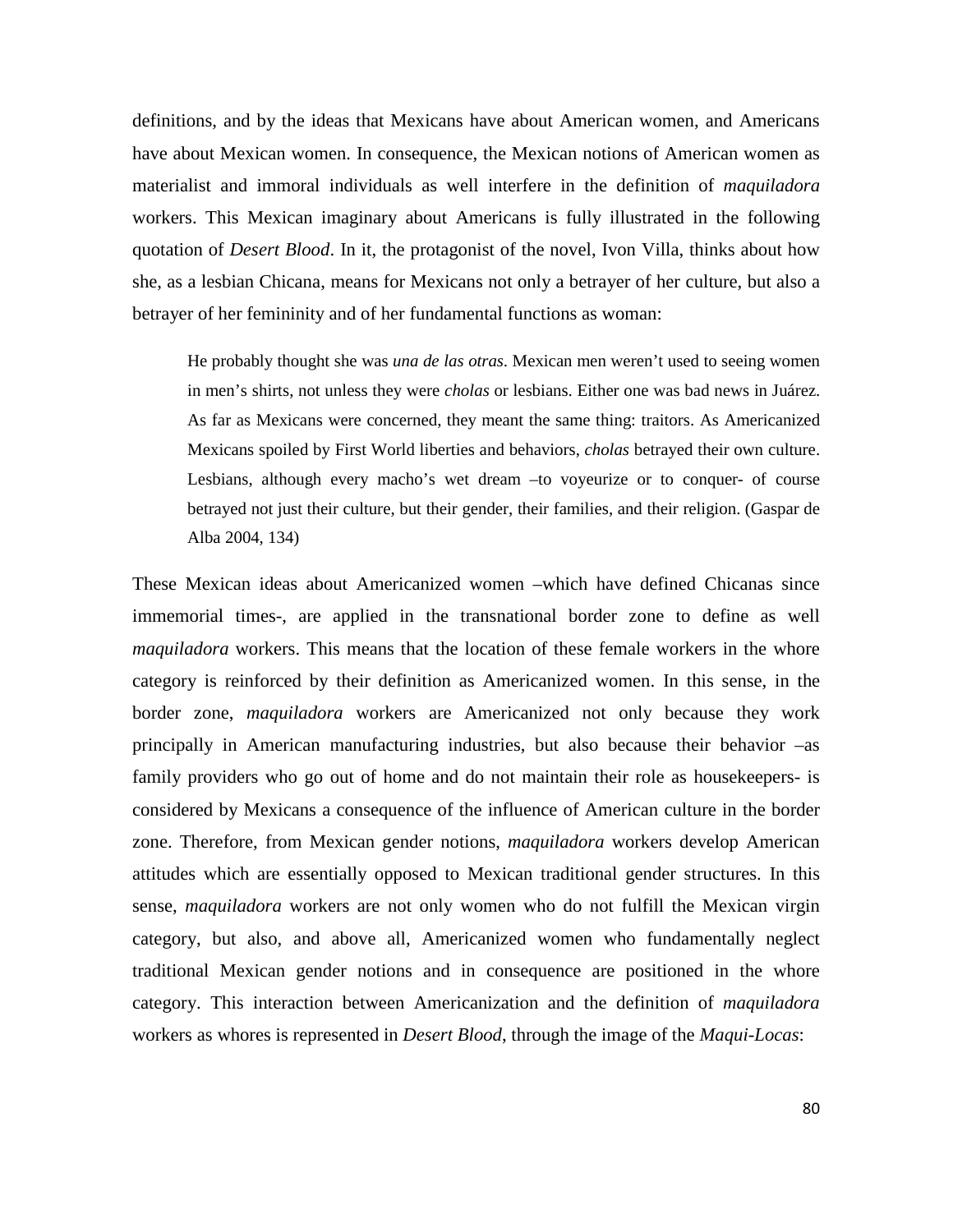definitions, and by the ideas that Mexicans have about American women, and Americans have about Mexican women. In consequence, the Mexican notions of American women as materialist and immoral individuals as well interfere in the definition of *maquiladora*  workers. This Mexican imaginary about Americans is fully illustrated in the following quotation of *Desert Blood*. In it, the protagonist of the novel, Ivon Villa, thinks about how she, as a lesbian Chicana, means for Mexicans not only a betrayer of her culture, but also a betrayer of her femininity and of her fundamental functions as woman:

He probably thought she was *una de las otras*. Mexican men weren't used to seeing women in men's shirts, not unless they were *cholas* or lesbians. Either one was bad news in Juárez. As far as Mexicans were concerned, they meant the same thing: traitors. As Americanized Mexicans spoiled by First World liberties and behaviors, *cholas* betrayed their own culture. Lesbians, although every macho's wet dream –to voyeurize or to conquer- of course betrayed not just their culture, but their gender, their families, and their religion. (Gaspar de Alba 2004, 134)

These Mexican ideas about Americanized women –which have defined Chicanas since immemorial times-, are applied in the transnational border zone to define as well *maquiladora* workers. This means that the location of these female workers in the whore category is reinforced by their definition as Americanized women. In this sense, in the border zone, *maquiladora* workers are Americanized not only because they work principally in American manufacturing industries, but also because their behavior –as family providers who go out of home and do not maintain their role as housekeepers- is considered by Mexicans a consequence of the influence of American culture in the border zone. Therefore, from Mexican gender notions, *maquiladora* workers develop American attitudes which are essentially opposed to Mexican traditional gender structures. In this sense, *maquiladora* workers are not only women who do not fulfill the Mexican virgin category, but also, and above all, Americanized women who fundamentally neglect traditional Mexican gender notions and in consequence are positioned in the whore category. This interaction between Americanization and the definition of *maquiladora* workers as whores is represented in *Desert Blood*, through the image of the *Maqui-Locas*: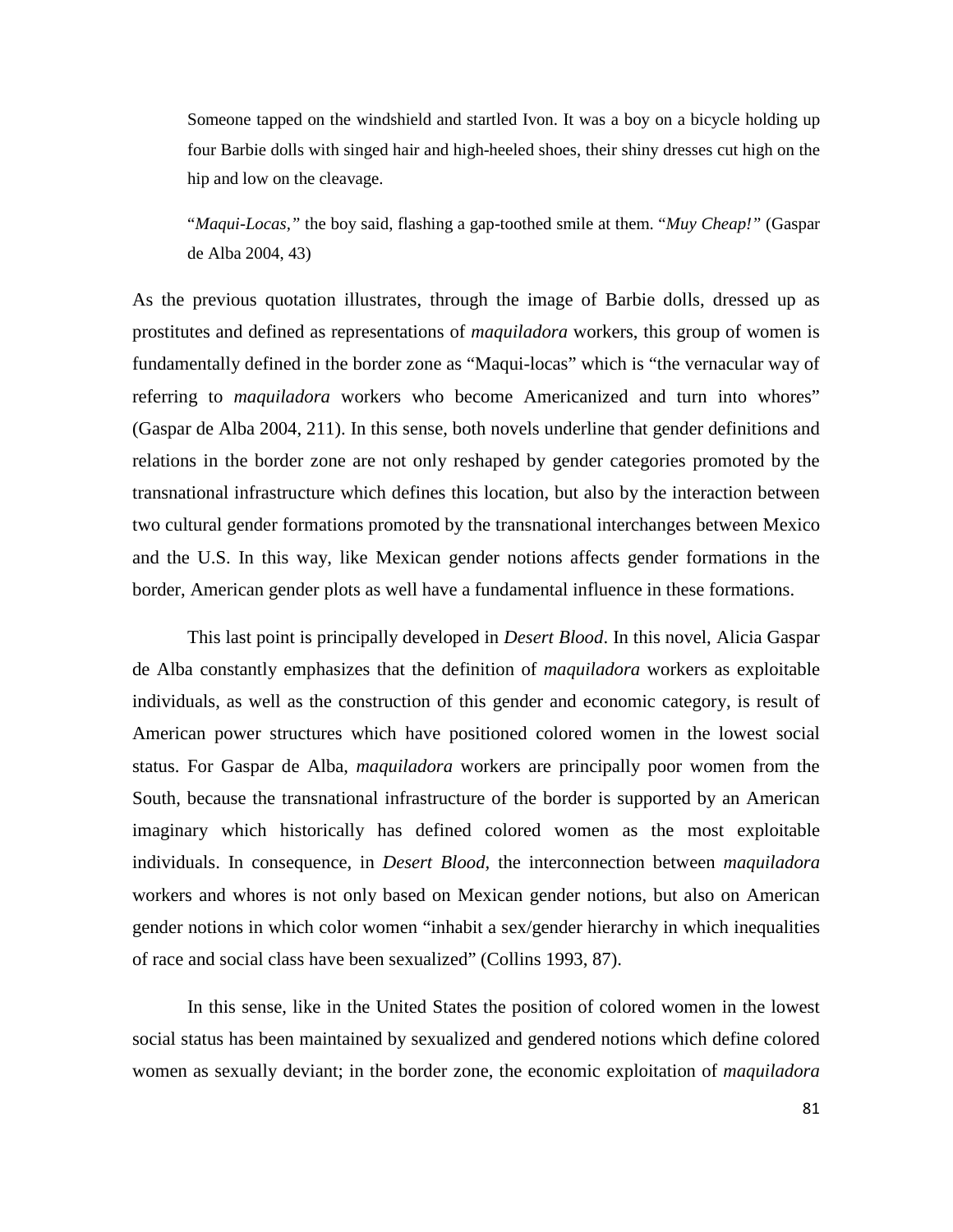Someone tapped on the windshield and startled Ivon. It was a boy on a bicycle holding up four Barbie dolls with singed hair and high-heeled shoes, their shiny dresses cut high on the hip and low on the cleavage.

"*Maqui-Locas,"* the boy said, flashing a gap-toothed smile at them. "*Muy Cheap!"* (Gaspar de Alba 2004, 43)

As the previous quotation illustrates, through the image of Barbie dolls, dressed up as prostitutes and defined as representations of *maquiladora* workers, this group of women is fundamentally defined in the border zone as "Maqui-locas" which is "the vernacular way of referring to *maquiladora* workers who become Americanized and turn into whores" (Gaspar de Alba 2004, 211). In this sense, both novels underline that gender definitions and relations in the border zone are not only reshaped by gender categories promoted by the transnational infrastructure which defines this location, but also by the interaction between two cultural gender formations promoted by the transnational interchanges between Mexico and the U.S. In this way, like Mexican gender notions affects gender formations in the border, American gender plots as well have a fundamental influence in these formations.

This last point is principally developed in *Desert Blood*. In this novel, Alicia Gaspar de Alba constantly emphasizes that the definition of *maquiladora* workers as exploitable individuals, as well as the construction of this gender and economic category, is result of American power structures which have positioned colored women in the lowest social status. For Gaspar de Alba, *maquiladora* workers are principally poor women from the South, because the transnational infrastructure of the border is supported by an American imaginary which historically has defined colored women as the most exploitable individuals. In consequence, in *Desert Blood,* the interconnection between *maquiladora* workers and whores is not only based on Mexican gender notions, but also on American gender notions in which color women "inhabit a sex/gender hierarchy in which inequalities of race and social class have been sexualized" (Collins 1993, 87).

In this sense, like in the United States the position of colored women in the lowest social status has been maintained by sexualized and gendered notions which define colored women as sexually deviant; in the border zone, the economic exploitation of *maquiladora*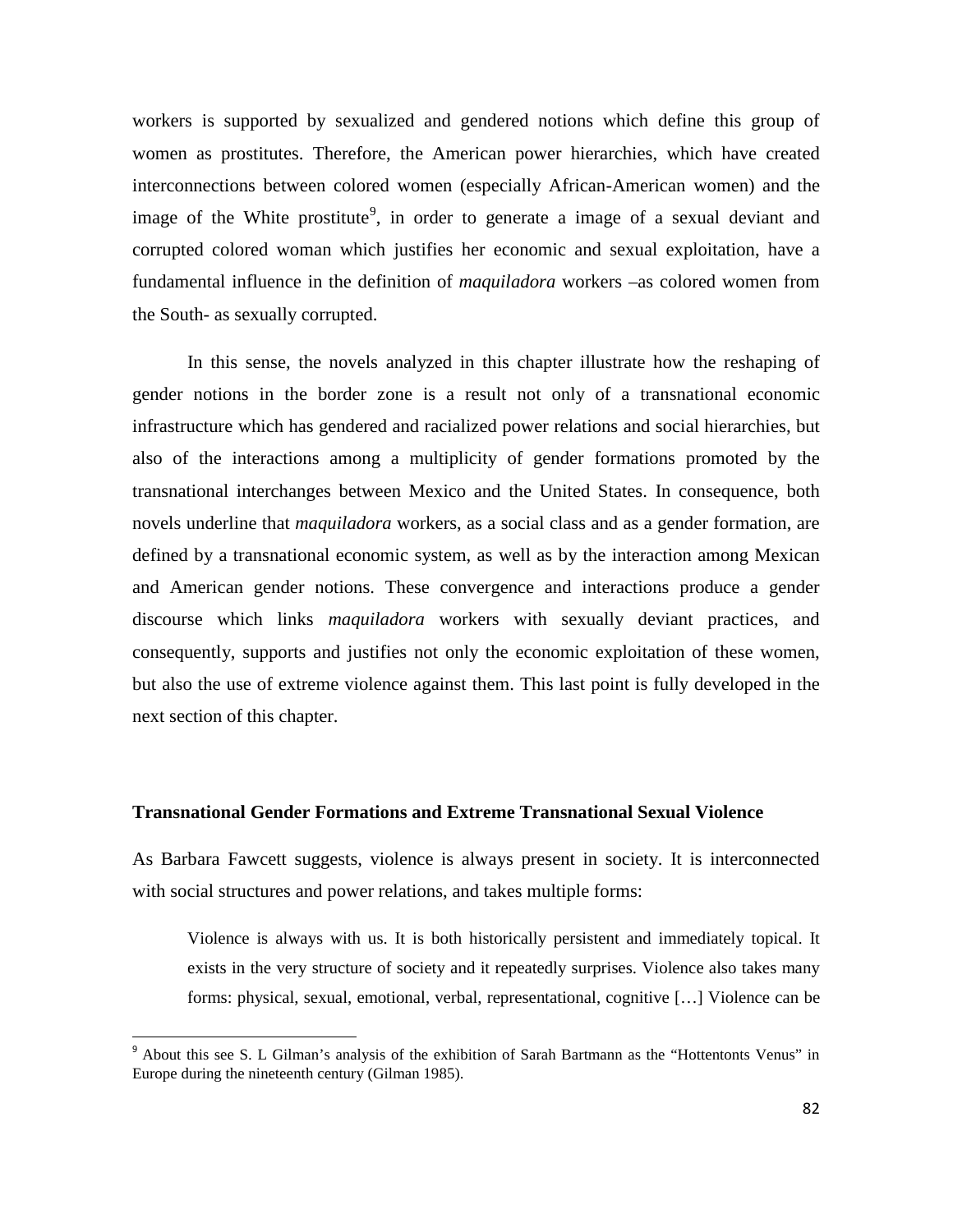workers is supported by sexualized and gendered notions which define this group of women as prostitutes. Therefore, the American power hierarchies, which have created interconnections between colored women (especially African-American women) and the image of the White prostitute<sup>[9](#page-81-0)</sup>, in order to generate a image of a sexual deviant and corrupted colored woman which justifies her economic and sexual exploitation, have a fundamental influence in the definition of *maquiladora* workers –as colored women from the South- as sexually corrupted.

In this sense, the novels analyzed in this chapter illustrate how the reshaping of gender notions in the border zone is a result not only of a transnational economic infrastructure which has gendered and racialized power relations and social hierarchies, but also of the interactions among a multiplicity of gender formations promoted by the transnational interchanges between Mexico and the United States. In consequence, both novels underline that *maquiladora* workers, as a social class and as a gender formation, are defined by a transnational economic system, as well as by the interaction among Mexican and American gender notions. These convergence and interactions produce a gender discourse which links *maquiladora* workers with sexually deviant practices, and consequently, supports and justifies not only the economic exploitation of these women, but also the use of extreme violence against them. This last point is fully developed in the next section of this chapter.

## **Transnational Gender Formations and Extreme Transnational Sexual Violence**

As Barbara Fawcett suggests, violence is always present in society. It is interconnected with social structures and power relations, and takes multiple forms:

Violence is always with us. It is both historically persistent and immediately topical. It exists in the very structure of society and it repeatedly surprises. Violence also takes many forms: physical, sexual, emotional, verbal, representational, cognitive […] Violence can be

<span id="page-81-0"></span><sup>&</sup>lt;sup>9</sup> About this see S. L Gilman's analysis of the exhibition of Sarah Bartmann as the "Hottentonts Venus" in Europe during the nineteenth century (Gilman 1985).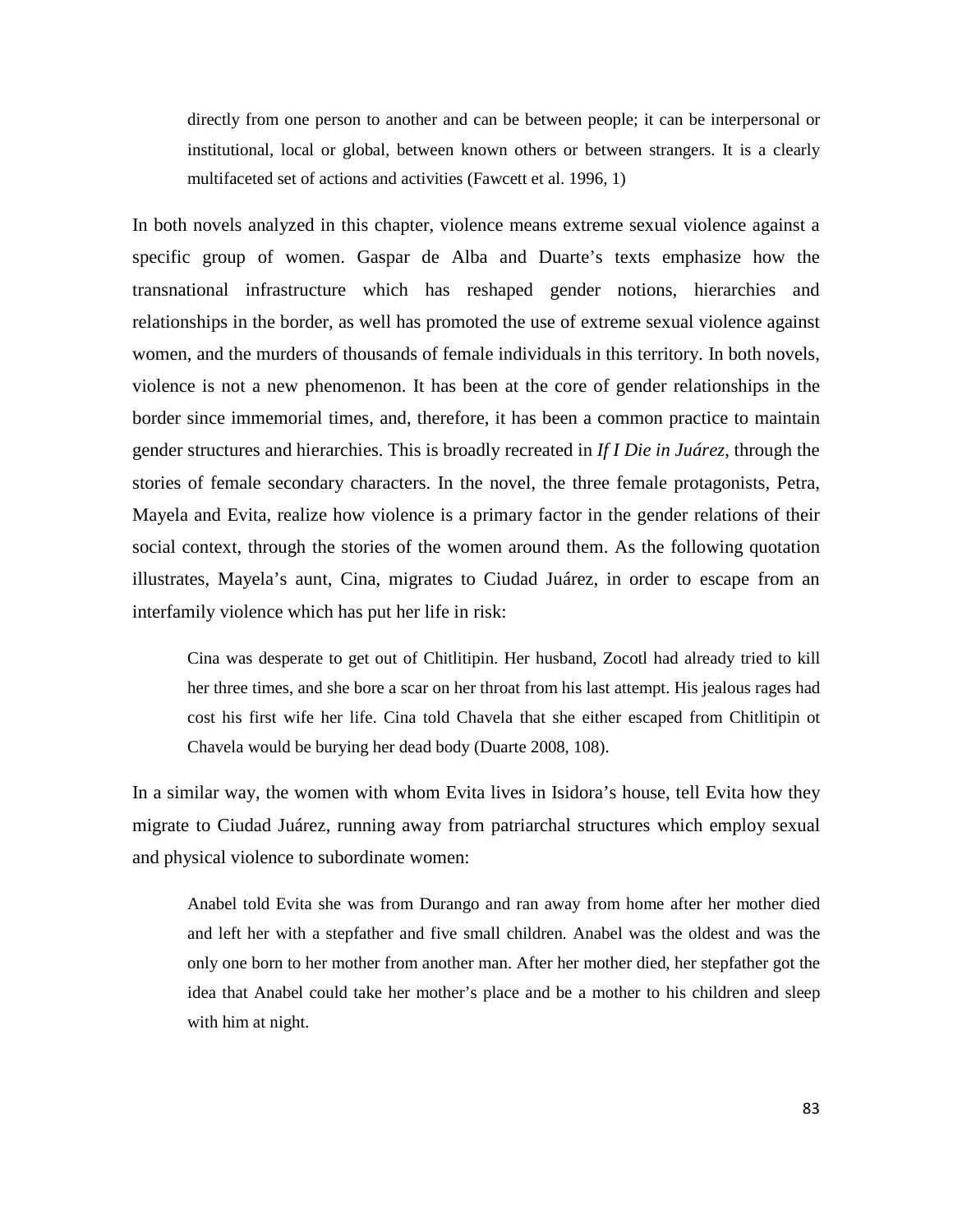directly from one person to another and can be between people; it can be interpersonal or institutional, local or global, between known others or between strangers. It is a clearly multifaceted set of actions and activities (Fawcett et al. 1996, 1)

In both novels analyzed in this chapter, violence means extreme sexual violence against a specific group of women. Gaspar de Alba and Duarte's texts emphasize how the transnational infrastructure which has reshaped gender notions, hierarchies and relationships in the border, as well has promoted the use of extreme sexual violence against women, and the murders of thousands of female individuals in this territory. In both novels, violence is not a new phenomenon. It has been at the core of gender relationships in the border since immemorial times, and, therefore, it has been a common practice to maintain gender structures and hierarchies. This is broadly recreated in *If I Die in Juárez*, through the stories of female secondary characters. In the novel, the three female protagonists, Petra, Mayela and Evita, realize how violence is a primary factor in the gender relations of their social context, through the stories of the women around them. As the following quotation illustrates, Mayela's aunt, Cina, migrates to Ciudad Juárez, in order to escape from an interfamily violence which has put her life in risk:

Cina was desperate to get out of Chitlitipin. Her husband, Zocotl had already tried to kill her three times, and she bore a scar on her throat from his last attempt. His jealous rages had cost his first wife her life. Cina told Chavela that she either escaped from Chitlitipin ot Chavela would be burying her dead body (Duarte 2008, 108).

In a similar way, the women with whom Evita lives in Isidora's house, tell Evita how they migrate to Ciudad Juárez, running away from patriarchal structures which employ sexual and physical violence to subordinate women:

Anabel told Evita she was from Durango and ran away from home after her mother died and left her with a stepfather and five small children. Anabel was the oldest and was the only one born to her mother from another man. After her mother died, her stepfather got the idea that Anabel could take her mother's place and be a mother to his children and sleep with him at night.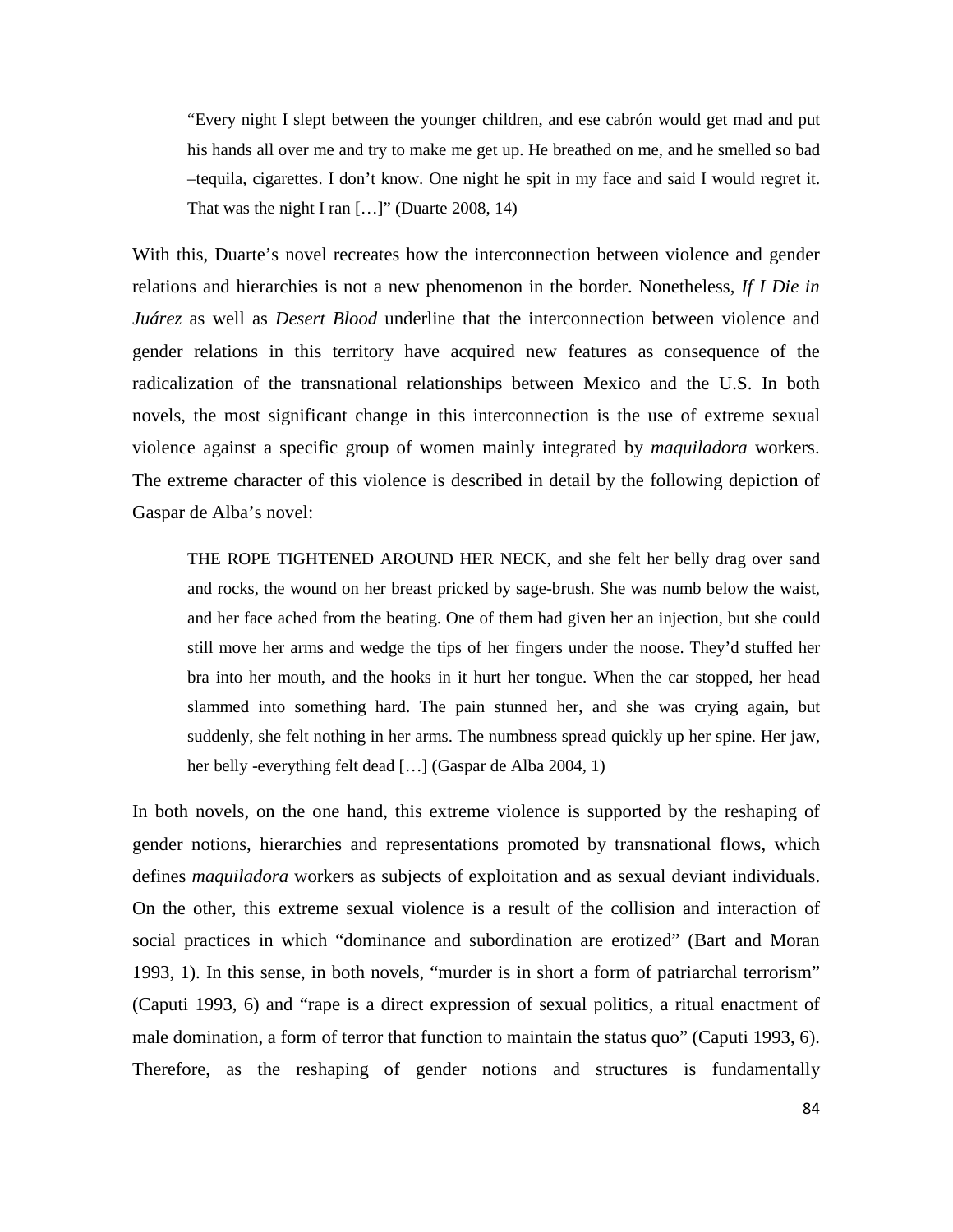"Every night I slept between the younger children, and ese cabrón would get mad and put his hands all over me and try to make me get up. He breathed on me, and he smelled so bad –tequila, cigarettes. I don't know. One night he spit in my face and said I would regret it. That was the night I ran [...]" (Duarte 2008, 14)

With this, Duarte's novel recreates how the interconnection between violence and gender relations and hierarchies is not a new phenomenon in the border. Nonetheless, *If I Die in Juárez* as well as *Desert Blood* underline that the interconnection between violence and gender relations in this territory have acquired new features as consequence of the radicalization of the transnational relationships between Mexico and the U.S. In both novels, the most significant change in this interconnection is the use of extreme sexual violence against a specific group of women mainly integrated by *maquiladora* workers. The extreme character of this violence is described in detail by the following depiction of Gaspar de Alba's novel:

THE ROPE TIGHTENED AROUND HER NECK, and she felt her belly drag over sand and rocks, the wound on her breast pricked by sage-brush. She was numb below the waist, and her face ached from the beating. One of them had given her an injection, but she could still move her arms and wedge the tips of her fingers under the noose. They'd stuffed her bra into her mouth, and the hooks in it hurt her tongue. When the car stopped, her head slammed into something hard. The pain stunned her, and she was crying again, but suddenly, she felt nothing in her arms. The numbness spread quickly up her spine. Her jaw, her belly -everything felt dead [...] (Gaspar de Alba 2004, 1)

In both novels, on the one hand, this extreme violence is supported by the reshaping of gender notions, hierarchies and representations promoted by transnational flows, which defines *maquiladora* workers as subjects of exploitation and as sexual deviant individuals. On the other, this extreme sexual violence is a result of the collision and interaction of social practices in which "dominance and subordination are erotized" (Bart and Moran 1993, 1). In this sense, in both novels, "murder is in short a form of patriarchal terrorism" (Caputi 1993, 6) and "rape is a direct expression of sexual politics, a ritual enactment of male domination, a form of terror that function to maintain the status quo" (Caputi 1993, 6). Therefore, as the reshaping of gender notions and structures is fundamentally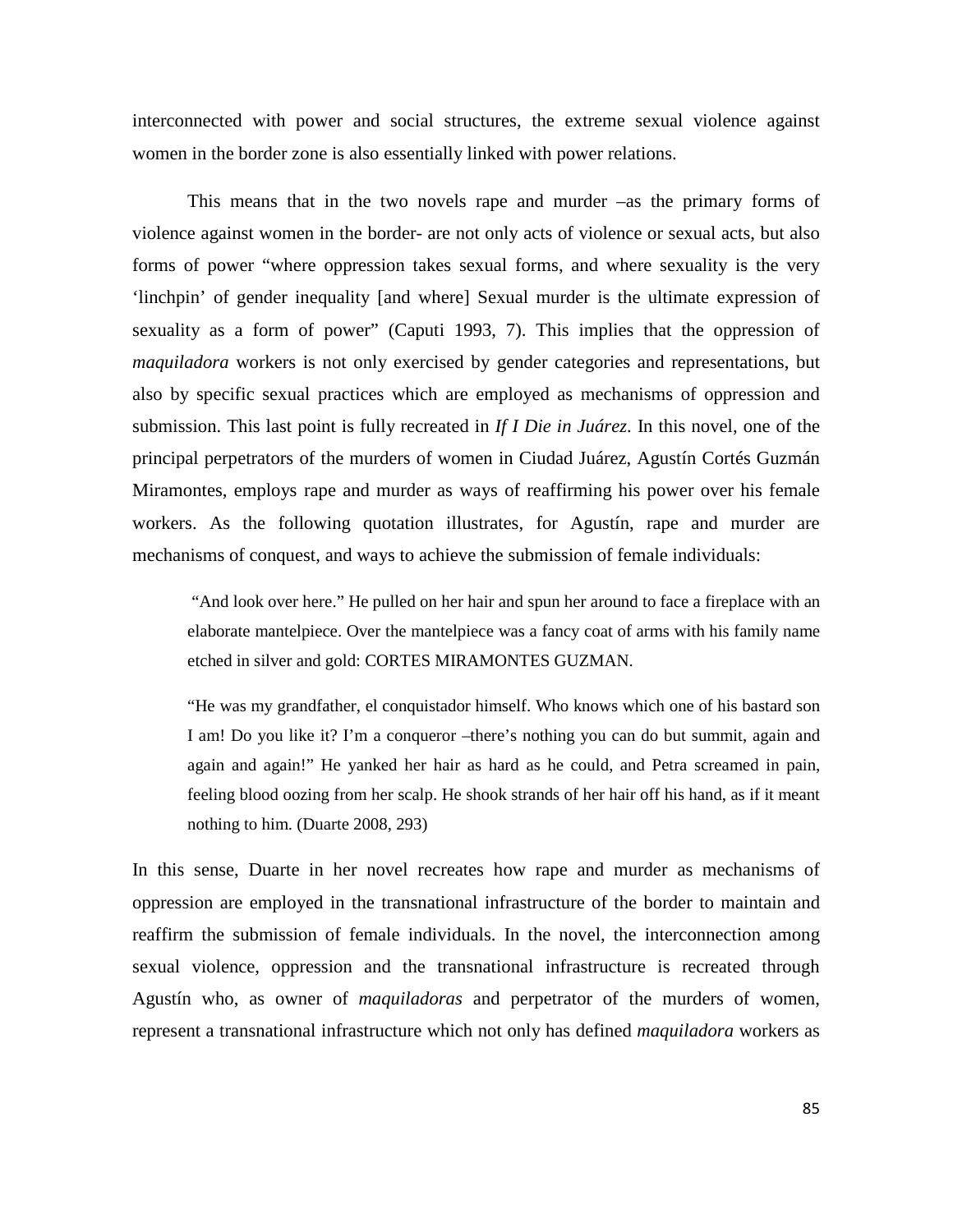interconnected with power and social structures, the extreme sexual violence against women in the border zone is also essentially linked with power relations.

This means that in the two novels rape and murder –as the primary forms of violence against women in the border- are not only acts of violence or sexual acts, but also forms of power "where oppression takes sexual forms, and where sexuality is the very 'linchpin' of gender inequality [and where] Sexual murder is the ultimate expression of sexuality as a form of power" (Caputi 1993, 7). This implies that the oppression of *maquiladora* workers is not only exercised by gender categories and representations, but also by specific sexual practices which are employed as mechanisms of oppression and submission. This last point is fully recreated in *If I Die in Juárez*. In this novel, one of the principal perpetrators of the murders of women in Ciudad Juárez, Agustín Cortés Guzmán Miramontes, employs rape and murder as ways of reaffirming his power over his female workers. As the following quotation illustrates, for Agustín, rape and murder are mechanisms of conquest, and ways to achieve the submission of female individuals:

"And look over here." He pulled on her hair and spun her around to face a fireplace with an elaborate mantelpiece. Over the mantelpiece was a fancy coat of arms with his family name etched in silver and gold: CORTES MIRAMONTES GUZMAN.

"He was my grandfather, el conquistador himself. Who knows which one of his bastard son I am! Do you like it? I'm a conqueror –there's nothing you can do but summit, again and again and again!" He yanked her hair as hard as he could, and Petra screamed in pain, feeling blood oozing from her scalp. He shook strands of her hair off his hand, as if it meant nothing to him. (Duarte 2008, 293)

In this sense, Duarte in her novel recreates how rape and murder as mechanisms of oppression are employed in the transnational infrastructure of the border to maintain and reaffirm the submission of female individuals. In the novel, the interconnection among sexual violence, oppression and the transnational infrastructure is recreated through Agustín who, as owner of *maquiladoras* and perpetrator of the murders of women, represent a transnational infrastructure which not only has defined *maquiladora* workers as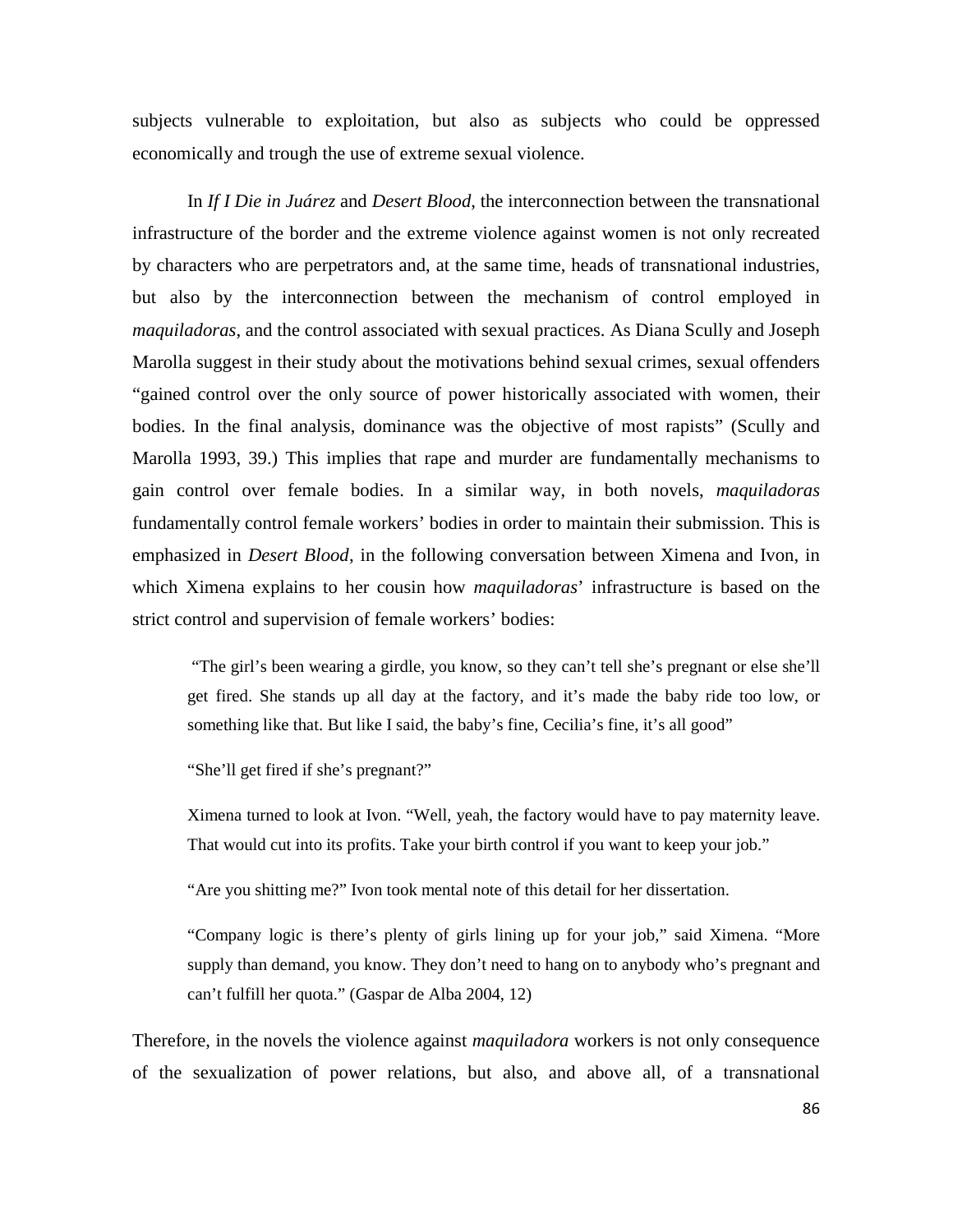subjects vulnerable to exploitation, but also as subjects who could be oppressed economically and trough the use of extreme sexual violence.

In *If I Die in Juárez* and *Desert Blood*, the interconnection between the transnational infrastructure of the border and the extreme violence against women is not only recreated by characters who are perpetrators and, at the same time, heads of transnational industries, but also by the interconnection between the mechanism of control employed in *maquiladoras*, and the control associated with sexual practices. As Diana Scully and Joseph Marolla suggest in their study about the motivations behind sexual crimes, sexual offenders "gained control over the only source of power historically associated with women, their bodies. In the final analysis, dominance was the objective of most rapists" (Scully and Marolla 1993, 39.) This implies that rape and murder are fundamentally mechanisms to gain control over female bodies. In a similar way, in both novels, *maquiladoras* fundamentally control female workers' bodies in order to maintain their submission. This is emphasized in *Desert Blood*, in the following conversation between Ximena and Ivon, in which Ximena explains to her cousin how *maquiladoras*' infrastructure is based on the strict control and supervision of female workers' bodies:

"The girl's been wearing a girdle, you know, so they can't tell she's pregnant or else she'll get fired. She stands up all day at the factory, and it's made the baby ride too low, or something like that. But like I said, the baby's fine, Cecilia's fine, it's all good"

"She'll get fired if she's pregnant?"

Ximena turned to look at Ivon. "Well, yeah, the factory would have to pay maternity leave. That would cut into its profits. Take your birth control if you want to keep your job."

"Are you shitting me?" Ivon took mental note of this detail for her dissertation.

"Company logic is there's plenty of girls lining up for your job," said Ximena. "More supply than demand, you know. They don't need to hang on to anybody who's pregnant and can't fulfill her quota." (Gaspar de Alba 2004, 12)

Therefore, in the novels the violence against *maquiladora* workers is not only consequence of the sexualization of power relations, but also, and above all, of a transnational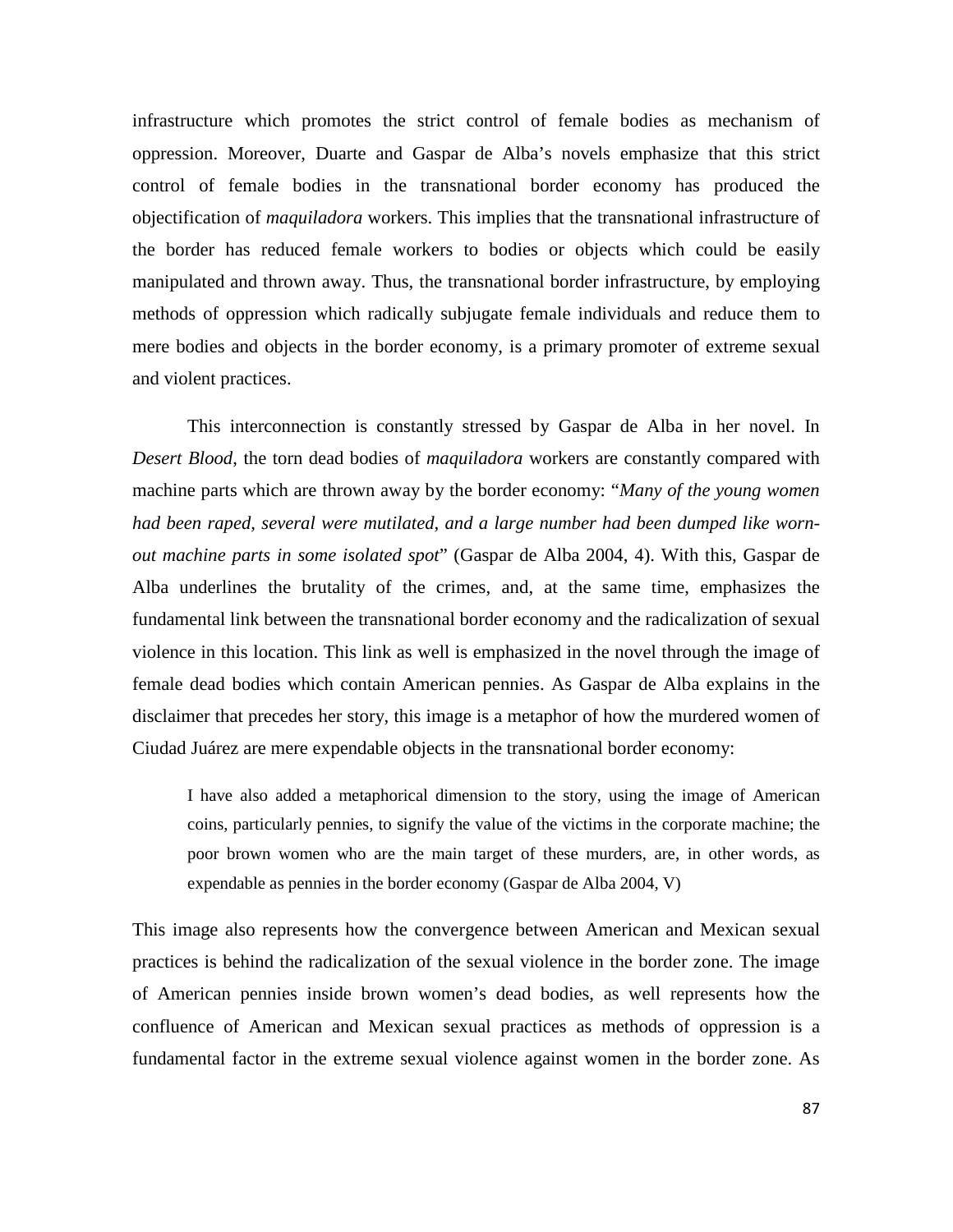infrastructure which promotes the strict control of female bodies as mechanism of oppression. Moreover, Duarte and Gaspar de Alba's novels emphasize that this strict control of female bodies in the transnational border economy has produced the objectification of *maquiladora* workers. This implies that the transnational infrastructure of the border has reduced female workers to bodies or objects which could be easily manipulated and thrown away. Thus, the transnational border infrastructure, by employing methods of oppression which radically subjugate female individuals and reduce them to mere bodies and objects in the border economy, is a primary promoter of extreme sexual and violent practices.

This interconnection is constantly stressed by Gaspar de Alba in her novel. In *Desert Blood*, the torn dead bodies of *maquiladora* workers are constantly compared with machine parts which are thrown away by the border economy: "*Many of the young women had been raped, several were mutilated, and a large number had been dumped like wornout machine parts in some isolated spot*" (Gaspar de Alba 2004, 4). With this, Gaspar de Alba underlines the brutality of the crimes, and, at the same time, emphasizes the fundamental link between the transnational border economy and the radicalization of sexual violence in this location. This link as well is emphasized in the novel through the image of female dead bodies which contain American pennies. As Gaspar de Alba explains in the disclaimer that precedes her story, this image is a metaphor of how the murdered women of Ciudad Juárez are mere expendable objects in the transnational border economy:

I have also added a metaphorical dimension to the story, using the image of American coins, particularly pennies, to signify the value of the victims in the corporate machine; the poor brown women who are the main target of these murders, are, in other words, as expendable as pennies in the border economy (Gaspar de Alba 2004, V)

This image also represents how the convergence between American and Mexican sexual practices is behind the radicalization of the sexual violence in the border zone. The image of American pennies inside brown women's dead bodies, as well represents how the confluence of American and Mexican sexual practices as methods of oppression is a fundamental factor in the extreme sexual violence against women in the border zone. As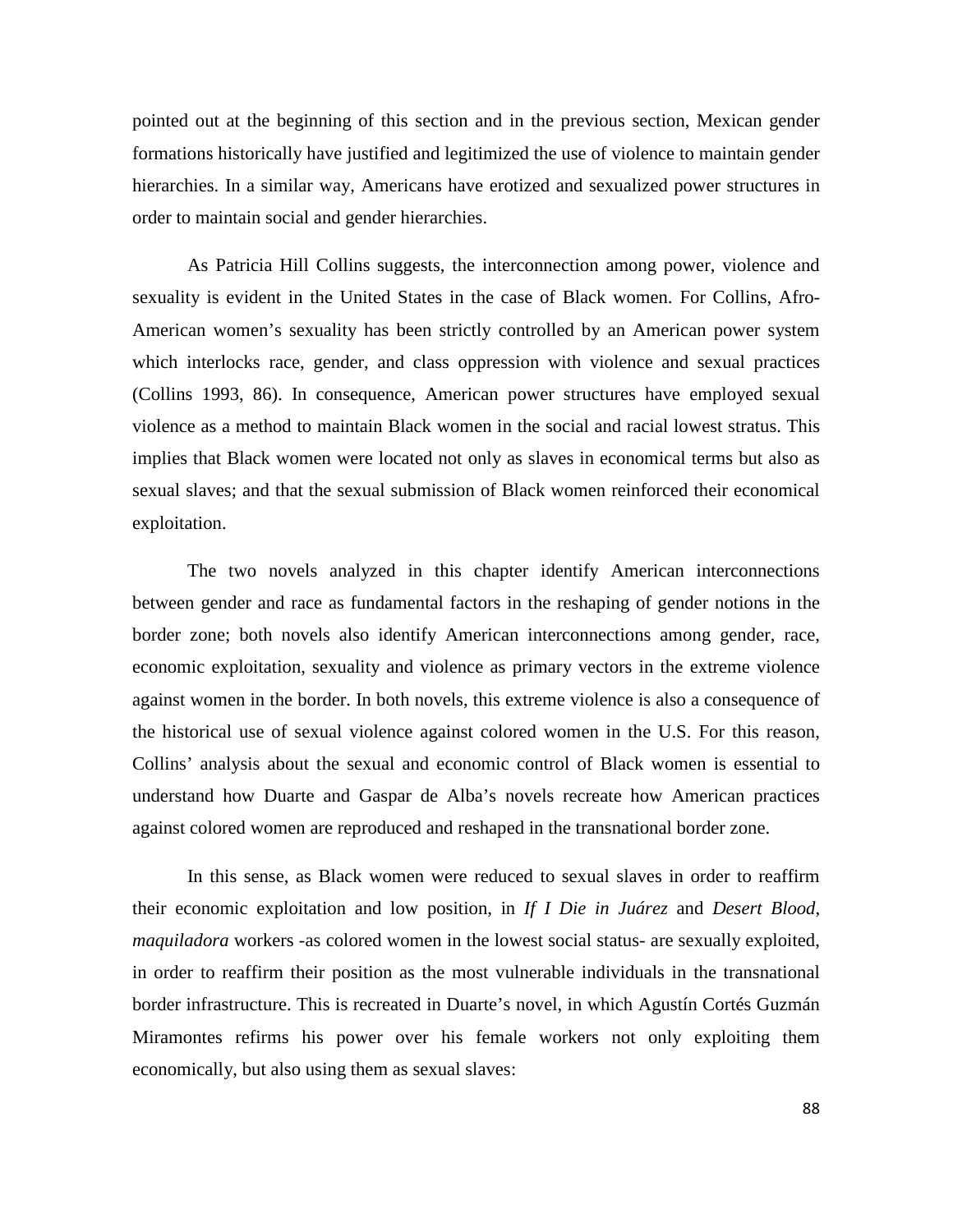pointed out at the beginning of this section and in the previous section, Mexican gender formations historically have justified and legitimized the use of violence to maintain gender hierarchies. In a similar way, Americans have erotized and sexualized power structures in order to maintain social and gender hierarchies.

As Patricia Hill Collins suggests, the interconnection among power, violence and sexuality is evident in the United States in the case of Black women. For Collins, Afro-American women's sexuality has been strictly controlled by an American power system which interlocks race, gender, and class oppression with violence and sexual practices (Collins 1993, 86). In consequence, American power structures have employed sexual violence as a method to maintain Black women in the social and racial lowest stratus. This implies that Black women were located not only as slaves in economical terms but also as sexual slaves; and that the sexual submission of Black women reinforced their economical exploitation.

The two novels analyzed in this chapter identify American interconnections between gender and race as fundamental factors in the reshaping of gender notions in the border zone; both novels also identify American interconnections among gender, race, economic exploitation, sexuality and violence as primary vectors in the extreme violence against women in the border. In both novels, this extreme violence is also a consequence of the historical use of sexual violence against colored women in the U.S. For this reason, Collins' analysis about the sexual and economic control of Black women is essential to understand how Duarte and Gaspar de Alba's novels recreate how American practices against colored women are reproduced and reshaped in the transnational border zone.

In this sense, as Black women were reduced to sexual slaves in order to reaffirm their economic exploitation and low position, in *If I Die in Juárez* and *Desert Blood*, *maquiladora* workers -as colored women in the lowest social status- are sexually exploited, in order to reaffirm their position as the most vulnerable individuals in the transnational border infrastructure. This is recreated in Duarte's novel, in which Agustín Cortés Guzmán Miramontes refirms his power over his female workers not only exploiting them economically, but also using them as sexual slaves: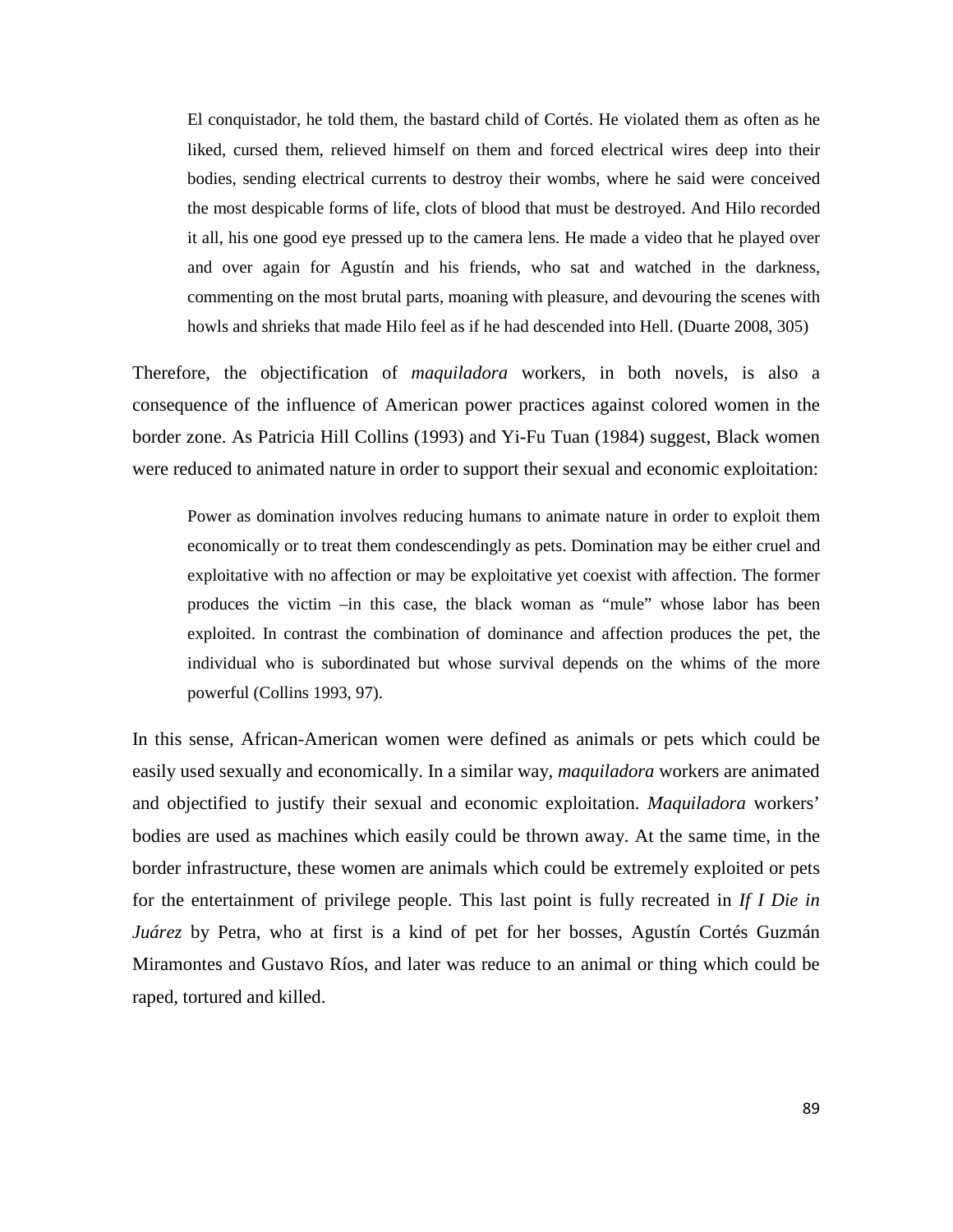El conquistador, he told them, the bastard child of Cortés. He violated them as often as he liked, cursed them, relieved himself on them and forced electrical wires deep into their bodies, sending electrical currents to destroy their wombs, where he said were conceived the most despicable forms of life, clots of blood that must be destroyed. And Hilo recorded it all, his one good eye pressed up to the camera lens. He made a video that he played over and over again for Agustín and his friends, who sat and watched in the darkness, commenting on the most brutal parts, moaning with pleasure, and devouring the scenes with howls and shrieks that made Hilo feel as if he had descended into Hell. (Duarte 2008, 305)

Therefore, the objectification of *maquiladora* workers, in both novels, is also a consequence of the influence of American power practices against colored women in the border zone. As Patricia Hill Collins (1993) and Yi-Fu Tuan (1984) suggest, Black women were reduced to animated nature in order to support their sexual and economic exploitation:

Power as domination involves reducing humans to animate nature in order to exploit them economically or to treat them condescendingly as pets. Domination may be either cruel and exploitative with no affection or may be exploitative yet coexist with affection. The former produces the victim –in this case, the black woman as "mule" whose labor has been exploited. In contrast the combination of dominance and affection produces the pet, the individual who is subordinated but whose survival depends on the whims of the more powerful (Collins 1993, 97).

In this sense, African-American women were defined as animals or pets which could be easily used sexually and economically. In a similar way, *maquiladora* workers are animated and objectified to justify their sexual and economic exploitation. *Maquiladora* workers' bodies are used as machines which easily could be thrown away. At the same time, in the border infrastructure, these women are animals which could be extremely exploited or pets for the entertainment of privilege people. This last point is fully recreated in *If I Die in Juárez* by Petra, who at first is a kind of pet for her bosses, Agustín Cortés Guzmán Miramontes and Gustavo Ríos, and later was reduce to an animal or thing which could be raped, tortured and killed.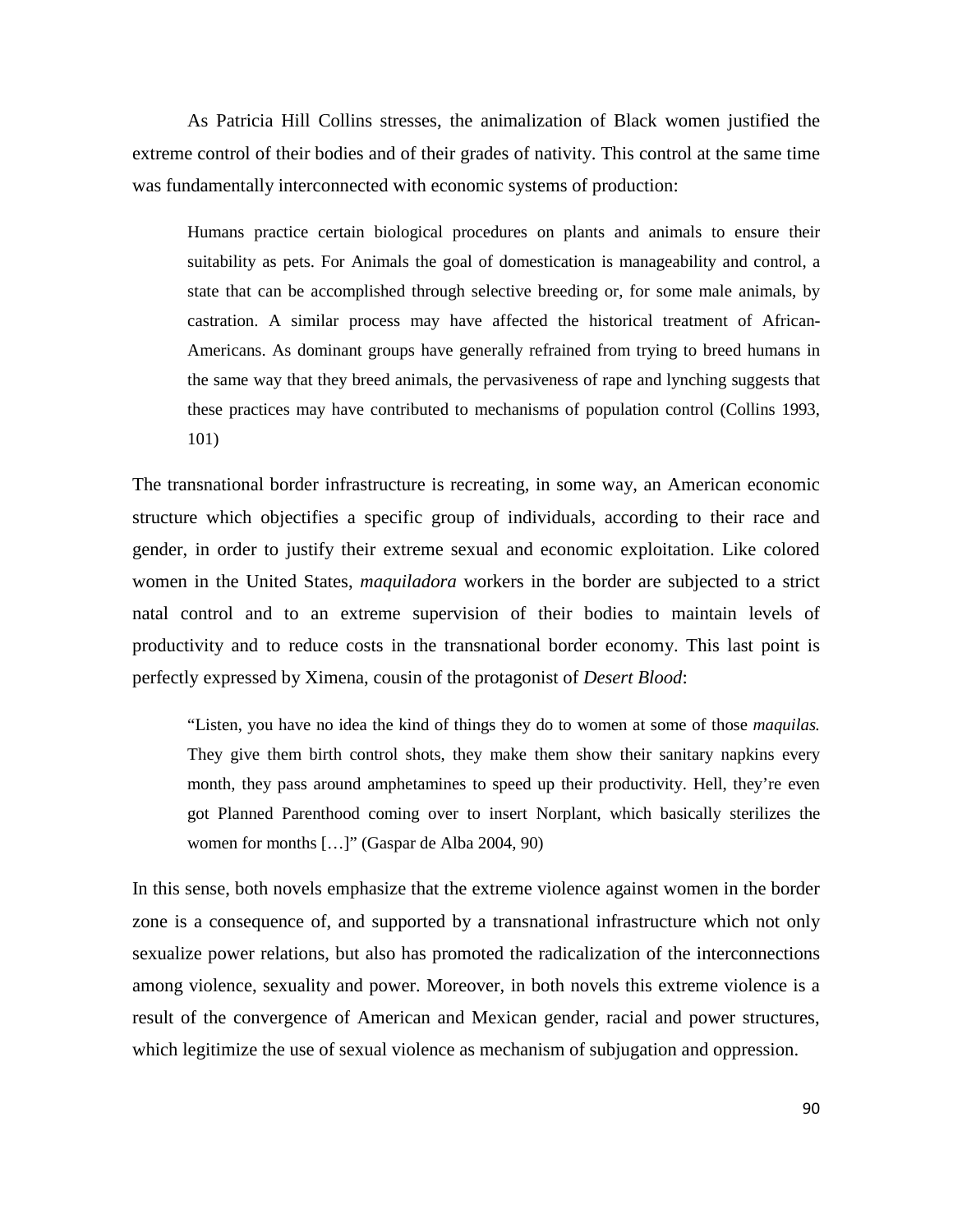As Patricia Hill Collins stresses, the animalization of Black women justified the extreme control of their bodies and of their grades of nativity. This control at the same time was fundamentally interconnected with economic systems of production:

Humans practice certain biological procedures on plants and animals to ensure their suitability as pets. For Animals the goal of domestication is manageability and control, a state that can be accomplished through selective breeding or, for some male animals, by castration. A similar process may have affected the historical treatment of African-Americans. As dominant groups have generally refrained from trying to breed humans in the same way that they breed animals, the pervasiveness of rape and lynching suggests that these practices may have contributed to mechanisms of population control (Collins 1993, 101)

The transnational border infrastructure is recreating, in some way, an American economic structure which objectifies a specific group of individuals, according to their race and gender, in order to justify their extreme sexual and economic exploitation. Like colored women in the United States, *maquiladora* workers in the border are subjected to a strict natal control and to an extreme supervision of their bodies to maintain levels of productivity and to reduce costs in the transnational border economy. This last point is perfectly expressed by Ximena, cousin of the protagonist of *Desert Blood*:

"Listen, you have no idea the kind of things they do to women at some of those *maquilas.* They give them birth control shots, they make them show their sanitary napkins every month, they pass around amphetamines to speed up their productivity. Hell, they're even got Planned Parenthood coming over to insert Norplant, which basically sterilizes the women for months […]" (Gaspar de Alba 2004, 90)

In this sense, both novels emphasize that the extreme violence against women in the border zone is a consequence of, and supported by a transnational infrastructure which not only sexualize power relations, but also has promoted the radicalization of the interconnections among violence, sexuality and power. Moreover, in both novels this extreme violence is a result of the convergence of American and Mexican gender, racial and power structures, which legitimize the use of sexual violence as mechanism of subjugation and oppression.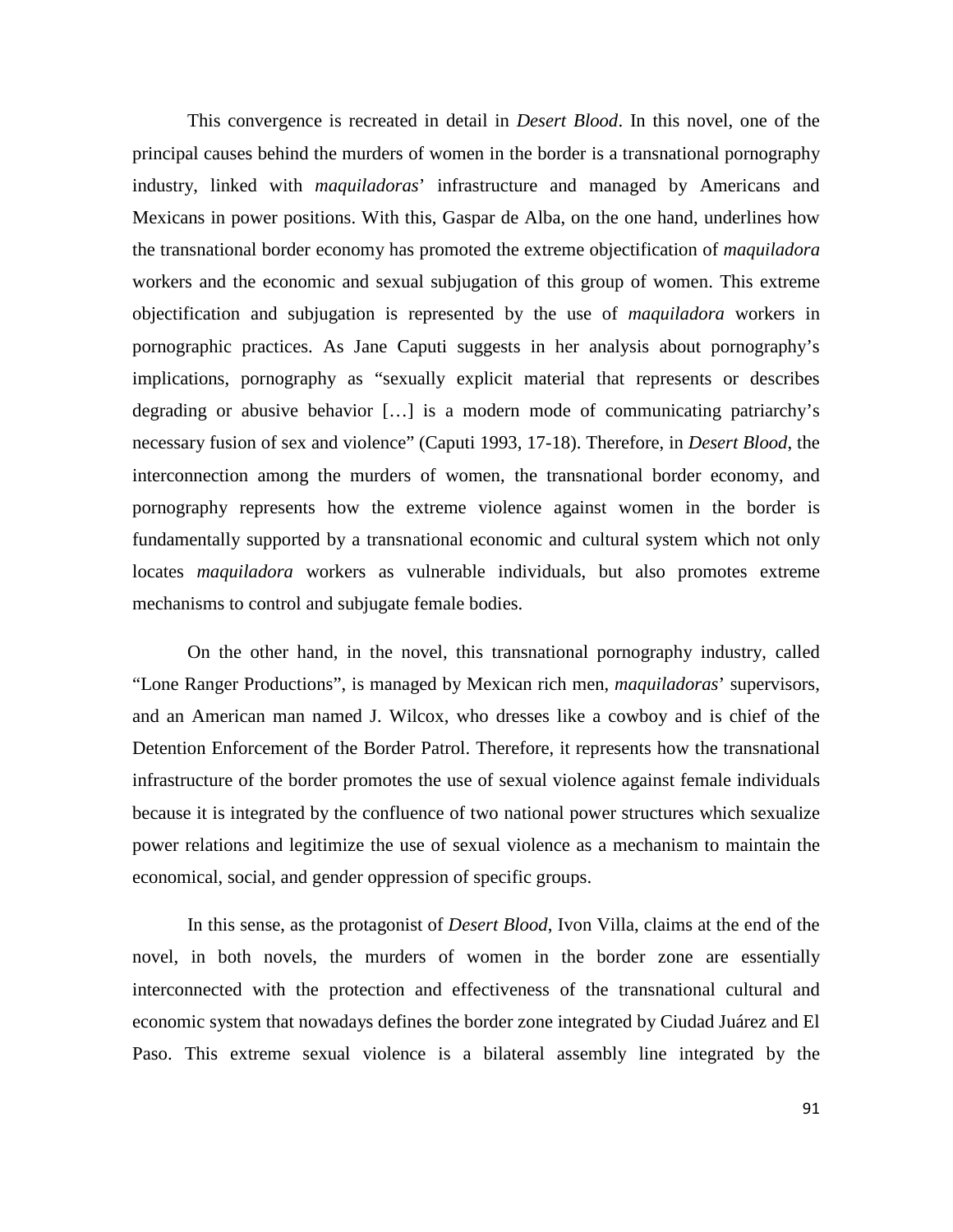This convergence is recreated in detail in *Desert Blood*. In this novel, one of the principal causes behind the murders of women in the border is a transnational pornography industry, linked with *maquiladoras*' infrastructure and managed by Americans and Mexicans in power positions. With this, Gaspar de Alba, on the one hand, underlines how the transnational border economy has promoted the extreme objectification of *maquiladora* workers and the economic and sexual subjugation of this group of women. This extreme objectification and subjugation is represented by the use of *maquiladora* workers in pornographic practices. As Jane Caputi suggests in her analysis about pornography's implications, pornography as "sexually explicit material that represents or describes degrading or abusive behavior […] is a modern mode of communicating patriarchy's necessary fusion of sex and violence" (Caputi 1993, 17-18). Therefore, in *Desert Blood*, the interconnection among the murders of women, the transnational border economy, and pornography represents how the extreme violence against women in the border is fundamentally supported by a transnational economic and cultural system which not only locates *maquiladora* workers as vulnerable individuals, but also promotes extreme mechanisms to control and subjugate female bodies.

On the other hand, in the novel, this transnational pornography industry, called "Lone Ranger Productions", is managed by Mexican rich men, *maquiladoras*' supervisors, and an American man named J. Wilcox, who dresses like a cowboy and is chief of the Detention Enforcement of the Border Patrol. Therefore, it represents how the transnational infrastructure of the border promotes the use of sexual violence against female individuals because it is integrated by the confluence of two national power structures which sexualize power relations and legitimize the use of sexual violence as a mechanism to maintain the economical, social, and gender oppression of specific groups.

In this sense, as the protagonist of *Desert Blood*, Ivon Villa, claims at the end of the novel, in both novels, the murders of women in the border zone are essentially interconnected with the protection and effectiveness of the transnational cultural and economic system that nowadays defines the border zone integrated by Ciudad Juárez and El Paso. This extreme sexual violence is a bilateral assembly line integrated by the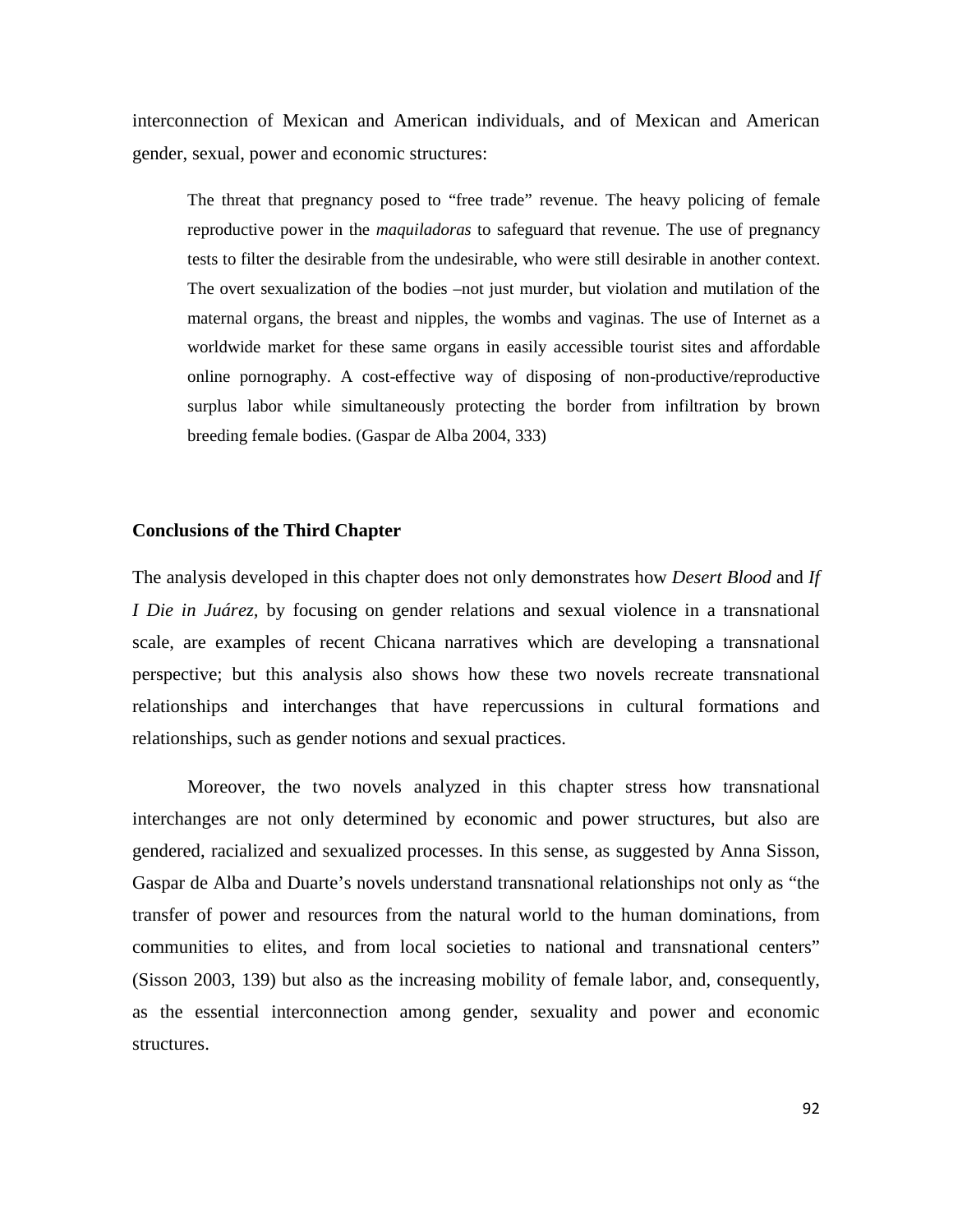interconnection of Mexican and American individuals, and of Mexican and American gender, sexual, power and economic structures:

The threat that pregnancy posed to "free trade" revenue. The heavy policing of female reproductive power in the *maquiladoras* to safeguard that revenue. The use of pregnancy tests to filter the desirable from the undesirable, who were still desirable in another context. The overt sexualization of the bodies –not just murder, but violation and mutilation of the maternal organs, the breast and nipples, the wombs and vaginas. The use of Internet as a worldwide market for these same organs in easily accessible tourist sites and affordable online pornography. A cost-effective way of disposing of non-productive/reproductive surplus labor while simultaneously protecting the border from infiltration by brown breeding female bodies. (Gaspar de Alba 2004, 333)

## **Conclusions of the Third Chapter**

The analysis developed in this chapter does not only demonstrates how *Desert Blood* and *If I Die in Juárez,* by focusing on gender relations and sexual violence in a transnational scale, are examples of recent Chicana narratives which are developing a transnational perspective; but this analysis also shows how these two novels recreate transnational relationships and interchanges that have repercussions in cultural formations and relationships, such as gender notions and sexual practices.

Moreover, the two novels analyzed in this chapter stress how transnational interchanges are not only determined by economic and power structures, but also are gendered, racialized and sexualized processes. In this sense, as suggested by Anna Sisson, Gaspar de Alba and Duarte's novels understand transnational relationships not only as "the transfer of power and resources from the natural world to the human dominations, from communities to elites, and from local societies to national and transnational centers" (Sisson 2003, 139) but also as the increasing mobility of female labor, and, consequently, as the essential interconnection among gender, sexuality and power and economic structures.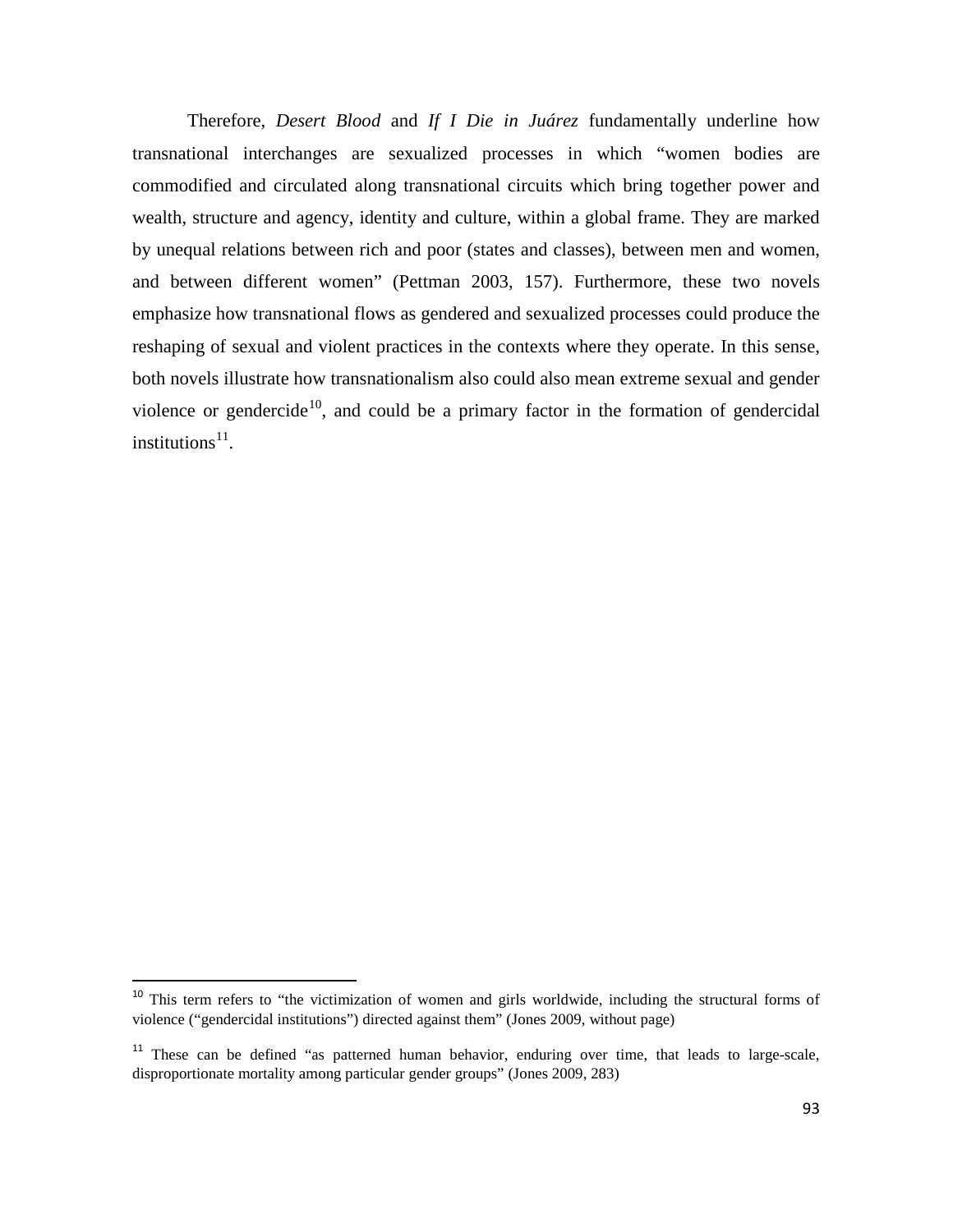Therefore, *Desert Blood* and *If I Die in Juárez* fundamentally underline how transnational interchanges are sexualized processes in which "women bodies are commodified and circulated along transnational circuits which bring together power and wealth, structure and agency, identity and culture, within a global frame. They are marked by unequal relations between rich and poor (states and classes), between men and women, and between different women" (Pettman 2003, 157). Furthermore, these two novels emphasize how transnational flows as gendered and sexualized processes could produce the reshaping of sexual and violent practices in the contexts where they operate. In this sense, both novels illustrate how transnationalism also could also mean extreme sexual and gender violence or gendercide<sup>10</sup>, and could be a primary factor in the formation of gendercidal institutions $^{11}$  $^{11}$  $^{11}$ .

<span id="page-92-0"></span><sup>&</sup>lt;sup>10</sup> This term refers to "the victimization of women and girls worldwide, including the structural forms of violence ("gendercidal institutions") directed against them" (Jones 2009, without page)

<span id="page-92-1"></span> $11$  These can be defined "as patterned human behavior, enduring over time, that leads to large-scale, disproportionate mortality among particular gender groups" (Jones 2009, 283)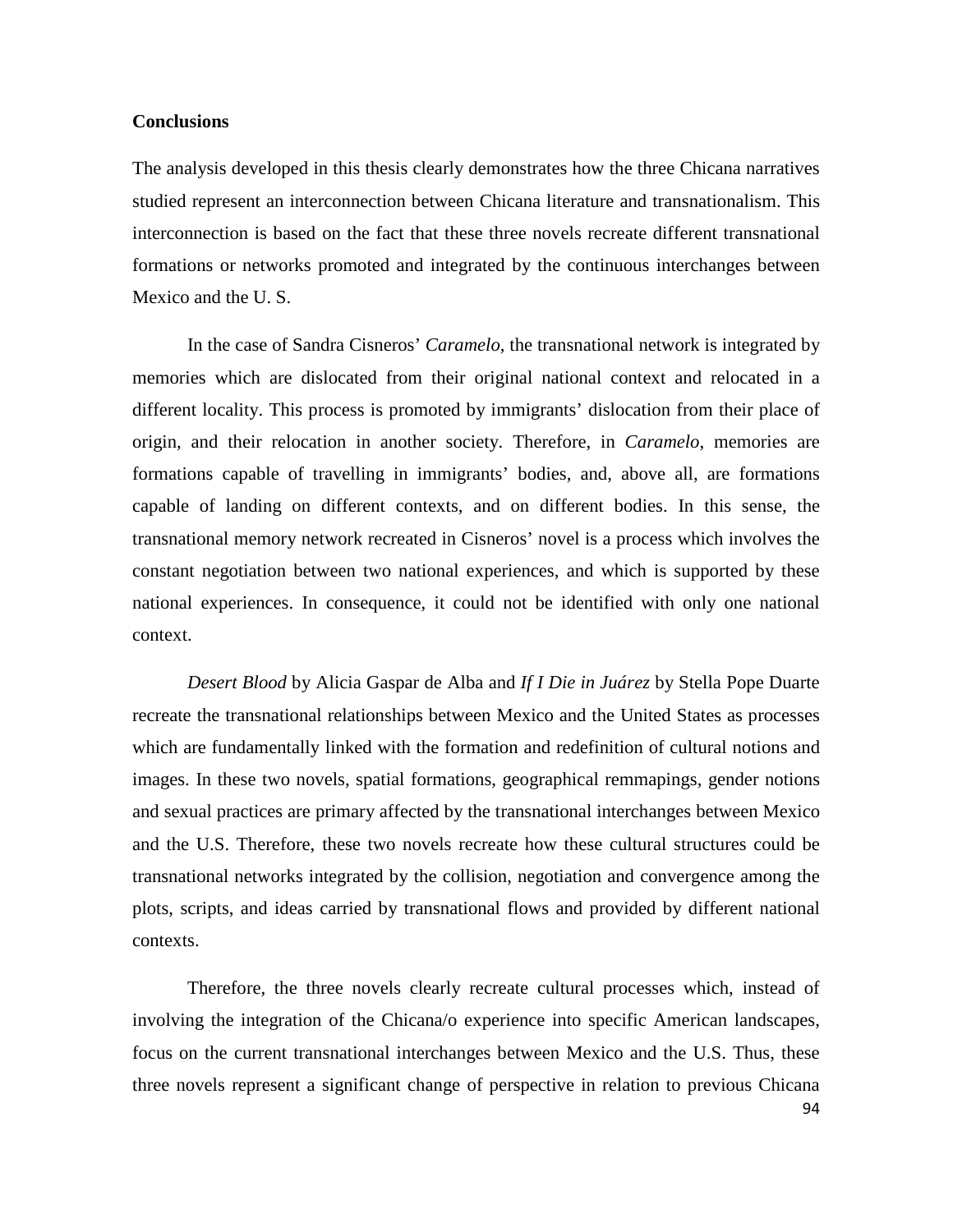## **Conclusions**

The analysis developed in this thesis clearly demonstrates how the three Chicana narratives studied represent an interconnection between Chicana literature and transnationalism. This interconnection is based on the fact that these three novels recreate different transnational formations or networks promoted and integrated by the continuous interchanges between Mexico and the U. S.

In the case of Sandra Cisneros' *Caramelo*, the transnational network is integrated by memories which are dislocated from their original national context and relocated in a different locality. This process is promoted by immigrants' dislocation from their place of origin, and their relocation in another society. Therefore, in *Caramelo*, memories are formations capable of travelling in immigrants' bodies, and, above all, are formations capable of landing on different contexts, and on different bodies. In this sense, the transnational memory network recreated in Cisneros' novel is a process which involves the constant negotiation between two national experiences, and which is supported by these national experiences. In consequence, it could not be identified with only one national context.

*Desert Blood* by Alicia Gaspar de Alba and *If I Die in Juárez* by Stella Pope Duarte recreate the transnational relationships between Mexico and the United States as processes which are fundamentally linked with the formation and redefinition of cultural notions and images. In these two novels, spatial formations, geographical remmapings, gender notions and sexual practices are primary affected by the transnational interchanges between Mexico and the U.S. Therefore, these two novels recreate how these cultural structures could be transnational networks integrated by the collision, negotiation and convergence among the plots, scripts, and ideas carried by transnational flows and provided by different national contexts.

Therefore, the three novels clearly recreate cultural processes which, instead of involving the integration of the Chicana/o experience into specific American landscapes, focus on the current transnational interchanges between Mexico and the U.S. Thus, these three novels represent a significant change of perspective in relation to previous Chicana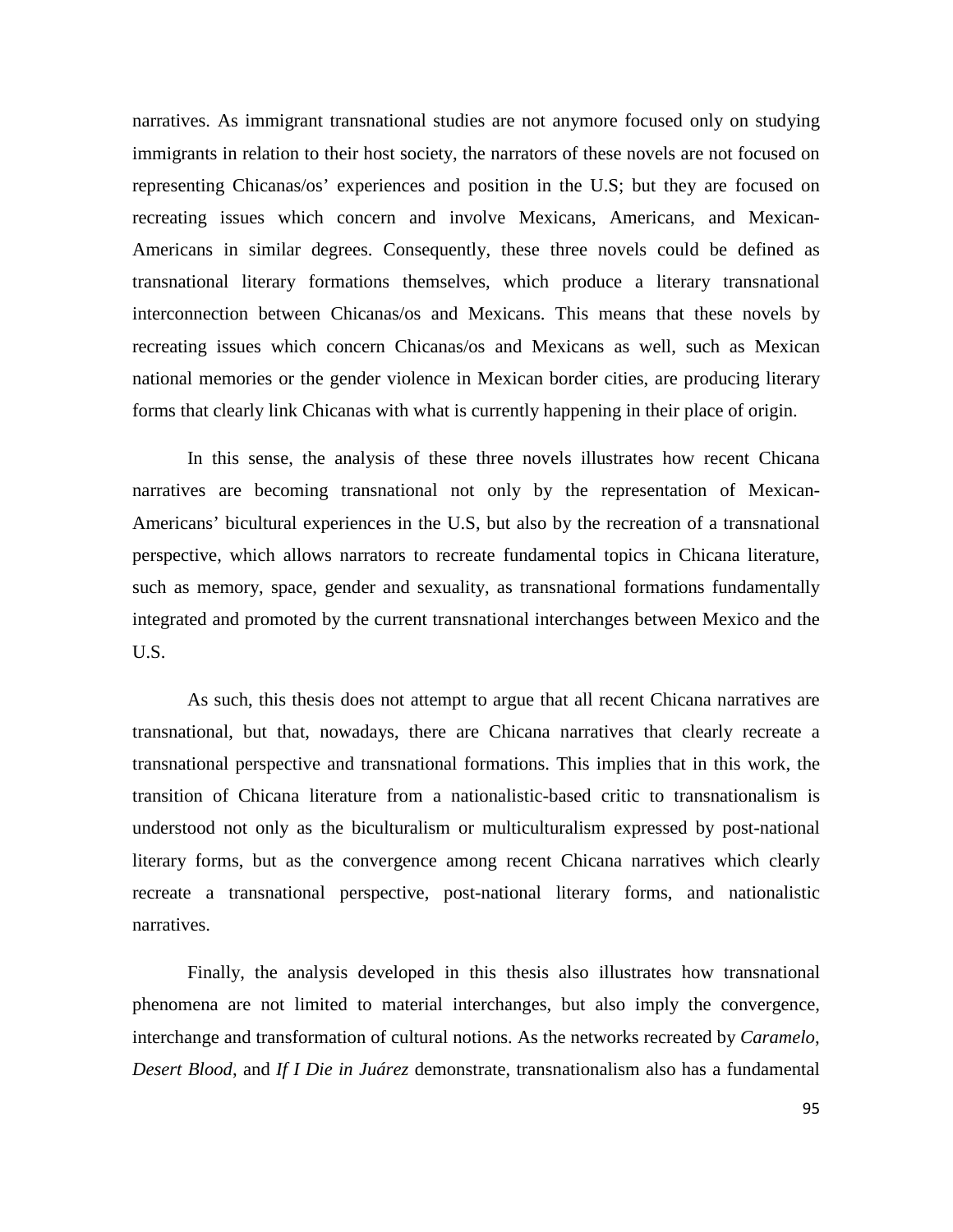narratives. As immigrant transnational studies are not anymore focused only on studying immigrants in relation to their host society, the narrators of these novels are not focused on representing Chicanas/os' experiences and position in the U.S; but they are focused on recreating issues which concern and involve Mexicans, Americans, and Mexican-Americans in similar degrees. Consequently, these three novels could be defined as transnational literary formations themselves, which produce a literary transnational interconnection between Chicanas/os and Mexicans. This means that these novels by recreating issues which concern Chicanas/os and Mexicans as well, such as Mexican national memories or the gender violence in Mexican border cities, are producing literary forms that clearly link Chicanas with what is currently happening in their place of origin.

In this sense, the analysis of these three novels illustrates how recent Chicana narratives are becoming transnational not only by the representation of Mexican-Americans' bicultural experiences in the U.S, but also by the recreation of a transnational perspective, which allows narrators to recreate fundamental topics in Chicana literature, such as memory, space, gender and sexuality, as transnational formations fundamentally integrated and promoted by the current transnational interchanges between Mexico and the U.S.

As such, this thesis does not attempt to argue that all recent Chicana narratives are transnational, but that, nowadays, there are Chicana narratives that clearly recreate a transnational perspective and transnational formations. This implies that in this work, the transition of Chicana literature from a nationalistic-based critic to transnationalism is understood not only as the biculturalism or multiculturalism expressed by post-national literary forms, but as the convergence among recent Chicana narratives which clearly recreate a transnational perspective, post-national literary forms, and nationalistic narratives.

Finally, the analysis developed in this thesis also illustrates how transnational phenomena are not limited to material interchanges, but also imply the convergence, interchange and transformation of cultural notions. As the networks recreated by *Caramelo*, *Desert Blood*, and *If I Die in Juárez* demonstrate, transnationalism also has a fundamental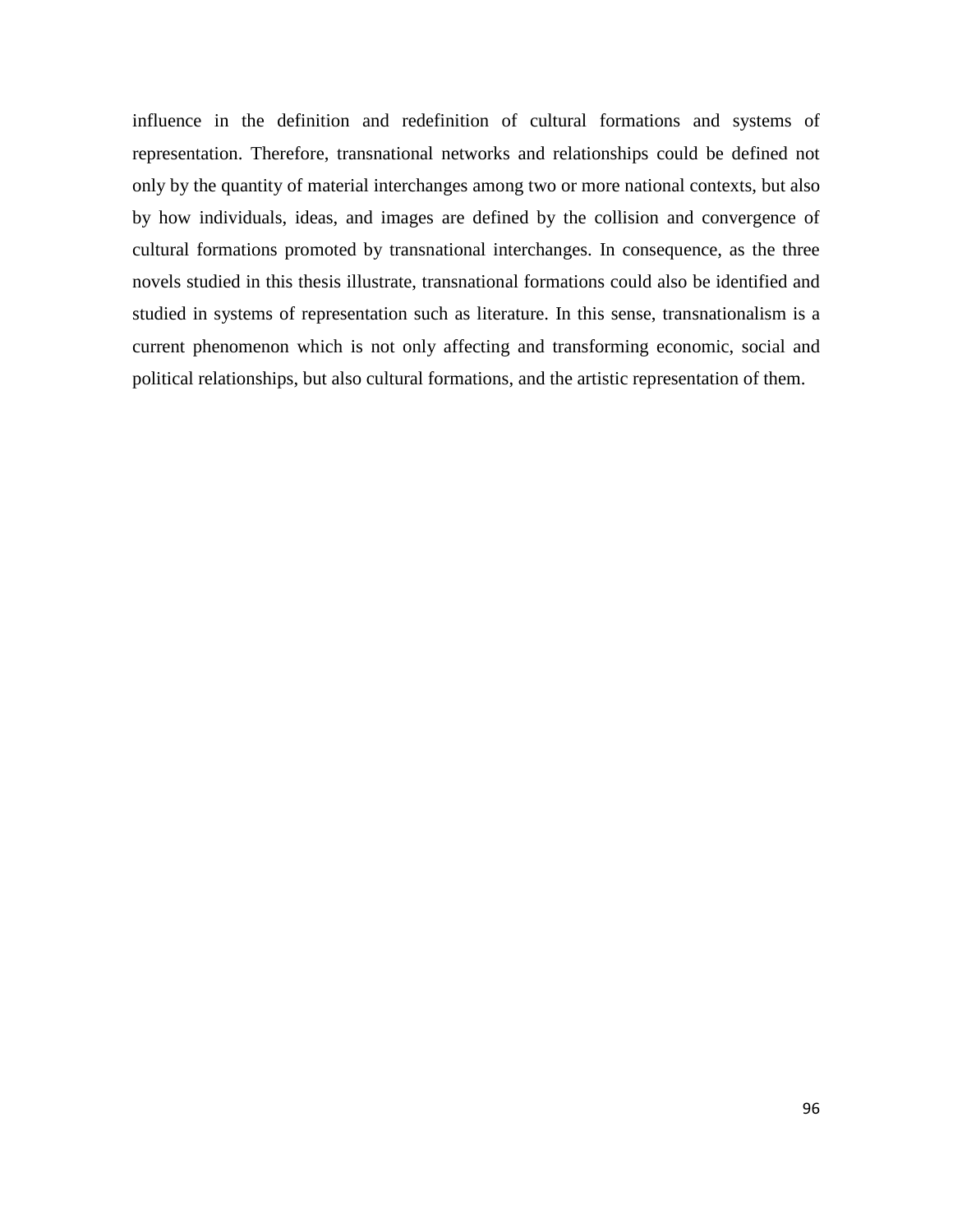influence in the definition and redefinition of cultural formations and systems of representation. Therefore, transnational networks and relationships could be defined not only by the quantity of material interchanges among two or more national contexts, but also by how individuals, ideas, and images are defined by the collision and convergence of cultural formations promoted by transnational interchanges. In consequence, as the three novels studied in this thesis illustrate, transnational formations could also be identified and studied in systems of representation such as literature. In this sense, transnationalism is a current phenomenon which is not only affecting and transforming economic, social and political relationships, but also cultural formations, and the artistic representation of them.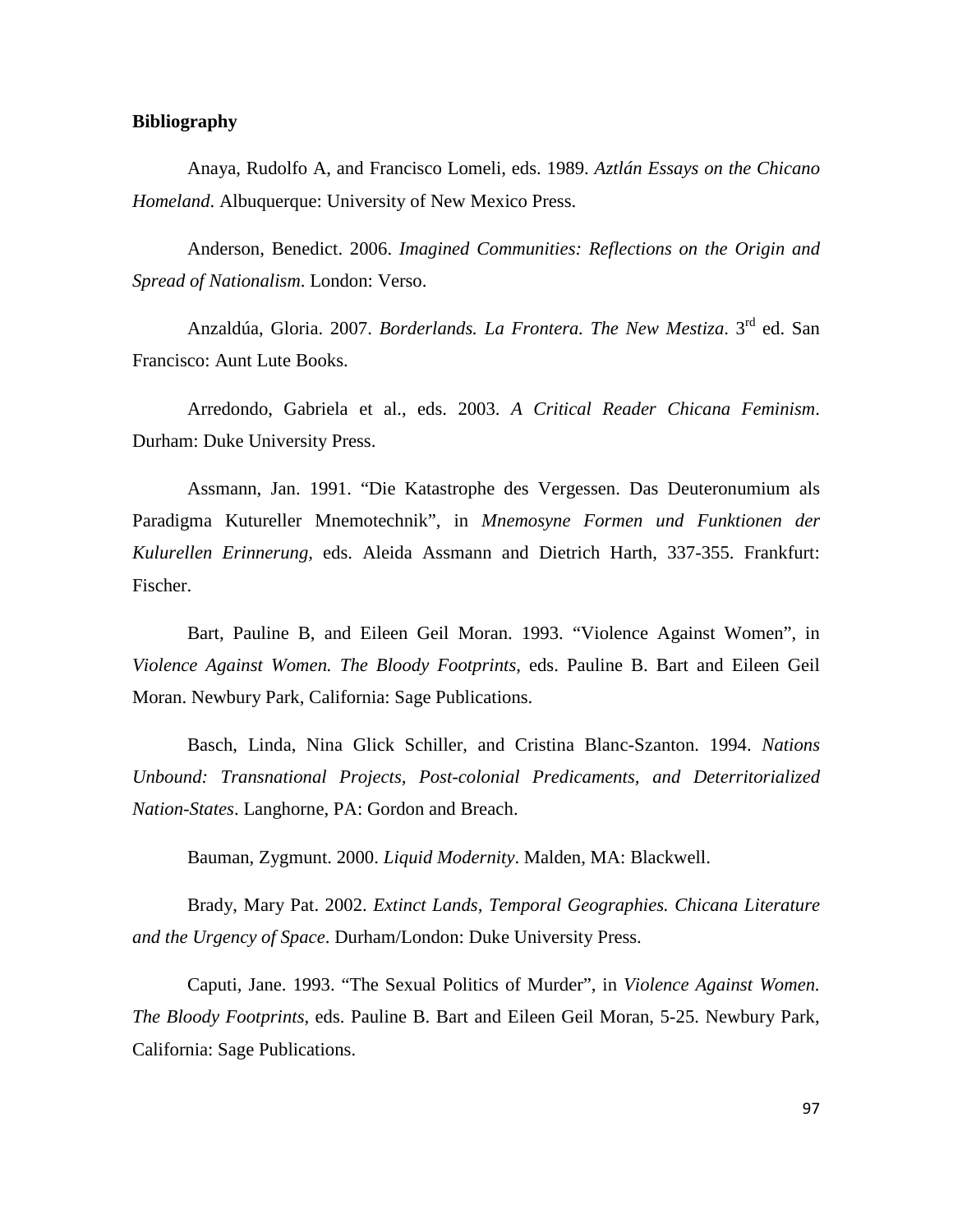## **Bibliography**

Anaya, Rudolfo A, and Francisco Lomeli, eds. 1989. *Aztlán Essays on the Chicano Homeland*. Albuquerque: University of New Mexico Press.

Anderson, Benedict. 2006. *Imagined Communities: Reflections on the Origin and Spread of Nationalism*. London: Verso.

Anzaldúa, Gloria. 2007. *Borderlands. La Frontera. The New Mestiza*. 3rd ed. San Francisco: Aunt Lute Books.

Arredondo, Gabriela et al., eds. 2003. *A Critical Reader Chicana Feminism*. Durham: Duke University Press.

Assmann, Jan. 1991. "Die Katastrophe des Vergessen. Das Deuteronumium als Paradigma Kutureller Mnemotechnik", in *Mnemosyne Formen und Funktionen der Kulurellen Erinnerung,* eds. Aleida Assmann and Dietrich Harth, 337-355. Frankfurt: Fischer.

Bart, Pauline B, and Eileen Geil Moran. 1993. "Violence Against Women", in *Violence Against Women. The Bloody Footprints,* eds. Pauline B. Bart and Eileen Geil Moran. Newbury Park, California: Sage Publications.

Basch, Linda, Nina Glick Schiller, and Cristina Blanc-Szanton. 1994. *Nations Unbound: Transnational Projects, Post-colonial Predicaments, and Deterritorialized Nation-States*. Langhorne, PA: Gordon and Breach.

Bauman, Zygmunt. 2000. *Liquid Modernity*. Malden, MA: Blackwell.

Brady, Mary Pat. 2002. *Extinct Lands, Temporal Geographies. Chicana Literature and the Urgency of Space*. Durham/London: Duke University Press.

Caputi, Jane. 1993. "The Sexual Politics of Murder", in *Violence Against Women. The Bloody Footprints*, eds. Pauline B. Bart and Eileen Geil Moran, 5-25. Newbury Park, California: Sage Publications.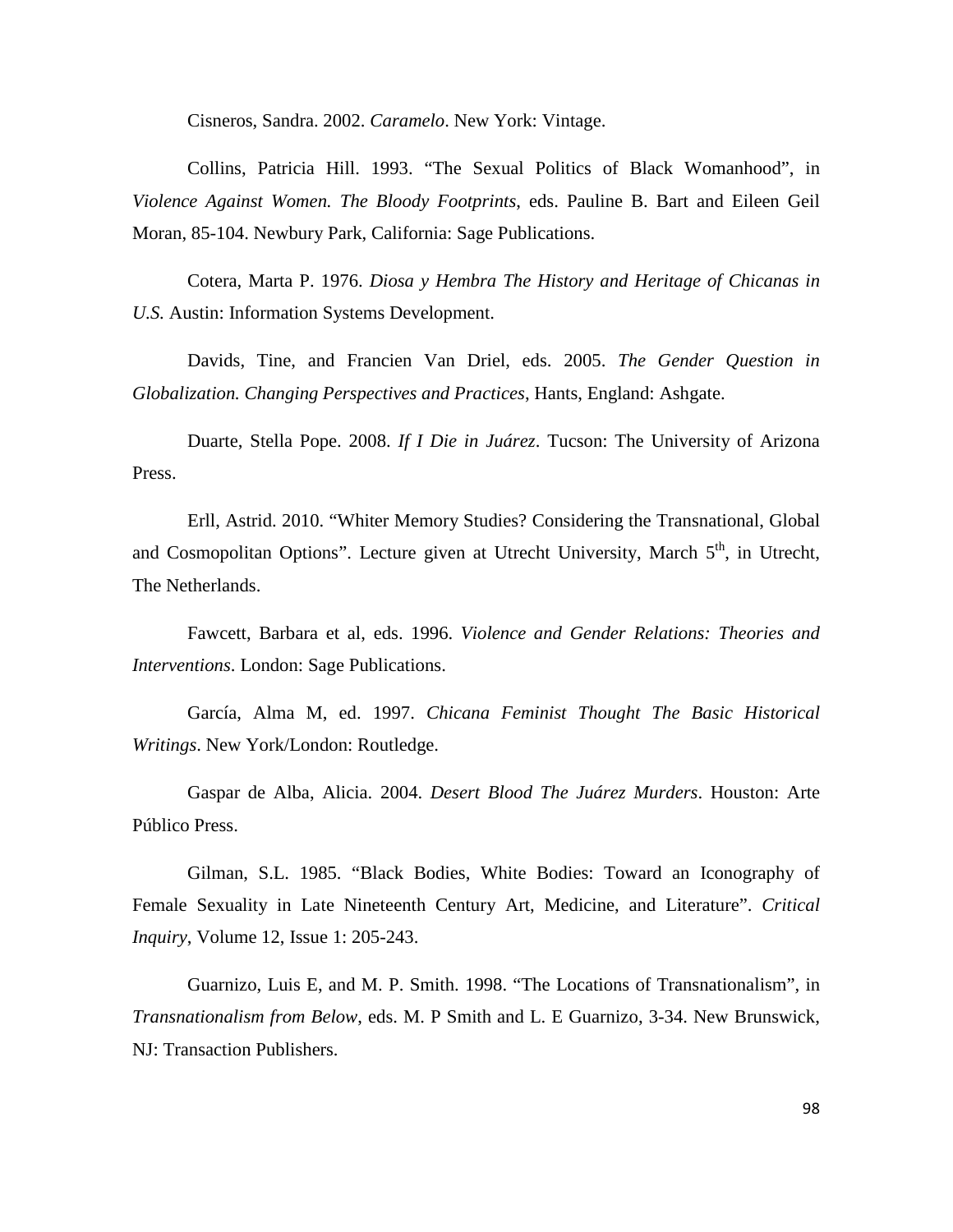Cisneros, Sandra. 2002. *Caramelo*. New York: Vintage.

Collins, Patricia Hill. 1993. "The Sexual Politics of Black Womanhood", in *Violence Against Women. The Bloody Footprints*, eds. Pauline B. Bart and Eileen Geil Moran, 85-104. Newbury Park, California: Sage Publications.

Cotera, Marta P. 1976. *Diosa y Hembra The History and Heritage of Chicanas in U.S.* Austin: Information Systems Development.

Davids, Tine, and Francien Van Driel, eds. 2005. *The Gender Question in Globalization. Changing Perspectives and Practices*, Hants, England: Ashgate.

Duarte, Stella Pope. 2008. *If I Die in Juárez*. Tucson: The University of Arizona Press.

Erll, Astrid. 2010. "Whiter Memory Studies? Considering the Transnational, Global and Cosmopolitan Options". Lecture given at Utrecht University, March 5<sup>th</sup>, in Utrecht, The Netherlands.

Fawcett, Barbara et al, eds. 1996. *Violence and Gender Relations: Theories and Interventions*. London: Sage Publications.

García, Alma M, ed. 1997. *Chicana Feminist Thought The Basic Historical Writings*. New York/London: Routledge.

Gaspar de Alba, Alicia. 2004. *Desert Blood The Juárez Murders*. Houston: Arte Público Press.

Gilman, S.L. 1985. "Black Bodies, White Bodies: Toward an Iconography of Female Sexuality in Late Nineteenth Century Art, Medicine, and Literature". *Critical Inquiry*, Volume 12, Issue 1: 205-243.

Guarnizo, Luis E, and M. P. Smith. 1998. "The Locations of Transnationalism", in *Transnationalism from Below*, eds. M. P Smith and L. E Guarnizo, 3-34. New Brunswick, NJ: Transaction Publishers.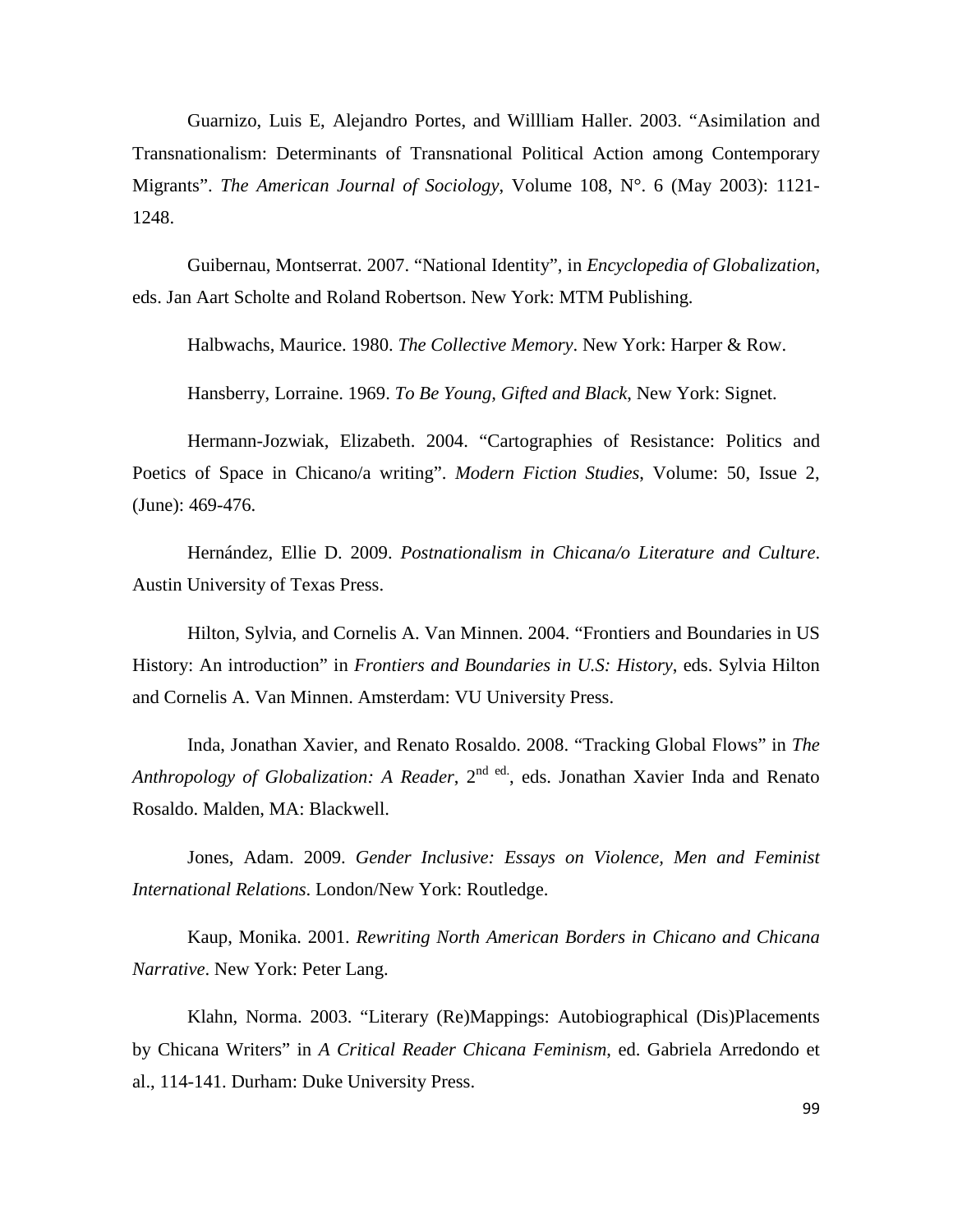Guarnizo, Luis E, Alejandro Portes, and Willliam Haller. 2003. "Asimilation and Transnationalism: Determinants of Transnational Political Action among Contemporary Migrants". *The American Journal of Sociology*, Volume 108, N°. 6 (May 2003): 1121- 1248.

Guibernau, Montserrat. 2007. "National Identity", in *Encyclopedia of Globalization*, eds. Jan Aart Scholte and Roland Robertson. New York: MTM Publishing.

Halbwachs, Maurice. 1980. *The Collective Memory*. New York: Harper & Row.

Hansberry, Lorraine. 1969. *To Be Young, Gifted and Black*, New York: Signet.

Hermann-Jozwiak, Elizabeth. 2004. "Cartographies of Resistance: Politics and Poetics of Space in Chicano/a writing". *Modern Fiction Studies*, Volume: 50, Issue 2, (June): 469-476.

Hernández, Ellie D. 2009. *Postnationalism in Chicana/o Literature and Culture*. Austin University of Texas Press.

Hilton, Sylvia, and Cornelis A. Van Minnen. 2004. "Frontiers and Boundaries in US History: An introduction" in *Frontiers and Boundaries in U.S: History*, eds. Sylvia Hilton and Cornelis A. Van Minnen. Amsterdam: VU University Press.

Inda, Jonathan Xavier, and Renato Rosaldo. 2008. "Tracking Global Flows" in *The*  Anthropology of Globalization: A Reader, 2<sup>nd ed</sup>., eds. Jonathan Xavier Inda and Renato Rosaldo. Malden, MA: Blackwell.

Jones, Adam. 2009. *Gender Inclusive: Essays on Violence, Men and Feminist International Relations*. London/New York: Routledge.

Kaup, Monika. 2001. *Rewriting North American Borders in Chicano and Chicana Narrative*. New York: Peter Lang.

Klahn, Norma. 2003. "Literary (Re)Mappings: Autobiographical (Dis)Placements by Chicana Writers" in *A Critical Reader Chicana Feminism*, ed. Gabriela Arredondo et al., 114-141. Durham: Duke University Press.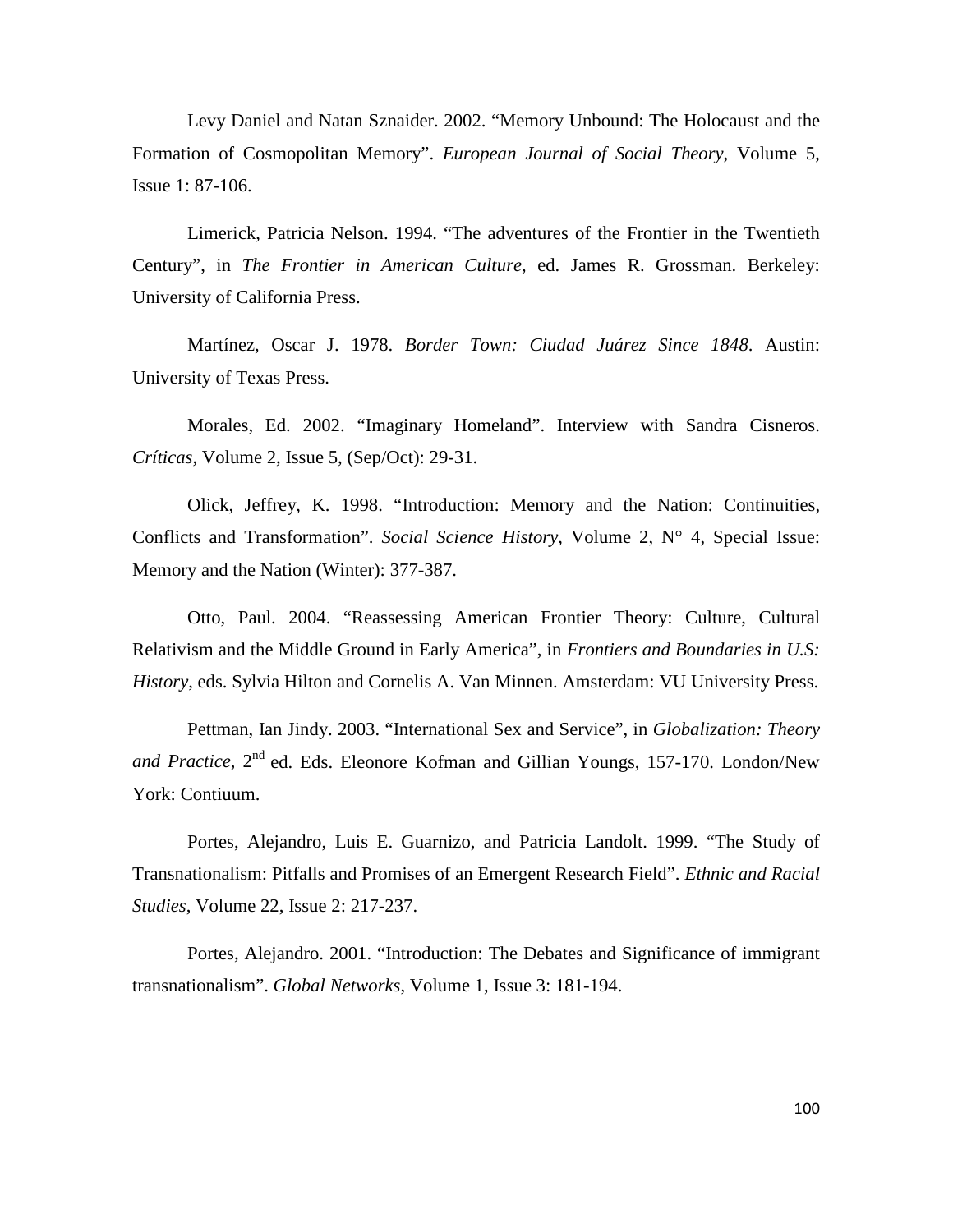Levy Daniel and Natan Sznaider. 2002. "Memory Unbound: The Holocaust and the Formation of Cosmopolitan Memory". *European Journal of Social Theory*, Volume 5, Issue 1: 87-106.

Limerick, Patricia Nelson. 1994. "The adventures of the Frontier in the Twentieth Century", in *The Frontier in American Culture*, ed. James R. Grossman. Berkeley: University of California Press.

Martínez, Oscar J. 1978. *Border Town: Ciudad Juárez Since 1848*. Austin: University of Texas Press.

Morales, Ed. 2002. "Imaginary Homeland". Interview with Sandra Cisneros. *Críticas*, Volume 2, Issue 5, (Sep/Oct): 29-31.

Olick, Jeffrey, K. 1998. "Introduction: Memory and the Nation: Continuities, Conflicts and Transformation". *Social Science History*, Volume 2, N° 4, Special Issue: Memory and the Nation (Winter): 377-387.

Otto, Paul. 2004. "Reassessing American Frontier Theory: Culture, Cultural Relativism and the Middle Ground in Early America", in *Frontiers and Boundaries in U.S: History*, eds. Sylvia Hilton and Cornelis A. Van Minnen. Amsterdam: VU University Press.

Pettman, Ian Jindy. 2003. "International Sex and Service", in *Globalization: Theory*  and Practice, 2<sup>nd</sup> ed. Eds. Eleonore Kofman and Gillian Youngs, 157-170. London/New York: Contiuum.

Portes, Alejandro, Luis E. Guarnizo, and Patricia Landolt. 1999. "The Study of Transnationalism: Pitfalls and Promises of an Emergent Research Field". *Ethnic and Racial Studies*, Volume 22, Issue 2: 217-237.

Portes, Alejandro. 2001. "Introduction: The Debates and Significance of immigrant transnationalism". *Global Networks*, Volume 1, Issue 3: 181-194.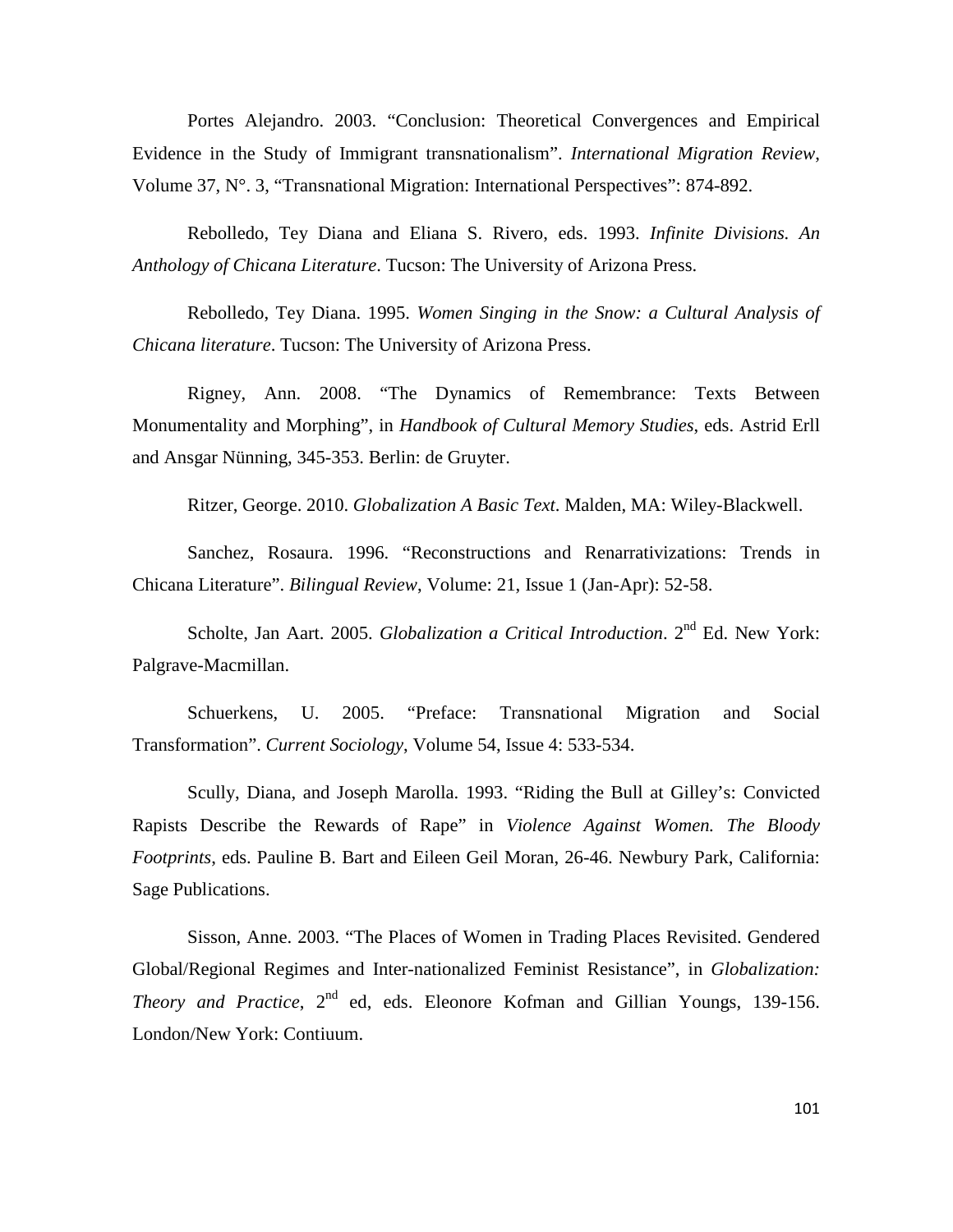Portes Alejandro. 2003. "Conclusion: Theoretical Convergences and Empirical Evidence in the Study of Immigrant transnationalism". *International Migration Review*, Volume 37, N°. 3, "Transnational Migration: International Perspectives": 874-892.

Rebolledo, Tey Diana and Eliana S. Rivero, eds. 1993. *Infinite Divisions. An Anthology of Chicana Literature*. Tucson: The University of Arizona Press.

Rebolledo, Tey Diana. 1995. *Women Singing in the Snow: a Cultural Analysis of Chicana literature*. Tucson: The University of Arizona Press.

Rigney, Ann. 2008. "The Dynamics of Remembrance: Texts Between Monumentality and Morphing", in *Handbook of Cultural Memory Studies*, eds. Astrid Erll and Ansgar Nünning, 345-353. Berlin: de Gruyter.

Ritzer, George. 2010. *Globalization A Basic Text*. Malden, MA: Wiley-Blackwell.

Sanchez, Rosaura. 1996. "Reconstructions and Renarrativizations: Trends in Chicana Literature". *Bilingual Review*, Volume: 21, Issue 1 (Jan-Apr): 52-58.

Scholte, Jan Aart. 2005. *Globalization a Critical Introduction*. 2<sup>nd</sup> Ed. New York: Palgrave-Macmillan.

Schuerkens, U. 2005. "Preface: Transnational Migration and Social Transformation". *Current Sociology*, Volume 54, Issue 4: 533-534.

Scully, Diana, and Joseph Marolla. 1993. "Riding the Bull at Gilley's: Convicted Rapists Describe the Rewards of Rape" in *Violence Against Women. The Bloody Footprints*, eds. Pauline B. Bart and Eileen Geil Moran, 26-46. Newbury Park, California: Sage Publications.

Sisson, Anne. 2003. "The Places of Women in Trading Places Revisited. Gendered Global/Regional Regimes and Inter-nationalized Feminist Resistance", in *Globalization: Theory and Practice*, 2<sup>nd</sup> ed, eds. Eleonore Kofman and Gillian Youngs, 139-156. London/New York: Contiuum.